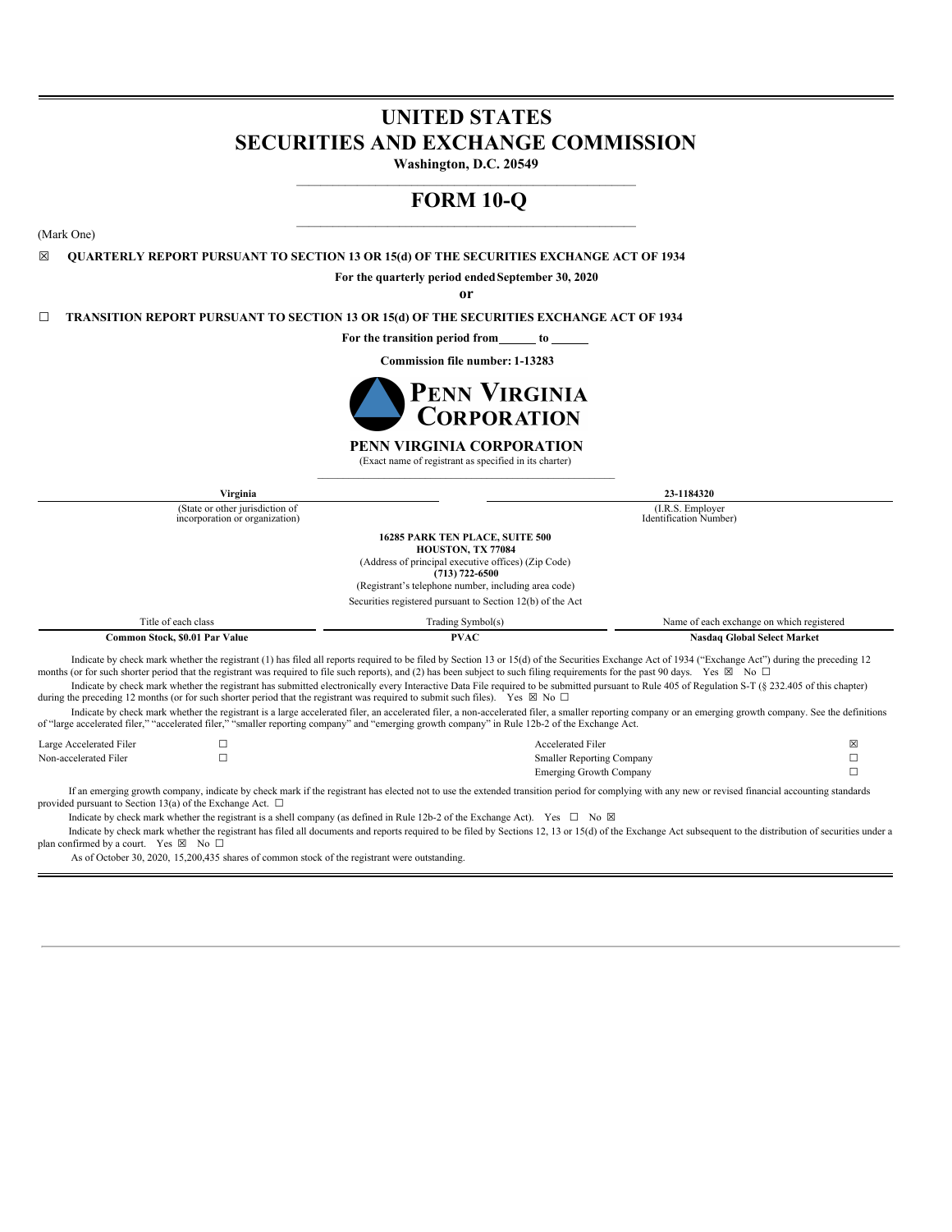# **UNITED STATES SECURITIES AND EXCHANGE COMMISSION**

**Washington, D.C. 20549** \_\_\_\_\_\_\_\_\_\_\_\_\_\_\_\_\_\_\_\_\_\_\_\_\_\_\_\_\_\_\_\_\_\_\_\_\_\_\_\_\_\_\_\_\_\_\_\_\_\_\_\_\_\_\_\_

## **FORM 10-Q**  $\mathcal{L}_\text{max}$  and the contract of the contract of the contract of the contract of the contract of the contract of the contract of the contract of the contract of the contract of the contract of the contract of the contrac

(Mark One)

☒ **QUARTERLY REPORT PURSUANT TO SECTION 13 OR 15(d) OF THE SECURITIES EXCHANGE ACT OF 1934**

**For the quarterly period endedSeptember 30, 2020**

**or**

☐ **TRANSITION REPORT PURSUANT TO SECTION 13 OR 15(d) OF THE SECURITIES EXCHANGE ACT OF 1934**

**For the transition period from to**

**Commission file number: 1-13283**



**PENN VIRGINIA CORPORATION**

(Exact name of registrant as specified in its charter)  $\mathcal{L}_\text{max}$  and the contract of the contract of the contract of the contract of the contract of the contract of

**Virginia 23-1184320** (State or other jurisdiction of incorporation or organization) (I.R.S. Employer Identification Number) **16285 PARK TEN PLACE, SUITE 500 HOUSTON, TX 77084** (Address of principal executive offices) (Zip Code) **(713) 722-6500** (Registrant's telephone number, including area code) Securities registered pursuant to Section 12(b) of the Act Trading Symbol(s) Name of each exchange on which registered Name of each exchange on which registered **Common Stock, \$0.01 Par Value PVAC Nasdaq Clobal Select Market** Indicate by check mark whether the registrant (1) has filed all reports required to be filed by Section 13 or 15(d) of the Securities Exchange Act of 1934 ("Exchange Act") during the preceding 12 months (or for such shorter period that the registrant was required to file such reports), and (2) has been subject to such filing requirements for the past 90 days. Yes  $\boxtimes$  No  $\Box$ 

Indicate by check mark whether the registrant has submitted electronically every Interactive Data File required to be submitted pursuant to Rule 405 of Regulation S-T (§ 232.405 of this chapter) during the preceding 12 months (or for such shorter period that the registrant was required to submit such files). Yes  $\boxtimes$  No  $\Box$ 

Indicate by check mark whether the registrant is a large accelerated filer, an accelerated filer, a non-accelerated filer, a smaller reporting company or an emerging growth company. See the definitions of "large accelerated filer," "accelerated filer," "smaller reporting company" and "emerging growth company" in Rule 12b-2 of the Exchange Act.

| Large Accelerated Filer | Accelerated Filer                | lxl |
|-------------------------|----------------------------------|-----|
| Non-accelerated Filer   | <b>Smaller Reporting Company</b> |     |
|                         | <b>Emerging Growth Company</b>   |     |

If an emerging growth company, indicate by check mark if the registrant has elected not to use the extended transition period for complying with any new or revised financial accounting standards provided pursuant to Section 13(a) of the Exchange Act.  $\Box$ 

Indicate by check mark whether the registrant is a shell company (as defined in Rule 12b-2 of the Exchange Act). Yes  $\Box$  No  $\boxtimes$ 

Indicate by check mark whether the registrant has filed all documents and reports required to be filed by Sections 12, 13 or 15(d) of the Exchange Act subsequent to the distribution of securities under a plan confirmed by a court. Yes  $\boxtimes$  No  $\Box$ 

As of October 30, 2020, 15,200,435 shares of common stock of the registrant were outstanding.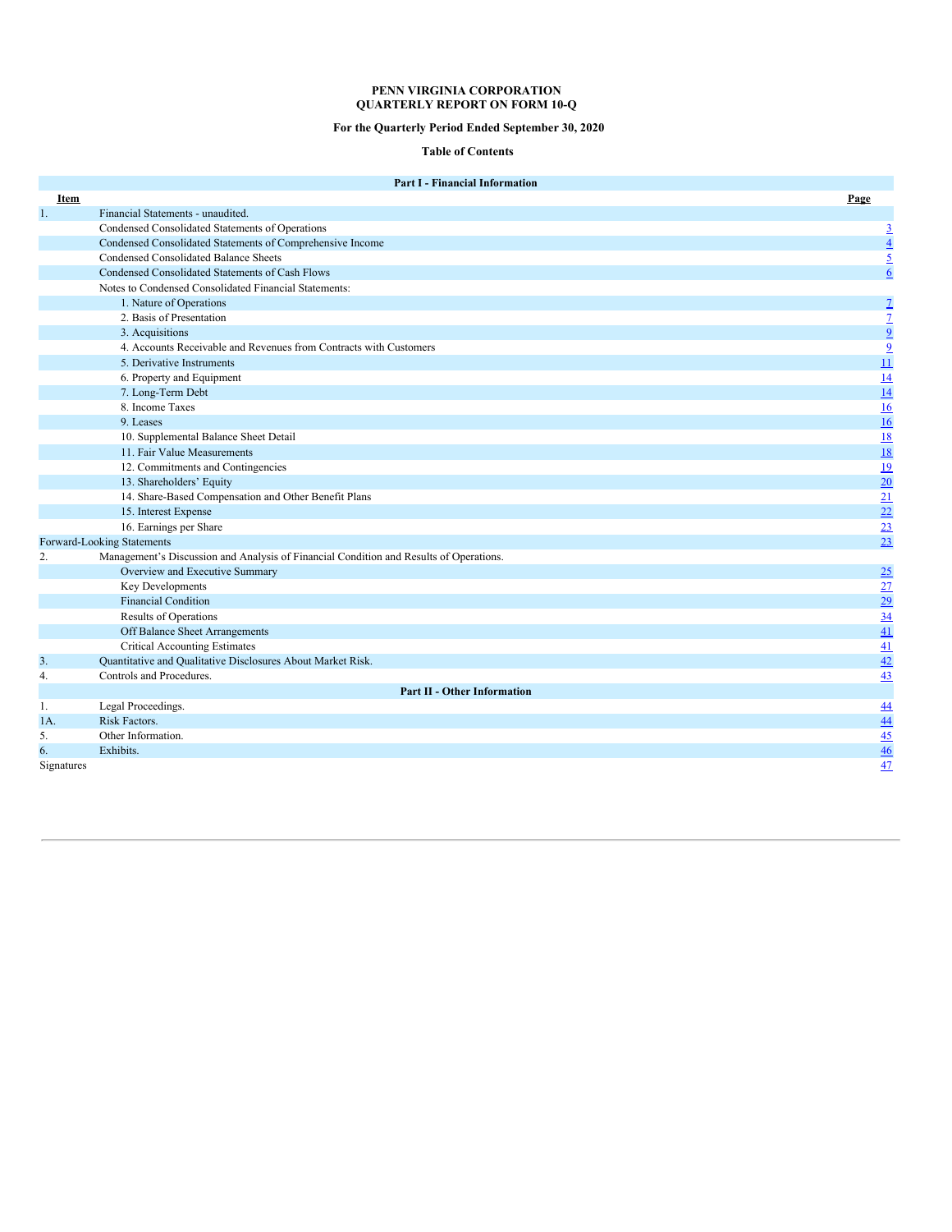### **PENN VIRGINIA CORPORATION QUARTERLY REPORT ON FORM 10-Q**

## **For the Quarterly Period Ended September 30, 2020**

## **Table of Contents**

| <b>Part I - Financial Information</b>                                                        |                                 |
|----------------------------------------------------------------------------------------------|---------------------------------|
| Item                                                                                         | Page                            |
| Financial Statements - unaudited.<br>1.                                                      |                                 |
| Condensed Consolidated Statements of Operations                                              | $\overline{3}$                  |
| Condensed Consolidated Statements of Comprehensive Income                                    | $\overline{4}$                  |
| Condensed Consolidated Balance Sheets                                                        | $\overline{2}$                  |
| Condensed Consolidated Statements of Cash Flows                                              | $\underline{6}$                 |
| Notes to Condensed Consolidated Financial Statements:                                        |                                 |
| 1. Nature of Operations                                                                      | $\overline{1}$                  |
| 2. Basis of Presentation                                                                     | $\overline{1}$                  |
| 3. Acquisitions                                                                              | $\frac{9}{9}$                   |
| 4. Accounts Receivable and Revenues from Contracts with Customers                            |                                 |
| 5. Derivative Instruments                                                                    |                                 |
| 6. Property and Equipment                                                                    | $\frac{11}{14}$ $\frac{14}{16}$ |
| 7. Long-Term Debt                                                                            |                                 |
| 8. Income Taxes                                                                              |                                 |
| 9. Leases                                                                                    | $\frac{16}{18}$                 |
| 10. Supplemental Balance Sheet Detail                                                        |                                 |
| 11. Fair Value Measurements                                                                  | 18                              |
| 12. Commitments and Contingencies                                                            |                                 |
| 13. Shareholders' Equity                                                                     | $\frac{19}{20}$ $\frac{21}{22}$ |
| 14. Share-Based Compensation and Other Benefit Plans                                         |                                 |
| 15. Interest Expense                                                                         |                                 |
| 16. Earnings per Share                                                                       | 23                              |
| Forward-Looking Statements                                                                   | $\overline{23}$                 |
| Management's Discussion and Analysis of Financial Condition and Results of Operations.<br>2. |                                 |
| Overview and Executive Summary                                                               | 25                              |
| Key Developments                                                                             | 27                              |
| <b>Financial Condition</b>                                                                   | $\frac{29}{34}$ $\frac{41}{41}$ |
| <b>Results of Operations</b>                                                                 |                                 |
| Off Balance Sheet Arrangements                                                               |                                 |
| <b>Critical Accounting Estimates</b>                                                         | $\overline{41}$                 |
| Quantitative and Qualitative Disclosures About Market Risk.<br>3.                            | $\frac{42}{5}$                  |
| Controls and Procedures.<br>4.                                                               | 43                              |
| <b>Part II - Other Information</b>                                                           |                                 |
| Legal Proceedings.<br>1.                                                                     | $\frac{44}{1}$                  |
| Risk Factors.<br>1A.                                                                         |                                 |
| 5.<br>Other Information.                                                                     | $\frac{44}{15}$                 |
| Exhibits.<br>6.                                                                              | $\frac{46}{5}$                  |
| Signatures                                                                                   | $\overline{47}$                 |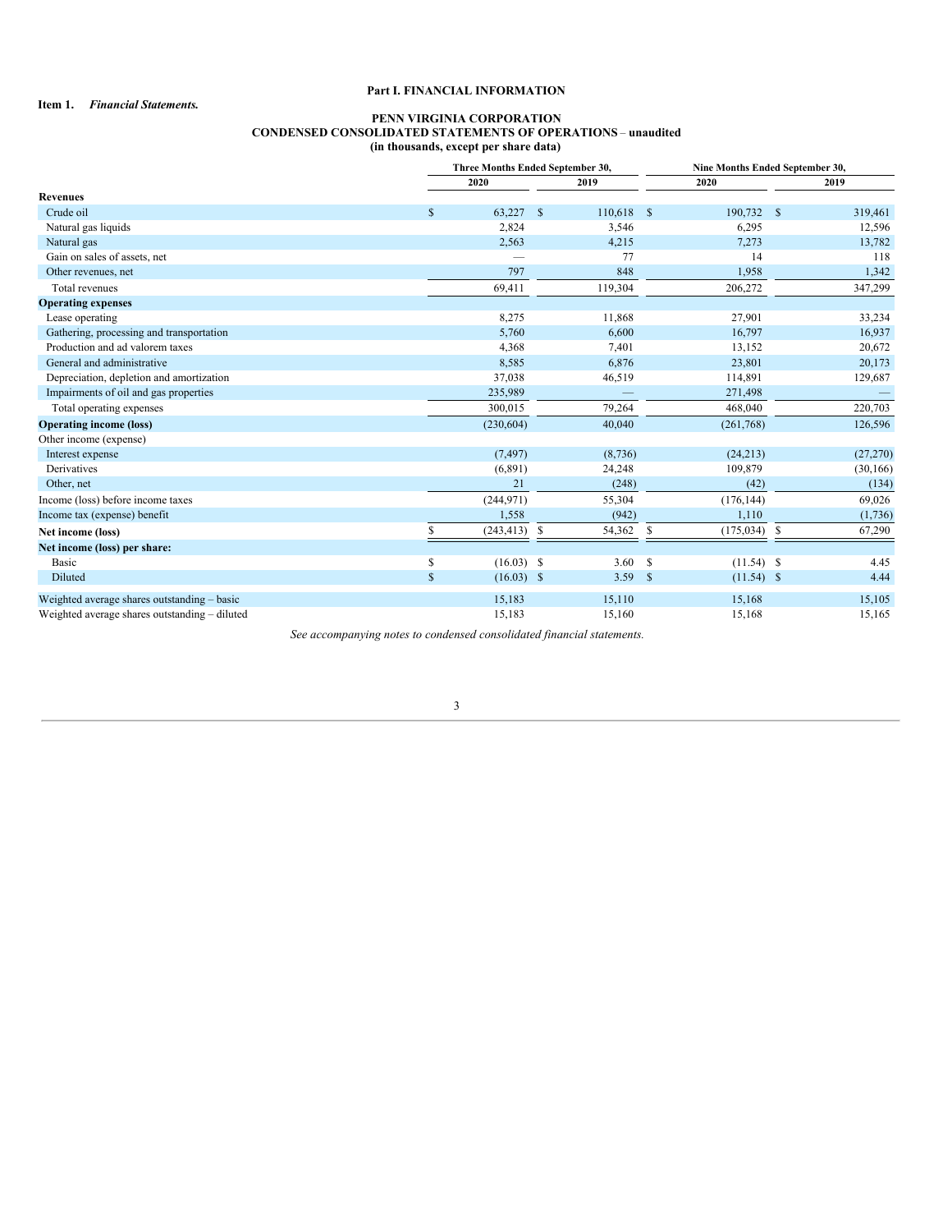## **Part I. FINANCIAL INFORMATION**

## <span id="page-2-0"></span>**Item 1.** *Financial Statements.*

#### **PENN VIRGINIA CORPORATION CONDENSED CONSOLIDATED STATEMENTS OF OPERATIONS** – **unaudited (in thousands, except per share data)**

|                                               |               | Three Months Ended September 30, |            |         | Nine Months Ended September 30, |              |               |           |  |
|-----------------------------------------------|---------------|----------------------------------|------------|---------|---------------------------------|--------------|---------------|-----------|--|
|                                               |               | 2020                             |            | 2019    |                                 | 2020         |               | 2019      |  |
| <b>Revenues</b>                               |               |                                  |            |         |                                 |              |               |           |  |
| Crude oil                                     | <sup>\$</sup> | 63,227                           | $^{\circ}$ | 110,618 | -S                              | 190,732      | <sup>\$</sup> | 319,461   |  |
| Natural gas liquids                           |               | 2,824                            |            | 3,546   |                                 | 6,295        |               | 12,596    |  |
| Natural gas                                   |               | 2,563                            |            | 4,215   |                                 | 7,273        |               | 13,782    |  |
| Gain on sales of assets, net                  |               |                                  |            | 77      |                                 | 14           |               | 118       |  |
| Other revenues, net                           |               | 797                              |            | 848     |                                 | 1,958        |               | 1,342     |  |
| Total revenues                                |               | 69,411                           |            | 119,304 |                                 | 206,272      |               | 347,299   |  |
| <b>Operating expenses</b>                     |               |                                  |            |         |                                 |              |               |           |  |
| Lease operating                               |               | 8,275                            |            | 11,868  |                                 | 27,901       |               | 33,234    |  |
| Gathering, processing and transportation      |               | 5,760                            |            | 6,600   |                                 | 16,797       |               | 16,937    |  |
| Production and ad valorem taxes               |               | 4,368                            |            | 7,401   |                                 | 13,152       |               | 20,672    |  |
| General and administrative                    |               | 8,585                            |            | 6,876   |                                 | 23,801       |               | 20,173    |  |
| Depreciation, depletion and amortization      |               | 37,038                           |            | 46,519  |                                 | 114,891      |               | 129,687   |  |
| Impairments of oil and gas properties         |               | 235,989                          |            |         |                                 | 271,498      |               |           |  |
| Total operating expenses                      |               | 300,015                          |            | 79,264  |                                 | 468,040      |               | 220,703   |  |
| <b>Operating income (loss)</b>                |               | (230, 604)                       |            | 40,040  |                                 | (261,768)    |               | 126,596   |  |
| Other income (expense)                        |               |                                  |            |         |                                 |              |               |           |  |
| Interest expense                              |               | (7, 497)                         |            | (8,736) |                                 | (24,213)     |               | (27,270)  |  |
| Derivatives                                   |               | (6,891)                          |            | 24,248  |                                 | 109,879      |               | (30, 166) |  |
| Other, net                                    |               | 21                               |            | (248)   |                                 | (42)         |               | (134)     |  |
| Income (loss) before income taxes             |               | (244, 971)                       |            | 55,304  |                                 | (176, 144)   |               | 69,026    |  |
| Income tax (expense) benefit                  |               | 1,558                            |            | (942)   |                                 | 1,110        |               | (1,736)   |  |
| Net income (loss)                             | S             | (243, 413)                       | -S         | 54,362  | <sup>\$</sup>                   | (175, 034)   | <sup>\$</sup> | 67,290    |  |
| Net income (loss) per share:                  |               |                                  |            |         |                                 |              |               |           |  |
| <b>Basic</b>                                  | \$            | $(16.03)$ \$                     |            | 3.60    | <sup>\$</sup>                   | $(11.54)$ \$ |               | 4.45      |  |
| Diluted                                       | $\mathbb{S}$  | $(16.03)$ \$                     |            | 3.59    | <sup>\$</sup>                   | $(11.54)$ \$ |               | 4.44      |  |
| Weighted average shares outstanding - basic   |               | 15,183                           |            | 15,110  |                                 | 15,168       |               | 15,105    |  |
| Weighted average shares outstanding - diluted |               | 15,183                           |            | 15,160  |                                 | 15,168       |               | 15,165    |  |

<span id="page-2-1"></span>*See accompanying notes to condensed consolidated financial statements.*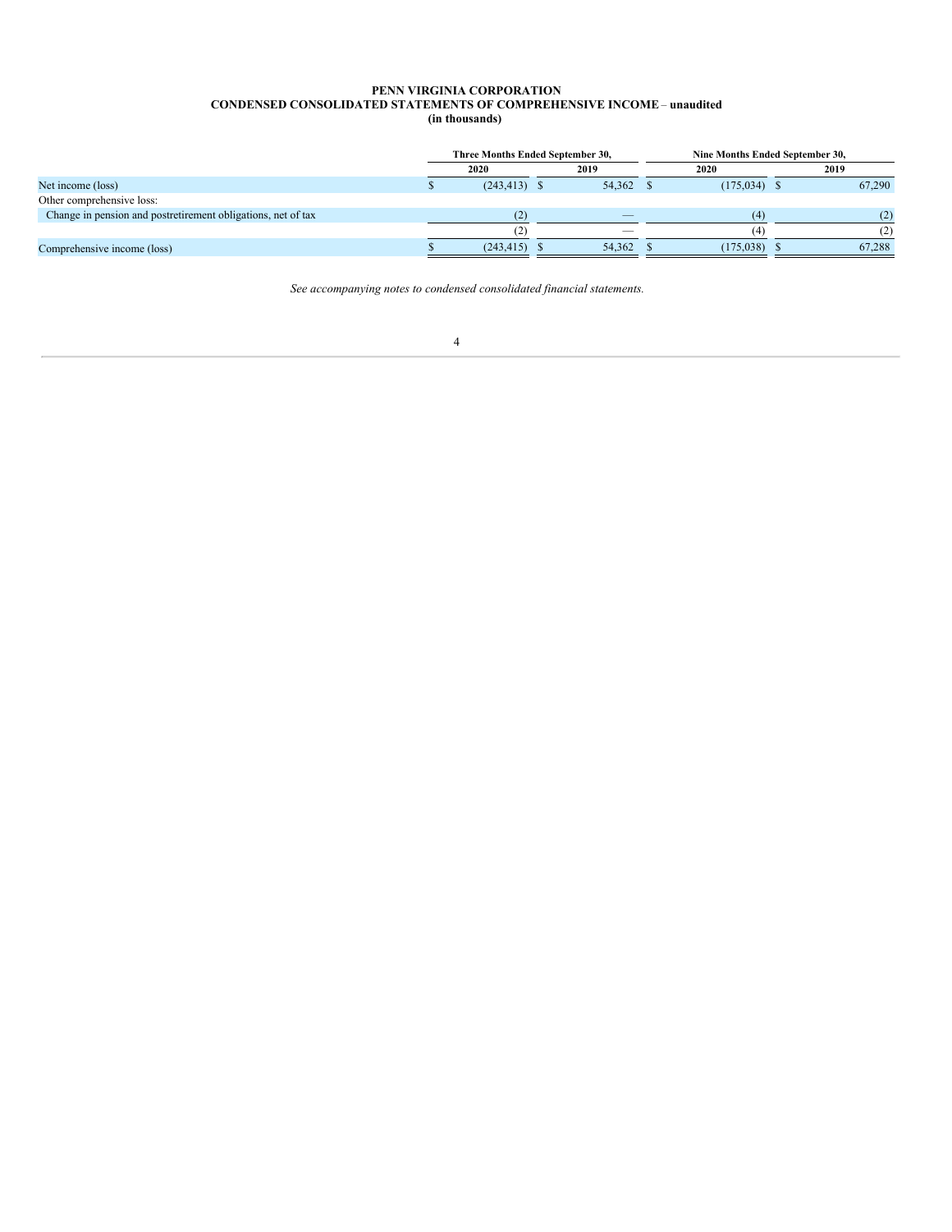#### **PENN VIRGINIA CORPORATION CONDENSED CONSOLIDATED STATEMENTS OF COMPREHENSIVE INCOME** – **unaudited (in thousands)**

<span id="page-3-0"></span>

|                                                              | Three Months Ended September 30, |  |        | Nine Months Ended September 30, |                |  |        |
|--------------------------------------------------------------|----------------------------------|--|--------|---------------------------------|----------------|--|--------|
|                                                              | 2019<br>2020                     |  |        |                                 | 2020           |  | 2019   |
| Net income (loss)                                            | $(243, 413)$ \$                  |  | 54,362 |                                 | $(175,034)$ \$ |  | 67,290 |
| Other comprehensive loss:                                    |                                  |  |        |                                 |                |  |        |
| Change in pension and postretirement obligations, net of tax | (2)                              |  |        |                                 | (4)            |  | (2)    |
|                                                              | (2)                              |  |        |                                 | (4)            |  |        |
| Comprehensive income (loss)                                  | $(243, 415)$ \$                  |  | 54.362 |                                 | (175, 038)     |  | 67,288 |

*See accompanying notes to condensed consolidated financial statements.*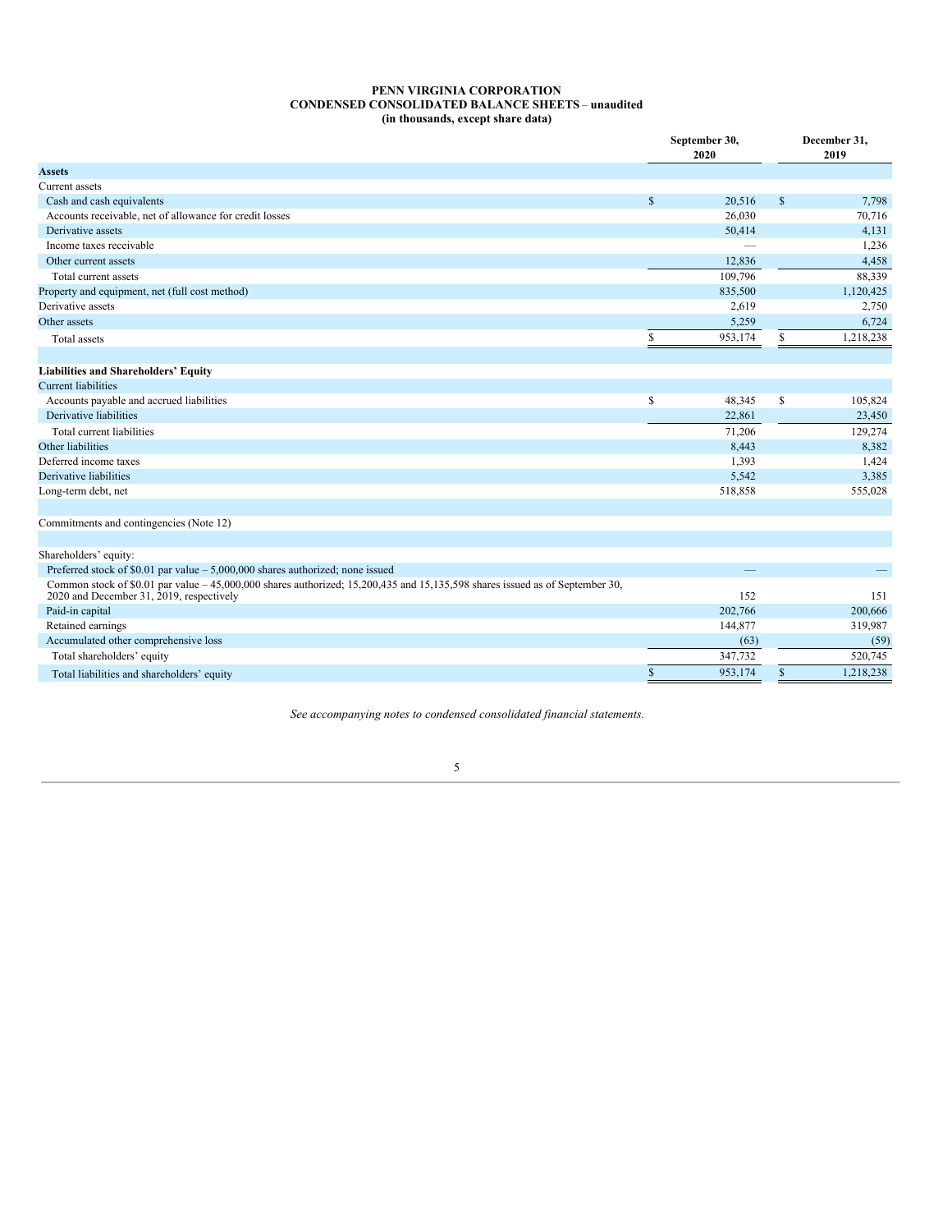#### **PENN VIRGINIA CORPORATION CONDENSED CONSOLIDATED BALANCE SHEETS** – **unaudited (in thousands, except share data)**

|                                                                                                                                                                          |      | September 30,<br>2020 |              | December 31,<br>2019 |
|--------------------------------------------------------------------------------------------------------------------------------------------------------------------------|------|-----------------------|--------------|----------------------|
| Assets                                                                                                                                                                   |      |                       |              |                      |
| Current assets                                                                                                                                                           |      |                       |              |                      |
| Cash and cash equivalents                                                                                                                                                | \$   | 20,516                | $\mathbb{S}$ | 7,798                |
| Accounts receivable, net of allowance for credit losses                                                                                                                  |      | 26,030                |              | 70,716               |
| Derivative assets                                                                                                                                                        |      | 50,414                |              | 4,131                |
| Income taxes receivable                                                                                                                                                  |      |                       |              | 1,236                |
| Other current assets                                                                                                                                                     |      | 12,836                |              | 4,458                |
| Total current assets                                                                                                                                                     |      | 109,796               |              | 88,339               |
| Property and equipment, net (full cost method)                                                                                                                           |      | 835,500               |              | 1,120,425            |
| Derivative assets                                                                                                                                                        |      | 2,619                 |              | 2,750                |
| Other assets                                                                                                                                                             |      | 5,259                 |              | 6,724                |
| Total assets                                                                                                                                                             | \$   | 953,174               | \$           | 1,218,238            |
| <b>Liabilities and Shareholders' Equity</b>                                                                                                                              |      |                       |              |                      |
| <b>Current liabilities</b>                                                                                                                                               |      |                       |              |                      |
| Accounts payable and accrued liabilities                                                                                                                                 | \$   | 48,345                | \$           | 105,824              |
| Derivative liabilities                                                                                                                                                   |      | 22,861                |              | 23,450               |
| Total current liabilities                                                                                                                                                |      | 71,206                |              | 129,274              |
| Other liabilities                                                                                                                                                        |      | 8,443                 |              | 8,382                |
| Deferred income taxes                                                                                                                                                    |      | 1,393                 |              | 1,424                |
| Derivative liabilities                                                                                                                                                   |      | 5,542                 |              | 3,385                |
| Long-term debt, net                                                                                                                                                      |      | 518,858               |              | 555,028              |
| Commitments and contingencies (Note 12)                                                                                                                                  |      |                       |              |                      |
| Shareholders' equity:                                                                                                                                                    |      |                       |              |                      |
| Preferred stock of \$0.01 par value $-5,000,000$ shares authorized; none issued                                                                                          |      |                       |              |                      |
| Common stock of \$0.01 par value - 45,000,000 shares authorized; 15,200,435 and 15,135,598 shares issued as of September 30,<br>2020 and December 31, 2019, respectively |      | 152                   |              | 151                  |
| Paid-in capital                                                                                                                                                          |      | 202,766               |              | 200,666              |
| Retained earnings                                                                                                                                                        |      | 144,877               |              | 319,987              |
| Accumulated other comprehensive loss                                                                                                                                     |      | (63)                  |              | (59)                 |
| Total shareholders' equity                                                                                                                                               |      | 347.732               |              | 520,745              |
| Total liabilities and shareholders' equity                                                                                                                               | $\$$ | 953,174               | $\mathbb{S}$ | 1,218,238            |

<span id="page-4-0"></span>*See accompanying notes to condensed consolidated financial statements.*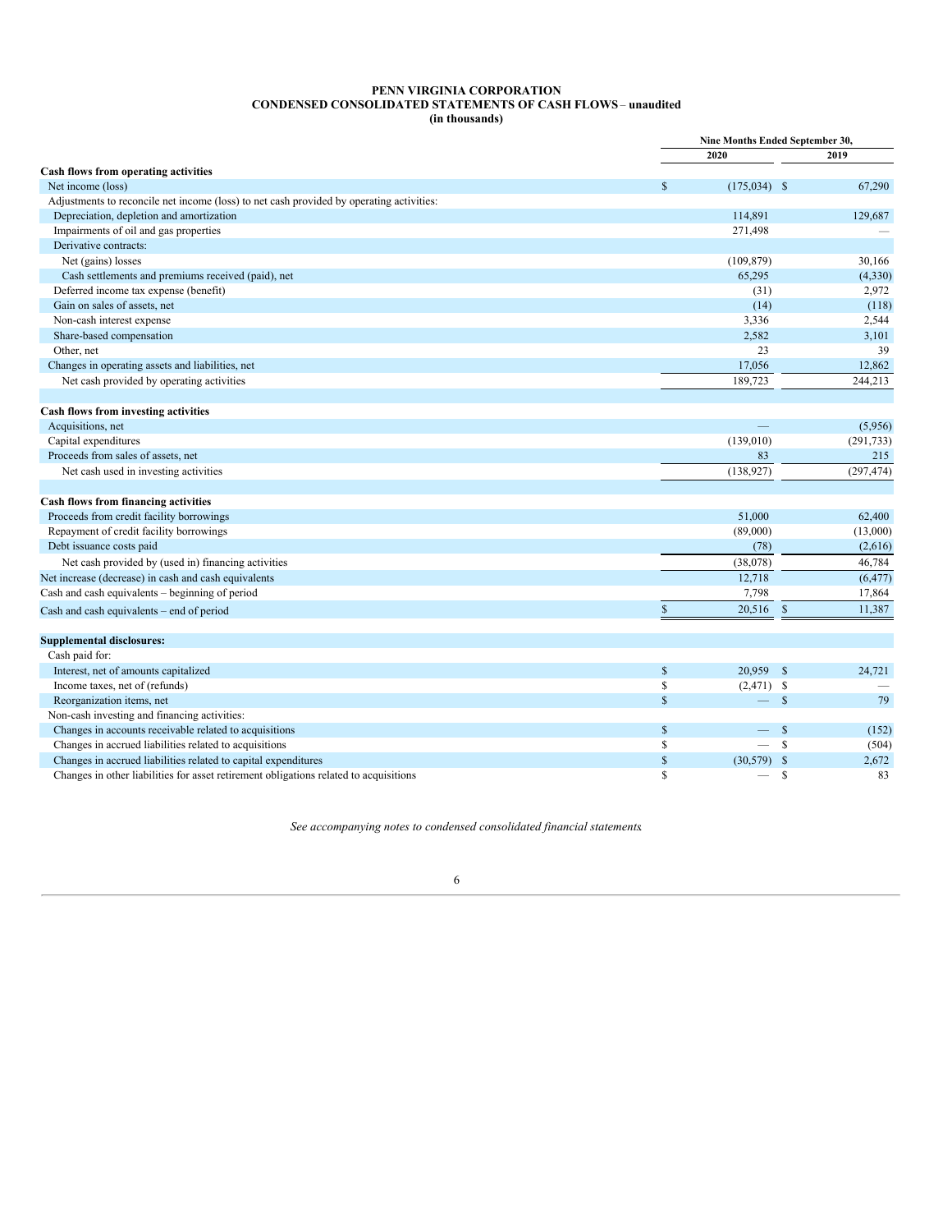#### **PENN VIRGINIA CORPORATION CONDENSED CONSOLIDATED STATEMENTS OF CASH FLOWS** – **unaudited (in thousands)**

**Nine Months Ended September 30, 2020 2019 Cash flows from operating activities** Net income (loss) 67,290 Adjustments to reconcile net income (loss) to net cash provided by operating activities: Depreciation, depletion and amortization 114,891 129,687 Impairments of oil and gas properties 271,498 — Derivative contracts: Net (gains) losses (109,879) 30,166 Cash settlements and premiums received (paid), net 65,295 (4,330) Deferred income tax expense (benefit) (31) 2,972 Gain on sales of assets, net (118) (118) (118) Non-cash interest expense 2,544 2,544 Share-based compensation 2,582 3,101 Other, net 23 39 Changes in operating assets and liabilities, net 17,056 12,862 Net cash provided by operating activities 189,723 244,213 **Cash flows from investing activities** Acquisitions, net — (5,956) Capital expenditures (139,010) (291,733) Proceeds from sales of assets, net 83 215 Net cash used in investing activities (138,927) (297,474) **Cash flows from financing activities** Proceeds from credit facility borrowings 62,400 62,400 62,400 62,400 62,400 62,400 62,400 62,400 62,400 62,400 63,400 62,400 63,400 63,400 63,400 63,400 63,400 63,400 63,400 63,400 63,400 63,400 63,400 63,400 63,400 63,400 Repayment of credit facility borrowings (89,000) (13,000) Debt issuance costs paid (2,616) (2,616) (2,616) (2,616) Net cash provided by (used in) financing activities (38,078) 46,784 Net increase (decrease) in cash and cash equivalents (6,477) (6,477) Cash and cash equivalents – beginning of period 7,798 17,864 Cash and cash equivalents – end of period  $\overline{\text{S}}$  20,516  $\overline{\text{S}}$  20,516  $\overline{\text{S}}$  11,387 **Supplemental disclosures:** Cash paid for: Interest, net of amounts capitalized 24,721 Income taxes, net of (refunds)  $\qquad \qquad$  (2,471)  $\qquad \qquad$  (3.471)  $\qquad \qquad$  (3.471)  $\qquad \qquad$ Reorganization items, net  $\sim$  79 Non-cash investing and financing activities: Changes in accounts receivable related to acquisitions (152) (152) Changes in accrued liabilities related to acquisitions  $\sim$  (504)

*See accompanying notes to condensed consolidated financial statements*.

Changes in accrued liabilities related to capital expenditures **1996** (30,579) \$ 2,672 Changes in other liabilities for asset retirement obligations related to acquisitions **S** and the set of the set of the set of the set of the set of the set of the set of the set of the set of the set of the set of the set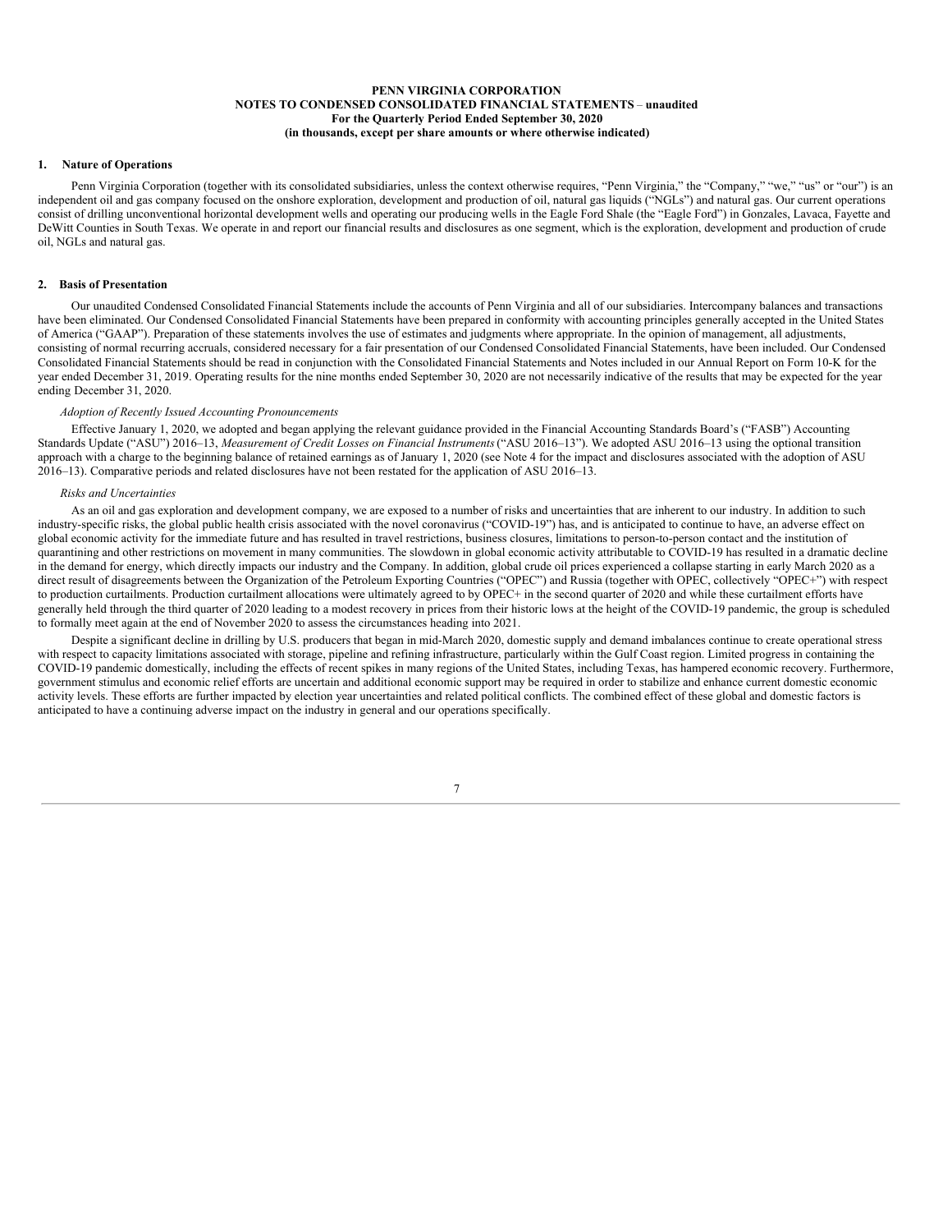### **PENN VIRGINIA CORPORATION NOTES TO CONDENSED CONSOLIDATED FINANCIAL STATEMENTS** – **unaudited For the Quarterly Period Ended September 30, 2020 (in thousands, except per share amounts or where otherwise indicated)**

### <span id="page-6-0"></span>**1. Nature of Operations**

Penn Virginia Corporation (together with its consolidated subsidiaries, unless the context otherwise requires, "Penn Virginia," the "Company," "we," "us" or "our") is an independent oil and gas company focused on the onshore exploration, development and production of oil, natural gas liquids ("NGLs") and natural gas. Our current operations consist of drilling unconventional horizontal development wells and operating our producing wells in the Eagle Ford Shale (the "Eagle Ford") in Gonzales, Lavaca, Fayette and DeWitt Counties in South Texas. We operate in and report our financial results and disclosures as one segment, which is the exploration, development and production of crude oil, NGLs and natural gas.

### <span id="page-6-1"></span>**2. Basis of Presentation**

Our unaudited Condensed Consolidated Financial Statements include the accounts of Penn Virginia and all of our subsidiaries. Intercompany balances and transactions have been eliminated. Our Condensed Consolidated Financial Statements have been prepared in conformity with accounting principles generally accepted in the United States of America ("GAAP"). Preparation of these statements involves the use of estimates and judgments where appropriate. In the opinion of management, all adjustments, consisting of normal recurring accruals, considered necessary for a fair presentation of our Condensed Consolidated Financial Statements, have been included. Our Condensed Consolidated Financial Statements should be read in conjunction with the Consolidated Financial Statements and Notes included in our Annual Report on Form 10-K for the year ended December 31, 2019. Operating results for the nine months ended September 30, 2020 are not necessarily indicative of the results that may be expected for the year ending December 31, 2020.

#### *Adoption of Recently Issued Accounting Pronouncements*

Effective January 1, 2020, we adopted and began applying the relevant guidance provided in the Financial Accounting Standards Board's ("FASB") Accounting Standards Update ("ASU") 2016–13, *Measurement of Credit Losses on Financial Instruments*("ASU 2016–13"). We adopted ASU 2016–13 using the optional transition approach with a charge to the beginning balance of retained earnings as of January 1, 2020 (see Note 4 for the impact and disclosures associated with the adoption of ASU 2016–13). Comparative periods and related disclosures have not been restated for the application of ASU 2016–13.

#### *Risks and Uncertainties*

As an oil and gas exploration and development company, we are exposed to a number of risks and uncertainties that are inherent to our industry. In addition to such industry-specific risks, the global public health crisis associated with the novel coronavirus ("COVID-19") has, and is anticipated to continue to have, an adverse effect on global economic activity for the immediate future and has resulted in travel restrictions, business closures, limitations to person-to-person contact and the institution of quarantining and other restrictions on movement in many communities. The slowdown in global economic activity attributable to COVID-19 has resulted in a dramatic decline in the demand for energy, which directly impacts our industry and the Company. In addition, global crude oil prices experienced a collapse starting in early March 2020 as a direct result of disagreements between the Organization of the Petroleum Exporting Countries ("OPEC") and Russia (together with OPEC, collectively "OPEC+") with respect to production curtailments. Production curtailment allocations were ultimately agreed to by OPEC+ in the second quarter of 2020 and while these curtailment efforts have generally held through the third quarter of 2020 leading to a modest recovery in prices from their historic lows at the height of the COVID-19 pandemic, the group is scheduled to formally meet again at the end of November 2020 to assess the circumstances heading into 2021.

Despite a significant decline in drilling by U.S. producers that began in mid-March 2020, domestic supply and demand imbalances continue to create operational stress with respect to capacity limitations associated with storage, pipeline and refining infrastructure, particularly within the Gulf Coast region. Limited progress in containing the COVID-19 pandemic domestically, including the effects of recent spikes in many regions of the United States, including Texas, has hampered economic recovery. Furthermore, government stimulus and economic relief efforts are uncertain and additional economic support may be required in order to stabilize and enhance current domestic economic activity levels. These efforts are further impacted by election year uncertainties and related political conflicts. The combined effect of these global and domestic factors is anticipated to have a continuing adverse impact on the industry in general and our operations specifically.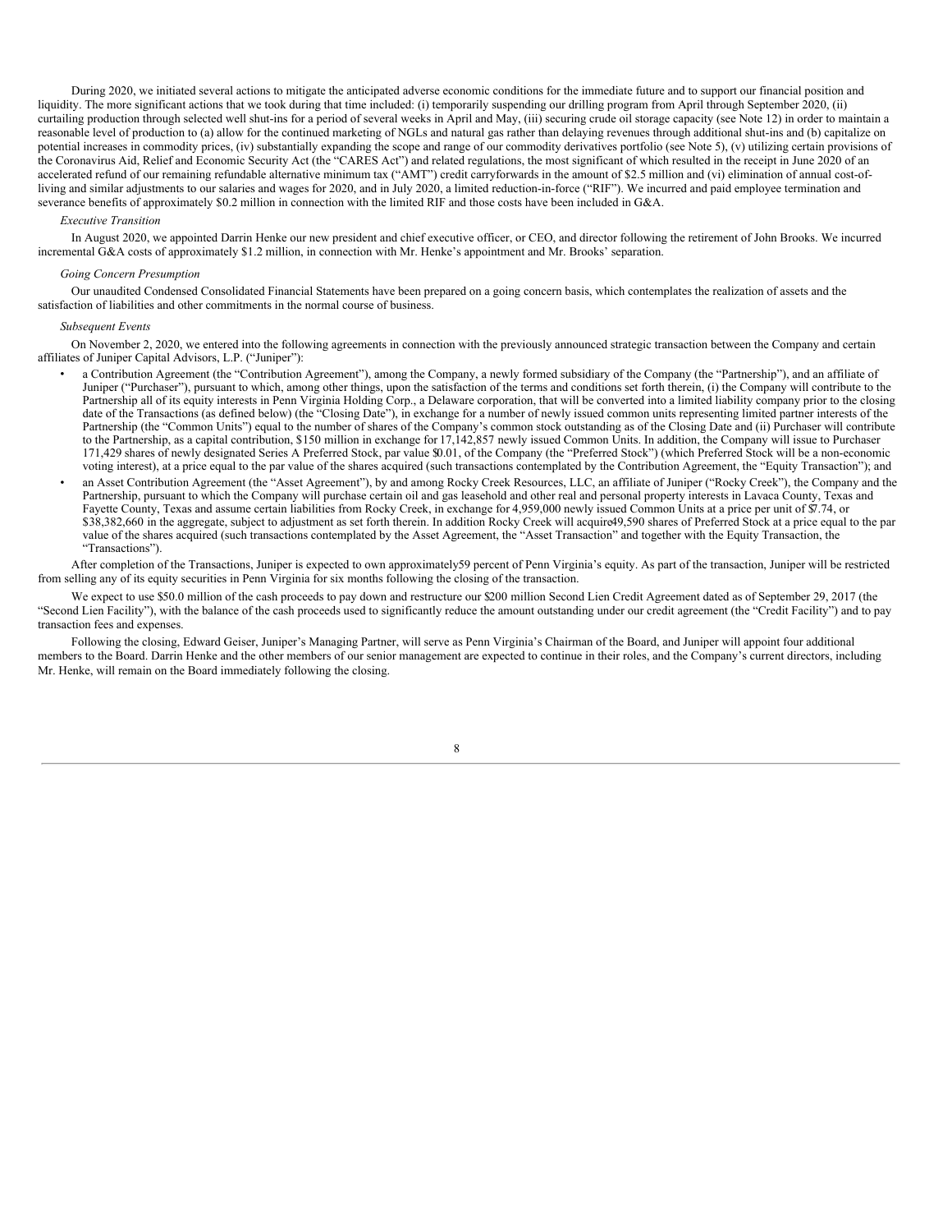During 2020, we initiated several actions to mitigate the anticipated adverse economic conditions for the immediate future and to support our financial position and liquidity. The more significant actions that we took during that time included: (i) temporarily suspending our drilling program from April through September 2020, (ii) curtailing production through selected well shut-ins for a period of several weeks in April and May, (iii) securing crude oil storage capacity (see Note 12) in order to maintain a reasonable level of production to (a) allow for the continued marketing of NGLs and natural gas rather than delaying revenues through additional shut-ins and (b) capitalize on potential increases in commodity prices, (iv) substantially expanding the scope and range of our commodity derivatives portfolio (see Note 5), (v) utilizing certain provisions of the Coronavirus Aid, Relief and Economic Security Act (the "CARES Act") and related regulations, the most significant of which resulted in the receipt in June 2020 of an accelerated refund of our remaining refundable alternative minimum tax ("AMT") credit carryforwards in the amount of \$2.5 million and (vi) elimination of annual cost-ofliving and similar adjustments to our salaries and wages for 2020, and in July 2020, a limited reduction-in-force ("RIF"). We incurred and paid employee termination and severance benefits of approximately \$0.2 million in connection with the limited RIF and those costs have been included in G&A.

#### *Executive Transition*

In August 2020, we appointed Darrin Henke our new president and chief executive officer, or CEO, and director following the retirement of John Brooks. We incurred incremental G&A costs of approximately \$1.2 million, in connection with Mr. Henke's appointment and Mr. Brooks' separation.

#### *Going Concern Presumption*

Our unaudited Condensed Consolidated Financial Statements have been prepared on a going concern basis, which contemplates the realization of assets and the satisfaction of liabilities and other commitments in the normal course of business.

### *Subsequent Events*

On November 2, 2020, we entered into the following agreements in connection with the previously announced strategic transaction between the Company and certain affiliates of Juniper Capital Advisors, L.P. ("Juniper"):

- a Contribution Agreement (the "Contribution Agreement"), among the Company, a newly formed subsidiary of the Company (the "Partnership"), and an affiliate of Juniper ("Purchaser"), pursuant to which, among other things, upon the satisfaction of the terms and conditions set forth therein, (i) the Company will contribute to the Partnership all of its equity interests in Penn Virginia Holding Corp., a Delaware corporation, that will be converted into a limited liability company prior to the closing date of the Transactions (as defined below) (the "Closing Date"), in exchange for a number of newly issued common units representing limited partner interests of the Partnership (the "Common Units") equal to the number of shares of the Company's common stock outstanding as of the Closing Date and (ii) Purchaser will contribute to the Partnership, as a capital contribution, \$150 million in exchange for 17,142,857 newly issued Common Units. In addition, the Company will issue to Purchaser 171,429 shares of newly designated Series A Preferred Stock, par value \$0.01, of the Company (the "Preferred Stock") (which Preferred Stock will be a non-economic voting interest), at a price equal to the par value of the shares acquired (such transactions contemplated by the Contribution Agreement, the "Equity Transaction"); and
- an Asset Contribution Agreement (the "Asset Agreement"), by and among Rocky Creek Resources, LLC, an affiliate of Juniper ("Rocky Creek"), the Company and the Partnership, pursuant to which the Company will purchase certain oil and gas leasehold and other real and personal property interests in Lavaca County, Texas and Fayette County, Texas and assume certain liabilities from Rocky Creek, in exchange for 4,959,000 newly issued Common Units at a price per unit of \$7.74, or \$38,382,660 in the aggregate, subject to adjustment as set forth therein. In addition Rocky Creek will acquire49,590 shares of Preferred Stock at a price equal to the par value of the shares acquired (such transactions contemplated by the Asset Agreement, the "Asset Transaction" and together with the Equity Transaction, the "Transactions").

After completion of the Transactions, Juniper is expected to own approximately59 percent of Penn Virginia's equity. As part of the transaction, Juniper will be restricted from selling any of its equity securities in Penn Virginia for six months following the closing of the transaction.

We expect to use \$50.0 million of the cash proceeds to pay down and restructure our \$200 million Second Lien Credit Agreement dated as of September 29, 2017 (the "Second Lien Facility"), with the balance of the cash proceeds used to significantly reduce the amount outstanding under our credit agreement (the "Credit Facility") and to pay transaction fees and expenses.

Following the closing, Edward Geiser, Juniper's Managing Partner, will serve as Penn Virginia's Chairman of the Board, and Juniper will appoint four additional members to the Board. Darrin Henke and the other members of our senior management are expected to continue in their roles, and the Company's current directors, including Mr. Henke, will remain on the Board immediately following the closing.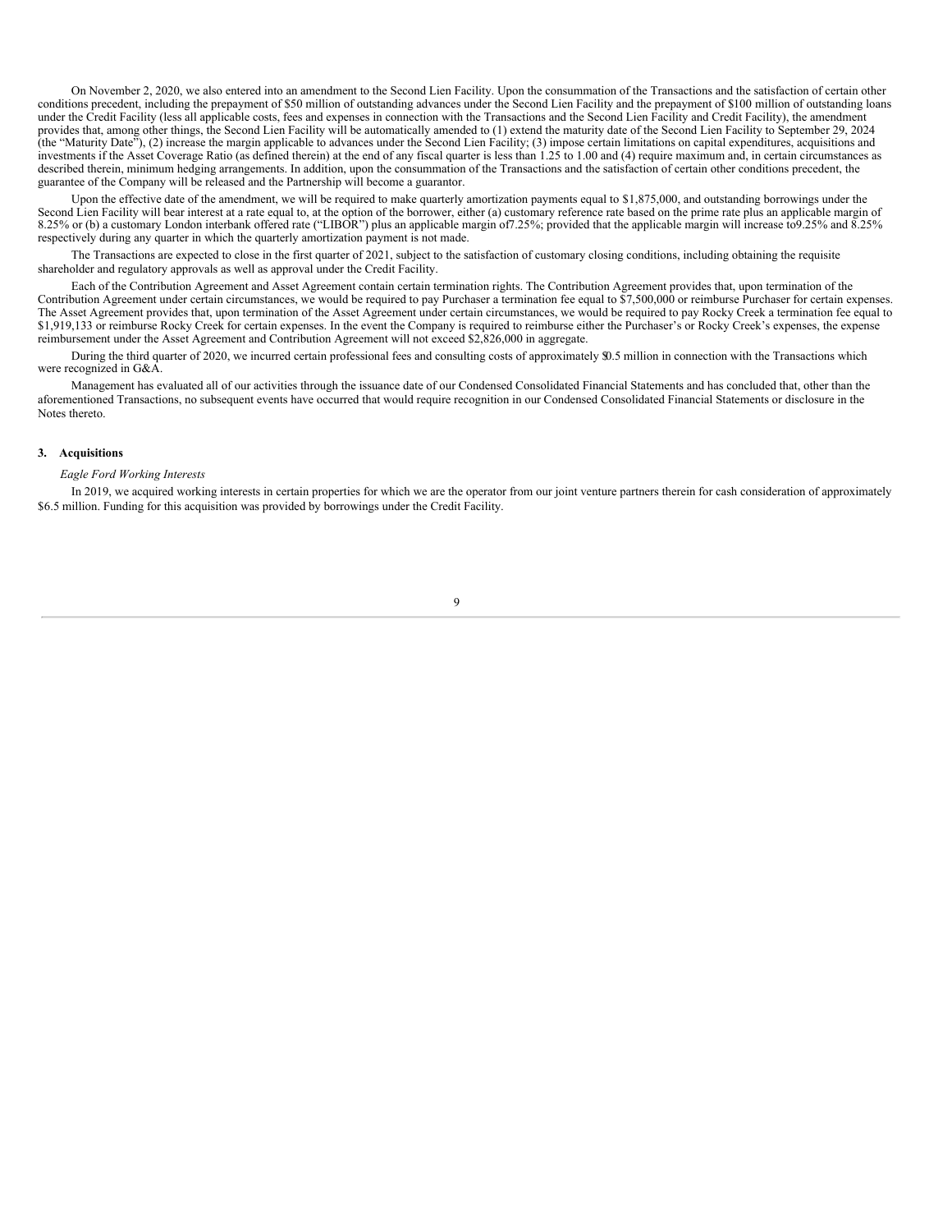On November 2, 2020, we also entered into an amendment to the Second Lien Facility. Upon the consummation of the Transactions and the satisfaction of certain other conditions precedent, including the prepayment of \$50 million of outstanding advances under the Second Lien Facility and the prepayment of \$100 million of outstanding loans under the Credit Facility (less all applicable costs, fees and expenses in connection with the Transactions and the Second Lien Facility and Credit Facility), the amendment provides that, among other things, the Second Lien Facility will be automatically amended to (1) extend the maturity date of the Second Lien Facility to September 29, 2024 (the "Maturity Date"), (2) increase the margin applicable to advances under the Second Lien Facility; (3) impose certain limitations on capital expenditures, acquisitions and investments if the Asset Coverage Ratio (as defined therein) at the end of any fiscal quarter is less than 1.25 to 1.00 and (4) require maximum and, in certain circumstances as described therein, minimum hedging arrangements. In addition, upon the consummation of the Transactions and the satisfaction of certain other conditions precedent, the guarantee of the Company will be released and the Partnership will become a guarantor.

Upon the effective date of the amendment, we will be required to make quarterly amortization payments equal to \$1,875,000, and outstanding borrowings under the Second Lien Facility will bear interest at a rate equal to, at the option of the borrower, either (a) customary reference rate based on the prime rate plus an applicable margin of 8.25% or (b) a customary London interbank offered rate ("LIBOR") plus an applicable margin of7.25%; provided that the applicable margin will increase to9.25% and 8.25% respectively during any quarter in which the quarterly amortization payment is not made.

The Transactions are expected to close in the first quarter of 2021, subject to the satisfaction of customary closing conditions, including obtaining the requisite shareholder and regulatory approvals as well as approval under the Credit Facility.

Each of the Contribution Agreement and Asset Agreement contain certain termination rights. The Contribution Agreement provides that, upon termination of the Contribution Agreement under certain circumstances, we would be required to pay Purchaser a termination fee equal to \$7,500,000 or reimburse Purchaser for certain expenses. The Asset Agreement provides that, upon termination of the Asset Agreement under certain circumstances, we would be required to pay Rocky Creek a termination fee equal to \$1,919,133 or reimburse Rocky Creek for certain expenses. In the event the Company is required to reimburse either the Purchaser's or Rocky Creek's expenses, the expense reimbursement under the Asset Agreement and Contribution Agreement will not exceed \$2,826,000 in aggregate.

During the third quarter of 2020, we incurred certain professional fees and consulting costs of approximately \$0.5 million in connection with the Transactions which were recognized in G&A.

Management has evaluated all of our activities through the issuance date of our Condensed Consolidated Financial Statements and has concluded that, other than the aforementioned Transactions, no subsequent events have occurred that would require recognition in our Condensed Consolidated Financial Statements or disclosure in the Notes thereto.

### <span id="page-8-0"></span>**3. Acquisitions**

#### *Eagle Ford Working Interests*

<span id="page-8-1"></span>In 2019, we acquired working interests in certain properties for which we are the operator from our joint venture partners therein for cash consideration of approximately \$6.5 million. Funding for this acquisition was provided by borrowings under the Credit Facility.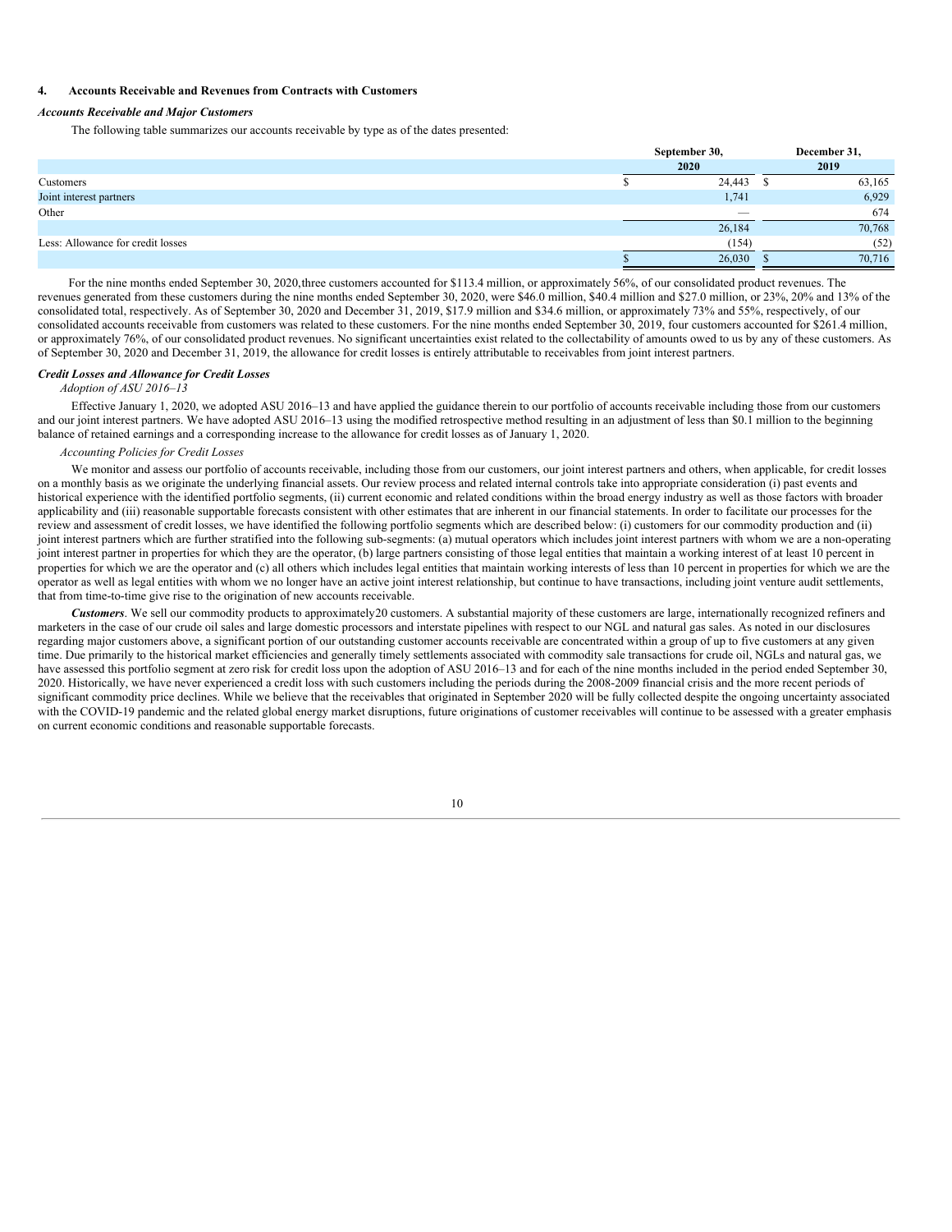#### **4. Accounts Receivable and Revenues from Contracts with Customers**

## *Accounts Receivable and Major Customers*

The following table summarizes our accounts receivable by type as of the dates presented:

|                                   | September 30, | December 31,  |
|-----------------------------------|---------------|---------------|
|                                   | 2020          | 2019          |
| Customers                         | 24,443        | 63,165<br>- 8 |
| Joint interest partners           | 1,741         | 6,929         |
| Other                             | $\sim$        | 674           |
|                                   | 26,184        | 70,768        |
| Less: Allowance for credit losses | (154)         | (52)          |
|                                   | 26,030        | 70,716        |
|                                   |               |               |

For the nine months ended September 30, 2020, three customers accounted for \$113.4 million, or approximately 56%, of our consolidated product revenues. The revenues generated from these customers during the nine months ended September 30, 2020, were \$46.0 million, \$40.4 million and \$27.0 million, or 23%, 20% and 13% of the consolidated total, respectively. As of September 30, 2020 and December 31, 2019, \$17.9 million and \$34.6 million, or approximately 73% and 55%, respectively, of our consolidated accounts receivable from customers was related to these customers. For the nine months ended September 30, 2019, four customers accounted for \$261.4 million, or approximately 76%, of our consolidated product revenues. No significant uncertainties exist related to the collectability of amounts owed to us by any of these customers. As of September 30, 2020 and December 31, 2019, the allowance for credit losses is entirely attributable to receivables from joint interest partners.

### *Credit Losses and Allowance for Credit Losses*

### *Adoption of ASU 2016–13*

Effective January 1, 2020, we adopted ASU 2016–13 and have applied the guidance therein to our portfolio of accounts receivable including those from our customers and our joint interest partners. We have adopted ASU 2016-13 using the modified retrospective method resulting in an adjustment of less than \$0.1 million to the beginning balance of retained earnings and a corresponding increase to the allowance for credit losses as of January 1, 2020.

## *Accounting Policies for Credit Losses*

We monitor and assess our portfolio of accounts receivable, including those from our customers, our joint interest partners and others, when applicable, for credit losses on a monthly basis as we originate the underlying financial assets. Our review process and related internal controls take into appropriate consideration (i) past events and historical experience with the identified portfolio segments, (ii) current economic and related conditions within the broad energy industry as well as those factors with broader applicability and (iii) reasonable supportable forecasts consistent with other estimates that are inherent in our financial statements. In order to facilitate our processes for the review and assessment of credit losses, we have identified the following portfolio segments which are described below: (i) customers for our commodity production and (ii) joint interest partners which are further stratified into the following sub-segments: (a) mutual operators which includes joint interest partners with whom we are a non-operating joint interest partner in properties for which they are the operator, (b) large partners consisting of those legal entities that maintain a working interest of at least 10 percent in properties for which we are the operator and (c) all others which includes legal entities that maintain working interests of less than 10 percent in properties for which we are the operator as well as legal entities with whom we no longer have an active joint interest relationship, but continue to have transactions, including joint venture audit settlements, that from time-to-time give rise to the origination of new accounts receivable.

*Customers*. We sell our commodity products to approximately20 customers. A substantial majority of these customers are large, internationally recognized refiners and marketers in the case of our crude oil sales and large domestic processors and interstate pipelines with respect to our NGL and natural gas sales. As noted in our disclosures regarding major customers above, a significant portion of our outstanding customer accounts receivable are concentrated within a group of up to five customers at any given time. Due primarily to the historical market efficiencies and generally timely settlements associated with commodity sale transactions for crude oil, NGLs and natural gas, we have assessed this portfolio segment at zero risk for credit loss upon the adoption of ASU 2016–13 and for each of the nine months included in the period ended September 30, 2020. Historically, we have never experienced a credit loss with such customers including the periods during the 2008-2009 financial crisis and the more recent periods of significant commodity price declines. While we believe that the receivables that originated in September 2020 will be fully collected despite the ongoing uncertainty associated with the COVID-19 pandemic and the related global energy market disruptions, future originations of customer receivables will continue to be assessed with a greater emphasis on current economic conditions and reasonable supportable forecasts.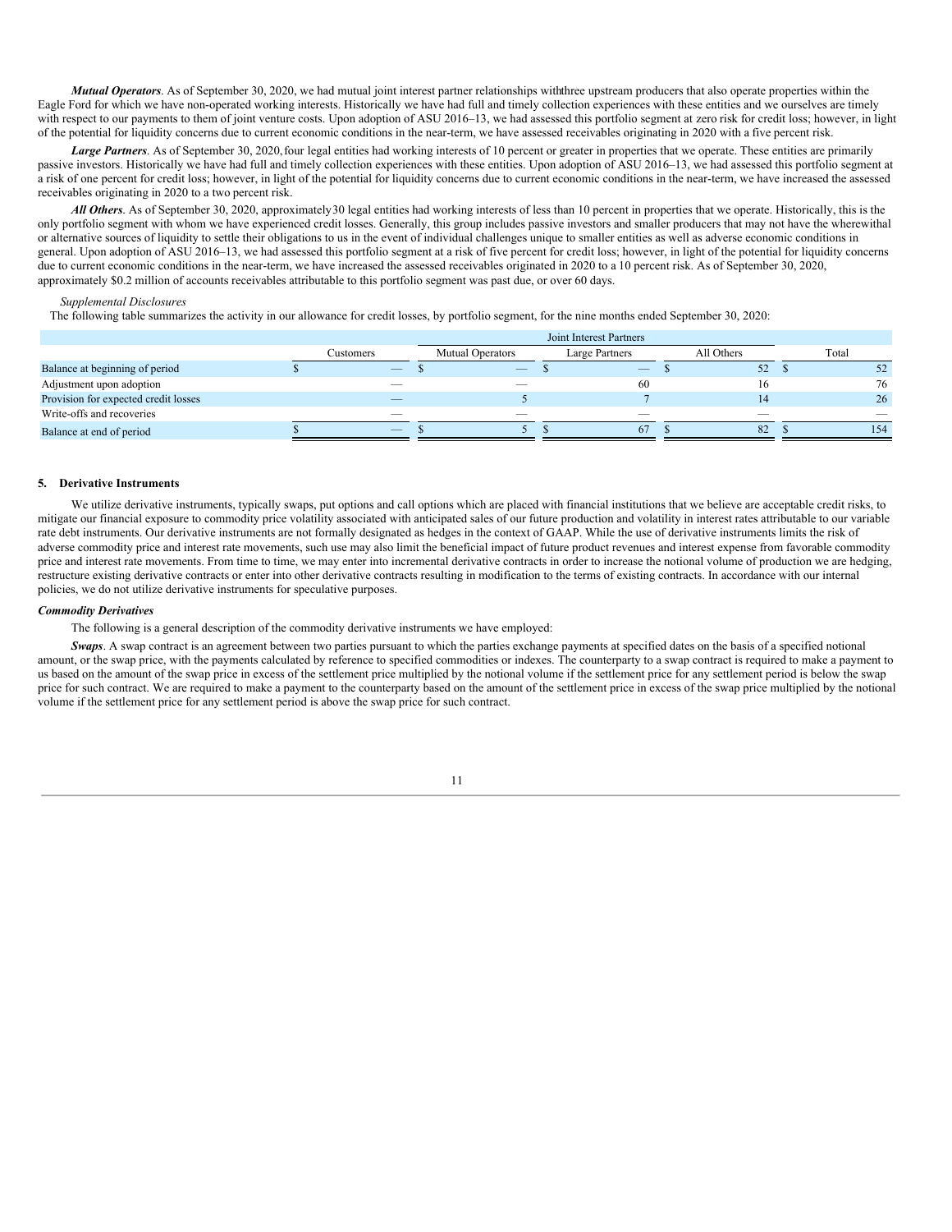*Mutual Operators*. As of September 30, 2020, we had mutual joint interest partner relationships withthree upstream producers that also operate properties within the Eagle Ford for which we have non-operated working interests. Historically we have had full and timely collection experiences with these entities and we ourselves are timely with respect to our payments to them of joint venture costs. Upon adoption of ASU 2016-13, we had assessed this portfolio segment at zero risk for credit loss; however, in light of the potential for liquidity concerns due to current economic conditions in the near-term, we have assessed receivables originating in 2020 with a five percent risk.

*Large Partners*. As of September 30, 2020,four legal entities had working interests of 10 percent or greater in properties that we operate. These entities are primarily passive investors. Historically we have had full and timely collection experiences with these entities. Upon adoption of ASU 2016–13, we had assessed this portfolio segment at a risk of one percent for credit loss; however, in light of the potential for liquidity concerns due to current economic conditions in the near-term, we have increased the assessed receivables originating in 2020 to a two percent risk.

All Others. As of September 30, 2020, approximately 30 legal entities had working interests of less than 10 percent in properties that we operate. Historically, this is the only portfolio segment with whom we have experienced credit losses. Generally, this group includes passive investors and smaller producers that may not have the wherewithal or alternative sources of liquidity to settle their obligations to us in the event of individual challenges unique to smaller entities as well as adverse economic conditions in general. Upon adoption of ASU 2016–13, we had assessed this portfolio segment at a risk of five percent for credit loss; however, in light of the potential for liquidity concerns due to current economic conditions in the near-term, we have increased the assessed receivables originated in 2020 to a 10 percent risk. As of September 30, 2020, approximately \$0.2 million of accounts receivables attributable to this portfolio segment was past due, or over 60 days.

## *Supplemental Disclosures*

The following table summarizes the activity in our allowance for credit losses, by portfolio segment, for the nine months ended September 30, 2020:

|                                      | Joint Interest Partners  |  |                          |  |                          |  |            |  |       |  |  |  |
|--------------------------------------|--------------------------|--|--------------------------|--|--------------------------|--|------------|--|-------|--|--|--|
|                                      | Customers                |  | <b>Mutual Operators</b>  |  | Large Partners           |  | All Others |  | Total |  |  |  |
| Balance at beginning of period       | __                       |  | $\overline{\phantom{m}}$ |  | $\overline{\phantom{a}}$ |  | 52         |  | 52    |  |  |  |
| Adjustment upon adoption             |                          |  | $\overline{\phantom{m}}$ |  | 60                       |  | 16         |  | 76    |  |  |  |
| Provision for expected credit losses |                          |  |                          |  |                          |  | 14         |  | 26    |  |  |  |
| Write-offs and recoveries            | __                       |  | __                       |  |                          |  |            |  |       |  |  |  |
| Balance at end of period             | $\overline{\phantom{a}}$ |  |                          |  | 67                       |  | 82         |  | 154   |  |  |  |

#### <span id="page-10-0"></span>**5. Derivative Instruments**

We utilize derivative instruments, typically swaps, put options and call options which are placed with financial institutions that we believe are acceptable credit risks, to mitigate our financial exposure to commodity price volatility associated with anticipated sales of our future production and volatility in interest rates attributable to our variable rate debt instruments. Our derivative instruments are not formally designated as hedges in the context of GAAP. While the use of derivative instruments limits the risk of adverse commodity price and interest rate movements, such use may also limit the beneficial impact of future product revenues and interest expense from favorable commodity price and interest rate movements. From time to time, we may enter into incremental derivative contracts in order to increase the notional volume of production we are hedging, restructure existing derivative contracts or enter into other derivative contracts resulting in modification to the terms of existing contracts. In accordance with our internal policies, we do not utilize derivative instruments for speculative purposes.

#### *Commodity Derivatives*

The following is a general description of the commodity derivative instruments we have employed:

*Swaps*. A swap contract is an agreement between two parties pursuant to which the parties exchange payments at specified dates on the basis of a specified notional amount, or the swap price, with the payments calculated by reference to specified commodities or indexes. The counterparty to a swap contract is required to make a payment to us based on the amount of the swap price in excess of the settlement price multiplied by the notional volume if the settlement price for any settlement period is below the swap price for such contract. We are required to make a payment to the counterparty based on the amount of the settlement price in excess of the swap price multiplied by the notional volume if the settlement price for any settlement period is above the swap price for such contract.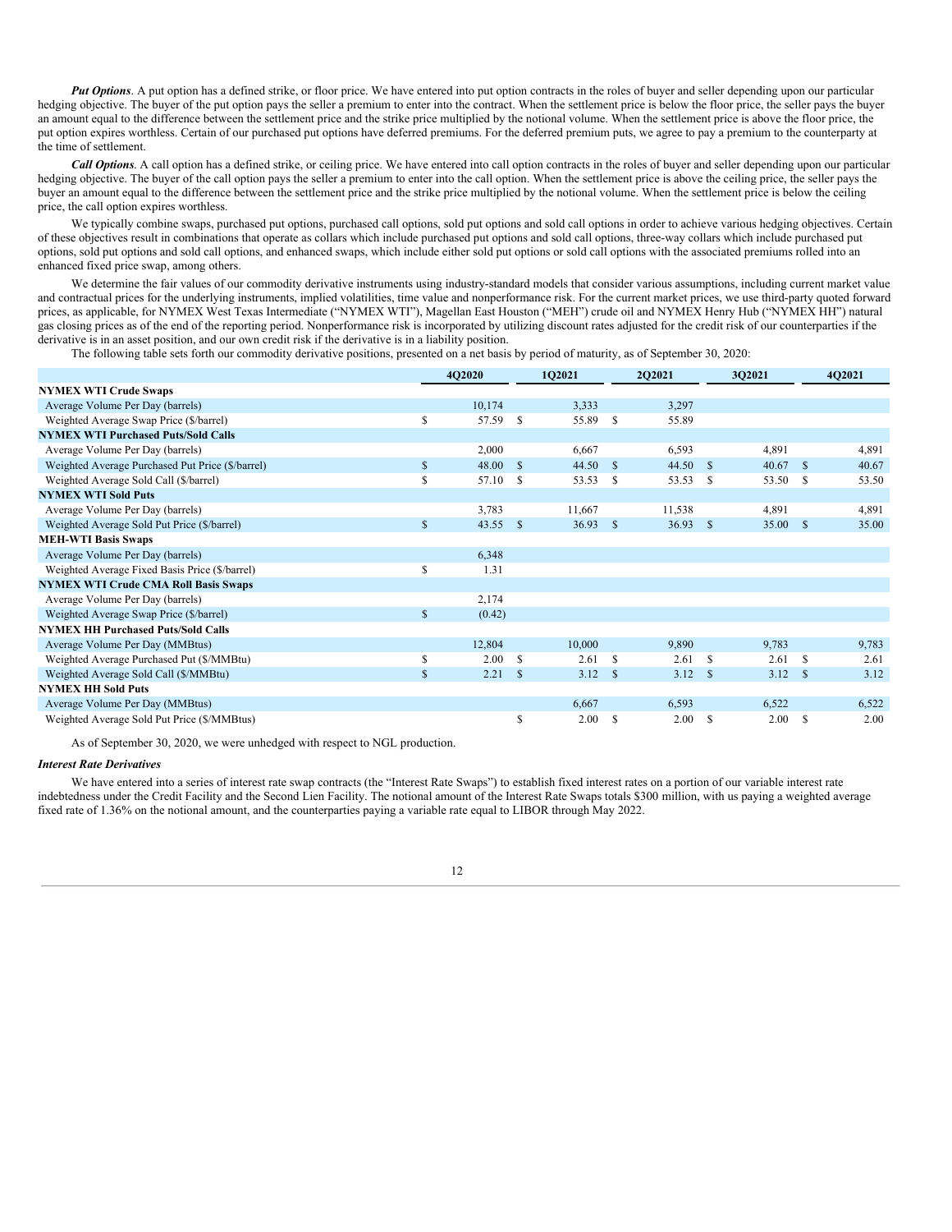*Put Options*. A put option has a defined strike, or floor price. We have entered into put option contracts in the roles of buyer and seller depending upon our particular hedging objective. The buyer of the put option pays the seller a premium to enter into the contract. When the settlement price is below the floor price, the seller pays the buyer an amount equal to the difference between the settlement price and the strike price multiplied by the notional volume. When the settlement price is above the floor price, the put option expires worthless. Certain of our purchased put options have deferred premiums. For the deferred premium puts, we agree to pay a premium to the counterparty at the time of settlement.

*Call Options*. A call option has a defined strike, or ceiling price. We have entered into call option contracts in the roles of buyer and seller depending upon our particular hedging objective. The buyer of the call option pays the seller a premium to enter into the call option. When the settlement price is above the ceiling price, the seller pays the buyer an amount equal to the difference between the settlement price and the strike price multiplied by the notional volume. When the settlement price is below the ceiling price, the call option expires worthless.

We typically combine swaps, purchased put options, purchased call options, sold put options and sold call options in order to achieve various hedging objectives. Certain of these objectives result in combinations that operate as collars which include purchased put options and sold call options, three-way collars which include purchased put options, sold put options and sold call options, and enhanced swaps, which include either sold put options or sold call options with the associated premiums rolled into an enhanced fixed price swap, among others.

We determine the fair values of our commodity derivative instruments using industry-standard models that consider various assumptions, including current market value and contractual prices for the underlying instruments, implied volatilities, time value and nonperformance risk. For the current market prices, we use third-party quoted forward prices, as applicable, for NYMEX West Texas Intermediate ("NYMEX WTI"), Magellan East Houston ("MEH") crude oil and NYMEX Henry Hub ("NYMEX HH") natural gas closing prices as of the end of the reporting period. Nonperformance risk is incorporated by utilizing discount rates adjusted for the credit risk of our counterparties if the derivative is in an asset position, and our own credit risk if the derivative is in a liability position.

The following table sets forth our commodity derivative positions, presented on a net basis by period of maturity, as of September 30, 2020:

|                                                  | 4Q2020       |               | 1O2021 |              | 202021 |    | 302021 |               | 4Q2021 |
|--------------------------------------------------|--------------|---------------|--------|--------------|--------|----|--------|---------------|--------|
| <b>NYMEX WTI Crude Swaps</b>                     |              |               |        |              |        |    |        |               |        |
| Average Volume Per Day (barrels)                 | 10,174       |               | 3,333  |              | 3,297  |    |        |               |        |
| Weighted Average Swap Price (\$/barrel)          | \$<br>57.59  | <sup>\$</sup> | 55.89  | S            | 55.89  |    |        |               |        |
| <b>NYMEX WTI Purchased Puts/Sold Calls</b>       |              |               |        |              |        |    |        |               |        |
| Average Volume Per Day (barrels)                 | 2,000        |               | 6,667  |              | 6,593  |    | 4,891  |               | 4,891  |
| Weighted Average Purchased Put Price (\$/barrel) | \$<br>48.00  | -S            | 44.50  | $\mathbf{s}$ | 44.50  | -S | 40.67  | $\mathcal{S}$ | 40.67  |
| Weighted Average Sold Call (\$/barrel)           | \$<br>57.10  | <sup>\$</sup> | 53.53  | - S          | 53.53  | -S | 53.50  | -S            | 53.50  |
| <b>NYMEX WTI Sold Puts</b>                       |              |               |        |              |        |    |        |               |        |
| Average Volume Per Day (barrels)                 | 3,783        |               | 11,667 |              | 11,538 |    | 4,891  |               | 4,891  |
| Weighted Average Sold Put Price (\$/barrel)      | \$<br>43.55  | $\mathbf{\$}$ | 36.93  | <sup>S</sup> | 36.93  | -S | 35.00  | <sup>\$</sup> | 35.00  |
| <b>MEH-WTI Basis Swaps</b>                       |              |               |        |              |        |    |        |               |        |
| Average Volume Per Day (barrels)                 | 6,348        |               |        |              |        |    |        |               |        |
| Weighted Average Fixed Basis Price (\$/barrel)   | \$<br>1.31   |               |        |              |        |    |        |               |        |
| <b>NYMEX WTI Crude CMA Roll Basis Swaps</b>      |              |               |        |              |        |    |        |               |        |
| Average Volume Per Day (barrels)                 | 2,174        |               |        |              |        |    |        |               |        |
| Weighted Average Swap Price (\$/barrel)          | \$<br>(0.42) |               |        |              |        |    |        |               |        |
| <b>NYMEX HH Purchased Puts/Sold Calls</b>        |              |               |        |              |        |    |        |               |        |
| Average Volume Per Day (MMBtus)                  | 12,804       |               | 10,000 |              | 9,890  |    | 9,783  |               | 9,783  |
| Weighted Average Purchased Put (\$/MMBtu)        | \$<br>2.00   | \$            | 2.61   | S            | 2.61   | S  | 2.61   | <sup>\$</sup> | 2.61   |
| Weighted Average Sold Call (\$/MMBtu)            | \$<br>2.21   | <sup>\$</sup> | 3.12   | - \$         | 3.12   | -S | 3.12   | <sup>\$</sup> | 3.12   |
| <b>NYMEX HH Sold Puts</b>                        |              |               |        |              |        |    |        |               |        |
| Average Volume Per Day (MMBtus)                  |              |               | 6,667  |              | 6,593  |    | 6,522  |               | 6,522  |
| Weighted Average Sold Put Price (\$/MMBtus)      |              | S             | 2.00   | S            | 2.00   | S  | 2.00   | -S            | 2.00   |

As of September 30, 2020, we were unhedged with respect to NGL production.

#### *Interest Rate Derivatives*

We have entered into a series of interest rate swap contracts (the "Interest Rate Swaps") to establish fixed interest rates on a portion of our variable interest rate indebtedness under the Credit Facility and the Second Lien Facility. The notional amount of the Interest Rate Swaps totals \$300 million, with us paying a weighted average fixed rate of 1.36% on the notional amount, and the counterparties paying a variable rate equal to LIBOR through May 2022.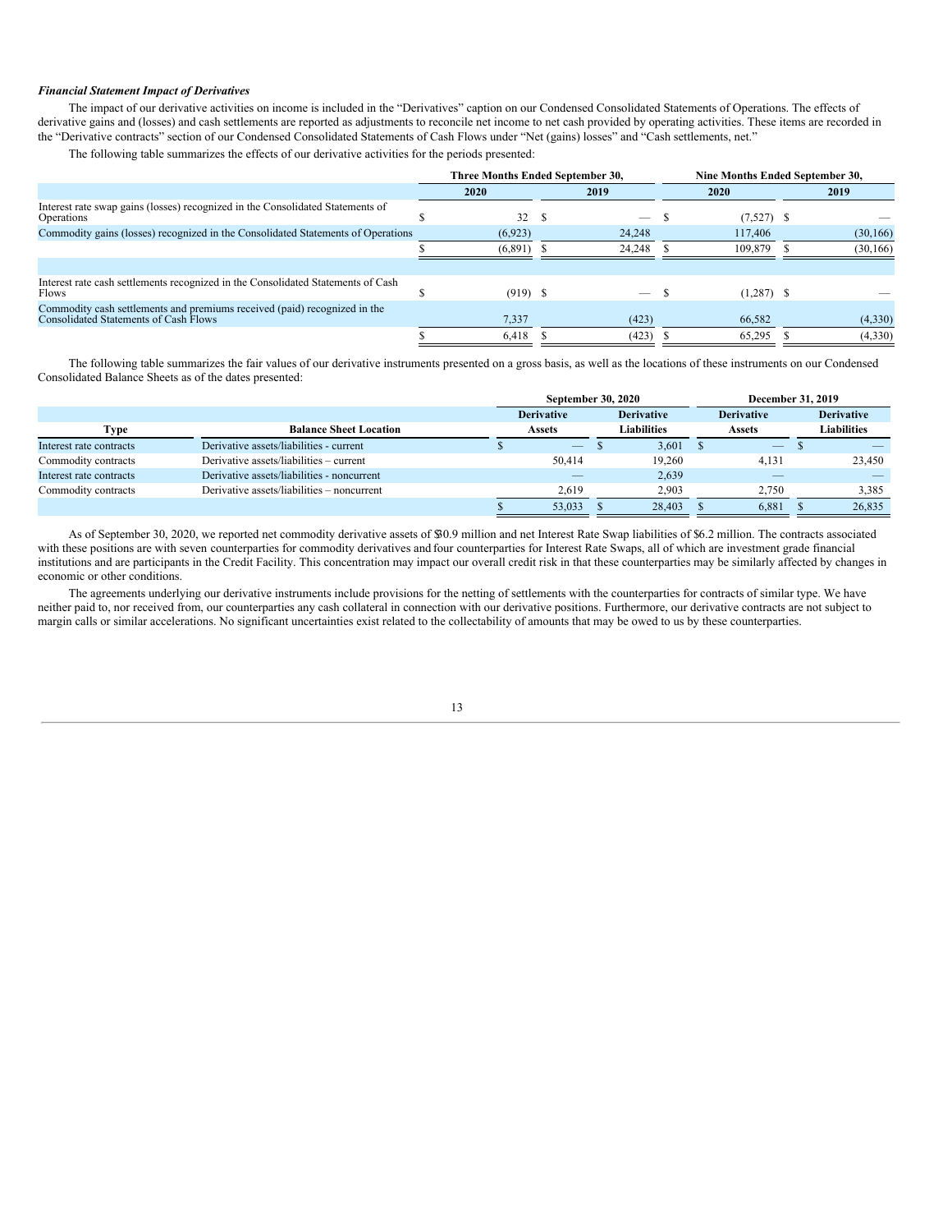### *Financial Statement Impact of Derivatives*

The impact of our derivative activities on income is included in the "Derivatives" caption on our Condensed Consolidated Statements of Operations. The effects of derivative gains and (losses) and cash settlements are reported as adjustments to reconcile net income to net cash provided by operating activities. These items are recorded in the "Derivative contracts" section of our Condensed Consolidated Statements of Cash Flows under "Net (gains) losses" and "Cash settlements, net."

The following table summarizes the effects of our derivative activities for the periods presented:

|                                                                                                                           | Three Months Ended September 30, |                          | Nine Months Ended September 30, |              |  |           |  |
|---------------------------------------------------------------------------------------------------------------------------|----------------------------------|--------------------------|---------------------------------|--------------|--|-----------|--|
|                                                                                                                           | 2020                             | 2019                     | 2020                            |              |  | 2019      |  |
| Interest rate swap gains (losses) recognized in the Consolidated Statements of<br>Operations                              | 32                               | $\overline{\phantom{m}}$ |                                 | $(7,527)$ \$ |  |           |  |
| Commodity gains (losses) recognized in the Consolidated Statements of Operations                                          | (6,923)                          | 24,248                   |                                 | 117,406      |  | (30, 166) |  |
|                                                                                                                           | (6,891)                          | 24.248                   |                                 | 109,879      |  | (30, 166) |  |
|                                                                                                                           |                                  |                          |                                 |              |  |           |  |
| Interest rate cash settlements recognized in the Consolidated Statements of Cash<br>Flows                                 | $(919)$ \$                       |                          |                                 | $(1,287)$ \$ |  |           |  |
| Commodity cash settlements and premiums received (paid) recognized in the<br><b>Consolidated Statements of Cash Flows</b> | 7,337                            | (423)                    |                                 | 66.582       |  | (4,330)   |  |
|                                                                                                                           | 6,418                            | (423)                    |                                 | 65,295       |  | (4,330)   |  |

The following table summarizes the fair values of our derivative instruments presented on a gross basis, as well as the locations of these instruments on our Condensed Consolidated Balance Sheets as of the dates presented:

|                         |                                            |                   | <b>September 30, 2020</b> |  |                    | <b>December 31, 2019</b> |               |  |                    |  |
|-------------------------|--------------------------------------------|-------------------|---------------------------|--|--------------------|--------------------------|---------------|--|--------------------|--|
|                         |                                            | <b>Derivative</b> |                           |  | <b>Derivative</b>  | <b>Derivative</b>        |               |  | <b>Derivative</b>  |  |
| Type                    | <b>Balance Sheet Location</b>              | <b>Assets</b>     |                           |  | <b>Liabilities</b> | <b>Assets</b>            |               |  | <b>Liabilities</b> |  |
| Interest rate contracts | Derivative assets/liabilities - current    |                   | $\frac{1}{2}$             |  | 3.601              |                          | $\frac{1}{2}$ |  |                    |  |
| Commodity contracts     | Derivative assets/liabilities – current    |                   | 50,414                    |  | 19.260             |                          | 4.131         |  | 23,450             |  |
| Interest rate contracts | Derivative assets/liabilities - noncurrent |                   | __                        |  | 2,639              |                          | $-$           |  |                    |  |
| Commodity contracts     | Derivative assets/liabilities – noncurrent |                   | 2.619                     |  | 2.903              |                          | 2.750         |  | 3,385              |  |
|                         |                                            |                   | 53,033                    |  | 28,403             |                          | 6,881         |  | 26,835             |  |

As of September 30, 2020, we reported net commodity derivative assets of \$30.9 million and net Interest Rate Swap liabilities of \$6.2 million. The contracts associated with these positions are with seven counterparties for commodity derivatives and four counterparties for Interest Rate Swaps, all of which are investment grade financial institutions and are participants in the Credit Facility. This concentration may impact our overall credit risk in that these counterparties may be similarly affected by changes in economic or other conditions.

<span id="page-12-0"></span>The agreements underlying our derivative instruments include provisions for the netting of settlements with the counterparties for contracts of similar type. We have neither paid to, nor received from, our counterparties any cash collateral in connection with our derivative positions. Furthermore, our derivative contracts are not subject to margin calls or similar accelerations. No significant uncertainties exist related to the collectability of amounts that may be owed to us by these counterparties.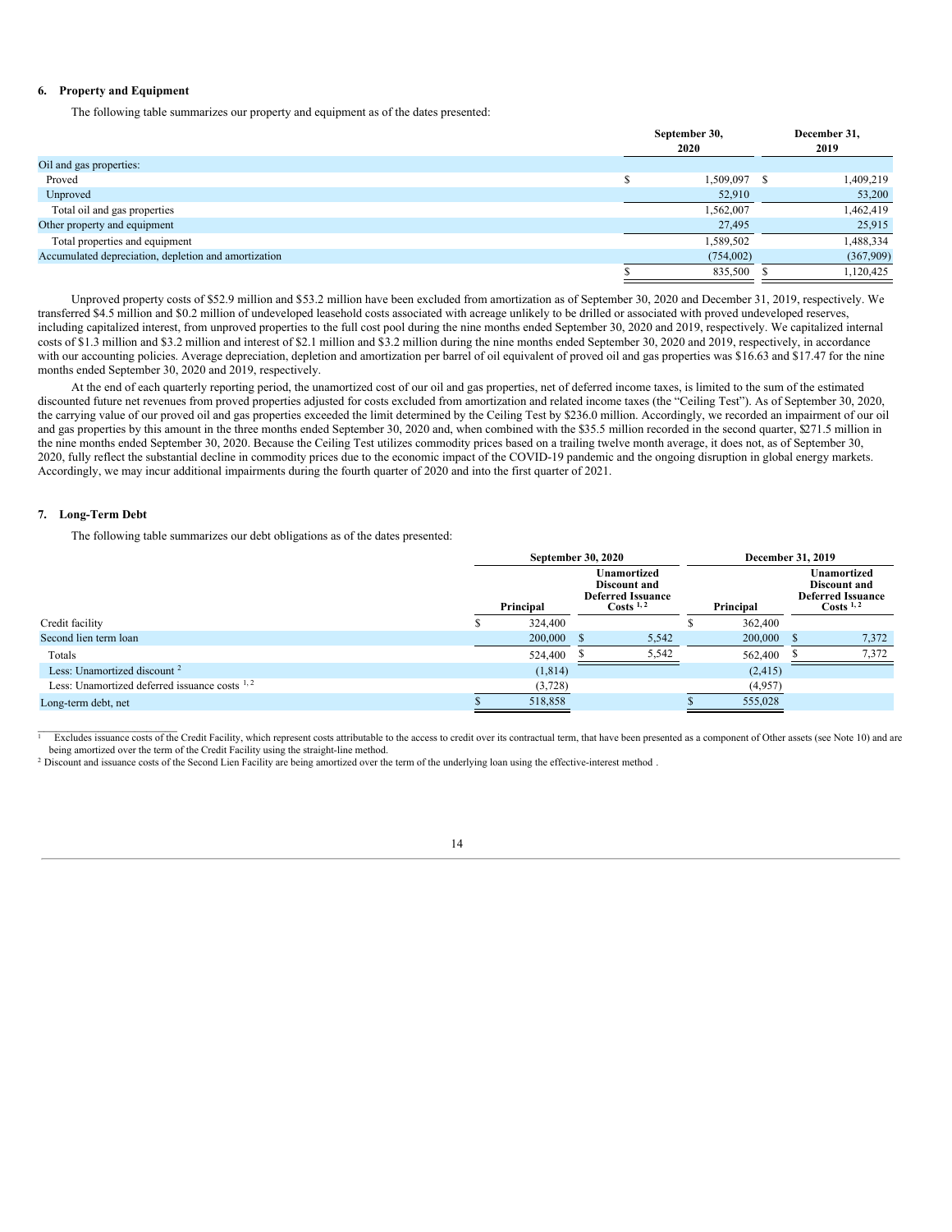## **6. Property and Equipment**

The following table summarizes our property and equipment as of the dates presented:

|                                                      | September 30,<br>2020 | December 31,<br>2019 |
|------------------------------------------------------|-----------------------|----------------------|
| Oil and gas properties:                              |                       |                      |
| Proved                                               | 1,509,097             | 1,409,219            |
| Unproved                                             | 52,910                | 53,200               |
| Total oil and gas properties                         | 1,562,007             | 1,462,419            |
| Other property and equipment                         | 27,495                | 25,915               |
| Total properties and equipment                       | 1,589,502             | 1,488,334            |
| Accumulated depreciation, depletion and amortization | (754,002)             | (367,909)            |
|                                                      | 835,500               | 1,120,425            |

Unproved property costs of \$52.9 million and \$53.2 million have been excluded from amortization as of September 30, 2020 and December 31, 2019, respectively. We transferred \$4.5 million and \$0.2 million of undeveloped leasehold costs associated with acreage unlikely to be drilled or associated with proved undeveloped reserves, including capitalized interest, from unproved properties to the full cost pool during the nine months ended September 30, 2020 and 2019, respectively. We capitalized internal costs of \$1.3 million and \$3.2 million and interest of \$2.1 million and \$3.2 million during the nine months ended September 30, 2020 and 2019, respectively, in accordance with our accounting policies. Average depreciation, depletion and amortization per barrel of oil equivalent of proved oil and gas properties was \$16.63 and \$17.47 for the nine months ended September 30, 2020 and 2019, respectively.

At the end of each quarterly reporting period, the unamortized cost of our oil and gas properties, net of deferred income taxes, is limited to the sum of the estimated discounted future net revenues from proved properties adjusted for costs excluded from amortization and related income taxes (the "Ceiling Test"). As of September 30, 2020, the carrying value of our proved oil and gas properties exceeded the limit determined by the Ceiling Test by \$236.0 million. Accordingly, we recorded an impairment of our oil and gas properties by this amount in the three months ended September 30, 2020 and, when combined with the \$35.5 million recorded in the second quarter, \$271.5 million in the nine months ended September 30, 2020. Because the Ceiling Test utilizes commodity prices based on a trailing twelve month average, it does not, as of September 30, 2020, fully reflect the substantial decline in commodity prices due to the economic impact of the COVID-19 pandemic and the ongoing disruption in global energy markets. Accordingly, we may incur additional impairments during the fourth quarter of 2020 and into the first quarter of 2021.

## <span id="page-13-0"></span>**7. Long-Term Debt**

\_\_\_\_\_\_\_\_\_\_\_\_\_\_\_\_\_\_\_\_\_\_\_

The following table summarizes our debt obligations as of the dates presented:

|           |                                                                                 |                           | <b>December 31, 2019</b>                                                            |
|-----------|---------------------------------------------------------------------------------|---------------------------|-------------------------------------------------------------------------------------|
| Principal | Unamortized<br>Discount and<br><b>Deferred Issuance</b><br>Costs <sup>1,2</sup> | Principal                 | Unamortized<br>Discount and<br><b>Deferred Issuance</b><br>$\cos ts$ <sup>1,2</sup> |
| 324,400   |                                                                                 | 362,400                   |                                                                                     |
| 200,000   | 5,542                                                                           | 200,000                   | 7,372                                                                               |
| 524,400   | 5,542                                                                           | 562,400                   | 7,372                                                                               |
| (1,814)   |                                                                                 | (2, 415)                  |                                                                                     |
| (3,728)   |                                                                                 | (4,957)                   |                                                                                     |
| 518,858   |                                                                                 | 555,028                   |                                                                                     |
|           |                                                                                 | <b>September 30, 2020</b> |                                                                                     |

Excludes issuance costs of the Credit Facility, which represent costs attributable to the access to credit over its contractual term, that have been presented as a component of Other assets (see Note 10) and are being amortized over the term of the Credit Facility using the straight-line method. 1

<sup>2</sup> Discount and issuance costs of the Second Lien Facility are being amortized over the term of the underlying loan using the effective-interest method.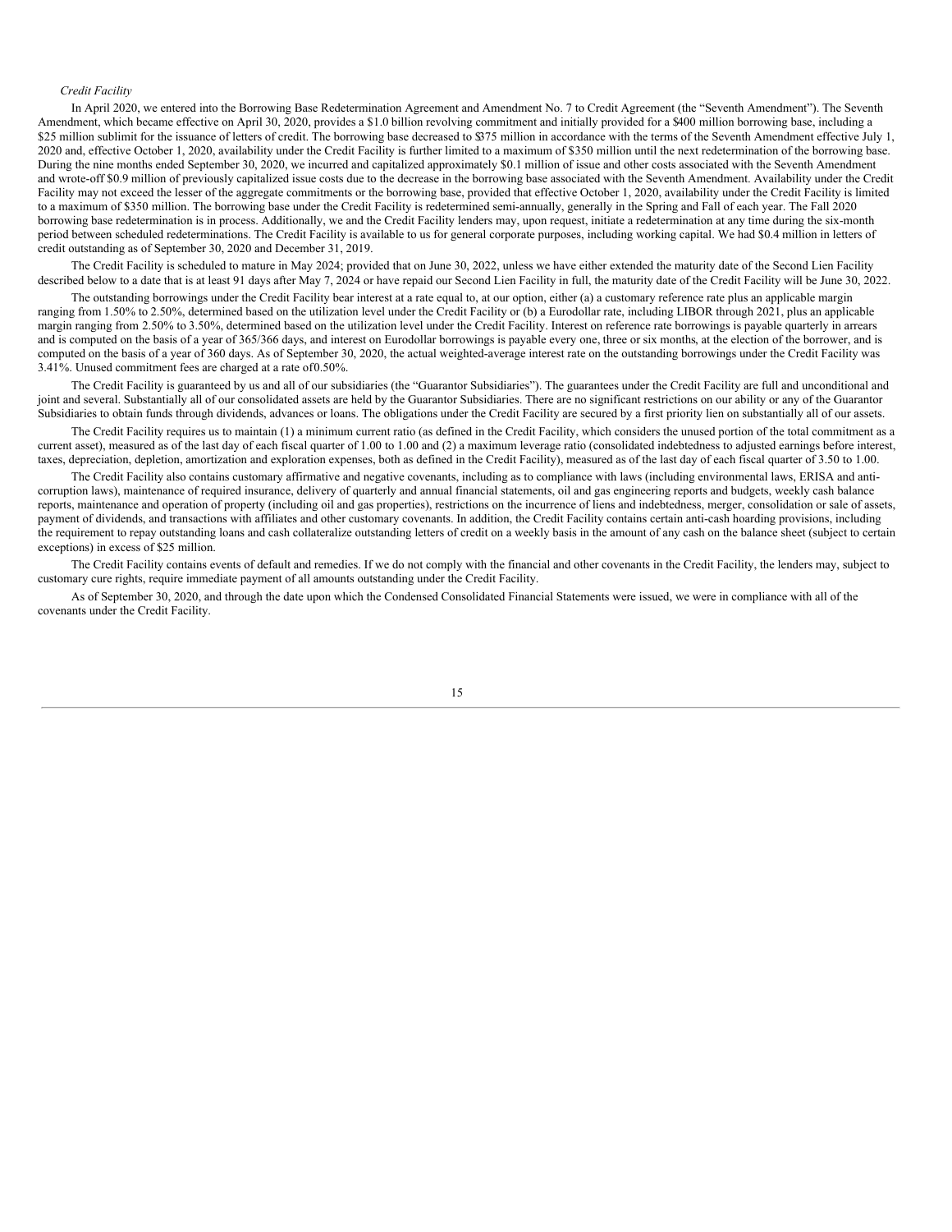#### *Credit Facility*

In April 2020, we entered into the Borrowing Base Redetermination Agreement and Amendment No. 7 to Credit Agreement (the "Seventh Amendment"). The Seventh Amendment, which became effective on April 30, 2020, provides a \$1.0 billion revolving commitment and initially provided for a \$400 million borrowing base, including a \$25 million sublimit for the issuance of letters of credit. The borrowing base decreased to \$375 million in accordance with the terms of the Seventh Amendment effective July 1, 2020 and, effective October 1, 2020, availability under the Credit Facility is further limited to a maximum of \$350 million until the next redetermination of the borrowing base. During the nine months ended September 30, 2020, we incurred and capitalized approximately \$0.1 million of issue and other costs associated with the Seventh Amendment and wrote-off \$0.9 million of previously capitalized issue costs due to the decrease in the borrowing base associated with the Seventh Amendment. Availability under the Credit Facility may not exceed the lesser of the aggregate commitments or the borrowing base, provided that effective October 1, 2020, availability under the Credit Facility is limited to a maximum of \$350 million. The borrowing base under the Credit Facility is redetermined semi-annually, generally in the Spring and Fall of each year. The Fall 2020 borrowing base redetermination is in process. Additionally, we and the Credit Facility lenders may, upon request, initiate a redetermination at any time during the six-month period between scheduled redeterminations. The Credit Facility is available to us for general corporate purposes, including working capital. We had \$0.4 million in letters of credit outstanding as of September 30, 2020 and December 31, 2019.

The Credit Facility is scheduled to mature in May 2024; provided that on June 30, 2022, unless we have either extended the maturity date of the Second Lien Facility described below to a date that is at least 91 days after May 7, 2024 or have repaid our Second Lien Facility in full, the maturity date of the Credit Facility will be June 30, 2022.

The outstanding borrowings under the Credit Facility bear interest at a rate equal to, at our option, either (a) a customary reference rate plus an applicable margin ranging from 1.50% to 2.50%, determined based on the utilization level under the Credit Facility or (b) a Eurodollar rate, including LIBOR through 2021, plus an applicable margin ranging from 2.50% to 3.50%, determined based on the utilization level under the Credit Facility. Interest on reference rate borrowings is payable quarterly in arrears and is computed on the basis of a year of 365/366 days, and interest on Eurodollar borrowings is payable every one, three or six months, at the election of the borrower, and is computed on the basis of a year of 360 days. As of September 30, 2020, the actual weighted-average interest rate on the outstanding borrowings under the Credit Facility was 3.41%. Unused commitment fees are charged at a rate of0.50%.

The Credit Facility is guaranteed by us and all of our subsidiaries (the "Guarantor Subsidiaries"). The guarantees under the Credit Facility are full and unconditional and joint and several. Substantially all of our consolidated assets are held by the Guarantor Subsidiaries. There are no significant restrictions on our ability or any of the Guarantor Subsidiaries to obtain funds through dividends, advances or loans. The obligations under the Credit Facility are secured by a first priority lien on substantially all of our assets.

The Credit Facility requires us to maintain (1) a minimum current ratio (as defined in the Credit Facility, which considers the unused portion of the total commitment as a current asset), measured as of the last day of each fiscal quarter of 1.00 to 1.00 and (2) a maximum leverage ratio (consolidated indebtedness to adjusted earnings before interest, taxes, depreciation, depletion, amortization and exploration expenses, both as defined in the Credit Facility), measured as of the last day of each fiscal quarter of 3.50 to 1.00.

The Credit Facility also contains customary affirmative and negative covenants, including as to compliance with laws (including environmental laws, ERISA and anticorruption laws), maintenance of required insurance, delivery of quarterly and annual financial statements, oil and gas engineering reports and budgets, weekly cash balance reports, maintenance and operation of property (including oil and gas properties), restrictions on the incurrence of liens and indebtedness, merger, consolidation or sale of assets, payment of dividends, and transactions with affiliates and other customary covenants. In addition, the Credit Facility contains certain anti-cash hoarding provisions, including the requirement to repay outstanding loans and cash collateralize outstanding letters of credit on a weekly basis in the amount of any cash on the balance sheet (subject to certain exceptions) in excess of \$25 million.

The Credit Facility contains events of default and remedies. If we do not comply with the financial and other covenants in the Credit Facility, the lenders may, subject to customary cure rights, require immediate payment of all amounts outstanding under the Credit Facility.

As of September 30, 2020, and through the date upon which the Condensed Consolidated Financial Statements were issued, we were in compliance with all of the covenants under the Credit Facility.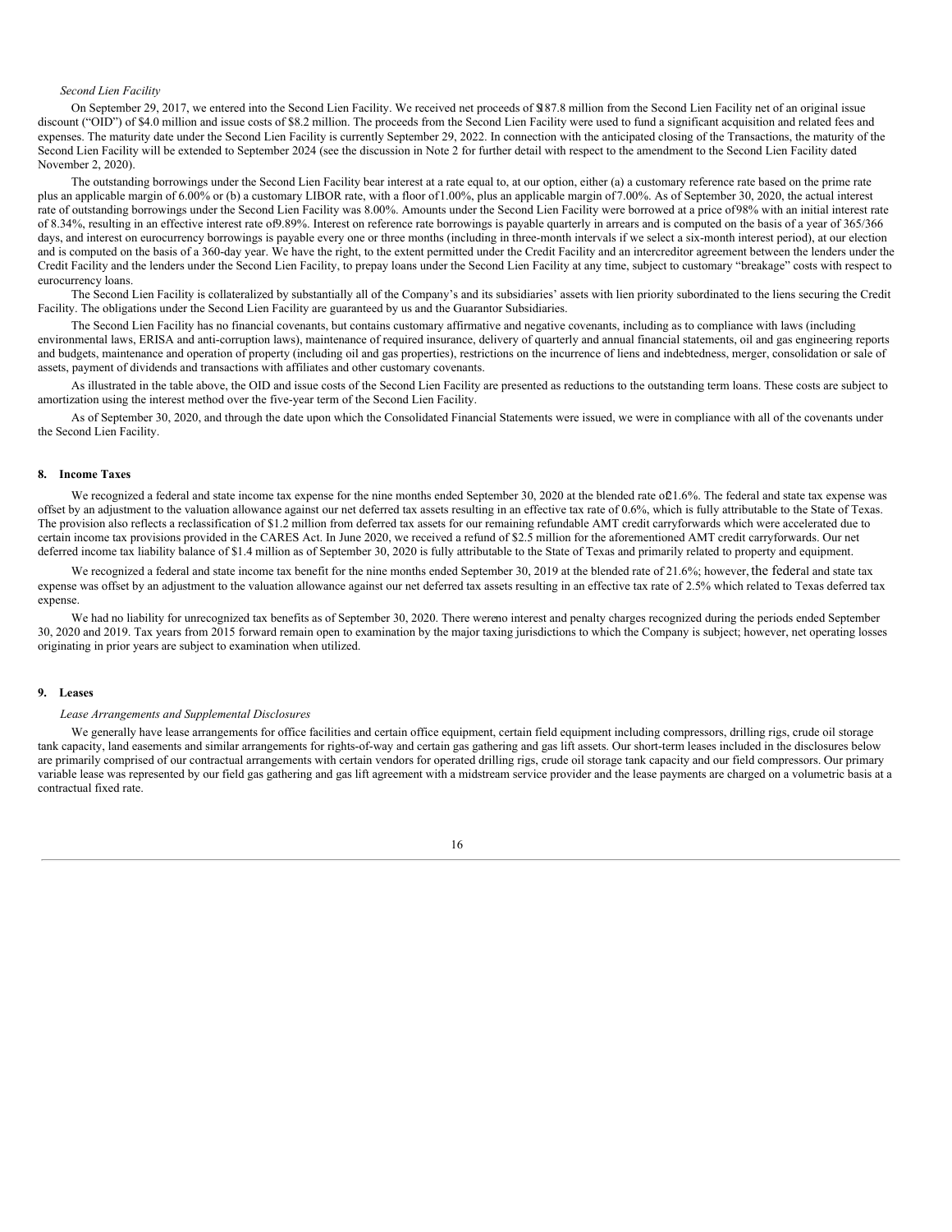#### *Second Lien Facility*

On September 29, 2017, we entered into the Second Lien Facility. We received net proceeds of \$187.8 million from the Second Lien Facility net of an original issue discount ("OID") of \$4.0 million and issue costs of \$8.2 million. The proceeds from the Second Lien Facility were used to fund a significant acquisition and related fees and expenses. The maturity date under the Second Lien Facility is currently September 29, 2022. In connection with the anticipated closing of the Transactions, the maturity of the Second Lien Facility will be extended to September 2024 (see the discussion in Note 2 for further detail with respect to the amendment to the Second Lien Facility dated November 2, 2020).

The outstanding borrowings under the Second Lien Facility bear interest at a rate equal to, at our option, either (a) a customary reference rate based on the prime rate plus an applicable margin of 6.00% or (b) a customary LIBOR rate, with a floor of1.00%, plus an applicable margin of 7.00%. As of September 30, 2020, the actual interest rate of outstanding borrowings under the Second Lien Facility was 8.00%. Amounts under the Second Lien Facility were borrowed at a price of98% with an initial interest rate of 8.34%, resulting in an effective interest rate of9.89%. Interest on reference rate borrowings is payable quarterly in arrears and is computed on the basis of a year of 365/366 days, and interest on eurocurrency borrowings is payable every one or three months (including in three-month intervals if we select a six-month interest period), at our election and is computed on the basis of a 360-day year. We have the right, to the extent permitted under the Credit Facility and an intercreditor agreement between the lenders under the Credit Facility and the lenders under the Second Lien Facility, to prepay loans under the Second Lien Facility at any time, subject to customary "breakage" costs with respect to eurocurrency loans.

The Second Lien Facility is collateralized by substantially all of the Company's and its subsidiaries' assets with lien priority subordinated to the liens securing the Credit Facility. The obligations under the Second Lien Facility are guaranteed by us and the Guarantor Subsidiaries.

The Second Lien Facility has no financial covenants, but contains customary affirmative and negative covenants, including as to compliance with laws (including environmental laws, ERISA and anti-corruption laws), maintenance of required insurance, delivery of quarterly and annual financial statements, oil and gas engineering reports and budgets, maintenance and operation of property (including oil and gas properties), restrictions on the incurrence of liens and indebtedness, merger, consolidation or sale of assets, payment of dividends and transactions with affiliates and other customary covenants.

As illustrated in the table above, the OID and issue costs of the Second Lien Facility are presented as reductions to the outstanding term loans. These costs are subject to amortization using the interest method over the five-year term of the Second Lien Facility.

As of September 30, 2020, and through the date upon which the Consolidated Financial Statements were issued, we were in compliance with all of the covenants under the Second Lien Facility.

#### <span id="page-15-0"></span>**8. Income Taxes**

We recognized a federal and state income tax expense for the nine months ended September 30, 2020 at the blended rate of 21.6%. The federal and state tax expense was offset by an adjustment to the valuation allowance against our net deferred tax assets resulting in an effective tax rate of 0.6%, which is fully attributable to the State of Texas. The provision also reflects a reclassification of \$1.2 million from deferred tax assets for our remaining refundable AMT credit carryforwards which were accelerated due to certain income tax provisions provided in the CARES Act. In June 2020, we received a refund of \$2.5 million for the aforementioned AMT credit carryforwards. Our net deferred income tax liability balance of \$1.4 million as of September 30, 2020 is fully attributable to the State of Texas and primarily related to property and equipment.

We recognized a federal and state income tax benefit for the nine months ended September 30, 2019 at the blended rate of 21.6%; however, the federal and state tax expense was offset by an adjustment to the valuation allowance against our net deferred tax assets resulting in an effective tax rate of 2.5% which related to Texas deferred tax expense.

We had no liability for unrecognized tax benefits as of September 30, 2020. There wereno interest and penalty charges recognized during the periods ended September 30, 2020 and 2019. Tax years from 2015 forward remain open to examination by the major taxing jurisdictions to which the Company is subject; however, net operating losses originating in prior years are subject to examination when utilized.

#### <span id="page-15-1"></span>**9. Leases**

#### *Lease Arrangements and Supplemental Disclosures*

We generally have lease arrangements for office facilities and certain office equipment, certain field equipment including compressors, drilling rigs, crude oil storage tank capacity, land easements and similar arrangements for rights-of-way and certain gas gathering and gas lift assets. Our short-term leases included in the disclosures below are primarily comprised of our contractual arrangements with certain vendors for operated drilling rigs, crude oil storage tank capacity and our field compressors. Our primary variable lease was represented by our field gas gathering and gas lift agreement with a midstream service provider and the lease payments are charged on a volumetric basis at a contractual fixed rate.

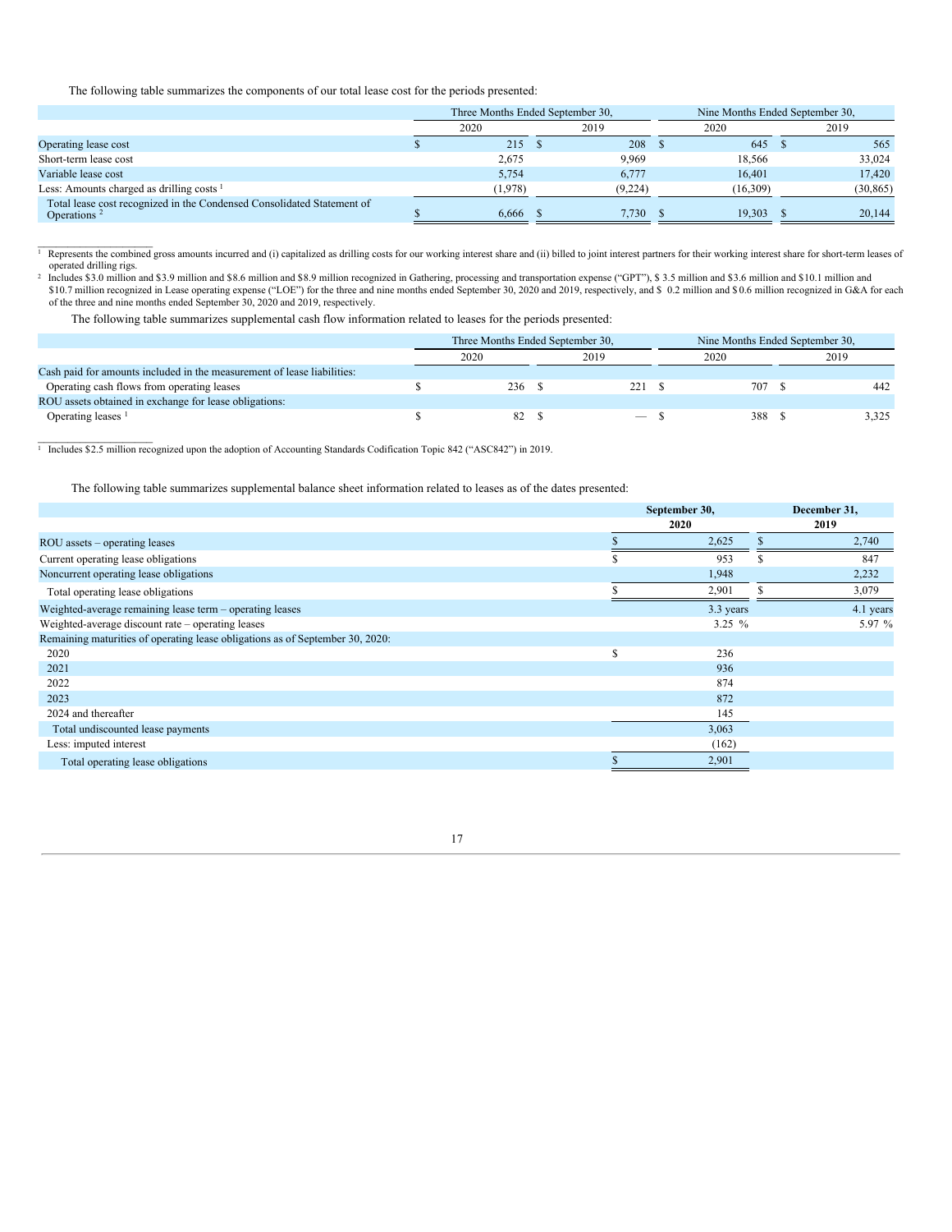The following table summarizes the components of our total lease cost for the periods presented:

|                                                                                                   | Three Months Ended September 30, |      |         |  | Nine Months Ended September 30, |      |           |
|---------------------------------------------------------------------------------------------------|----------------------------------|------|---------|--|---------------------------------|------|-----------|
|                                                                                                   | 2020                             | 2019 | 2020    |  |                                 | 2019 |           |
| Operating lease cost                                                                              | 215S                             |      | 208     |  | 645                             |      | 565       |
| Short-term lease cost                                                                             | 2,675                            |      | 9.969   |  | 18.566                          |      | 33,024    |
| Variable lease cost                                                                               | 5,754                            |      | 6,777   |  | 16,401                          |      | 17,420    |
| Less: Amounts charged as drilling costs $1$                                                       | (1.978)                          |      | (9.224) |  | (16.309)                        |      | (30, 865) |
| Total lease cost recognized in the Condensed Consolidated Statement of<br>Operations <sup>2</sup> | 6.666                            |      | 7.730   |  | 19.303                          |      | 20,144    |
|                                                                                                   |                                  |      |         |  |                                 |      |           |

Represents the combined gross amounts incurred and (i) capitalized as drilling costs for our working interest share and (ii) billed to joint interest partners for their working interest share for short-term leases of operated drilling rigs.

<sup>2</sup> Includes \$3.0 million and \$3.9 million and \$8.6 million and \$8.9 million recognized in Gathering, processing and transportation expense ("GPT"), \$3.5 million and \$3.6 million and \$10.1 million and \$10.1 million and \$10.7 million recognized in Lease operating expense ("LOE") for the three and nine months ended September 30, 2020 and 2019, respectively, and \$ 0.2 million and \$0.6 million recognized in G&A for each<br>of the three and nine

The following table summarizes supplemental cash flow information related to leases for the periods presented:

|                                                                         | Three Months Ended September 30, |                          | Nine Months Ended September 30, |     |  |      |  |  |
|-------------------------------------------------------------------------|----------------------------------|--------------------------|---------------------------------|-----|--|------|--|--|
|                                                                         | 2020                             | 2019                     | 2020                            |     |  | 2019 |  |  |
| Cash paid for amounts included in the measurement of lease liabilities: |                                  |                          |                                 |     |  |      |  |  |
| Operating cash flows from operating leases                              | 236                              | 221                      |                                 | 707 |  | 442  |  |  |
| ROU assets obtained in exchange for lease obligations:                  |                                  |                          |                                 |     |  |      |  |  |
| Operating leases $1$                                                    | 82                               | $\overline{\phantom{a}}$ |                                 | 388 |  |      |  |  |

1<br>Includes \$2.5 million recognized upon the adoption of Accounting Standards Codification Topic 842 ("ASC842") in 2019.

The following table summarizes supplemental balance sheet information related to leases as of the dates presented:

<span id="page-16-0"></span>

|                                                                               |   | September 30, | December 31, |
|-------------------------------------------------------------------------------|---|---------------|--------------|
|                                                                               |   | 2020          | 2019         |
| ROU assets – operating leases                                                 |   | 2,625         | 2,740        |
| Current operating lease obligations                                           |   | 953           | 847          |
| Noncurrent operating lease obligations                                        |   | 1,948         | 2,232        |
| Total operating lease obligations                                             |   | 2,901         | 3,079        |
| Weighted-average remaining lease term – operating leases                      |   | 3.3 years     | 4.1 years    |
| Weighted-average discount rate – operating leases                             |   | $3.25 \%$     | 5.97 $%$     |
| Remaining maturities of operating lease obligations as of September 30, 2020: |   |               |              |
| 2020                                                                          | S | 236           |              |
| 2021                                                                          |   | 936           |              |
| 2022                                                                          |   | 874           |              |
| 2023                                                                          |   | 872           |              |
| 2024 and thereafter                                                           |   | 145           |              |
| Total undiscounted lease payments                                             |   | 3,063         |              |
| Less: imputed interest                                                        |   | (162)         |              |
| Total operating lease obligations                                             |   | 2,901         |              |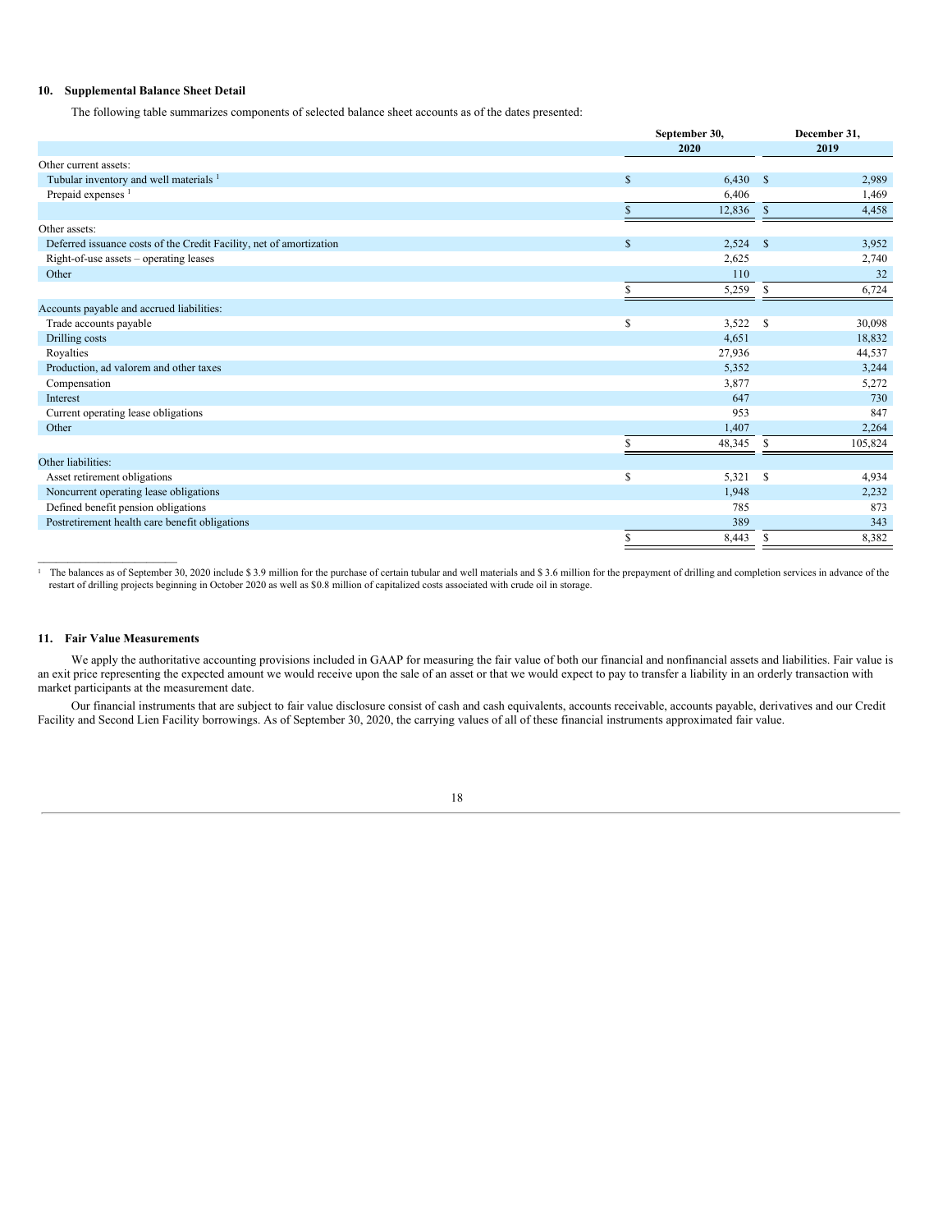## **10. Supplemental Balance Sheet Detail**

The following table summarizes components of selected balance sheet accounts as of the dates presented:

|                                                                                      | September 30, | December 31,           |
|--------------------------------------------------------------------------------------|---------------|------------------------|
|                                                                                      | 2020          | 2019                   |
| Other current assets:                                                                |               |                        |
| $\mathbf S$<br>Tubular inventory and well materials 1                                | 6,430         | $\mathbf{s}$<br>2,989  |
| Prepaid expenses <sup>1</sup>                                                        | 6,406         | 1,469                  |
|                                                                                      | 12,836        | 4,458<br><sup>S</sup>  |
| Other assets:                                                                        |               |                        |
| Deferred issuance costs of the Credit Facility, net of amortization<br><sup>\$</sup> | $2,524$ \$    | 3,952                  |
| Right-of-use assets – operating leases                                               | 2,625         | 2,740                  |
| Other                                                                                | 110           | 32                     |
|                                                                                      | 5,259         | 6,724<br>S             |
| Accounts payable and accrued liabilities:                                            |               |                        |
| <sup>\$</sup><br>Trade accounts payable                                              | 3,522         | $\mathbf{s}$<br>30,098 |
| Drilling costs                                                                       | 4,651         | 18,832                 |
| Royalties                                                                            | 27,936        | 44,537                 |
| Production, ad valorem and other taxes                                               | 5,352         | 3,244                  |
| Compensation                                                                         | 3,877         | 5,272                  |
| Interest                                                                             | 647           | 730                    |
| Current operating lease obligations                                                  | 953           | 847                    |
| Other                                                                                | 1,407         | 2,264                  |
|                                                                                      | 48,345        | 105,824<br>S           |
| Other liabilities:                                                                   |               |                        |
| \$<br>Asset retirement obligations                                                   | 5,321         | -S<br>4,934            |
| Noncurrent operating lease obligations                                               | 1,948         | 2,232                  |
| Defined benefit pension obligations                                                  | 785           | 873                    |
| Postretirement health care benefit obligations                                       | 389           | 343                    |
|                                                                                      | 8,443         | 8,382<br>S             |

The balances as of September 30, 2020 include \$ 3.9 million for the purchase of certain tubular and well materials and \$ 3.6 million for the prepayment of drilling and completion services in advance of the restart of drill

## <span id="page-17-0"></span>**11. Fair Value Measurements**

 $\mathcal{L}_\text{max}$ 

We apply the authoritative accounting provisions included in GAAP for measuring the fair value of both our financial and nonfinancial assets and liabilities. Fair value is an exit price representing the expected amount we would receive upon the sale of an asset or that we would expect to pay to transfer a liability in an orderly transaction with market participants at the measurement date.

Our financial instruments that are subject to fair value disclosure consist of cash and cash equivalents, accounts receivable, accounts payable, derivatives and our Credit Facility and Second Lien Facility borrowings. As of September 30, 2020, the carrying values of all of these financial instruments approximated fair value.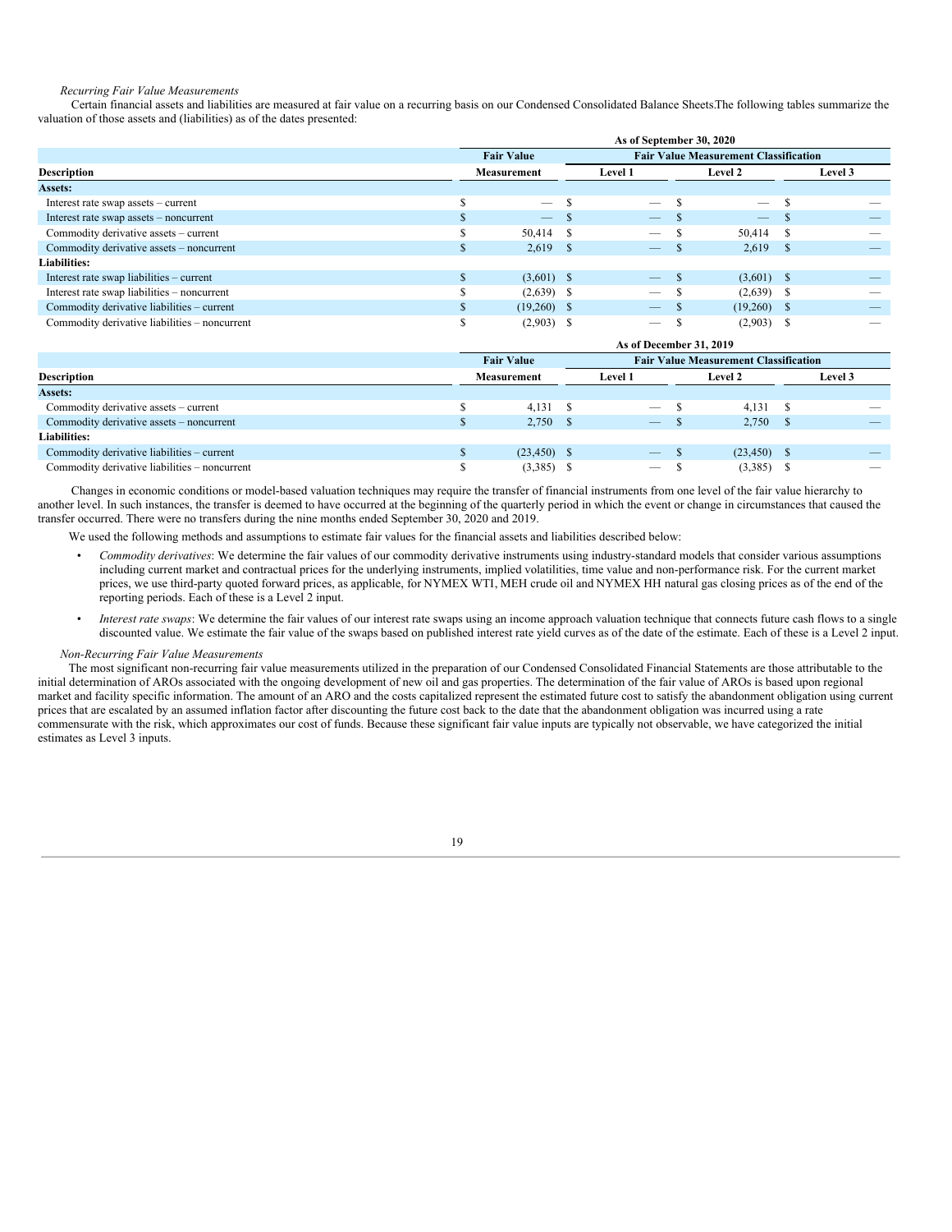### *Recurring Fair Value Measurements*

Certain financial assets and liabilities are measured at fair value on a recurring basis on our Condensed Consolidated Balance Sheets.The following tables summarize the valuation of those assets and (liabilities) as of the dates presented:

|                                               |  |                          |                                              |                          | As of September 30, 2020 |                          |     |         |  |  |
|-----------------------------------------------|--|--------------------------|----------------------------------------------|--------------------------|--------------------------|--------------------------|-----|---------|--|--|
|                                               |  | <b>Fair Value</b>        | <b>Fair Value Measurement Classification</b> |                          |                          |                          |     |         |  |  |
| <b>Description</b>                            |  | Measurement              |                                              | <b>Level 1</b>           |                          | Level 2                  |     | Level 3 |  |  |
| Assets:                                       |  |                          |                                              |                          |                          |                          |     |         |  |  |
| Interest rate swap assets – current           |  | $\frac{1}{2}$            |                                              | $\hspace{0.05cm}$        |                          | $\overline{\phantom{a}}$ |     |         |  |  |
| Interest rate swap assets – noncurrent        |  | $\overline{\phantom{m}}$ |                                              | $\overline{\phantom{0}}$ |                          | $\qquad \qquad -$        |     |         |  |  |
| Commodity derivative assets – current         |  | 50,414 \$                |                                              | $\overline{\phantom{m}}$ |                          | 50,414                   | - S |         |  |  |
| Commodity derivative assets – noncurrent      |  | $2,619$ \$               |                                              |                          | <sup>\$</sup>            | $2,619$ \$               |     |         |  |  |
| <b>Liabilities:</b>                           |  |                          |                                              |                          |                          |                          |     |         |  |  |
| Interest rate swap liabilities – current      |  | $(3,601)$ \$             |                                              | $\qquad \qquad = \qquad$ | <sup>\$</sup>            | $(3,601)$ \$             |     |         |  |  |
| Interest rate swap liabilities – noncurrent   |  | $(2,639)$ \$             |                                              | $\overline{\phantom{a}}$ |                          | $(2,639)$ \$             |     |         |  |  |
| Commodity derivative liabilities - current    |  | $(19,260)$ \$            |                                              | $\overline{\phantom{0}}$ | <sup>\$</sup>            | $(19,260)$ \$            |     |         |  |  |
| Commodity derivative liabilities - noncurrent |  | $(2,903)$ \$             |                                              |                          |                          | $(2,903)$ \$             |     |         |  |  |

|                                               | As of December 31, 2019 |               |  |                                              |     |                |  |         |  |  |  |  |  |
|-----------------------------------------------|-------------------------|---------------|--|----------------------------------------------|-----|----------------|--|---------|--|--|--|--|--|
|                                               | <b>Fair Value</b>       |               |  | <b>Fair Value Measurement Classification</b> |     |                |  |         |  |  |  |  |  |
| Description                                   | Measurement             |               |  | <b>Level 1</b>                               |     | <b>Level 2</b> |  | Level 3 |  |  |  |  |  |
| Assets:                                       |                         |               |  |                                              |     |                |  |         |  |  |  |  |  |
| Commodity derivative assets – current         |                         | $4,131$ \$    |  | $\overline{\phantom{m}}$                     |     | $4,131$ \$     |  | __      |  |  |  |  |  |
| Commodity derivative assets - noncurrent      | æ                       | $2,750$ \$    |  |                                              |     | $2,750$ \$     |  |         |  |  |  |  |  |
| <b>Liabilities:</b>                           |                         |               |  |                                              |     |                |  |         |  |  |  |  |  |
| Commodity derivative liabilities – current    |                         | $(23,450)$ \$ |  |                                              | -39 | $(23,450)$ \$  |  |         |  |  |  |  |  |
| Commodity derivative liabilities - noncurrent |                         | $(3,385)$ \$  |  | $\overline{\phantom{a}}$                     |     | (3,385)        |  |         |  |  |  |  |  |

Changes in economic conditions or model-based valuation techniques may require the transfer of financial instruments from one level of the fair value hierarchy to another level. In such instances, the transfer is deemed to have occurred at the beginning of the quarterly period in which the event or change in circumstances that caused the transfer occurred. There were no transfers during the nine months ended September 30, 2020 and 2019.

We used the following methods and assumptions to estimate fair values for the financial assets and liabilities described below:

- *Commodity derivatives*: We determine the fair values of our commodity derivative instruments using industry-standard models that consider various assumptions including current market and contractual prices for the underlying instruments, implied volatilities, time value and non-performance risk. For the current market prices, we use third-party quoted forward prices, as applicable, for NYMEX WTI, MEH crude oil and NYMEX HH natural gas closing prices as of the end of the reporting periods. Each of these is a Level 2 input.
- *Interest rate swaps*: We determine the fair values of our interest rate swaps using an income approach valuation technique that connects future cash flows to a single discounted value. We estimate the fair value of the swaps based on published interest rate yield curves as of the date of the estimate. Each of these is a Level 2 input.

#### *Non-Recurring Fair Value Measurements*

<span id="page-18-0"></span>The most significant non-recurring fair value measurements utilized in the preparation of our Condensed Consolidated Financial Statements are those attributable to the initial determination of AROs associated with the ongoing development of new oil and gas properties. The determination of the fair value of AROs is based upon regional market and facility specific information. The amount of an ARO and the costs capitalized represent the estimated future cost to satisfy the abandonment obligation using current prices that are escalated by an assumed inflation factor after discounting the future cost back to the date that the abandonment obligation was incurred using a rate commensurate with the risk, which approximates our cost of funds. Because these significant fair value inputs are typically not observable, we have categorized the initial estimates as Level 3 inputs.

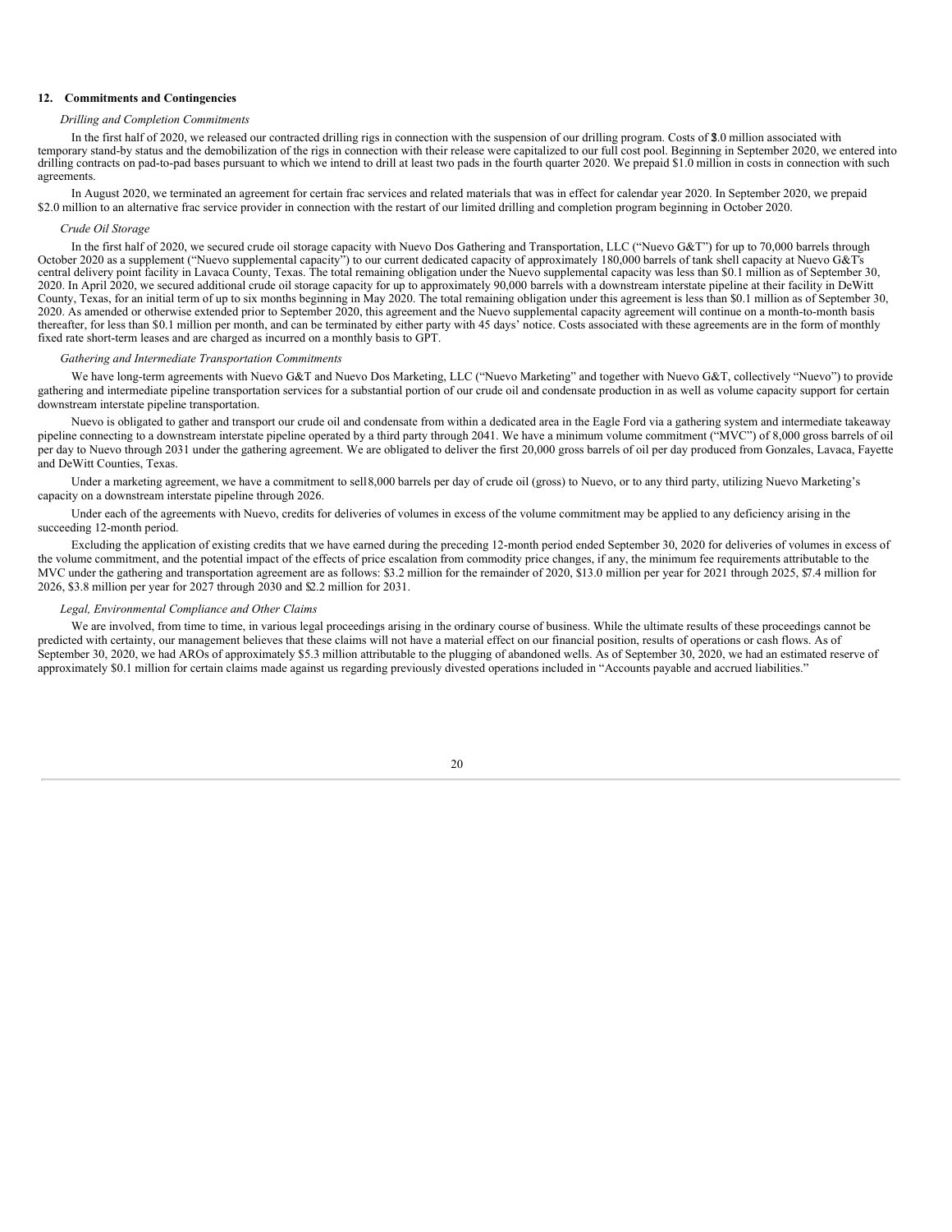#### **12. Commitments and Contingencies**

#### *Drilling and Completion Commitments*

In the first half of 2020, we released our contracted drilling rigs in connection with the suspension of our drilling program. Costs of \$.0 million associated with temporary stand-by status and the demobilization of the rigs in connection with their release were capitalized to our full cost pool. Beginning in September 2020, we entered into drilling contracts on pad-to-pad bases pursuant to which we intend to drill at least two pads in the fourth quarter 2020. We prepaid \$1.0 million in costs in connection with such agreements.

In August 2020, we terminated an agreement for certain frac services and related materials that was in effect for calendar year 2020. In September 2020, we prepaid \$2.0 million to an alternative frac service provider in connection with the restart of our limited drilling and completion program beginning in October 2020.

#### *Crude Oil Storage*

In the first half of 2020, we secured crude oil storage capacity with Nuevo Dos Gathering and Transportation, LLC ("Nuevo G&T") for up to 70,000 barrels through October 2020 as a supplement ("Nuevo supplemental capacity") to our current dedicated capacity of approximately 180,000 barrels of tank shell capacity at Nuevo G&T*'*s central delivery point facility in Lavaca County, Texas. The total remaining obligation under the Nuevo supplemental capacity was less than \$0.1 million as of September 30, 2020. In April 2020, we secured additional crude oil storage capacity for up to approximately 90,000 barrels with a downstream interstate pipeline at their facility in DeWitt County, Texas, for an initial term of up to six months beginning in May 2020. The total remaining obligation under this agreement is less than \$0.1 million as of September 30, 2020. As amended or otherwise extended prior to September 2020, this agreement and the Nuevo supplemental capacity agreement will continue on a month-to-month basis thereafter, for less than \$0.1 million per month, and can be terminated by either party with 45 days' notice. Costs associated with these agreements are in the form of monthly fixed rate short-term leases and are charged as incurred on a monthly basis to GPT.

#### *Gathering and Intermediate Transportation Commitments*

We have long-term agreements with Nuevo G&T and Nuevo Dos Marketing, LLC ("Nuevo Marketing" and together with Nuevo G&T, collectively "Nuevo") to provide gathering and intermediate pipeline transportation services for a substantial portion of our crude oil and condensate production in as well as volume capacity support for certain downstream interstate pipeline transportation.

Nuevo is obligated to gather and transport our crude oil and condensate from within a dedicated area in the Eagle Ford via a gathering system and intermediate takeaway pipeline connecting to a downstream interstate pipeline operated by a third party through 2041. We have a minimum volume commitment ("MVC") of 8,000 gross barrels of oil per day to Nuevo through 2031 under the gathering agreement. We are obligated to deliver the first 20,000 gross barrels of oil per day produced from Gonzales, Lavaca, Fayette and DeWitt Counties, Texas.

Under a marketing agreement, we have a commitment to sell8,000 barrels per day of crude oil (gross) to Nuevo, or to any third party, utilizing Nuevo Marketing's capacity on a downstream interstate pipeline through 2026.

Under each of the agreements with Nuevo, credits for deliveries of volumes in excess of the volume commitment may be applied to any deficiency arising in the succeeding 12-month period.

Excluding the application of existing credits that we have earned during the preceding 12-month period ended September 30, 2020 for deliveries of volumes in excess of the volume commitment, and the potential impact of the effects of price escalation from commodity price changes, if any, the minimum fee requirements attributable to the MVC under the gathering and transportation agreement are as follows: \$3.2 million for the remainder of 2020, \$13.0 million per year for 2021 through 2025, \$7.4 million for 2026, \$3.8 million per year for 2027 through 2030 and \$2.2 million for 2031.

#### *Legal, Environmental Compliance and Other Claims*

<span id="page-19-0"></span>We are involved, from time to time, in various legal proceedings arising in the ordinary course of business. While the ultimate results of these proceedings cannot be predicted with certainty, our management believes that these claims will not have a material effect on our financial position, results of operations or cash flows. As of September 30, 2020, we had AROs of approximately \$5.3 million attributable to the plugging of abandoned wells. As of September 30, 2020, we had an estimated reserve of approximately \$0.1 million for certain claims made against us regarding previously divested operations included in "Accounts payable and accrued liabilities."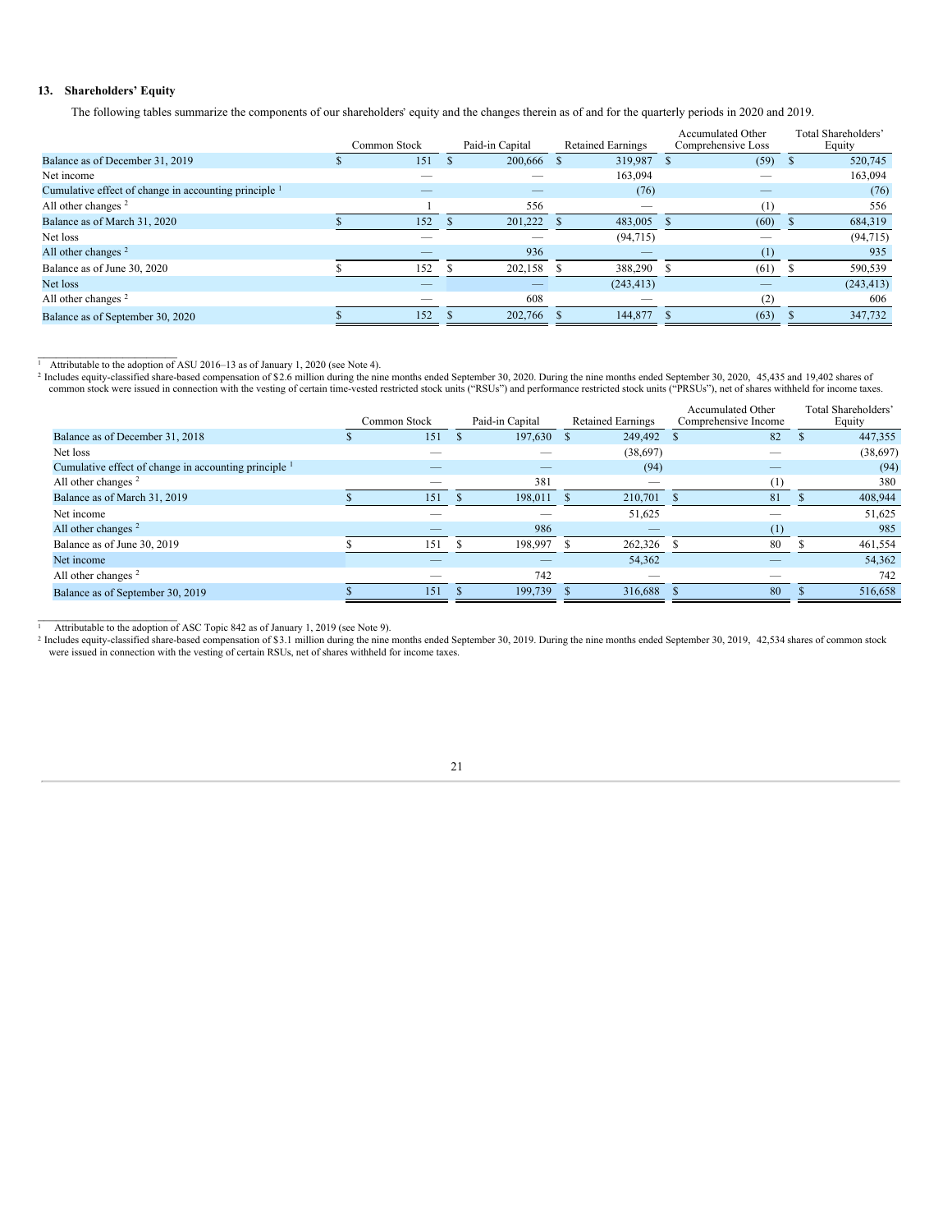## **13. Shareholders' Equity**

The following tables summarize the components of our shareholders' equity and the changes therein as of and for the quarterly periods in 2020 and 2019.

| Common Stock |  | Paid-in Capital |  | <b>Retained Earnings</b> |    | <b>Accumulated Other</b><br>Comprehensive Loss |              | Total Shareholders'<br>Equity |
|--------------|--|-----------------|--|--------------------------|----|------------------------------------------------|--------------|-------------------------------|
| 151          |  | 200,666         |  | 319,987                  |    | (59)                                           | <sup>S</sup> | 520,745                       |
|              |  |                 |  | 163,094                  |    |                                                |              | 163,094                       |
|              |  |                 |  | (76)                     |    |                                                |              | (76)                          |
|              |  | 556             |  | $-$                      |    | (1                                             |              | 556                           |
| 152          |  | 201,222         |  | 483,005                  | Ж. | (60)                                           |              | 684,319                       |
|              |  |                 |  | (94, 715)                |    |                                                |              | (94, 715)                     |
|              |  | 936             |  |                          |    | $^{(1)}$                                       |              | 935                           |
| 152          |  | 202,158         |  | 388,290                  |    | (61)                                           |              | 590,539                       |
|              |  |                 |  | (243, 413)               |    |                                                |              | (243, 413)                    |
|              |  | 608             |  |                          |    | (2)                                            |              | 606                           |
| 152          |  |                 |  | 144,877                  |    | (63)                                           |              | 347,732                       |
|              |  |                 |  | 202,766<br>$\sim$        |    |                                                |              |                               |

 $\frac{1}{1}$  Attributable to the adoption of ASU 2016–13 as of January 1, 2020 (see Note 4).

<sup>2</sup> Includes equity-classified share-based compensation of \$2.6 million during the nine months ended September 30, 2020. During the nine months ended September 30, 2020, 45,435 and 19,402 shares of common stock were issued in connection with the vesting of certain time-vested restricted stock units ("RSUs") and performance restricted stock units ("PRSUs"), net of shares withheld for income taxes.

|                                                         | Common Stock             | Paid-in Capital |         | <b>Retained Earnings</b> |          | <b>Accumulated Other</b><br>Comprehensive Income |  | Total Shareholders'<br>Equity |
|---------------------------------------------------------|--------------------------|-----------------|---------|--------------------------|----------|--------------------------------------------------|--|-------------------------------|
| Balance as of December 31, 2018                         | 151                      |                 | 197,630 |                          | 249,492  | 82                                               |  | 447,355                       |
| Net loss                                                |                          |                 |         |                          | (38,697) |                                                  |  | (38,697)                      |
| Cumulative effect of change in accounting principle $1$ | $\overline{\phantom{a}}$ |                 |         |                          | (94)     |                                                  |  | (94)                          |
| All other changes <sup>2</sup>                          |                          |                 | 381     |                          | $\sim$   | (1)                                              |  | 380                           |
| Balance as of March 31, 2019                            | 151                      |                 | 198,011 |                          | 210,701  | 81                                               |  | 408,944                       |
| Net income                                              |                          |                 |         |                          | 51,625   |                                                  |  | 51,625                        |
| All other changes $2$                                   |                          |                 | 986     |                          |          | (1)                                              |  | 985                           |
| Balance as of June 30, 2019                             | 151                      |                 | 198,997 |                          | 262,326  | 80                                               |  | 461,554                       |
| Net income                                              |                          |                 |         |                          | 54,362   |                                                  |  | 54,362                        |
| All other changes $2$                                   |                          |                 | 742     |                          |          |                                                  |  | 742                           |
| Balance as of September 30, 2019                        | 151                      |                 | 199,739 |                          | 316,688  | 80                                               |  | 516,658                       |
|                                                         |                          |                 |         |                          |          |                                                  |  |                               |

 $\overline{a}$  Attributable to the adoption of ASC Topic 842 as of January 1, 2019 (see Note 9).  $\overline{1}$ 

<span id="page-20-0"></span><sup>2</sup> Includes equity-classified share-based compensation of \$3.1 million during the nine months ended September 30, 2019. During the nine months ended September 30, 2019, 42,534 shares of common stock were issued in connection with the vesting of certain RSUs, net of shares withheld for income taxes.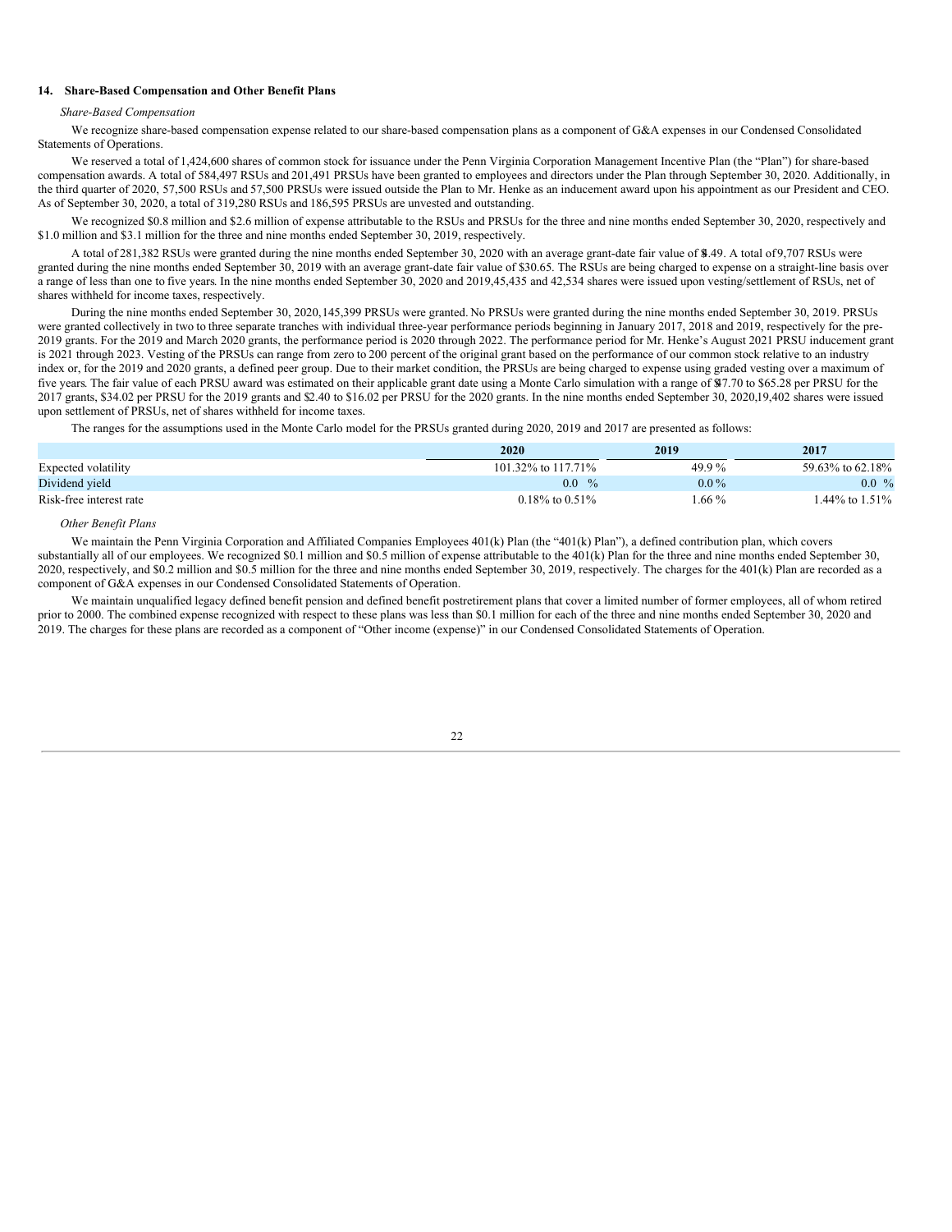#### **14. Share-Based Compensation and Other Benefit Plans**

#### *Share-Based Compensation*

We recognize share-based compensation expense related to our share-based compensation plans as a component of G&A expenses in our Condensed Consolidated Statements of Operations.

We reserved a total of 1,424,600 shares of common stock for issuance under the Penn Virginia Corporation Management Incentive Plan (the "Plan") for share-based compensation awards. A total of 584,497 RSUs and 201,491 PRSUs have been granted to employees and directors under the Plan through September 30, 2020. Additionally, in the third quarter of 2020, 57,500 RSUs and 57,500 PRSUs were issued outside the Plan to Mr. Henke as an inducement award upon his appointment as our President and CEO. As of September 30, 2020, a total of 319,280 RSUs and 186,595 PRSUs are unvested and outstanding.

We recognized \$0.8 million and \$2.6 million of expense attributable to the RSUs and PRSUs for the three and nine months ended September 30, 2020, respectively and \$1.0 million and \$3.1 million for the three and nine months ended September 30, 2019, respectively.

A total of 281,382 RSUs were granted during the nine months ended September 30, 2020 with an average grant-date fair value of \$4.49. A total of 9,707 RSUs were granted during the nine months ended September 30, 2019 with an average grant-date fair value of \$30.65. The RSUs are being charged to expense on a straight-line basis over a range of less than one to five years. In the nine months ended September 30, 2020 and 2019,45,435 and 42,534 shares were issued upon vesting/settlement of RSUs, net of shares withheld for income taxes, respectively.

During the nine months ended September 30, 2020,145,399 PRSUs were granted. No PRSUs were granted during the nine months ended September 30, 2019. PRSUs were granted collectively in two to three separate tranches with individual three-year performance periods beginning in January 2017, 2018 and 2019, respectively for the pre-2019 grants. For the 2019 and March 2020 grants, the performance period is 2020 through 2022. The performance period for Mr. Henke's August 2021 PRSU inducement grant is 2021 through 2023. Vesting of the PRSUs can range from zero to 200 percent of the original grant based on the performance of our common stock relative to an industry index or, for the 2019 and 2020 grants, a defined peer group. Due to their market condition, the PRSUs are being charged to expense using graded vesting over a maximum of five years. The fair value of each PRSU award was estimated on their applicable grant date using a Monte Carlo simulation with a range of \$47.70 to \$65.28 per PRSU for the 2017 grants, \$34.02 per PRSU for the 2019 grants and \$2.40 to \$16.02 per PRSU for the 2020 grants. In the nine months ended September 30, 2020,19,402 shares were issued upon settlement of PRSUs, net of shares withheld for income taxes.

The ranges for the assumptions used in the Monte Carlo model for the PRSUs granted during 2020, 2019 and 2017 are presented as follows:

|                         | 2020                              | 2019     | 2017             |
|-------------------------|-----------------------------------|----------|------------------|
| Expected volatility     | 101.32% to 117.71%                | 49.9%    | 59.63% to 62.18% |
| Dividend yield          | 0.0 <sub>1</sub><br>$\frac{0}{0}$ | $0.0\%$  | $0.0\%$          |
| Risk-free interest rate | $0.18\%$ to $0.51\%$              | $1.66\%$ | .44% to 1.51%    |

#### *Other Benefit Plans*

We maintain the Penn Virginia Corporation and Affiliated Companies Employees 401(k) Plan (the "401(k) Plan"), a defined contribution plan, which covers substantially all of our employees. We recognized \$0.1 million and \$0.5 million of expense attributable to the 401(k) Plan for the three and nine months ended September 30, 2020, respectively, and \$0.2 million and \$0.5 million for the three and nine months ended September 30, 2019, respectively. The charges for the 401(k) Plan are recorded as a component of G&A expenses in our Condensed Consolidated Statements of Operation.

<span id="page-21-0"></span>We maintain unqualified legacy defined benefit pension and defined benefit postretirement plans that cover a limited number of former employees, all of whom retired prior to 2000. The combined expense recognized with respect to these plans was less than \$0.1 million for each of the three and nine months ended September 30, 2020 and 2019. The charges for these plans are recorded as a component of "Other income (expense)" in our Condensed Consolidated Statements of Operation.

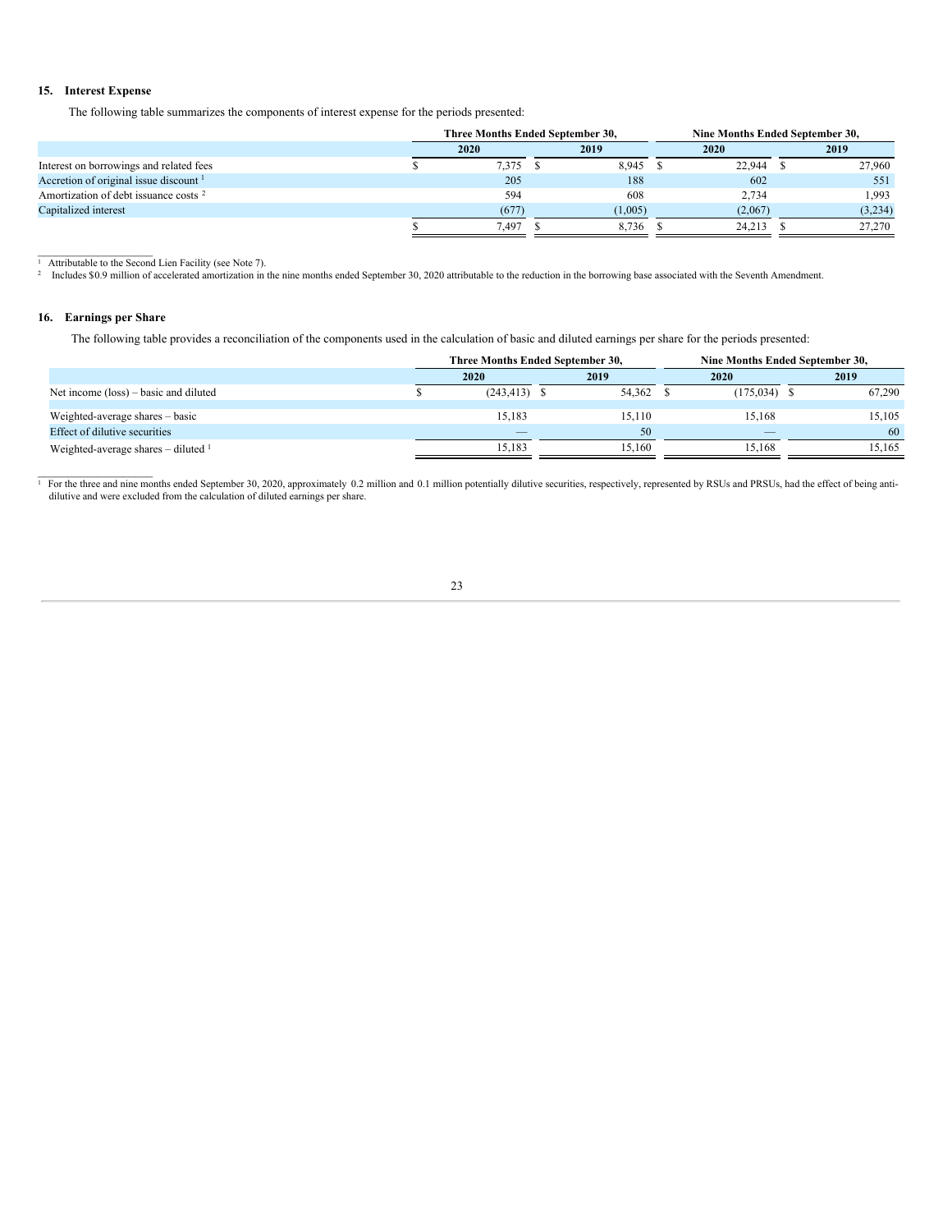## **15. Interest Expense**

The following table summarizes the components of interest expense for the periods presented:

|                                                  |      | Three Months Ended September 30, |         | Nine Months Ended September 30, |         |  |         |  |
|--------------------------------------------------|------|----------------------------------|---------|---------------------------------|---------|--|---------|--|
|                                                  | 2020 |                                  | 2019    | 2020                            |         |  | 2019    |  |
| Interest on borrowings and related fees          |      | 7,375                            | 8,945   |                                 | 22,944  |  | 27,960  |  |
| Accretion of original issue discount 1           |      | 205                              | 188     |                                 | 602     |  | 551     |  |
| Amortization of debt issuance costs <sup>2</sup> |      | 594                              | 608     |                                 | 2.734   |  | 1,993   |  |
| Capitalized interest                             |      | (677)                            | (1.005) |                                 | (2,067) |  | (3,234) |  |
|                                                  |      | 7.497                            | 8.736   |                                 | 24.213  |  | 27,270  |  |

<sup>1</sup> Attributable to the Second Lien Facility (see Note 7).<br><sup>2</sup> Includes \$0.9 million of accelerated amortization in the nine months ended September 30, 2020 attributable to the reduction in the borrowing base associated wi

## <span id="page-22-0"></span>**16. Earnings per Share**

The following table provides a reconciliation of the components used in the calculation of basic and diluted earnings per share for the periods presented:

|                                                   |                 | Three Months Ended September 30, | Nine Months Ended September 30, |        |  |  |  |  |
|---------------------------------------------------|-----------------|----------------------------------|---------------------------------|--------|--|--|--|--|
|                                                   | 2020            | 2019                             | 2020                            | 2019   |  |  |  |  |
| Net income $(\text{loss})$ – basic and diluted    | $(243, 413)$ \$ | 54.362                           | $(175,034)$ \$                  | 67,290 |  |  |  |  |
| Weighted-average shares – basic                   | 15.183          | 15.110                           | 15.168                          | 15.105 |  |  |  |  |
| Effect of dilutive securities                     |                 | 50                               |                                 | 60     |  |  |  |  |
| Weighted-average shares $-$ diluted $\frac{1}{2}$ | 15.183          | 15.160                           | 15.168                          | 15.165 |  |  |  |  |

<span id="page-22-1"></span><sup>1</sup> For the three and nine months ended September 30, 2020, approximately 0.2 million and 0.1 million potentially dilutive securities, respectively, represented by RSUs and PRSUs, had the effect of being antidilutive and were excluded from the calculation of diluted earnings per share.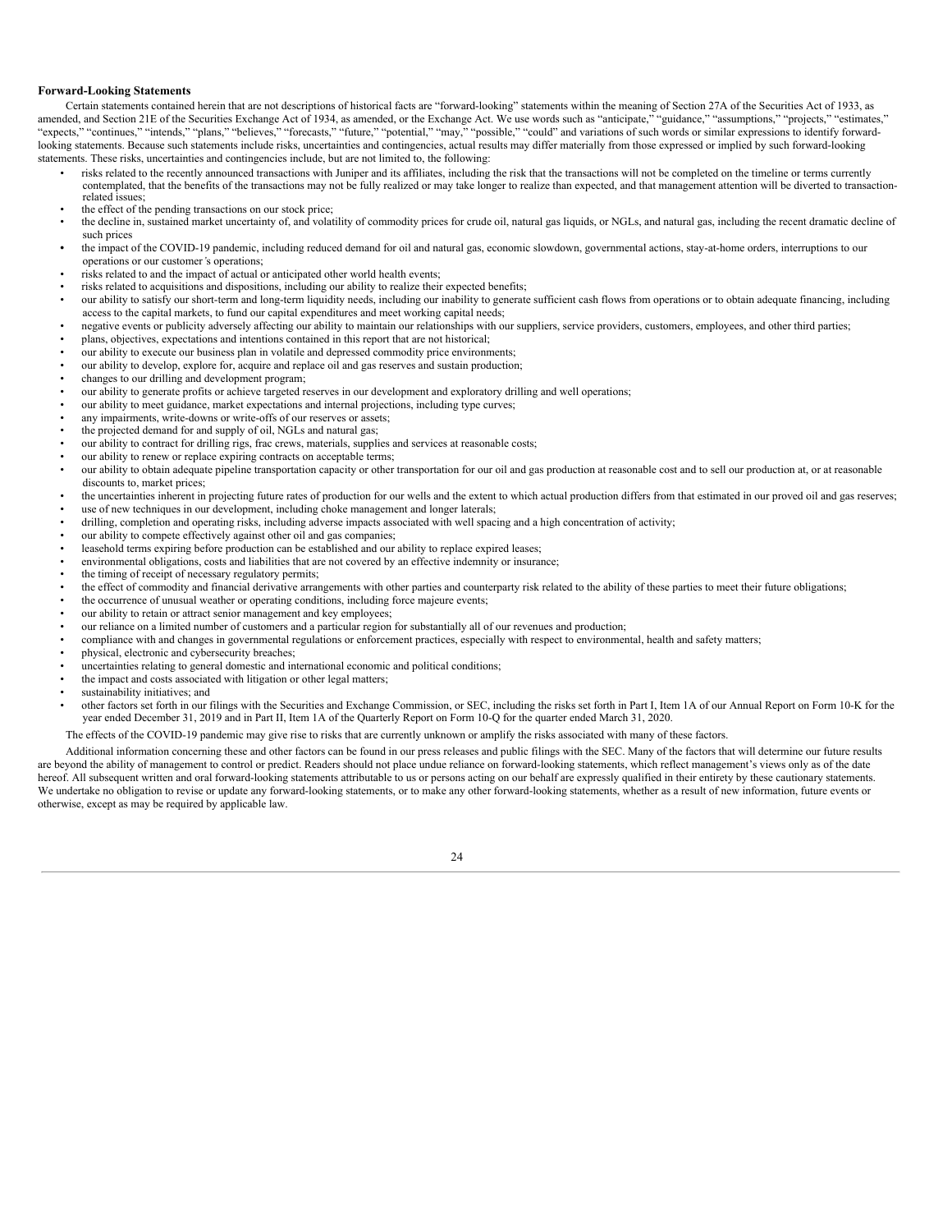#### **Forward-Looking Statements**

Certain statements contained herein that are not descriptions of historical facts are "forward-looking" statements within the meaning of Section 27A of the Securities Act of 1933, as amended, and Section 21E of the Securities Exchange Act of 1934, as amended, or the Exchange Act. We use words such as "anticipate," "guidance," "assumptions," "projects," "estimates," "expects," "continues," "intends," "plans," "believes," "forecasts," "future," "potential," "may," "possible," "could" and variations of such words or similar expressions to identify forwardlooking statements. Because such statements include risks, uncertainties and contingencies, actual results may differ materially from those expressed or implied by such forward-looking statements. These risks, uncertainties and contingencies include, but are not limited to, the following:

- risks related to the recently announced transactions with Juniper and its affiliates, including the risk that the transactions will not be completed on the timeline or terms currently contemplated, that the benefits of the transactions may not be fully realized or may take longer to realize than expected, and that management attention will be diverted to transactionrelated issues;
- the effect of the pending transactions on our stock price;
- the decline in, sustained market uncertainty of, and volatility of commodity prices for crude oil, natural gas liquids, or NGLs, and natural gas, including the recent dramatic decline of such prices
- **•** the impact of the COVID-19 pandemic, including reduced demand for oil and natural gas, economic slowdown, governmental actions, stay-at-home orders, interruptions to our operations or our customer*'*s operations;
- risks related to and the impact of actual or anticipated other world health events;
- risks related to acquisitions and dispositions, including our ability to realize their expected benefits;
- our ability to satisfy our short-term and long-term liquidity needs, including our inability to generate sufficient cash flows from operations or to obtain adequate financing, including access to the capital markets, to fund our capital expenditures and meet working capital needs;
- negative events or publicity adversely affecting our ability to maintain our relationships with our suppliers, service providers, customers, employees, and other third parties;
- plans, objectives, expectations and intentions contained in this report that are not historical;
- our ability to execute our business plan in volatile and depressed commodity price environments;
- our ability to develop, explore for, acquire and replace oil and gas reserves and sustain production;
- changes to our drilling and development program;
- our ability to generate profits or achieve targeted reserves in our development and exploratory drilling and well operations;
- our ability to meet guidance, market expectations and internal projections, including type curves;
- any impairments, write-downs or write-offs of our reserves or assets;
- the projected demand for and supply of oil, NGLs and natural gas;
- our ability to contract for drilling rigs, frac crews, materials, supplies and services at reasonable costs;
- our ability to renew or replace expiring contracts on acceptable terms;
- our ability to obtain adequate pipeline transportation capacity or other transportation for our oil and gas production at reasonable cost and to sell our production at, or at reasonable discounts to, market prices;
- the uncertainties inherent in projecting future rates of production for our wells and the extent to which actual production differs from that estimated in our proved oil and gas reserves;
- use of new techniques in our development, including choke management and longer laterals;
- drilling, completion and operating risks, including adverse impacts associated with well spacing and a high concentration of activity;
- our ability to compete effectively against other oil and gas companies;
- leasehold terms expiring before production can be established and our ability to replace expired leases; • environmental obligations, costs and liabilities that are not covered by an effective indemnity or insurance;
- the timing of receipt of necessary regulatory permits;
- the effect of commodity and financial derivative arrangements with other parties and counterparty risk related to the ability of these parties to meet their future obligations;
- the occurrence of unusual weather or operating conditions, including force majeure events;
- our ability to retain or attract senior management and key employees;
- our reliance on a limited number of customers and a particular region for substantially all of our revenues and production;
- compliance with and changes in governmental regulations or enforcement practices, especially with respect to environmental, health and safety matters;
- physical, electronic and cybersecurity breaches;
- uncertainties relating to general domestic and international economic and political conditions;
- the impact and costs associated with litigation or other legal matters;
- sustainability initiatives; and
- other factors set forth in our filings with the Securities and Exchange Commission, or SEC, including the risks set forth in Part I, Item 1A of our Annual Report on Form 10-K for the year ended December 31, 2019 and in Part II, Item 1A of the Quarterly Report on Form 10-Q for the quarter ended March 31, 2020.

The effects of the COVID-19 pandemic may give rise to risks that are currently unknown or amplify the risks associated with many of these factors.

Additional information concerning these and other factors can be found in our press releases and public filings with the SEC. Many of the factors that will determine our future results are beyond the ability of management to control or predict. Readers should not place undue reliance on forward-looking statements, which reflect management's views only as of the date hereof. All subsequent written and oral forward-looking statements attributable to us or persons acting on our behalf are expressly qualified in their entirety by these cautionary statements. We undertake no obligation to revise or update any forward-looking statements, or to make any other forward-looking statements, whether as a result of new information, future events or otherwise, except as may be required by applicable law.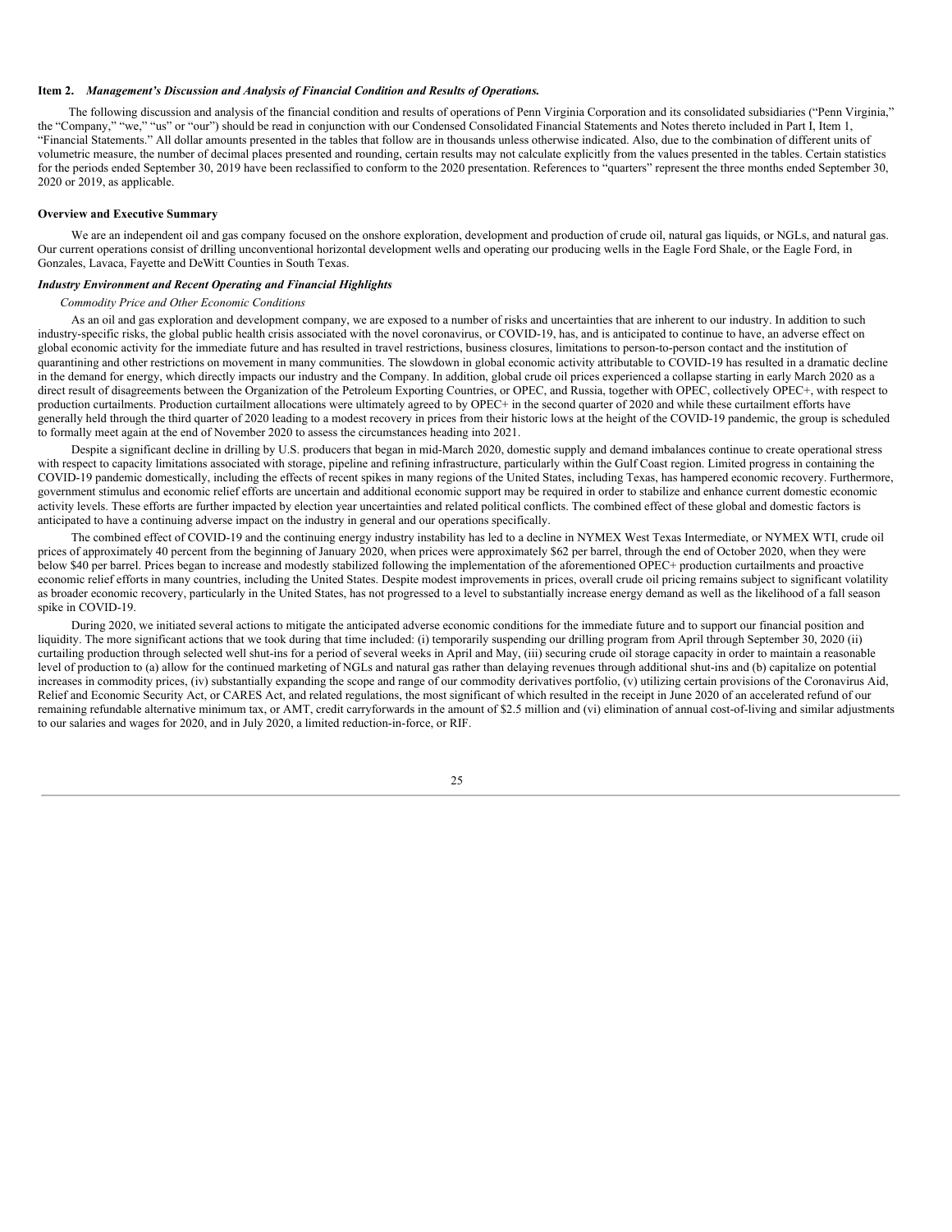#### **Item 2.** *Management's Discussion and Analysis of Financial Condition and Results of Operations.*

The following discussion and analysis of the financial condition and results of operations of Penn Virginia Corporation and its consolidated subsidiaries ("Penn Virginia," the "Company," "we," "us" or "our") should be read in conjunction with our Condensed Consolidated Financial Statements and Notes thereto included in Part I, Item 1, "Financial Statements." All dollar amounts presented in the tables that follow are in thousands unless otherwise indicated. Also, due to the combination of different units of volumetric measure, the number of decimal places presented and rounding, certain results may not calculate explicitly from the values presented in the tables. Certain statistics for the periods ended September 30, 2019 have been reclassified to conform to the 2020 presentation. References to "quarters" represent the three months ended September 30, 2020 or 2019, as applicable.

#### <span id="page-24-0"></span>**Overview and Executive Summary**

We are an independent oil and gas company focused on the onshore exploration, development and production of crude oil, natural gas liquids, or NGLs, and natural gas. Our current operations consist of drilling unconventional horizontal development wells and operating our producing wells in the Eagle Ford Shale, or the Eagle Ford, in Gonzales, Lavaca, Fayette and DeWitt Counties in South Texas.

### *Industry Environment and Recent Operating and Financial Highlights*

#### *Commodity Price and Other Economic Conditions*

As an oil and gas exploration and development company, we are exposed to a number of risks and uncertainties that are inherent to our industry. In addition to such industry-specific risks, the global public health crisis associated with the novel coronavirus, or COVID-19, has, and is anticipated to continue to have, an adverse effect on global economic activity for the immediate future and has resulted in travel restrictions, business closures, limitations to person-to-person contact and the institution of quarantining and other restrictions on movement in many communities. The slowdown in global economic activity attributable to COVID-19 has resulted in a dramatic decline in the demand for energy, which directly impacts our industry and the Company. In addition, global crude oil prices experienced a collapse starting in early March 2020 as a direct result of disagreements between the Organization of the Petroleum Exporting Countries, or OPEC, and Russia, together with OPEC, collectively OPEC+, with respect to production curtailments. Production curtailment allocations were ultimately agreed to by OPEC+ in the second quarter of 2020 and while these curtailment efforts have generally held through the third quarter of 2020 leading to a modest recovery in prices from their historic lows at the height of the COVID-19 pandemic, the group is scheduled to formally meet again at the end of November 2020 to assess the circumstances heading into 2021.

Despite a significant decline in drilling by U.S. producers that began in mid-March 2020, domestic supply and demand imbalances continue to create operational stress with respect to capacity limitations associated with storage, pipeline and refining infrastructure, particularly within the Gulf Coast region. Limited progress in containing the COVID-19 pandemic domestically, including the effects of recent spikes in many regions of the United States, including Texas, has hampered economic recovery. Furthermore, government stimulus and economic relief efforts are uncertain and additional economic support may be required in order to stabilize and enhance current domestic economic activity levels. These efforts are further impacted by election year uncertainties and related political conflicts. The combined effect of these global and domestic factors is anticipated to have a continuing adverse impact on the industry in general and our operations specifically.

The combined effect of COVID-19 and the continuing energy industry instability has led to a decline in NYMEX West Texas Intermediate, or NYMEX WTI, crude oil prices of approximately 40 percent from the beginning of January 2020, when prices were approximately \$62 per barrel, through the end of October 2020, when they were below \$40 per barrel. Prices began to increase and modestly stabilized following the implementation of the aforementioned OPEC+ production curtailments and proactive economic relief efforts in many countries, including the United States. Despite modest improvements in prices, overall crude oil pricing remains subject to significant volatility as broader economic recovery, particularly in the United States, has not progressed to a level to substantially increase energy demand as well as the likelihood of a fall season spike in COVID-19.

During 2020, we initiated several actions to mitigate the anticipated adverse economic conditions for the immediate future and to support our financial position and liquidity. The more significant actions that we took during that time included: (i) temporarily suspending our drilling program from April through September 30, 2020 (ii) curtailing production through selected well shut-ins for a period of several weeks in April and May, (iii) securing crude oil storage capacity in order to maintain a reasonable level of production to (a) allow for the continued marketing of NGLs and natural gas rather than delaying revenues through additional shut-ins and (b) capitalize on potential increases in commodity prices, (iv) substantially expanding the scope and range of our commodity derivatives portfolio, (v) utilizing certain provisions of the Coronavirus Aid, Relief and Economic Security Act, or CARES Act, and related regulations, the most significant of which resulted in the receipt in June 2020 of an accelerated refund of our remaining refundable alternative minimum tax, or AMT, credit carryforwards in the amount of \$2.5 million and (vi) elimination of annual cost-of-living and similar adjustments to our salaries and wages for 2020, and in July 2020, a limited reduction-in-force, or RIF.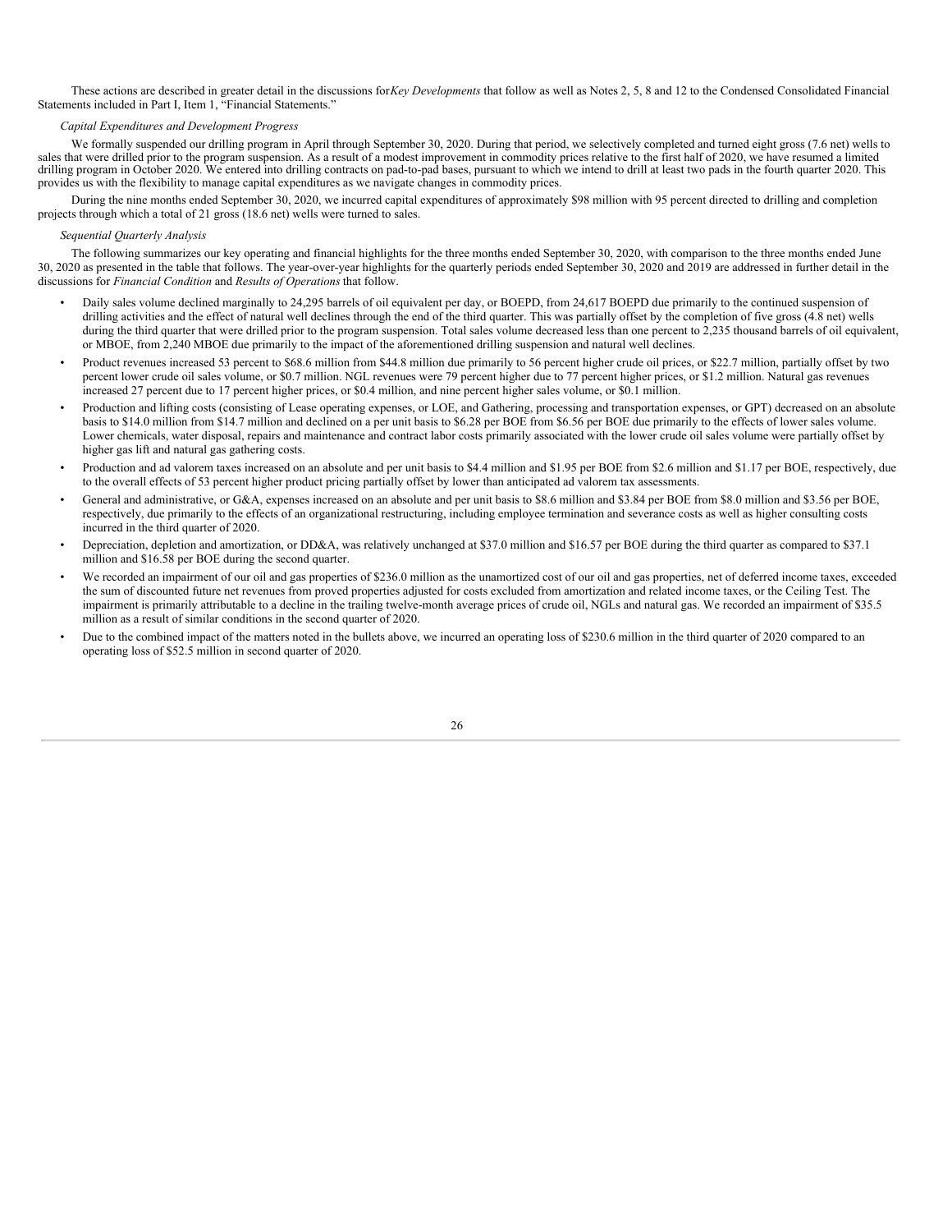These actions are described in greater detail in the discussions for*Key Developments* that follow as well as Notes 2, 5, 8 and 12 to the Condensed Consolidated Financial Statements included in Part I, Item 1, "Financial Statements."

## *Capital Expenditures and Development Progress*

We formally suspended our drilling program in April through September 30, 2020. During that period, we selectively completed and turned eight gross (7.6 net) wells to sales that were drilled prior to the program suspension. As a result of a modest improvement in commodity prices relative to the first half of 2020, we have resumed a limited drilling program in October 2020. We entered into drilling contracts on pad-to-pad bases, pursuant to which we intend to drill at least two pads in the fourth quarter 2020. This provides us with the flexibility to manage capital expenditures as we navigate changes in commodity prices.

During the nine months ended September 30, 2020, we incurred capital expenditures of approximately \$98 million with 95 percent directed to drilling and completion projects through which a total of 21 gross (18.6 net) wells were turned to sales.

#### *Sequential Quarterly Analysis*

The following summarizes our key operating and financial highlights for the three months ended September 30, 2020, with comparison to the three months ended June 30, 2020 as presented in the table that follows. The year-over-year highlights for the quarterly periods ended September 30, 2020 and 2019 are addressed in further detail in the discussions for *Financial Condition* and *Results of Operations* that follow.

- Daily sales volume declined marginally to 24,295 barrels of oil equivalent per day, or BOEPD, from 24,617 BOEPD due primarily to the continued suspension of drilling activities and the effect of natural well declines through the end of the third quarter. This was partially offset by the completion of five gross (4.8 net) wells during the third quarter that were drilled prior to the program suspension. Total sales volume decreased less than one percent to 2,235 thousand barrels of oil equivalent, or MBOE, from 2,240 MBOE due primarily to the impact of the aforementioned drilling suspension and natural well declines.
- Product revenues increased 53 percent to \$68.6 million from \$44.8 million due primarily to 56 percent higher crude oil prices, or \$22.7 million, partially offset by two percent lower crude oil sales volume, or \$0.7 million. NGL revenues were 79 percent higher due to 77 percent higher prices, or \$1.2 million. Natural gas revenues increased 27 percent due to 17 percent higher prices, or \$0.4 million, and nine percent higher sales volume, or \$0.1 million.
- Production and lifting costs (consisting of Lease operating expenses, or LOE, and Gathering, processing and transportation expenses, or GPT) decreased on an absolute basis to \$14.0 million from \$14.7 million and declined on a per unit basis to \$6.28 per BOE from \$6.56 per BOE due primarily to the effects of lower sales volume. Lower chemicals, water disposal, repairs and maintenance and contract labor costs primarily associated with the lower crude oil sales volume were partially offset by higher gas lift and natural gas gathering costs.
- Production and ad valorem taxes increased on an absolute and per unit basis to \$4.4 million and \$1.95 per BOE from \$2.6 million and \$1.17 per BOE, respectively, due to the overall effects of 53 percent higher product pricing partially offset by lower than anticipated ad valorem tax assessments.
- General and administrative, or G&A, expenses increased on an absolute and per unit basis to \$8.6 million and \$3.84 per BOE from \$8.0 million and \$3.56 per BOE, respectively, due primarily to the effects of an organizational restructuring, including employee termination and severance costs as well as higher consulting costs incurred in the third quarter of 2020.
- Depreciation, depletion and amortization, or DD&A, was relatively unchanged at \$37.0 million and \$16.57 per BOE during the third quarter as compared to \$37.1 million and \$16.58 per BOE during the second quarter.
- We recorded an impairment of our oil and gas properties of \$236.0 million as the unamortized cost of our oil and gas properties, net of deferred income taxes, exceeded the sum of discounted future net revenues from proved properties adjusted for costs excluded from amortization and related income taxes, or the Ceiling Test. The impairment is primarily attributable to a decline in the trailing twelve-month average prices of crude oil, NGLs and natural gas. We recorded an impairment of \$35.5 million as a result of similar conditions in the second quarter of 2020.
- Due to the combined impact of the matters noted in the bullets above, we incurred an operating loss of \$230.6 million in the third quarter of 2020 compared to an operating loss of \$52.5 million in second quarter of 2020.

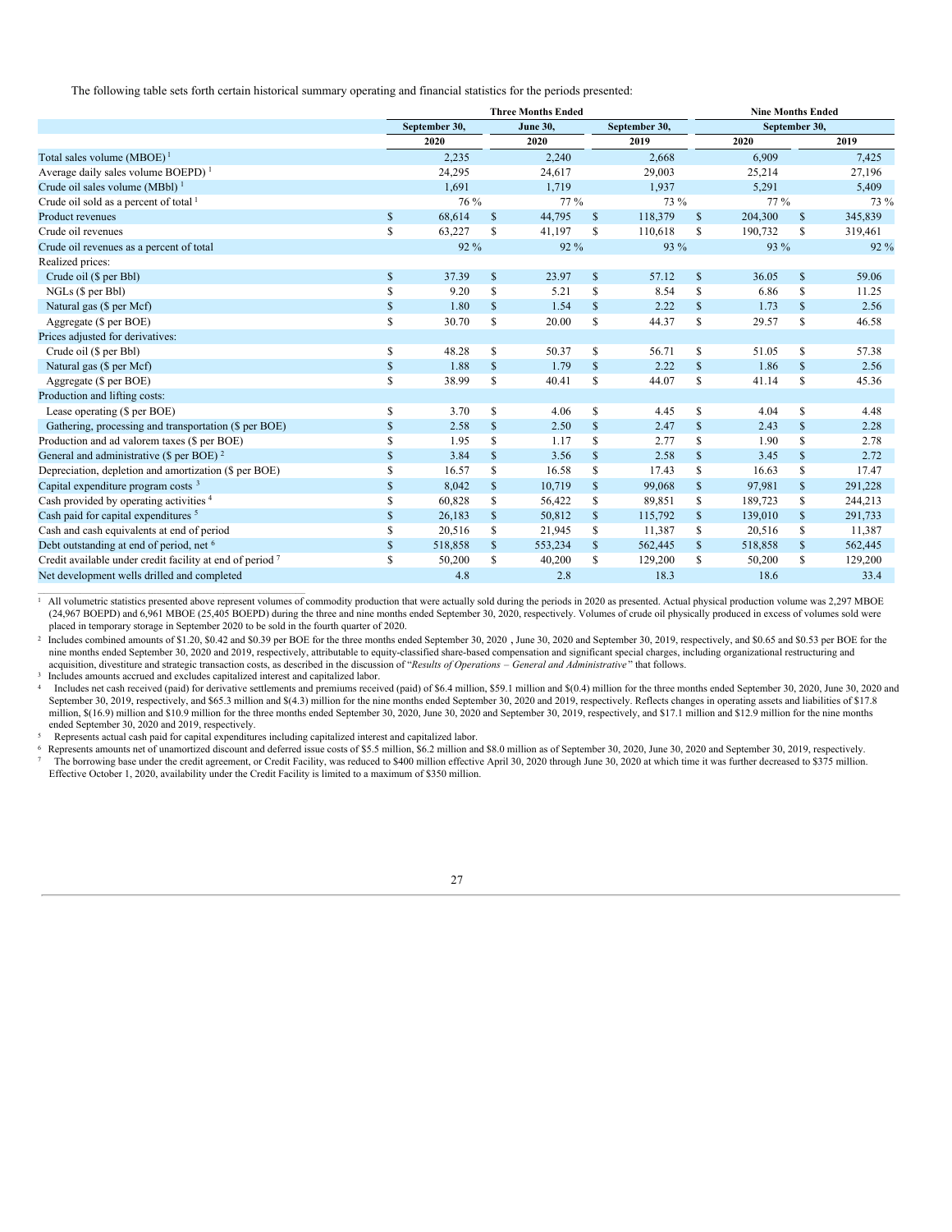The following table sets forth certain historical summary operating and financial statistics for the periods presented:

|                                                                      |              | <b>Three Months Ended</b> |              |                 |              |               |              |               |               | <b>Nine Months Ended</b> |  |  |  |
|----------------------------------------------------------------------|--------------|---------------------------|--------------|-----------------|--------------|---------------|--------------|---------------|---------------|--------------------------|--|--|--|
|                                                                      |              | September 30,             |              | <b>June 30,</b> |              | September 30, |              | September 30, |               |                          |  |  |  |
|                                                                      |              | 2020                      |              | 2020            |              | 2019          |              | 2020          |               | 2019                     |  |  |  |
| Total sales volume $(MBOE)^1$                                        |              | 2,235                     |              | 2,240           |              | 2,668         |              | 6,909         |               | 7,425                    |  |  |  |
| Average daily sales volume BOEPD $)$ <sup>1</sup>                    |              | 24,295                    |              | 24,617          |              | 29,003        |              | 25,214        |               | 27,196                   |  |  |  |
| Crude oil sales volume (MBbl) <sup>1</sup>                           |              | 1,691                     |              | 1,719           |              | 1,937         |              | 5,291         |               | 5,409                    |  |  |  |
| Crude oil sold as a percent of total <sup>1</sup>                    |              | 76 %                      |              | 77%             |              | 73 %          |              | 77 %          |               | 73 %                     |  |  |  |
| Product revenues                                                     | \$           | 68,614                    | \$           | 44,795          | $\mathbb{S}$ | 118,379       | \$           | 204,300       | $\mathbb{S}$  | 345,839                  |  |  |  |
| Crude oil revenues                                                   | \$           | 63,227                    | \$           | 41,197          | S            | 110,618       | S            | 190,732       | \$            | 319,461                  |  |  |  |
| Crude oil revenues as a percent of total                             |              | 92 %                      |              | 92 %            |              | 93 %          |              | 93 %          |               | 92 %                     |  |  |  |
| Realized prices:                                                     |              |                           |              |                 |              |               |              |               |               |                          |  |  |  |
| Crude oil (\$ per Bbl)                                               | \$           | 37.39                     | $\mathbb{S}$ | 23.97           | \$           | 57.12         | \$           | 36.05         | \$            | 59.06                    |  |  |  |
| NGLs (\$ per Bbl)                                                    | S            | 9.20                      | S            | 5.21            | S.           | 8.54          | S            | 6.86          | S             | 11.25                    |  |  |  |
| Natural gas (\$ per Mcf)                                             | \$           | 1.80                      | \$           | 1.54            | \$           | 2.22          | $\mathbb{S}$ | 1.73          | \$            | 2.56                     |  |  |  |
| Aggregate (\$ per BOE)                                               | \$           | 30.70                     | \$           | 20.00           | \$           | 44.37         | \$           | 29.57         | \$            | 46.58                    |  |  |  |
| Prices adjusted for derivatives:                                     |              |                           |              |                 |              |               |              |               |               |                          |  |  |  |
| Crude oil (\$ per Bbl)                                               | \$           | 48.28                     | S            | 50.37           | \$           | 56.71         | S            | 51.05         | S             | 57.38                    |  |  |  |
| Natural gas (\$ per Mcf)                                             | \$           | 1.88                      | \$           | 1.79            | $\mathbb{S}$ | 2.22          | $\mathbf S$  | 1.86          | \$            | 2.56                     |  |  |  |
| Aggregate (\$ per BOE)                                               | S            | 38.99                     | S            | 40.41           | S            | 44.07         | S            | 41.14         | S             | 45.36                    |  |  |  |
| Production and lifting costs:                                        |              |                           |              |                 |              |               |              |               |               |                          |  |  |  |
| Lease operating (\$ per BOE)                                         | \$           | 3.70                      | \$           | 4.06            | \$           | 4.45          | \$           | 4.04          | \$            | 4.48                     |  |  |  |
| Gathering, processing and transportation (\$ per BOE)                | \$           | 2.58                      | \$           | 2.50            | $\mathbb{S}$ | 2.47          | $\mathbb{S}$ | 2.43          | \$            | 2.28                     |  |  |  |
| Production and ad valorem taxes (\$ per BOE)                         | \$           | 1.95                      | \$           | 1.17            | \$           | 2.77          | \$           | 1.90          | \$            | 2.78                     |  |  |  |
| General and administrative (\$ per BOE) <sup>2</sup>                 | \$           | 3.84                      | $\mathbb{S}$ | 3.56            | \$           | 2.58          | $\mathbb{S}$ | 3.45          | \$            | 2.72                     |  |  |  |
| Depreciation, depletion and amortization (\$ per BOE)                | \$           | 16.57                     | S            | 16.58           | \$           | 17.43         | S            | 16.63         | \$            | 17.47                    |  |  |  |
| Capital expenditure program costs <sup>3</sup>                       | $\mathbb{S}$ | 8,042                     | $\mathbb{S}$ | 10,719          | \$           | 99,068        | $\mathbb{S}$ | 97,981        | \$            | 291,228                  |  |  |  |
| Cash provided by operating activities <sup>4</sup>                   | \$           | 60,828                    | \$           | 56,422          | \$           | 89,851        | \$           | 189,723       | \$            | 244,213                  |  |  |  |
| Cash paid for capital expenditures <sup>5</sup>                      | \$           | 26,183                    | \$           | 50,812          | \$           | 115,792       | $\mathbb{S}$ | 139,010       | \$            | 291,733                  |  |  |  |
| Cash and cash equivalents at end of period                           | \$           | 20,516                    | S            | 21,945          | \$           | 11,387        | \$           | 20,516        | \$            | 11,387                   |  |  |  |
| Debt outstanding at end of period, net <sup>6</sup>                  | \$           | 518,858                   | $\mathbf S$  | 553,234         | $\mathbb{S}$ | 562,445       | $\mathbf S$  | 518,858       | $\mathsf{\$}$ | 562,445                  |  |  |  |
| Credit available under credit facility at end of period <sup>7</sup> | S            | 50,200                    | S            | 40,200          | S            | 129,200       | S            | 50,200        | S             | 129,200                  |  |  |  |
| Net development wells drilled and completed                          |              | 4.8                       |              | 2.8             |              | 18.3          |              | 18.6          |               | 33.4                     |  |  |  |

All volumetric statistics presented above represent volumes of commodity production that were actually sold during the periods in 2020 as presented. Actual physical production volume was 2,297 MBOE (24,405 BOEPD) and 6,961 placed in temporary storage in September 2020 to be sold in the fourth quarter of 2020.  $\frac{1}{1}$  All volumetric statistics presented above represent volumes of  $\epsilon$ 

<sup>2</sup> Includes combined amounts of \$1.20, \$0.42 and \$0.39 per BOE for the three months ended September 30, 2020, June 30, 2020 and September 30, 2019, respectively, and \$0.65 and \$0.53 per BOE for the nine months ended September 30, 2020 and 2019, respectively, attributable to equity-classified share-based compensation and significant special charges, including organizational restructuring and acquisition, divestiture a

<sup>3</sup> Includes amounts accrued and excludes capitalized interest and capitalized labor.

Includes net cash received (paid) for derivative settlements and premiums received (paid) of \$6.4 million, \$59.1 million and \$(0.4) million for the three months ended September 30, 2020, June 30, 2020 and September 30, 2019, respectively, and \$65.3 million and \$(4.3) million for the nine months ended September 30, 2020 and 2019, respectively. Reflects changes in operating assets and liabilities of \$17.8 million, \$(16.9) million and \$10.9 million for the three months ended September 30, 2020, June 30, 2020 and September 30, 2019, respectively, and \$17.1 million and \$12.9 million for the nine months ended September 30, 2020 and 2019, respectively. 4

Represents actual cash paid for capital expenditures including capitalized interest and capitalized labor. 5

<span id="page-26-0"></span>Represents amounts net of unamortized discount and deferred issue costs of \$5.5 million, \$6.2 million and \$8.0 million as of September 30, 2020, June 30, 2020 and September 30, 2019, respectively. The borrowing base under the credit agreement, or Credit Facility, was reduced to \$400 million effective April 30, 2020 through June 30, 2020 at which time it was further decreased to \$375 million. Effective October 1, 2020, availability under the Credit Facility is limited to a maximum of \$350 million. 6 7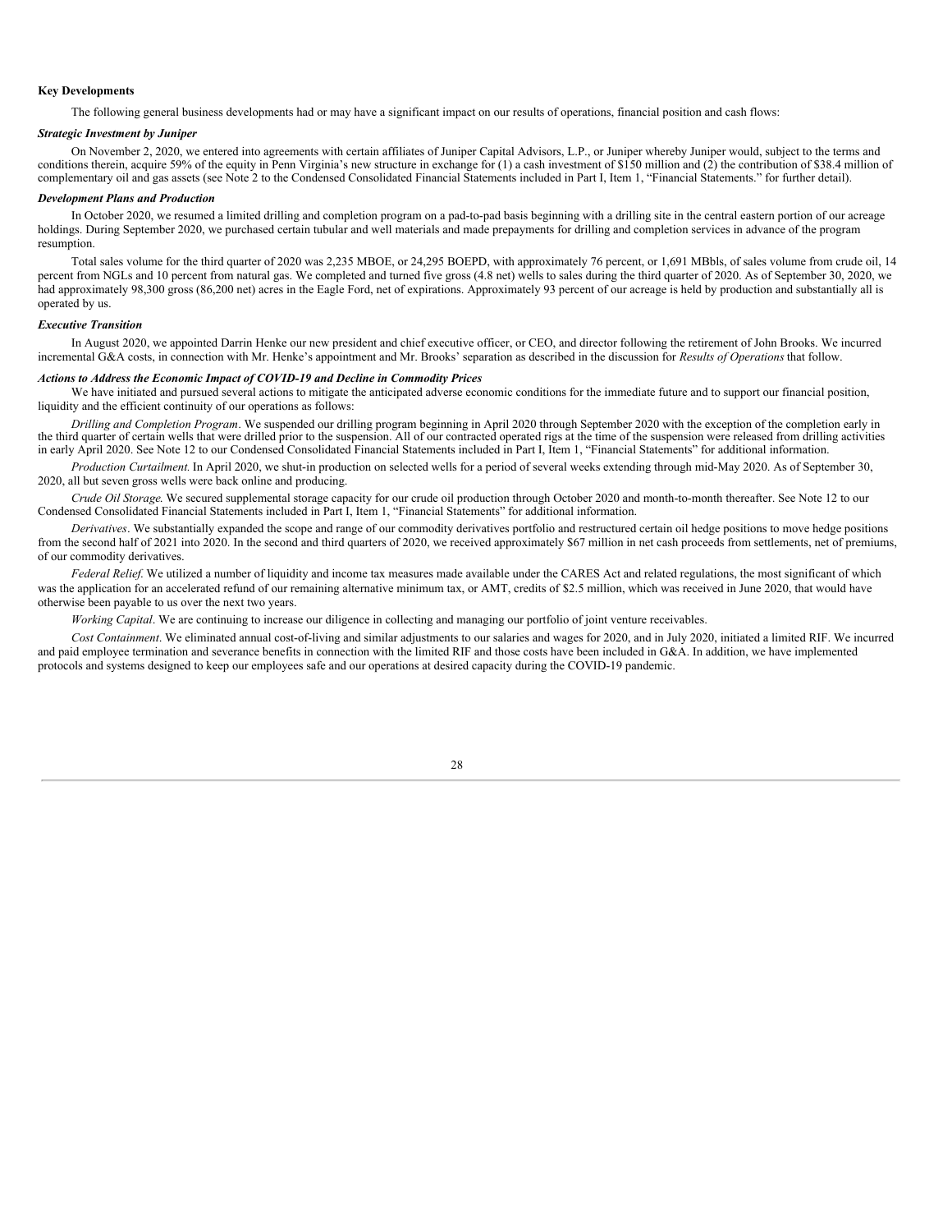#### **Key Developments**

The following general business developments had or may have a significant impact on our results of operations, financial position and cash flows:

#### *Strategic Investment by Juniper*

On November 2, 2020, we entered into agreements with certain affiliates of Juniper Capital Advisors, L.P., or Juniper whereby Juniper would, subject to the terms and conditions therein, acquire 59% of the equity in Penn Virginia's new structure in exchange for (1) a cash investment of \$150 million and (2) the contribution of \$38.4 million of complementary oil and gas assets (see Note 2 to the Condensed Consolidated Financial Statements included in Part I, Item 1, "Financial Statements." for further detail).

## *Development Plans and Production*

In October 2020, we resumed a limited drilling and completion program on a pad-to-pad basis beginning with a drilling site in the central eastern portion of our acreage holdings. During September 2020, we purchased certain tubular and well materials and made prepayments for drilling and completion services in advance of the program resumption.

Total sales volume for the third quarter of 2020 was 2,235 MBOE, or 24,295 BOEPD, with approximately 76 percent, or 1,691 MBbls, of sales volume from crude oil, 14 percent from NGLs and 10 percent from natural gas. We completed and turned five gross (4.8 net) wells to sales during the third quarter of 2020. As of September 30, 2020, we had approximately 98,300 gross (86,200 net) acres in the Eagle Ford, net of expirations. Approximately 93 percent of our acreage is held by production and substantially all is operated by us.

## *Executive Transition*

In August 2020, we appointed Darrin Henke our new president and chief executive officer, or CEO, and director following the retirement of John Brooks. We incurred incremental G&A costs, in connection with Mr. Henke's appointment and Mr. Brooks' separation as described in the discussion for *Results of Operations* that follow.

#### *Actions to Address the Economic Impact of COVID-19 and Decline in Commodity Prices*

We have initiated and pursued several actions to mitigate the anticipated adverse economic conditions for the immediate future and to support our financial position, liquidity and the efficient continuity of our operations as follows:

*Drilling and Completion Program*. We suspended our drilling program beginning in April 2020 through September 2020 with the exception of the completion early in the third quarter of certain wells that were drilled prior to the suspension. All of our contracted operated rigs at the time of the suspension were released from drilling activities in early April 2020. See Note 12 to our Condensed Consolidated Financial Statements included in Part I, Item 1, "Financial Statements" for additional information.

*Production Curtailment.* In April 2020, we shut-in production on selected wells for a period of several weeks extending through mid-May 2020. As of September 30, 2020, all but seven gross wells were back online and producing.

*Crude Oil Storage*. We secured supplemental storage capacity for our crude oil production through October 2020 and month-to-month thereafter. See Note 12 to our Condensed Consolidated Financial Statements included in Part I, Item 1, "Financial Statements" for additional information.

*Derivatives*. We substantially expanded the scope and range of our commodity derivatives portfolio and restructured certain oil hedge positions to move hedge positions from the second half of 2021 into 2020. In the second and third quarters of 2020, we received approximately \$67 million in net cash proceeds from settlements, net of premiums, of our commodity derivatives.

*Federal Relief*. We utilized a number of liquidity and income tax measures made available under the CARES Act and related regulations, the most significant of which was the application for an accelerated refund of our remaining alternative minimum tax, or AMT, credits of \$2.5 million, which was received in June 2020, that would have otherwise been payable to us over the next two years.

*Working Capital*. We are continuing to increase our diligence in collecting and managing our portfolio of joint venture receivables.

*Cost Containment*. We eliminated annual cost-of-living and similar adjustments to our salaries and wages for 2020, and in July 2020, initiated a limited RIF. We incurred and paid employee termination and severance benefits in connection with the limited RIF and those costs have been included in G&A. In addition, we have implemented protocols and systems designed to keep our employees safe and our operations at desired capacity during the COVID-19 pandemic.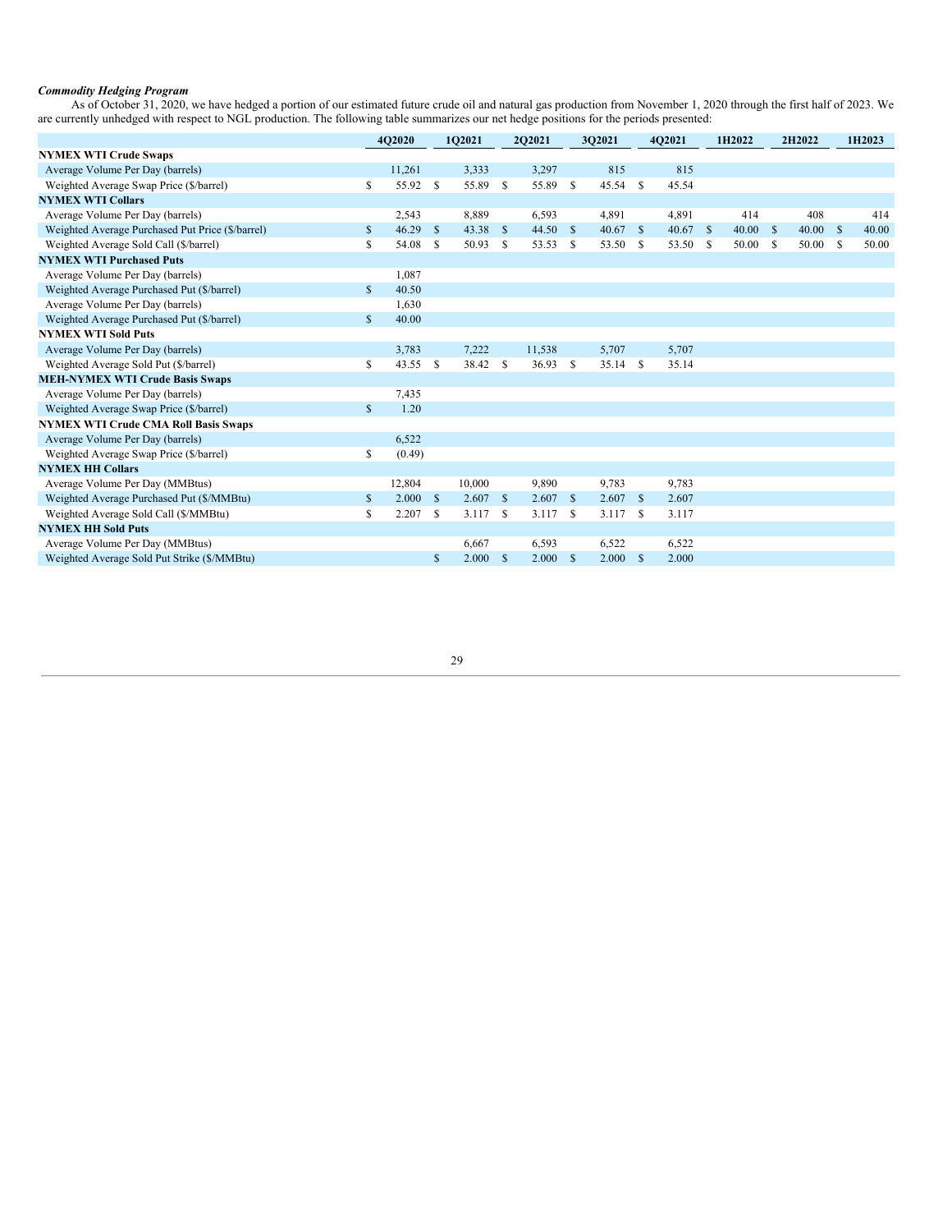#### *Commodity Hedging Program*

As of October 31, 2020, we have hedged a portion of our estimated future crude oil and natural gas production from November 1, 2020 through the first half of 2023. We are currently unhedged with respect to NGL production. The following table summarizes our net hedge positions for the periods presented:

<span id="page-28-0"></span>

|                                                  |              | 4Q2020 |               | 1Q2021  |               | 2Q2021  |      | 3Q2021 |      | 4Q2021 |              | 1H2022 |               | 2H2022   |    | 1H2023 |  |
|--------------------------------------------------|--------------|--------|---------------|---------|---------------|---------|------|--------|------|--------|--------------|--------|---------------|----------|----|--------|--|
| <b>NYMEX WTI Crude Swaps</b>                     |              |        |               |         |               |         |      |        |      |        |              |        |               |          |    |        |  |
| Average Volume Per Day (barrels)                 |              | 11,261 |               | 3,333   |               | 3,297   |      | 815    |      | 815    |              |        |               |          |    |        |  |
| Weighted Average Swap Price (\$/barrel)          | S            | 55.92  | $\mathbf{s}$  | 55.89   | S             | 55.89   | -S   | 45.54  | -S   | 45.54  |              |        |               |          |    |        |  |
| <b>NYMEX WTI Collars</b>                         |              |        |               |         |               |         |      |        |      |        |              |        |               |          |    |        |  |
| Average Volume Per Day (barrels)                 |              | 2,543  |               | 8,889   |               | 6,593   |      | 4,891  |      | 4,891  |              | 414    |               | 408      |    | 414    |  |
| Weighted Average Purchased Put Price (\$/barrel) | $\mathbb{S}$ | 46.29  | <sup>S</sup>  | 43.38   | -S            | 44.50   | - \$ | 40.67  | -S   | 40.67  | <sup>S</sup> | 40.00  | <sup>\$</sup> | 40.00    | -S | 40.00  |  |
| Weighted Average Sold Call (\$/barrel)           | S            | 54.08  | -S            | 50.93   | -S            | 53.53   | - S  | 53.50  | -S   | 53.50  | -S           | 50.00  | \$            | 50.00 \$ |    | 50.00  |  |
| <b>NYMEX WTI Purchased Puts</b>                  |              |        |               |         |               |         |      |        |      |        |              |        |               |          |    |        |  |
| Average Volume Per Day (barrels)                 |              | 1,087  |               |         |               |         |      |        |      |        |              |        |               |          |    |        |  |
| Weighted Average Purchased Put (\$/barrel)       | $\mathbb{S}$ | 40.50  |               |         |               |         |      |        |      |        |              |        |               |          |    |        |  |
| Average Volume Per Day (barrels)                 |              | 1,630  |               |         |               |         |      |        |      |        |              |        |               |          |    |        |  |
| Weighted Average Purchased Put (\$/barrel)       | $\mathbf S$  | 40.00  |               |         |               |         |      |        |      |        |              |        |               |          |    |        |  |
| <b>NYMEX WTI Sold Puts</b>                       |              |        |               |         |               |         |      |        |      |        |              |        |               |          |    |        |  |
| Average Volume Per Day (barrels)                 |              | 3,783  |               | 7,222   |               | 11,538  |      | 5,707  |      | 5,707  |              |        |               |          |    |        |  |
| Weighted Average Sold Put (\$/barrel)            | \$           | 43.55  | \$            | 38.42   | -S            | 36.93   | -S   | 35.14  | -S   | 35.14  |              |        |               |          |    |        |  |
| <b>MEH-NYMEX WTI Crude Basis Swaps</b>           |              |        |               |         |               |         |      |        |      |        |              |        |               |          |    |        |  |
| Average Volume Per Day (barrels)                 |              | 7,435  |               |         |               |         |      |        |      |        |              |        |               |          |    |        |  |
| Weighted Average Swap Price (\$/barrel)          | $\mathbb{S}$ | 1.20   |               |         |               |         |      |        |      |        |              |        |               |          |    |        |  |
| <b>NYMEX WTI Crude CMA Roll Basis Swaps</b>      |              |        |               |         |               |         |      |        |      |        |              |        |               |          |    |        |  |
| Average Volume Per Day (barrels)                 |              | 6,522  |               |         |               |         |      |        |      |        |              |        |               |          |    |        |  |
| Weighted Average Swap Price (\$/barrel)          | \$           | (0.49) |               |         |               |         |      |        |      |        |              |        |               |          |    |        |  |
| <b>NYMEX HH Collars</b>                          |              |        |               |         |               |         |      |        |      |        |              |        |               |          |    |        |  |
| Average Volume Per Day (MMBtus)                  |              | 12,804 |               | 10,000  |               | 9,890   |      | 9,783  |      | 9,783  |              |        |               |          |    |        |  |
| Weighted Average Purchased Put (\$/MMBtu)        | $\mathbb{S}$ | 2.000  | <sup>\$</sup> | 2.607 S |               | 2.607 S |      | 2.607  | - \$ | 2.607  |              |        |               |          |    |        |  |
| Weighted Average Sold Call (\$/MMBtu)            | \$           | 2.207  | <sup>\$</sup> | 3.117   | S             | 3.117   | -S   | 3.117  | -S   | 3.117  |              |        |               |          |    |        |  |
| <b>NYMEX HH Sold Puts</b>                        |              |        |               |         |               |         |      |        |      |        |              |        |               |          |    |        |  |
| Average Volume Per Day (MMBtus)                  |              |        |               | 6,667   |               | 6,593   |      | 6,522  |      | 6,522  |              |        |               |          |    |        |  |
| Weighted Average Sold Put Strike (\$/MMBtu)      |              |        | $\mathbb{S}$  | 2.000   | <sup>\$</sup> | 2.000   | -S   | 2.000  | -S   | 2.000  |              |        |               |          |    |        |  |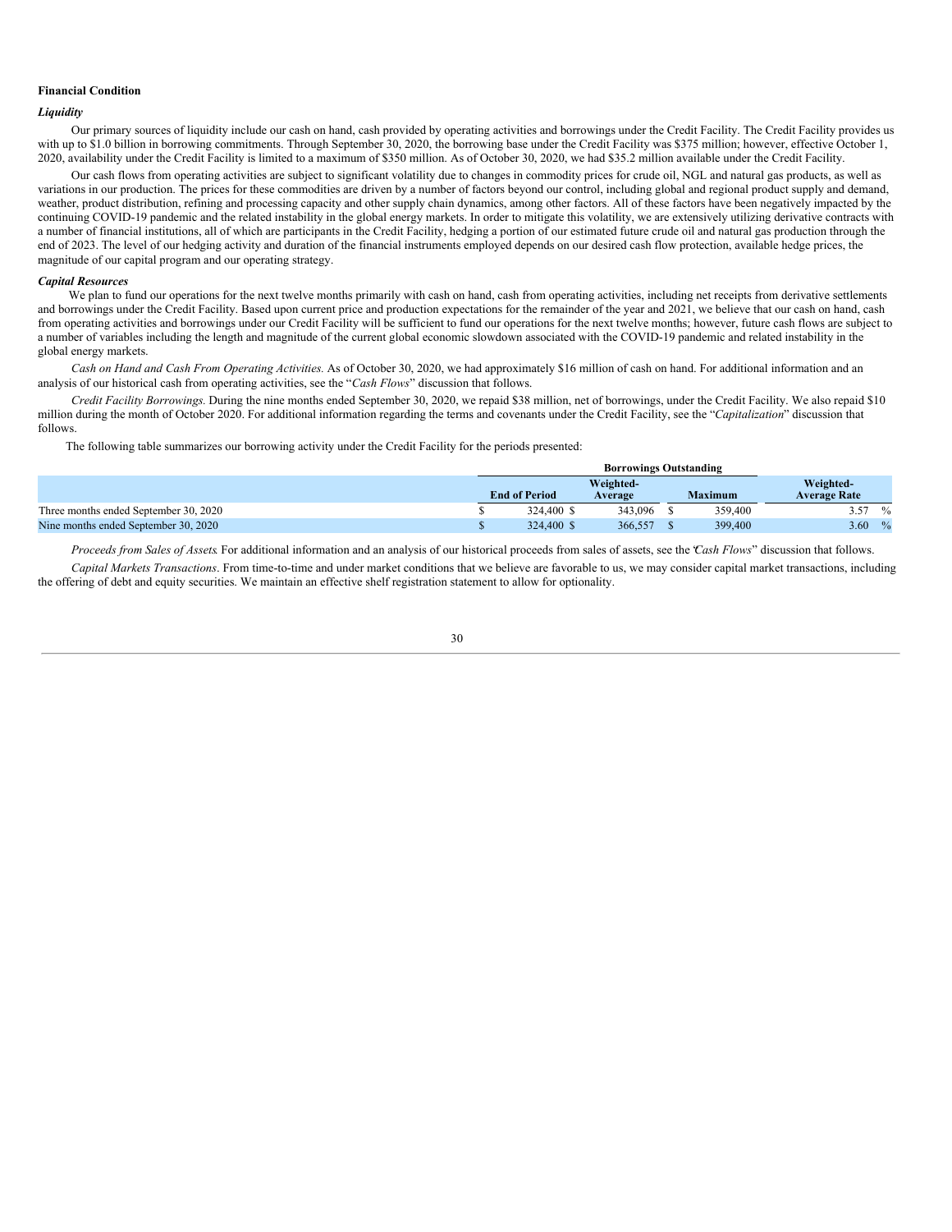### **Financial Condition**

#### *Liquidity*

Our primary sources of liquidity include our cash on hand, cash provided by operating activities and borrowings under the Credit Facility. The Credit Facility provides us with up to \$1.0 billion in borrowing commitments. Through September 30, 2020, the borrowing base under the Credit Facility was \$375 million; however, effective October 1, 2020, availability under the Credit Facility is limited to a maximum of \$350 million. As of October 30, 2020, we had \$35.2 million available under the Credit Facility.

Our cash flows from operating activities are subject to significant volatility due to changes in commodity prices for crude oil, NGL and natural gas products, as well as variations in our production. The prices for these commodities are driven by a number of factors beyond our control, including global and regional product supply and demand, weather, product distribution, refining and processing capacity and other supply chain dynamics, among other factors. All of these factors have been negatively impacted by the continuing COVID-19 pandemic and the related instability in the global energy markets. In order to mitigate this volatility, we are extensively utilizing derivative contracts with a number of financial institutions, all of which are participants in the Credit Facility, hedging a portion of our estimated future crude oil and natural gas production through the end of 2023. The level of our hedging activity and duration of the financial instruments employed depends on our desired cash flow protection, available hedge prices, the magnitude of our capital program and our operating strategy.

#### *Capital Resources*

We plan to fund our operations for the next twelve months primarily with cash on hand, cash from operating activities, including net receipts from derivative settlements and borrowings under the Credit Facility. Based upon current price and production expectations for the remainder of the year and 2021, we believe that our cash on hand, cash from operating activities and borrowings under our Credit Facility will be sufficient to fund our operations for the next twelve months; however, future cash flows are subject to a number of variables including the length and magnitude of the current global economic slowdown associated with the COVID-19 pandemic and related instability in the global energy markets.

*Cash on Hand and Cash From Operating Activities.* As of October 30, 2020, we had approximately \$16 million of cash on hand. For additional information and an analysis of our historical cash from operating activities, see the "*Cash Flows*" discussion that follows.

*Credit Facility Borrowings.* During the nine months ended September 30, 2020, we repaid \$38 million, net of borrowings, under the Credit Facility. We also repaid \$10 million during the month of October 2020. For additional information regarding the terms and covenants under the Credit Facility, see the "*Capitalization*" discussion that follows.

The following table summarizes our borrowing activity under the Credit Facility for the periods presented:

|                                       | <b>Borrowings Outstanding</b> |                      |           |  |                |                     |               |  |  |
|---------------------------------------|-------------------------------|----------------------|-----------|--|----------------|---------------------|---------------|--|--|
|                                       |                               |                      | Weighted- |  |                | Weighted-           |               |  |  |
|                                       |                               | <b>End of Period</b> | Average   |  | <b>Maximum</b> | <b>Average Rate</b> |               |  |  |
| Three months ended September 30, 2020 |                               | 324,400 \$           | 343,096   |  | 359,400        |                     | $\%$          |  |  |
| Nine months ended September 30, 2020  |                               | 324,400 \$           | 366,557   |  | 399,400        | 3.60                | $\frac{9}{6}$ |  |  |

*Proceeds from Sales of Assets*. For additional information and an analysis of our historical proceeds from sales of assets, see the "*Cash Flows*" discussion that follows.

*Capital Markets Transactions*. From time-to-time and under market conditions that we believe are favorable to us, we may consider capital market transactions, including the offering of debt and equity securities. We maintain an effective shelf registration statement to allow for optionality.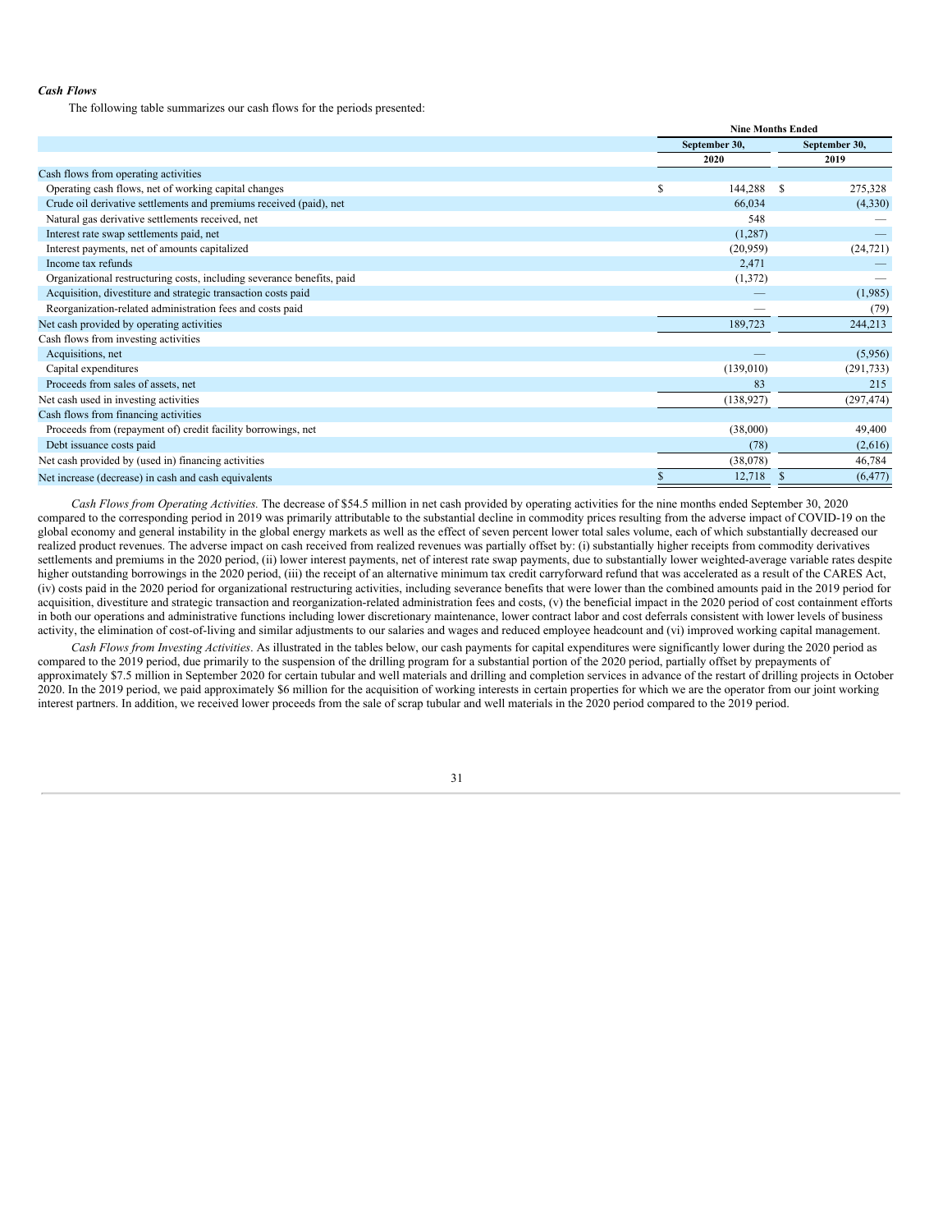#### *Cash Flows*

The following table summarizes our cash flows for the periods presented:

|                                                                        |   |               | <b>Nine Months Ended</b> |               |
|------------------------------------------------------------------------|---|---------------|--------------------------|---------------|
|                                                                        |   | September 30, |                          | September 30, |
|                                                                        |   | 2020          |                          | 2019          |
| Cash flows from operating activities                                   |   |               |                          |               |
| Operating cash flows, net of working capital changes                   | S | 144,288       | S                        | 275,328       |
| Crude oil derivative settlements and premiums received (paid), net     |   | 66,034        |                          | (4,330)       |
| Natural gas derivative settlements received, net                       |   | 548           |                          |               |
| Interest rate swap settlements paid, net                               |   | (1, 287)      |                          |               |
| Interest payments, net of amounts capitalized                          |   | (20,959)      |                          | (24, 721)     |
| Income tax refunds                                                     |   | 2,471         |                          |               |
| Organizational restructuring costs, including severance benefits, paid |   | (1,372)       |                          |               |
| Acquisition, divestiture and strategic transaction costs paid          |   |               |                          | (1,985)       |
| Reorganization-related administration fees and costs paid              |   |               |                          | (79)          |
| Net cash provided by operating activities                              |   | 189,723       |                          | 244,213       |
| Cash flows from investing activities                                   |   |               |                          |               |
| Acquisitions, net                                                      |   |               |                          | (5,956)       |
| Capital expenditures                                                   |   | (139,010)     |                          | (291, 733)    |
| Proceeds from sales of assets, net                                     |   | 83            |                          | 215           |
| Net cash used in investing activities                                  |   | (138, 927)    |                          | (297, 474)    |
| Cash flows from financing activities                                   |   |               |                          |               |
| Proceeds from (repayment of) credit facility borrowings, net           |   | (38,000)      |                          | 49,400        |
| Debt issuance costs paid                                               |   | (78)          |                          | (2,616)       |
| Net cash provided by (used in) financing activities                    |   | (38,078)      |                          | 46,784        |
| Net increase (decrease) in cash and cash equivalents                   |   | 12,718        |                          | (6, 477)      |

*Cash Flows from Operating Activities.* The decrease of \$54.5 million in net cash provided by operating activities for the nine months ended September 30, 2020 compared to the corresponding period in 2019 was primarily attributable to the substantial decline in commodity prices resulting from the adverse impact of COVID-19 on the global economy and general instability in the global energy markets as well as the effect of seven percent lower total sales volume, each of which substantially decreased our realized product revenues. The adverse impact on cash received from realized revenues was partially offset by: (i) substantially higher receipts from commodity derivatives settlements and premiums in the 2020 period, (ii) lower interest payments, net of interest rate swap payments, due to substantially lower weighted-average variable rates despite higher outstanding borrowings in the 2020 period, (iii) the receipt of an alternative minimum tax credit carryforward refund that was accelerated as a result of the CARES Act, (iv) costs paid in the 2020 period for organizational restructuring activities, including severance benefits that were lower than the combined amounts paid in the 2019 period for acquisition, divestiture and strategic transaction and reorganization-related administration fees and costs, (v) the beneficial impact in the 2020 period of cost containment efforts in both our operations and administrative functions including lower discretionary maintenance, lower contract labor and cost deferrals consistent with lower levels of business activity, the elimination of cost-of-living and similar adjustments to our salaries and wages and reduced employee headcount and (vi) improved working capital management.

*Cash Flows from Investing Activities*. As illustrated in the tables below, our cash payments for capital expenditures were significantly lower during the 2020 period as compared to the 2019 period, due primarily to the suspension of the drilling program for a substantial portion of the 2020 period, partially offset by prepayments of approximately \$7.5 million in September 2020 for certain tubular and well materials and drilling and completion services in advance of the restart of drilling projects in October 2020. In the 2019 period, we paid approximately \$6 million for the acquisition of working interests in certain properties for which we are the operator from our joint working interest partners. In addition, we received lower proceeds from the sale of scrap tubular and well materials in the 2020 period compared to the 2019 period.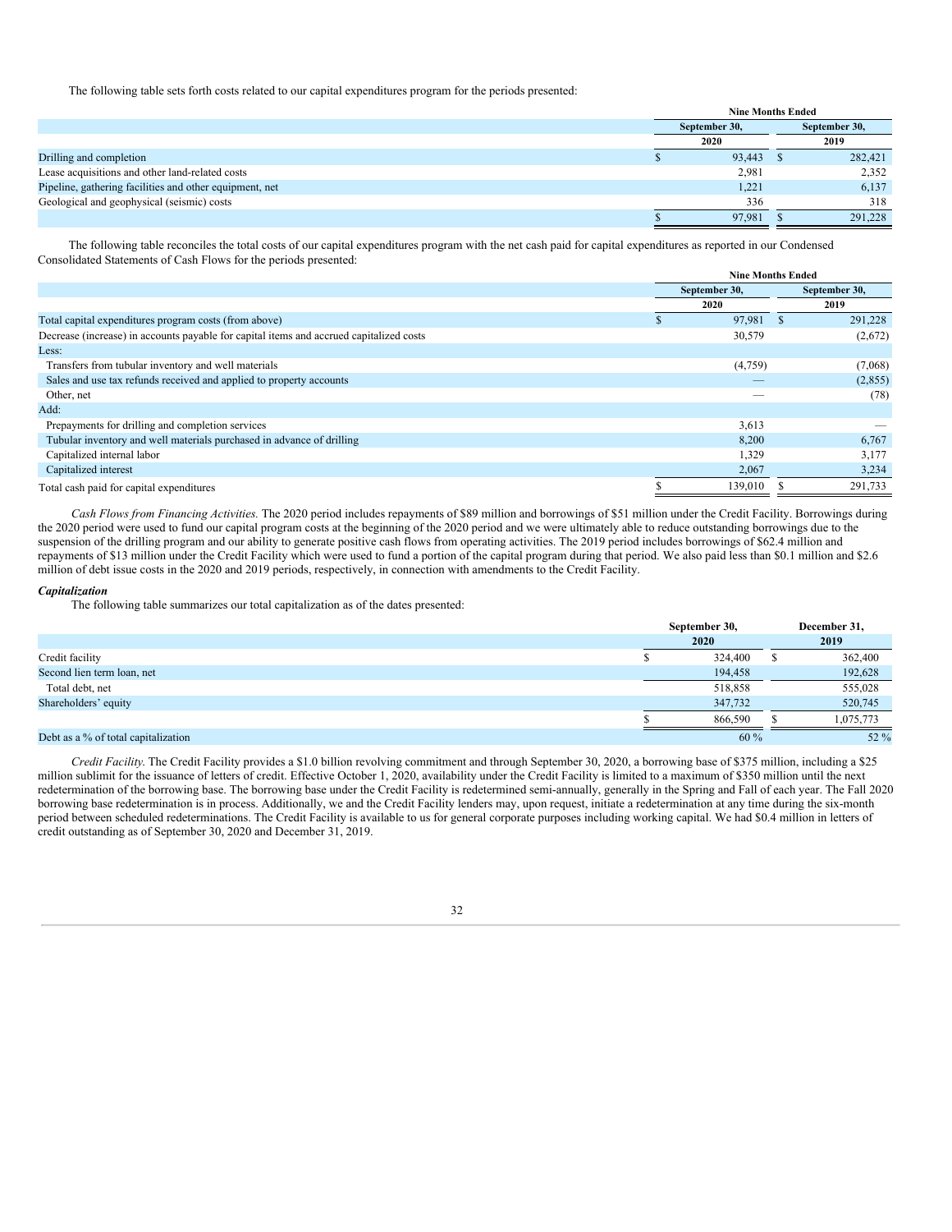The following table sets forth costs related to our capital expenditures program for the periods presented:

|                                                         | <b>Nine Months Ended</b><br>September 30,<br>2019<br>2020<br>93,443 |  |               |  |  |
|---------------------------------------------------------|---------------------------------------------------------------------|--|---------------|--|--|
|                                                         |                                                                     |  | September 30, |  |  |
|                                                         |                                                                     |  |               |  |  |
| Drilling and completion                                 |                                                                     |  | 282,421       |  |  |
| Lease acquisitions and other land-related costs         | 2,981                                                               |  | 2,352         |  |  |
| Pipeline, gathering facilities and other equipment, net | 1,221                                                               |  | 6,137         |  |  |
| Geological and geophysical (seismic) costs              | 336                                                                 |  | 318           |  |  |
|                                                         | 97.981                                                              |  | 291,228       |  |  |

The following table reconciles the total costs of our capital expenditures program with the net cash paid for capital expenditures as reported in our Condensed Consolidated Statements of Cash Flows for the periods presented:

|                                                                                         | <b>Nine Months Ended</b> |               |
|-----------------------------------------------------------------------------------------|--------------------------|---------------|
|                                                                                         | September 30,            | September 30, |
|                                                                                         | 2020                     | 2019          |
| Total capital expenditures program costs (from above)                                   | 97,981                   | 291,228       |
| Decrease (increase) in accounts payable for capital items and accrued capitalized costs | 30,579                   | (2,672)       |
| Less:                                                                                   |                          |               |
| Transfers from tubular inventory and well materials                                     | (4,759)                  | (7,068)       |
| Sales and use tax refunds received and applied to property accounts                     |                          | (2,855)       |
| Other, net                                                                              |                          | (78)          |
| Add:                                                                                    |                          |               |
| Prepayments for drilling and completion services                                        | 3,613                    |               |
| Tubular inventory and well materials purchased in advance of drilling                   | 8,200                    | 6,767         |
| Capitalized internal labor                                                              | 1,329                    | 3,177         |
| Capitalized interest                                                                    | 2,067                    | 3,234         |
| Total cash paid for capital expenditures                                                | 139,010                  | 291,733       |

*Cash Flows from Financing Activities.* The 2020 period includes repayments of \$89 million and borrowings of \$51 million under the Credit Facility. Borrowings during the 2020 period were used to fund our capital program costs at the beginning of the 2020 period and we were ultimately able to reduce outstanding borrowings due to the suspension of the drilling program and our ability to generate positive cash flows from operating activities. The 2019 period includes borrowings of \$62.4 million and repayments of \$13 million under the Credit Facility which were used to fund a portion of the capital program during that period. We also paid less than \$0.1 million and \$2.6 million of debt issue costs in the 2020 and 2019 periods, respectively, in connection with amendments to the Credit Facility.

### *Capitalization*

The following table summarizes our total capitalization as of the dates presented:

|                                     | September 30, | December 31, |
|-------------------------------------|---------------|--------------|
|                                     | 2020          | 2019         |
| Credit facility                     | 324,400       | 362,400      |
| Second lien term loan, net          | 194,458       | 192,628      |
| Total debt, net                     | 518,858       | 555,028      |
| Shareholders' equity                | 347,732       | 520,745      |
|                                     | 866,590       | 1,075,773    |
| Debt as a % of total capitalization | 60%           | 52 %         |

*Credit Facility*. The Credit Facility provides a \$1.0 billion revolving commitment and through September 30, 2020, a borrowing base of \$375 million, including a \$25 million sublimit for the issuance of letters of credit. Effective October 1, 2020, availability under the Credit Facility is limited to a maximum of \$350 million until the next redetermination of the borrowing base. The borrowing base under the Credit Facility is redetermined semi-annually, generally in the Spring and Fall of each year. The Fall 2020 borrowing base redetermination is in process. Additionally, we and the Credit Facility lenders may, upon request, initiate a redetermination at any time during the six-month period between scheduled redeterminations. The Credit Facility is available to us for general corporate purposes including working capital. We had \$0.4 million in letters of credit outstanding as of September 30, 2020 and December 31, 2019.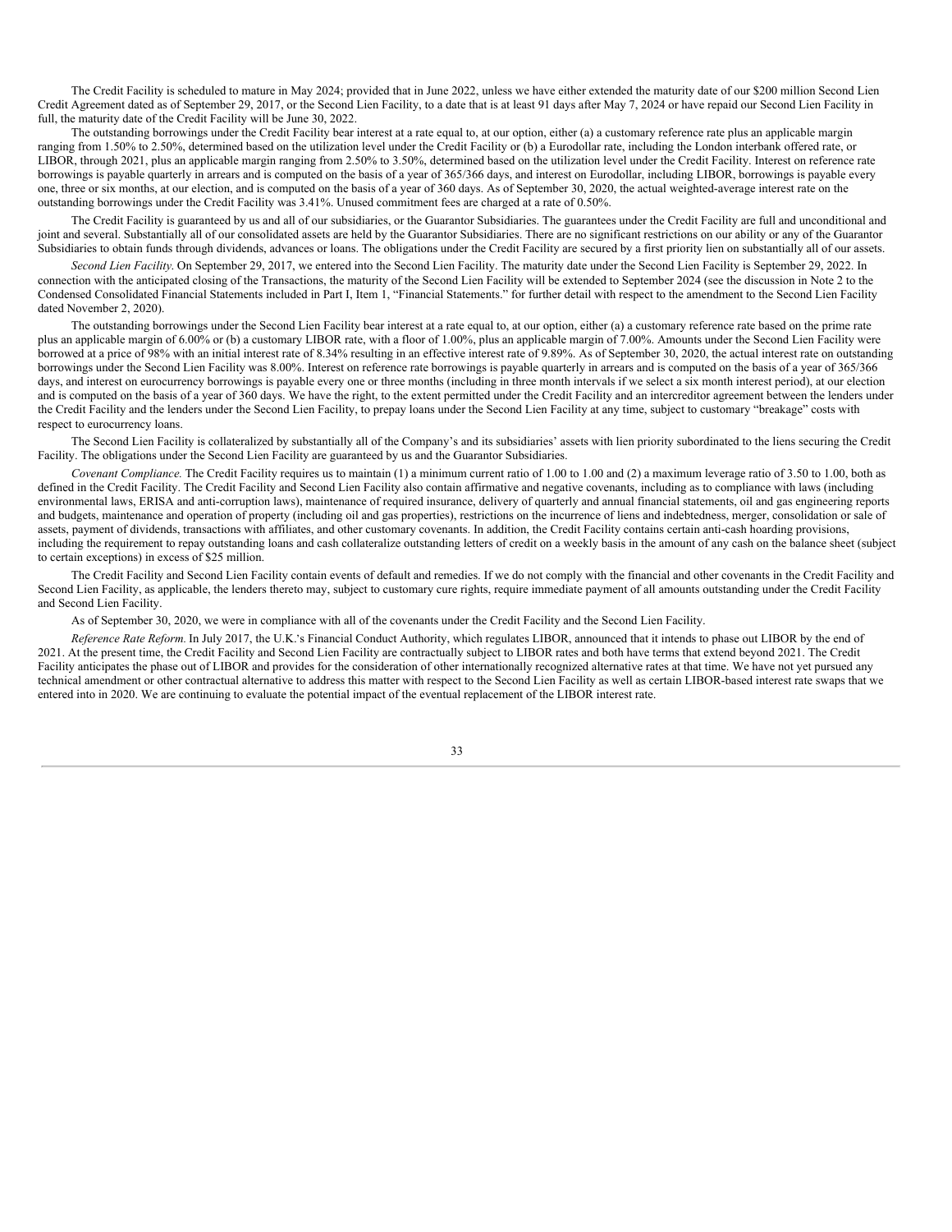The Credit Facility is scheduled to mature in May 2024; provided that in June 2022, unless we have either extended the maturity date of our \$200 million Second Lien Credit Agreement dated as of September 29, 2017, or the Second Lien Facility, to a date that is at least 91 days after May 7, 2024 or have repaid our Second Lien Facility in full, the maturity date of the Credit Facility will be June 30, 2022.

The outstanding borrowings under the Credit Facility bear interest at a rate equal to, at our option, either (a) a customary reference rate plus an applicable margin ranging from 1.50% to 2.50%, determined based on the utilization level under the Credit Facility or (b) a Eurodollar rate, including the London interbank offered rate, or LIBOR, through 2021, plus an applicable margin ranging from 2.50% to 3.50%, determined based on the utilization level under the Credit Facility. Interest on reference rate borrowings is payable quarterly in arrears and is computed on the basis of a year of 365/366 days, and interest on Eurodollar, including LIBOR, borrowings is payable every one, three or six months, at our election, and is computed on the basis of a year of 360 days. As of September 30, 2020, the actual weighted-average interest rate on the outstanding borrowings under the Credit Facility was 3.41%. Unused commitment fees are charged at a rate of 0.50%.

The Credit Facility is guaranteed by us and all of our subsidiaries, or the Guarantor Subsidiaries. The guarantees under the Credit Facility are full and unconditional and joint and several. Substantially all of our consolidated assets are held by the Guarantor Subsidiaries. There are no significant restrictions on our ability or any of the Guarantor Subsidiaries to obtain funds through dividends, advances or loans. The obligations under the Credit Facility are secured by a first priority lien on substantially all of our assets.

*Second Lien Facility*. On September 29, 2017, we entered into the Second Lien Facility. The maturity date under the Second Lien Facility is September 29, 2022. In connection with the anticipated closing of the Transactions, the maturity of the Second Lien Facility will be extended to September 2024 (see the discussion in Note 2 to the Condensed Consolidated Financial Statements included in Part I, Item 1, "Financial Statements." for further detail with respect to the amendment to the Second Lien Facility dated November 2, 2020).

The outstanding borrowings under the Second Lien Facility bear interest at a rate equal to, at our option, either (a) a customary reference rate based on the prime rate plus an applicable margin of 6.00% or (b) a customary LIBOR rate, with a floor of 1.00%, plus an applicable margin of 7.00%. Amounts under the Second Lien Facility were borrowed at a price of 98% with an initial interest rate of 8.34% resulting in an effective interest rate of 9.89%. As of September 30, 2020, the actual interest rate on outstanding borrowings under the Second Lien Facility was 8.00%. Interest on reference rate borrowings is payable quarterly in arrears and is computed on the basis of a year of 365/366 days, and interest on eurocurrency borrowings is payable every one or three months (including in three month intervals if we select a six month interest period), at our election and is computed on the basis of a year of 360 days. We have the right, to the extent permitted under the Credit Facility and an intercreditor agreement between the lenders under the Credit Facility and the lenders under the Second Lien Facility, to prepay loans under the Second Lien Facility at any time, subject to customary "breakage" costs with respect to eurocurrency loans.

The Second Lien Facility is collateralized by substantially all of the Company's and its subsidiaries' assets with lien priority subordinated to the liens securing the Credit Facility. The obligations under the Second Lien Facility are guaranteed by us and the Guarantor Subsidiaries.

*Covenant Compliance.* The Credit Facility requires us to maintain (1) a minimum current ratio of 1.00 to 1.00 and (2) a maximum leverage ratio of 3.50 to 1.00, both as defined in the Credit Facility. The Credit Facility and Second Lien Facility also contain affirmative and negative covenants, including as to compliance with laws (including environmental laws, ERISA and anti-corruption laws), maintenance of required insurance, delivery of quarterly and annual financial statements, oil and gas engineering reports and budgets, maintenance and operation of property (including oil and gas properties), restrictions on the incurrence of liens and indebtedness, merger, consolidation or sale of assets, payment of dividends, transactions with affiliates, and other customary covenants. In addition, the Credit Facility contains certain anti-cash hoarding provisions, including the requirement to repay outstanding loans and cash collateralize outstanding letters of credit on a weekly basis in the amount of any cash on the balance sheet (subject to certain exceptions) in excess of \$25 million.

The Credit Facility and Second Lien Facility contain events of default and remedies. If we do not comply with the financial and other covenants in the Credit Facility and Second Lien Facility, as applicable, the lenders thereto may, subject to customary cure rights, require immediate payment of all amounts outstanding under the Credit Facility and Second Lien Facility.

As of September 30, 2020, we were in compliance with all of the covenants under the Credit Facility and the Second Lien Facility.

<span id="page-32-0"></span>*Reference Rate Reform.* In July 2017, the U.K.'s Financial Conduct Authority, which regulates LIBOR, announced that it intends to phase out LIBOR by the end of 2021. At the present time, the Credit Facility and Second Lien Facility are contractually subject to LIBOR rates and both have terms that extend beyond 2021. The Credit Facility anticipates the phase out of LIBOR and provides for the consideration of other internationally recognized alternative rates at that time. We have not yet pursued any technical amendment or other contractual alternative to address this matter with respect to the Second Lien Facility as well as certain LIBOR-based interest rate swaps that we entered into in 2020. We are continuing to evaluate the potential impact of the eventual replacement of the LIBOR interest rate.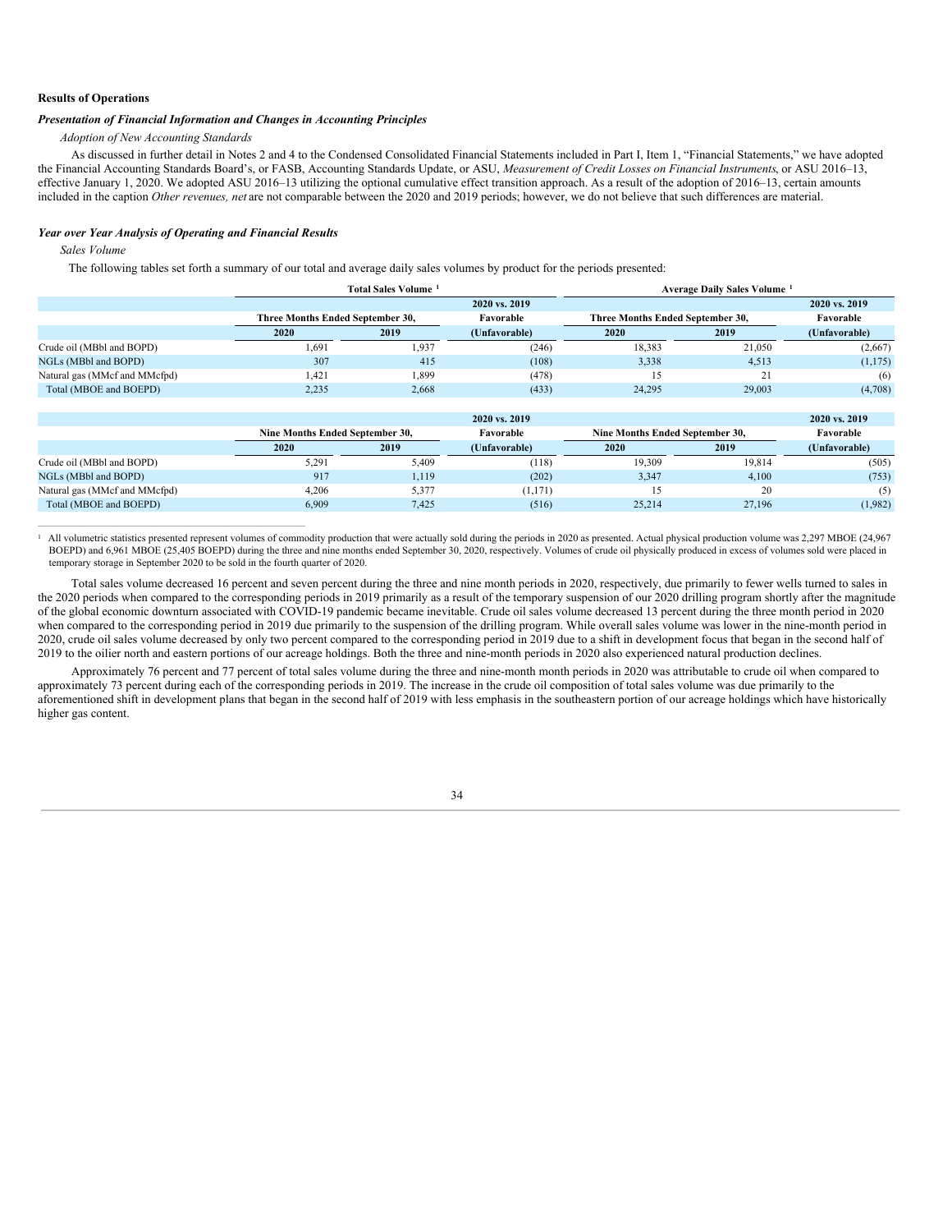## **Results of Operations**

### *Presentation of Financial Information and Changes in Accounting Principles*

### *Adoption of New Accounting Standards*

As discussed in further detail in Notes 2 and 4 to the Condensed Consolidated Financial Statements included in Part I, Item 1, "Financial Statements," we have adopted the Financial Accounting Standards Board's, or FASB, Accounting Standards Update, or ASU, *Measurement of Credit Losses on Financial Instruments*, or ASU 2016–13, effective January 1, 2020. We adopted ASU 2016–13 utilizing the optional cumulative effect transition approach. As a result of the adoption of 2016–13, certain amounts included in the caption *Other revenues, net* are not comparable between the 2020 and 2019 periods; however, we do not believe that such differences are material.

#### *Year over Year Analysis of Operating and Financial Results*

### *Sales Volume*

The following tables set forth a summary of our total and average daily sales volumes by product for the periods presented:

|                               |                                  | <b>Total Sales Volume</b> <sup>1</sup> |               |                                         | <b>Average Daily Sales Volume 1</b> |               |
|-------------------------------|----------------------------------|----------------------------------------|---------------|-----------------------------------------|-------------------------------------|---------------|
|                               |                                  |                                        | 2020 vs. 2019 |                                         |                                     | 2020 vs. 2019 |
|                               | Three Months Ended September 30. |                                        | Favorable     | <b>Three Months Ended September 30.</b> |                                     | Favorable     |
|                               | 2020                             | 2019                                   | (Unfavorable) | 2020                                    | 2019                                | (Unfavorable) |
| Crude oil (MBbl and BOPD)     | 1,691                            | 1.937                                  | (246)         | 18.383                                  | 21.050                              | (2,667)       |
| NGLs (MBbl and BOPD)          | 307                              | 415                                    | (108)         | 3,338                                   | 4,513                               | (1, 175)      |
| Natural gas (MMcf and MMcfpd) | 1.421                            | 1,899                                  | (478)         |                                         | 21                                  | (6)           |
| Total (MBOE and BOEPD)        | 2,235                            | 2.668                                  | (433)         | 24.295                                  | 29,003                              | (4,708)       |

|                               |                                 |       | 2020 vs. 2019 |                                 |           | 2020 vs. 2019 |
|-------------------------------|---------------------------------|-------|---------------|---------------------------------|-----------|---------------|
|                               | Nine Months Ended September 30, |       | Favorable     | Nine Months Ended September 30, | Favorable |               |
|                               | 2020                            | 2019  | (Unfavorable) | 2020                            | 2019      | (Unfavorable) |
| Crude oil (MBbl and BOPD)     | 5,291                           | 5,409 | (118)         | 19.309                          | 19.814    | (505)         |
| NGLs (MBbl and BOPD)          | 917                             | 1.119 | (202)         | 3.347                           | 4.100     | (753)         |
| Natural gas (MMcf and MMcfpd) | 4,206                           | 5,377 | (1, 171)      |                                 | 20        | (5)           |
| Total (MBOE and BOEPD)        | 6,909                           | 7,425 | (516)         | 25.214                          | 27,196    | (1,982)       |

<sup>1</sup> All volumetric statistics presented represent volumes of commodity production that were actually sold during the periods in 2020 as presented. Actual physical production volume was 2,297 MBOE (24,967 BOEPD) and 6,961 MBOE (25,405 BOEPD) during the three and nine months ended September 30, 2020, respectively. Volumes of crude oil physically produced in excess of volumes sold were placed in temporary storage in September 2020 to be sold in the fourth quarter of 2020.

Total sales volume decreased 16 percent and seven percent during the three and nine month periods in 2020, respectively, due primarily to fewer wells turned to sales in the 2020 periods when compared to the corresponding periods in 2019 primarily as a result of the temporary suspension of our 2020 drilling program shortly after the magnitude of the global economic downturn associated with COVID-19 pandemic became inevitable. Crude oil sales volume decreased 13 percent during the three month period in 2020 when compared to the corresponding period in 2019 due primarily to the suspension of the drilling program. While overall sales volume was lower in the nine-month period in 2020, crude oil sales volume decreased by only two percent compared to the corresponding period in 2019 due to a shift in development focus that began in the second half of 2019 to the oilier north and eastern portions of our acreage holdings. Both the three and nine-month periods in 2020 also experienced natural production declines.

Approximately 76 percent and 77 percent of total sales volume during the three and nine-month month periods in 2020 was attributable to crude oil when compared to approximately 73 percent during each of the corresponding periods in 2019. The increase in the crude oil composition of total sales volume was due primarily to the aforementioned shift in development plans that began in the second half of 2019 with less emphasis in the southeastern portion of our acreage holdings which have historically higher gas content.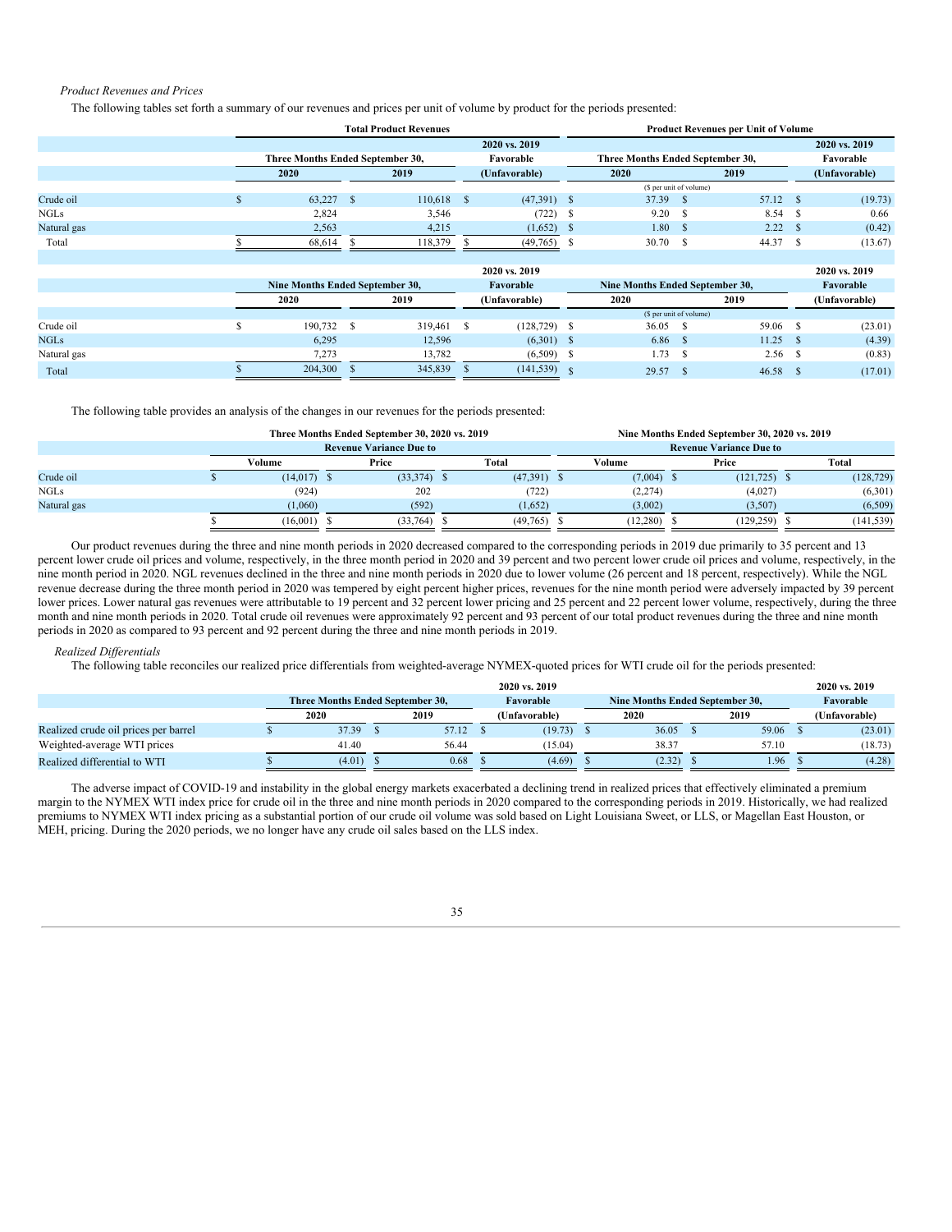## *Product Revenues and Prices*

The following tables set forth a summary of our revenues and prices per unit of volume by product for the periods presented:

|             | <b>Total Product Revenues</b>    |                                 |              |         |           |                 |                                  | <b>Product Revenues per Unit of Volume</b> |               |            |    |               |  |  |  |  |
|-------------|----------------------------------|---------------------------------|--------------|---------|-----------|-----------------|----------------------------------|--------------------------------------------|---------------|------------|----|---------------|--|--|--|--|
|             |                                  |                                 |              |         |           | 2020 vs. 2019   |                                  |                                            |               |            |    | 2020 vs. 2019 |  |  |  |  |
|             | Three Months Ended September 30, |                                 |              |         |           | Favorable       | Three Months Ended September 30, |                                            | Favorable     |            |    |               |  |  |  |  |
|             |                                  | 2020                            |              | 2019    |           | (Unfavorable)   |                                  | 2020                                       |               | 2019       |    | (Unfavorable) |  |  |  |  |
|             |                                  |                                 |              |         |           |                 |                                  | (\$ per unit of volume)                    |               |            |    |               |  |  |  |  |
| Crude oil   | S                                | 63,227                          | <sup>S</sup> | 110,618 | - S       | $(47,391)$ \$   |                                  | 37.39                                      | - \$          | 57.12      | -S | (19.73)       |  |  |  |  |
| <b>NGLs</b> |                                  | 2,824                           |              | 3,546   |           | (722)           | -S                               | 9.20                                       | -S            | 8.54       | -S | 0.66          |  |  |  |  |
| Natural gas |                                  | 2,563                           |              | 4,215   |           | (1,652)         | $\mathbf{s}$                     | 1.80                                       | <sup>\$</sup> | 2.22       | -S | (0.42)        |  |  |  |  |
| Total       |                                  | 68,614                          | £.           | 118,379 |           | $(49,765)$ \$   |                                  | 30.70                                      | -S            | 44.37      | -S | (13.67)       |  |  |  |  |
|             |                                  |                                 |              |         |           |                 |                                  |                                            |               |            |    |               |  |  |  |  |
|             |                                  |                                 |              |         |           | 2020 vs. 2019   |                                  |                                            |               |            |    | 2020 vs. 2019 |  |  |  |  |
|             |                                  | Nine Months Ended September 30, |              |         | Favorable |                 |                                  | Nine Months Ended September 30,            |               |            |    | Favorable     |  |  |  |  |
|             |                                  | 2020                            |              | 2019    |           | (Unfavorable)   |                                  | 2020                                       |               | 2019       |    | (Unfavorable) |  |  |  |  |
|             |                                  |                                 |              |         |           |                 |                                  | (\$ per unit of volume)                    |               |            |    |               |  |  |  |  |
| Crude oil   | \$                               | 190,732                         | S            | 319,461 | S         | $(128, 729)$ \$ |                                  | 36.05                                      | S             | 59.06      | -S | (23.01)       |  |  |  |  |
| <b>NGLs</b> |                                  | 6,295                           |              | 12,596  |           | $(6,301)$ \$    |                                  | 6.86                                       | -S            | $11.25$ \$ |    | (4.39)        |  |  |  |  |
| Natural gas |                                  | 7,273                           |              | 13,782  |           | (6,509)         | - S                              | 1.73                                       | £.            | $2.56$ \$  |    | (0.83)        |  |  |  |  |
| Total       |                                  | 204,300                         | -S           | 345,839 |           | (141, 539)      | <sup>S</sup>                     | 29.57                                      | <sup>\$</sup> | 46.58      | -S | (17.01)       |  |  |  |  |

The following table provides an analysis of the changes in our revenues for the periods presented:

|             |               |                | Three Months Ended September 30, 2020 vs. 2019 |               | Nine Months Ended September 30, 2020 vs. 2019 |       |                 |       |            |  |  |  |  |
|-------------|---------------|----------------|------------------------------------------------|---------------|-----------------------------------------------|-------|-----------------|-------|------------|--|--|--|--|
|             |               |                | <b>Revenue Variance Due to</b>                 |               | <b>Revenue Variance Due to</b>                |       |                 |       |            |  |  |  |  |
|             | Volume        | Price<br>Total |                                                | Volume        |                                               | Price |                 | Total |            |  |  |  |  |
| Crude oil   | $(14,017)$ \$ |                | $(33,374)$ \$                                  | $(47,391)$ \$ | $(7,004)$ \$                                  |       | $(121, 725)$ \$ |       | (128, 729) |  |  |  |  |
| <b>NGLs</b> | (924)         |                | 202                                            | (722)         | (2,274)                                       |       | (4,027)         |       | (6,301)    |  |  |  |  |
| Natural gas | (1.060)       |                | (592)                                          | (1,652)       | (3,002)                                       |       | (3,507)         |       | (6,509)    |  |  |  |  |
|             | (16,001)      |                | (33, 764)                                      | $(49,765)$ \$ | (12,280)                                      |       | (129.259)       |       | (141, 539) |  |  |  |  |

Our product revenues during the three and nine month periods in 2020 decreased compared to the corresponding periods in 2019 due primarily to 35 percent and 13 percent lower crude oil prices and volume, respectively, in the three month period in 2020 and 39 percent and two percent lower crude oil prices and volume, respectively, in the nine month period in 2020. NGL revenues declined in the three and nine month periods in 2020 due to lower volume (26 percent and 18 percent, respectively). While the NGL revenue decrease during the three month period in 2020 was tempered by eight percent higher prices, revenues for the nine month period were adversely impacted by 39 percent lower prices. Lower natural gas revenues were attributable to 19 percent and 32 percent lower pricing and 25 percent and 22 percent lower volume, respectively, during the three month and nine month periods in 2020. Total crude oil revenues were approximately 92 percent and 93 percent of our total product revenues during the three and nine month periods in 2020 as compared to 93 percent and 92 percent during the three and nine month periods in 2019.

### *Realized Dif erentials*

The following table reconciles our realized price differentials from weighted-average NYMEX-quoted prices for WTI crude oil for the periods presented:

|                                      |                                  |  |       |           | 2020 vs. 2019 |                                 |        |  |       |           | 2020 vs. 2019 |
|--------------------------------------|----------------------------------|--|-------|-----------|---------------|---------------------------------|--------|--|-------|-----------|---------------|
|                                      | Three Months Ended September 30, |  |       | Favorable |               | Nine Months Ended September 30, |        |  |       | Favorable |               |
|                                      | 2020                             |  | 2019  |           | (Unfavorable) |                                 | 2020   |  | 2019  |           | (Unfavorable) |
| Realized crude oil prices per barrel | 37.39                            |  | 57.12 |           | (19.73)       |                                 | 36.05  |  | 59.06 |           | (23.01)       |
| Weighted-average WTI prices          | 41.40                            |  | 56.44 |           | (15.04)       |                                 | 38.37  |  | 57.10 |           | (18.73)       |
| Realized differential to WTI         | (4.01)                           |  | 0.68  |           | (4.69)        |                                 | (2.32) |  | 1.96  |           | (4.28)        |
|                                      |                                  |  |       |           |               |                                 |        |  |       |           |               |

The adverse impact of COVID-19 and instability in the global energy markets exacerbated a declining trend in realized prices that effectively eliminated a premium margin to the NYMEX WTI index price for crude oil in the three and nine month periods in 2020 compared to the corresponding periods in 2019. Historically, we had realized premiums to NYMEX WTI index pricing as a substantial portion of our crude oil volume was sold based on Light Louisiana Sweet, or LLS, or Magellan East Houston, or MEH, pricing. During the 2020 periods, we no longer have any crude oil sales based on the LLS index.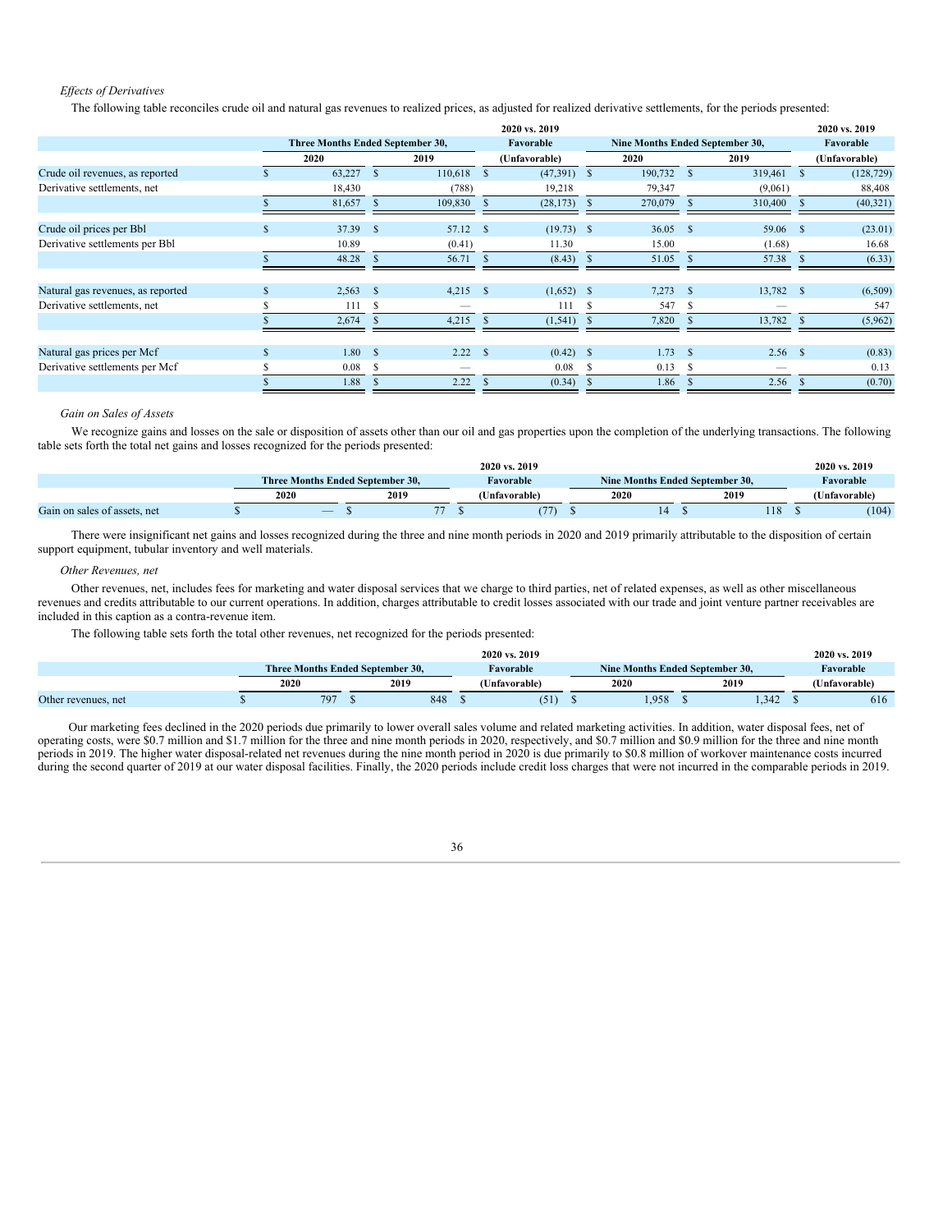## *Ef ects of Derivatives*

The following table reconciles crude oil and natural gas revenues to realized prices, as adjusted for realized derivative settlements, for the periods presented:

|                                   |    | 2020 vs. 2019                    |      |            |               |               |              |                                 |              |           | 2020 vs. 2019 |               |
|-----------------------------------|----|----------------------------------|------|------------|---------------|---------------|--------------|---------------------------------|--------------|-----------|---------------|---------------|
|                                   |    | Three Months Ended September 30, |      |            |               | Favorable     |              | Nine Months Ended September 30, |              |           |               | Favorable     |
|                                   |    | 2020                             | 2019 |            | (Unfavorable) |               |              | 2020                            |              | 2019      |               | (Unfavorable) |
| Crude oil revenues, as reported   |    | 63,227                           | -S   | 110,618    | S             | $(47,391)$ \$ |              | 190,732                         | <sup>S</sup> | 319,461   | - S           | (128, 729)    |
| Derivative settlements, net       |    | 18,430                           |      | (788)      |               | 19,218        |              | 79,347                          |              | (9,061)   |               | 88,408        |
|                                   |    | 81,657 \$                        |      | 109,830    | <sup>\$</sup> | $(28,173)$ \$ |              | 270,079                         | -S           | 310,400   | - S           | (40,321)      |
| Crude oil prices per Bbl          |    | 37.39                            | - S  | 57.12      | <sup>\$</sup> | $(19.73)$ \$  |              | 36.05                           | S            | 59.06 \$  |               | (23.01)       |
| Derivative settlements per Bbl    |    | 10.89                            |      | (0.41)     |               | 11.30         |              | 15.00                           |              | (1.68)    |               | 16.68         |
|                                   |    | 48.28                            |      | 56.71      | $\mathcal{S}$ | $(8.43)$ \$   |              | 51.05                           |              | 57.38     |               | (6.33)        |
|                                   |    |                                  |      |            |               |               |              |                                 |              |           |               |               |
| Natural gas revenues, as reported | S. | 2,563                            | - S  | $4,215$ \$ |               | $(1,652)$ \$  |              | 7,273                           | S            | 13,782 \$ |               | (6,509)       |
| Derivative settlements, net       |    | 111                              | -S   |            |               | 111           | <sup>S</sup> | 547                             | <sup>S</sup> |           |               | 547           |
|                                   |    | 2,674                            |      | 4,215      | $\mathcal{S}$ | $(1,541)$ \$  |              | 7,820                           | -8           | 13,782    |               | (5,962)       |
|                                   |    |                                  |      |            |               |               |              |                                 |              |           |               |               |
| Natural gas prices per Mcf        | Ś. | 1.80                             | - S  | 2.22       | <sup>\$</sup> | $(0.42)$ \$   |              | 1.73 S                          |              | $2.56$ \$ |               | (0.83)        |
| Derivative settlements per Mcf    |    | 0.08                             | - S  |            |               | 0.08          | S            | 0.13                            | <sup>S</sup> |           |               | 0.13          |
|                                   |    | 1.88                             |      | 2.22       |               | (0.34)        |              | 1.86                            |              | 2.56      |               | (0.70)        |
|                                   |    |                                  |      |            |               |               |              |                                 |              |           |               |               |

### *Gain on Sales of Assets*

We recognize gains and losses on the sale or disposition of assets other than our oil and gas properties upon the completion of the underlying transactions. The following table sets forth the total net gains and losses recognized for the periods presented:

|                              |      |                                  |  | 2020 vs. 2019 |                                 |      |      |           | 2020 vs. 2019 |
|------------------------------|------|----------------------------------|--|---------------|---------------------------------|------|------|-----------|---------------|
|                              |      | Three Months Ended September 30. |  | Favorable     | Nine Months Ended September 30. |      |      | Favorable |               |
|                              | 2020 | 2019                             |  | (Unfavorable) |                                 | 2020 | 2019 |           | Unfavorable)  |
| Gain on sales of assets, net | _    |                                  |  |               |                                 |      |      | 118       | (104)         |

There were insignificant net gains and losses recognized during the three and nine month periods in 2020 and 2019 primarily attributable to the disposition of certain support equipment, tubular inventory and well materials.

#### *Other Revenues, net*

Other revenues, net, includes fees for marketing and water disposal services that we charge to third parties, net of related expenses, as well as other miscellaneous revenues and credits attributable to our current operations. In addition, charges attributable to credit losses associated with our trade and joint venture partner receivables are included in this caption as a contra-revenue item.

The following table sets forth the total other revenues, net recognized for the periods presented:

|                     |        |     |                                   |     | 2020 vs. 2019 |      |       |                                        |       | 2020 vs. 2019 |
|---------------------|--------|-----|-----------------------------------|-----|---------------|------|-------|----------------------------------------|-------|---------------|
|                     | Three. |     | <b>Months Ended September 30.</b> |     | Favorable     |      |       | <b>Nine Months Ended September 30.</b> |       | Favorable     |
|                     | 2020   |     | 2019                              |     | (Unfavorable) | 2020 |       | 2019                                   |       | (Unfavorable) |
| Other revenues, net |        | 797 |                                   | 848 | (51)<br>. J 1 |      | 1.958 |                                        | 1.342 | 616           |

Our marketing fees declined in the 2020 periods due primarily to lower overall sales volume and related marketing activities. In addition, water disposal fees, net of operating costs, were \$0.7 million and \$1.7 million for the three and nine month periods in 2020, respectively, and \$0.7 million and \$0.9 million for the three and nine month periods in 2019. The higher water disposal-related net revenues during the nine month period in 2020 is due primarily to \$0.8 million of workover maintenance costs incurred during the second quarter of 2019 at our water disposal facilities. Finally, the 2020 periods include credit loss charges that were not incurred in the comparable periods in 2019.

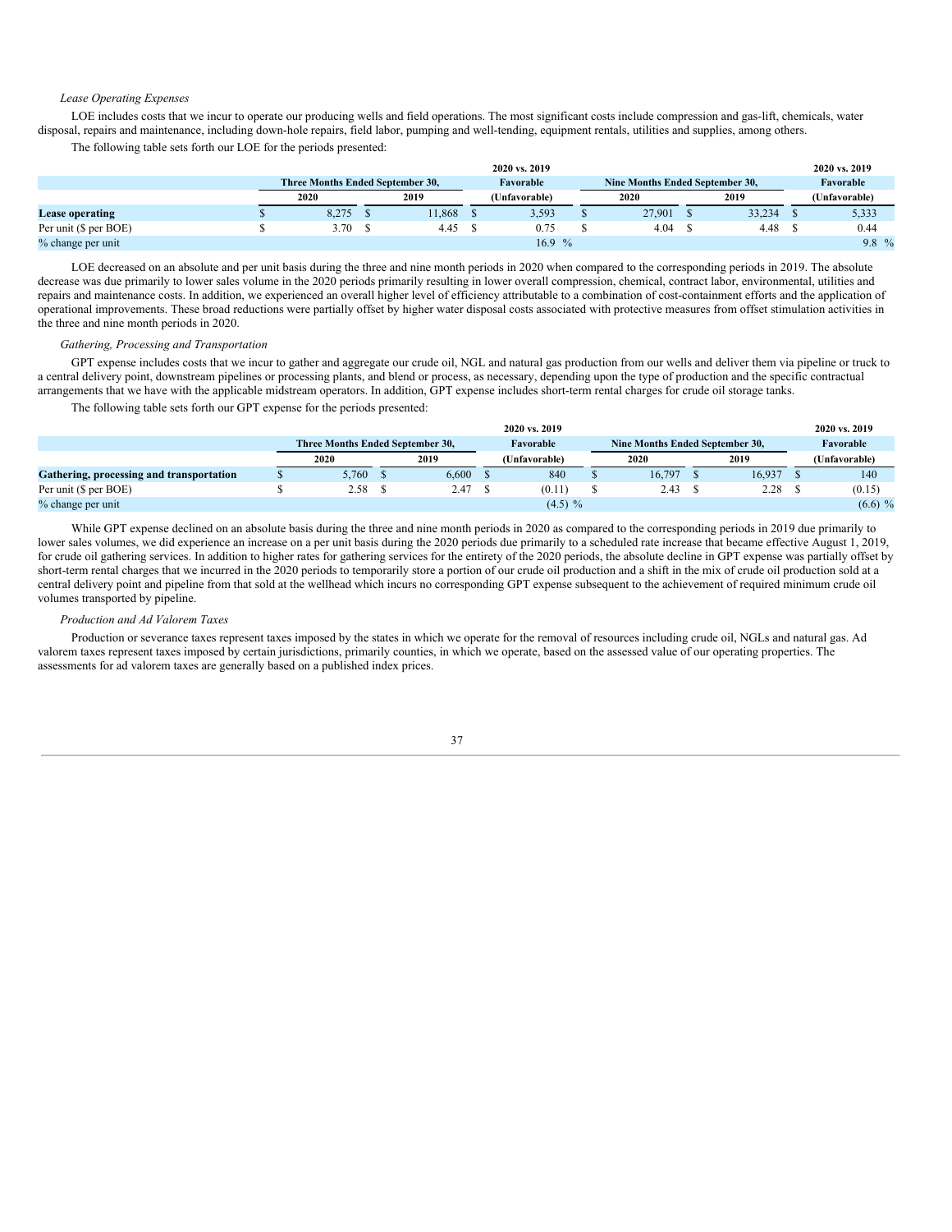#### *Lease Operating Expenses*

LOE includes costs that we incur to operate our producing wells and field operations. The most significant costs include compression and gas-lift, chemicals, water disposal, repairs and maintenance, including down-hole repairs, field labor, pumping and well-tending, equipment rentals, utilities and supplies, among others. The following table sets forth our LOE for the periods presented:

**2020 vs. 2019 2020 vs. 2019 Three Months Ended September 30, Favorable Nine Months Ended September 30, Favorable 2020 2019 (Unfavorable) 2020 2019 (Unfavorable) Lease operating** 5.333 \$ 8,275 \$ 11,868 \$ 3,593 \$ 37,901 \$ 33,234 \$ 5,333 Per unit (\$ per BOE) \$ 3.70 \$ 4.45 \$ 0.75 \$ 4.04 \$ 4.48 \$ 0.44 % change per unit  $16.9 \text{ % } 9.8 \text{ % } 9.8 \text{ % } 9.8 \text{ % } 9.8 \text{ % } 9.8 \text{ % } 9.8 \text{ % } 9.8 \text{ % } 9.8 \text{ % } 9.8 \text{ % } 9.8 \text{ % } 9.8 \text{ % } 9.8 \text{ % } 9.8 \text{ % } 9.8 \text{ % } 9.8 \text{ % } 9.8 \text{ % } 9.8 \text{ % } 9.8 \text{ % } 9.8 \text{ % } 9.8 \text{ % } 9.8 \text{ % } 9.8$ 

LOE decreased on an absolute and per unit basis during the three and nine month periods in 2020 when compared to the corresponding periods in 2019. The absolute decrease was due primarily to lower sales volume in the 2020 periods primarily resulting in lower overall compression, chemical, contract labor, environmental, utilities and repairs and maintenance costs. In addition, we experienced an overall higher level of efficiency attributable to a combination of cost-containment efforts and the application of operational improvements. These broad reductions were partially offset by higher water disposal costs associated with protective measures from offset stimulation activities in the three and nine month periods in 2020.

#### *Gathering, Processing and Transportation*

GPT expense includes costs that we incur to gather and aggregate our crude oil, NGL and natural gas production from our wells and deliver them via pipeline or truck to a central delivery point, downstream pipelines or processing plants, and blend or process, as necessary, depending upon the type of production and the specific contractual arrangements that we have with the applicable midstream operators. In addition, GPT expense includes short-term rental charges for crude oil storage tanks.

The following table sets forth our GPT expense for the periods presented:

|                                          |                                  |       | 2020 vs. 2019 |                                 |        | 2020 vs. 2019 |
|------------------------------------------|----------------------------------|-------|---------------|---------------------------------|--------|---------------|
|                                          | Three Months Ended September 30. |       | Favorable     | Nine Months Ended September 30. |        | Favorable     |
|                                          | 2020                             | 2019  | (Unfavorable) | 2020                            | 2019   | (Unfavorable) |
| Gathering, processing and transportation | 5,760                            | 6,600 | 840           | 16.797                          | 16.937 | 140           |
| Per unit (\$ per BOE)                    | 2.58                             | 2.47  | (0.11)        | 2.43                            | 2.28   | (0.15)        |
| % change per unit                        |                                  |       | $(4.5) \%$    |                                 |        | $(6.6)$ %     |

While GPT expense declined on an absolute basis during the three and nine month periods in 2020 as compared to the corresponding periods in 2019 due primarily to lower sales volumes, we did experience an increase on a per unit basis during the 2020 periods due primarily to a scheduled rate increase that became effective August 1, 2019, for crude oil gathering services. In addition to higher rates for gathering services for the entirety of the 2020 periods, the absolute decline in GPT expense was partially offset by short-term rental charges that we incurred in the 2020 periods to temporarily store a portion of our crude oil production and a shift in the mix of crude oil production sold at a central delivery point and pipeline from that sold at the wellhead which incurs no corresponding GPT expense subsequent to the achievement of required minimum crude oil volumes transported by pipeline.

#### *Production and Ad Valorem Taxes*

Production or severance taxes represent taxes imposed by the states in which we operate for the removal of resources including crude oil, NGLs and natural gas. Ad valorem taxes represent taxes imposed by certain jurisdictions, primarily counties, in which we operate, based on the assessed value of our operating properties. The assessments for ad valorem taxes are generally based on a published index prices.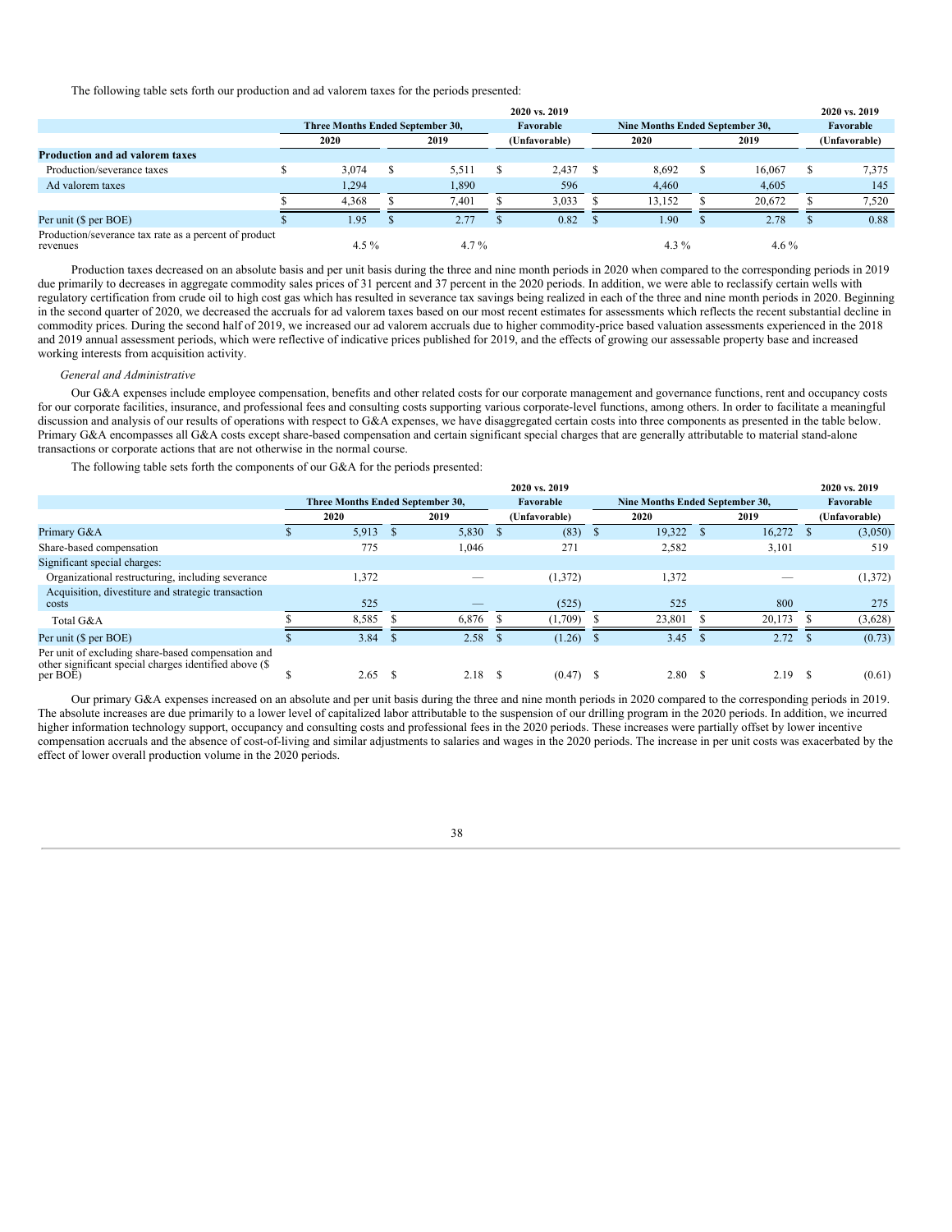The following table sets forth our production and ad valorem taxes for the periods presented:

|                                                                   |                                  |         |   | 2020 vs. 2019 |     |                                 |         | 2020 vs. 2019 |
|-------------------------------------------------------------------|----------------------------------|---------|---|---------------|-----|---------------------------------|---------|---------------|
|                                                                   | Three Months Ended September 30, |         |   | Favorable     |     | Nine Months Ended September 30, |         | Favorable     |
|                                                                   | 2020                             | 2019    |   | (Unfavorable) |     | 2020                            | 2019    | (Unfavorable) |
| Production and ad valorem taxes                                   |                                  |         |   |               |     |                                 |         |               |
| Production/severance taxes                                        | 3.074                            | 5,511   | S | 2,437         | - 8 | 8.692                           | 16.067  | 7,375         |
| Ad valorem taxes                                                  | 1,294                            | 1,890   |   | 596           |     | 4.460                           | 4,605   | 145           |
|                                                                   | 4,368                            | 7.401   |   | 3.033         |     | 13.152                          | 20.672  | 7.520         |
| Per unit (\$ per BOE)                                             | 1.95                             | 2.77    |   | 0.82          |     | 1.90 <sub>1</sub>               | 2.78    | 0.88          |
| Production/severance tax rate as a percent of product<br>revenues | 4.5 $%$                          | $4.7\%$ |   |               |     | 4.3 $%$                         | 4.6 $%$ |               |

Production taxes decreased on an absolute basis and per unit basis during the three and nine month periods in 2020 when compared to the corresponding periods in 2019 due primarily to decreases in aggregate commodity sales prices of 31 percent and 37 percent in the 2020 periods. In addition, we were able to reclassify certain wells with regulatory certification from crude oil to high cost gas which has resulted in severance tax savings being realized in each of the three and nine month periods in 2020. Beginning in the second quarter of 2020, we decreased the accruals for ad valorem taxes based on our most recent estimates for assessments which reflects the recent substantial decline in commodity prices. During the second half of 2019, we increased our ad valorem accruals due to higher commodity-price based valuation assessments experienced in the 2018 and 2019 annual assessment periods, which were reflective of indicative prices published for 2019, and the effects of growing our assessable property base and increased working interests from acquisition activity.

## *General and Administrative*

Our G&A expenses include employee compensation, benefits and other related costs for our corporate management and governance functions, rent and occupancy costs for our corporate facilities, insurance, and professional fees and consulting costs supporting various corporate-level functions, among others. In order to facilitate a meaningful discussion and analysis of our results of operations with respect to G&A expenses, we have disaggregated certain costs into three components as presented in the table below. Primary G&A encompasses all G&A costs except share-based compensation and certain significant special charges that are generally attributable to material stand-alone transactions or corporate actions that are not otherwise in the normal course.

The following table sets forth the components of our G&A for the periods presented:

|                                                                                                                          |                                  |       |    | 2020 vs. 2019 |      |                                 |        | 2020 vs. 2019 |
|--------------------------------------------------------------------------------------------------------------------------|----------------------------------|-------|----|---------------|------|---------------------------------|--------|---------------|
|                                                                                                                          | Three Months Ended September 30, |       |    | Favorable     |      | Nine Months Ended September 30, |        | Favorable     |
|                                                                                                                          | 2020                             | 2019  |    | (Unfavorable) |      | 2020                            | 2019   | (Unfavorable) |
| Primary G&A                                                                                                              | 5,913                            | 5,830 | Ъ. | (83)          | -S   | 19,322                          | 16,272 | (3,050)       |
| Share-based compensation                                                                                                 | 775                              | 1,046 |    | 271           |      | 2,582                           | 3,101  | 519           |
| Significant special charges:                                                                                             |                                  |       |    |               |      |                                 |        |               |
| Organizational restructuring, including severance                                                                        | 1,372                            |       |    | (1,372)       |      | 1,372                           |        | (1, 372)      |
| Acquisition, divestiture and strategic transaction<br>costs                                                              | 525                              |       |    | (525)         |      | 525                             | 800    | 275           |
| Total G&A                                                                                                                | 8,585                            | 6,876 |    | (1,709)       |      | 23,801                          | 20,173 | (3,628)       |
| Per unit (\$ per BOE)                                                                                                    | 3.84                             | 2.58  |    | (1.26)        | - \$ | 3.45                            | 2.72   | (0.73)        |
| Per unit of excluding share-based compensation and<br>other significant special charges identified above (\$<br>per BOE) | 2.65                             | 2.18  |    | (0.47)        |      | 2.80                            | 2.19   | (0.61)        |

Our primary G&A expenses increased on an absolute and per unit basis during the three and nine month periods in 2020 compared to the corresponding periods in 2019. The absolute increases are due primarily to a lower level of capitalized labor attributable to the suspension of our drilling program in the 2020 periods. In addition, we incurred higher information technology support, occupancy and consulting costs and professional fees in the 2020 periods. These increases were partially offset by lower incentive compensation accruals and the absence of cost-of-living and similar adjustments to salaries and wages in the 2020 periods. The increase in per unit costs was exacerbated by the effect of lower overall production volume in the 2020 periods.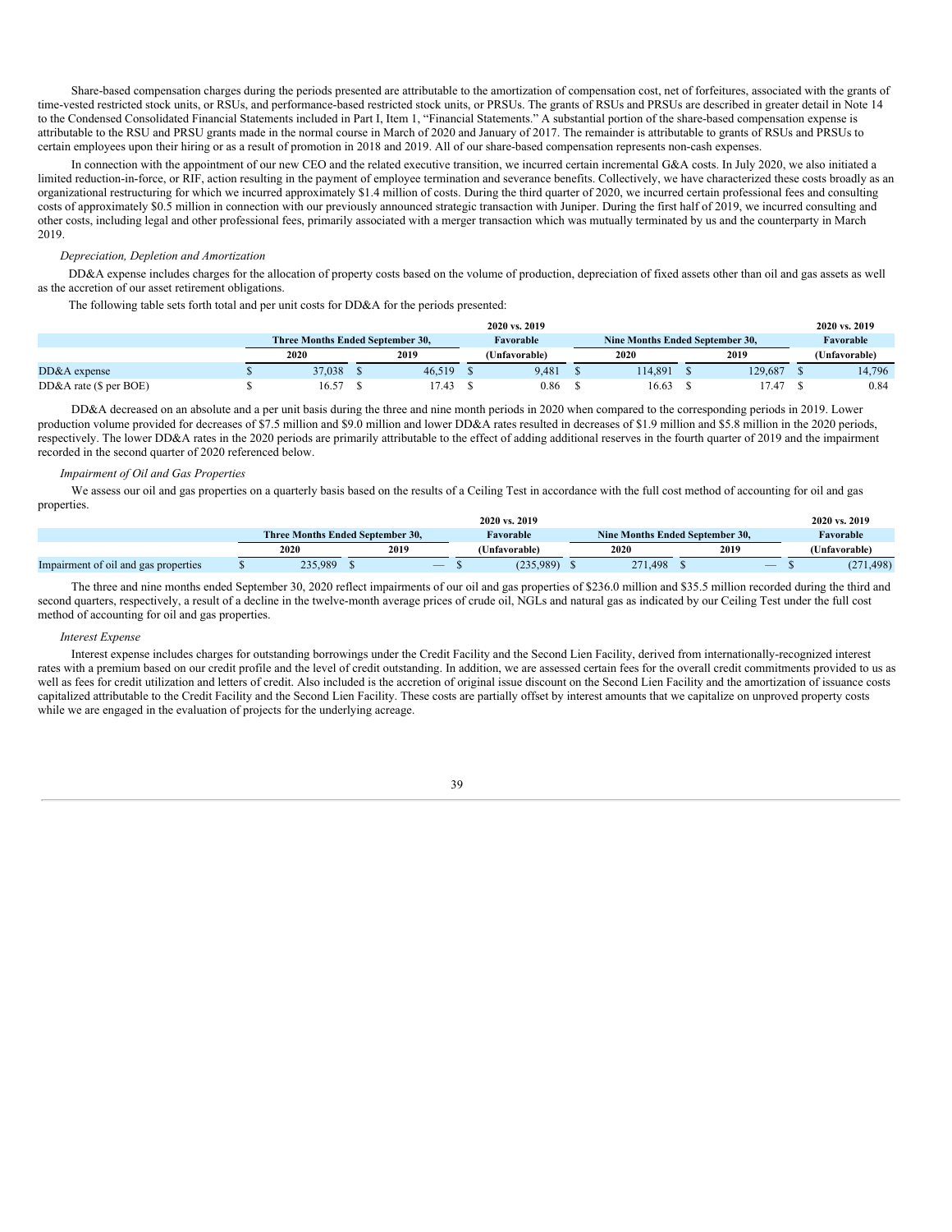Share-based compensation charges during the periods presented are attributable to the amortization of compensation cost, net of forfeitures, associated with the grants of time-vested restricted stock units, or RSUs, and performance-based restricted stock units, or PRSUs. The grants of RSUs and PRSUs are described in greater detail in Note 14 to the Condensed Consolidated Financial Statements included in Part I, Item 1, "Financial Statements." A substantial portion of the share-based compensation expense is attributable to the RSU and PRSU grants made in the normal course in March of 2020 and January of 2017. The remainder is attributable to grants of RSUs and PRSUs to certain employees upon their hiring or as a result of promotion in 2018 and 2019. All of our share-based compensation represents non-cash expenses.

In connection with the appointment of our new CEO and the related executive transition, we incurred certain incremental G&A costs. In July 2020, we also initiated a limited reduction-in-force, or  $\overrightarrow{RIF}$ , action resulting in the payment of employee termination and severance benefits. Collectively, we have characterized these costs broadly as an organizational restructuring for which we incurred approximately \$1.4 million of costs. During the third quarter of 2020, we incurred certain professional fees and consulting costs of approximately \$0.5 million in connection with our previously announced strategic transaction with Juniper. During the first half of 2019, we incurred consulting and other costs, including legal and other professional fees, primarily associated with a merger transaction which was mutually terminated by us and the counterparty in March 2019.

#### *Depreciation, Depletion and Amortization*

DD&A expense includes charges for the allocation of property costs based on the volume of production, depreciation of fixed assets other than oil and gas assets as well as the accretion of our asset retirement obligations.

The following table sets forth total and per unit costs for DD&A for the periods presented:

|                                  |                                  |  |        | 2020 vs. 2019 |                                 |         | 2020 vs. 2019 |
|----------------------------------|----------------------------------|--|--------|---------------|---------------------------------|---------|---------------|
|                                  | Three Months Ended September 30. |  |        | Favorable     | Nine Months Ended September 30. |         | Favorable     |
|                                  | 2020                             |  | 2019   | (Unfavorable) | 2020                            | 2019    | (Unfavorable) |
| DD&A expense                     | 37.038                           |  | 46.519 | 9.481         | 114.891                         | 129,687 | 14,796        |
| DD&A rate $(S \text{ per } BOE)$ | 16.57                            |  | 17.43  | 0.86          | 16.63                           | 17.47   | 0.84          |

DD&A decreased on an absolute and a per unit basis during the three and nine month periods in 2020 when compared to the corresponding periods in 2019. Lower production volume provided for decreases of \$7.5 million and \$9.0 million and lower DD&A rates resulted in decreases of \$1.9 million and \$5.8 million in the 2020 periods, respectively. The lower DD&A rates in the 2020 periods are primarily attributable to the effect of adding additional reserves in the fourth quarter of 2019 and the impairment recorded in the second quarter of 2020 referenced below.

#### *Impairment of Oil and Gas Properties*

We assess our oil and gas properties on a quarterly basis based on the results of a Ceiling Test in accordance with the full cost method of accounting for oil and gas properties.

|                                      |                                  |        | 2020 vs. 2019 |                                 |      |                          | 2020 vs. 2019 |
|--------------------------------------|----------------------------------|--------|---------------|---------------------------------|------|--------------------------|---------------|
|                                      | Three Months Ended September 30. |        | Favorable     | Nine Months Ended September 30. |      |                          | Favorable     |
|                                      | 2020                             | 2019   | Unfavorable)  | 2020                            | 2019 |                          | (Unfavorable) |
| Impairment of oil and gas properties | 235,989                          | $\sim$ | (235.989)     | 271,498                         |      | $\overline{\phantom{a}}$ | (271, 498)    |

The three and nine months ended September 30, 2020 reflect impairments of our oil and gas properties of \$236.0 million and \$35.5 million recorded during the third and second quarters, respectively, a result of a decline in the twelve-month average prices of crude oil, NGLs and natural gas as indicated by our Ceiling Test under the full cost method of accounting for oil and gas properties.

#### *Interest Expense*

Interest expense includes charges for outstanding borrowings under the Credit Facility and the Second Lien Facility, derived from internationally-recognized interest rates with a premium based on our credit profile and the level of credit outstanding. In addition, we are assessed certain fees for the overall credit commitments provided to us as well as fees for credit utilization and letters of credit. Also included is the accretion of original issue discount on the Second Lien Facility and the amortization of issuance costs capitalized attributable to the Credit Facility and the Second Lien Facility. These costs are partially offset by interest amounts that we capitalize on unproved property costs while we are engaged in the evaluation of projects for the underlying acreage.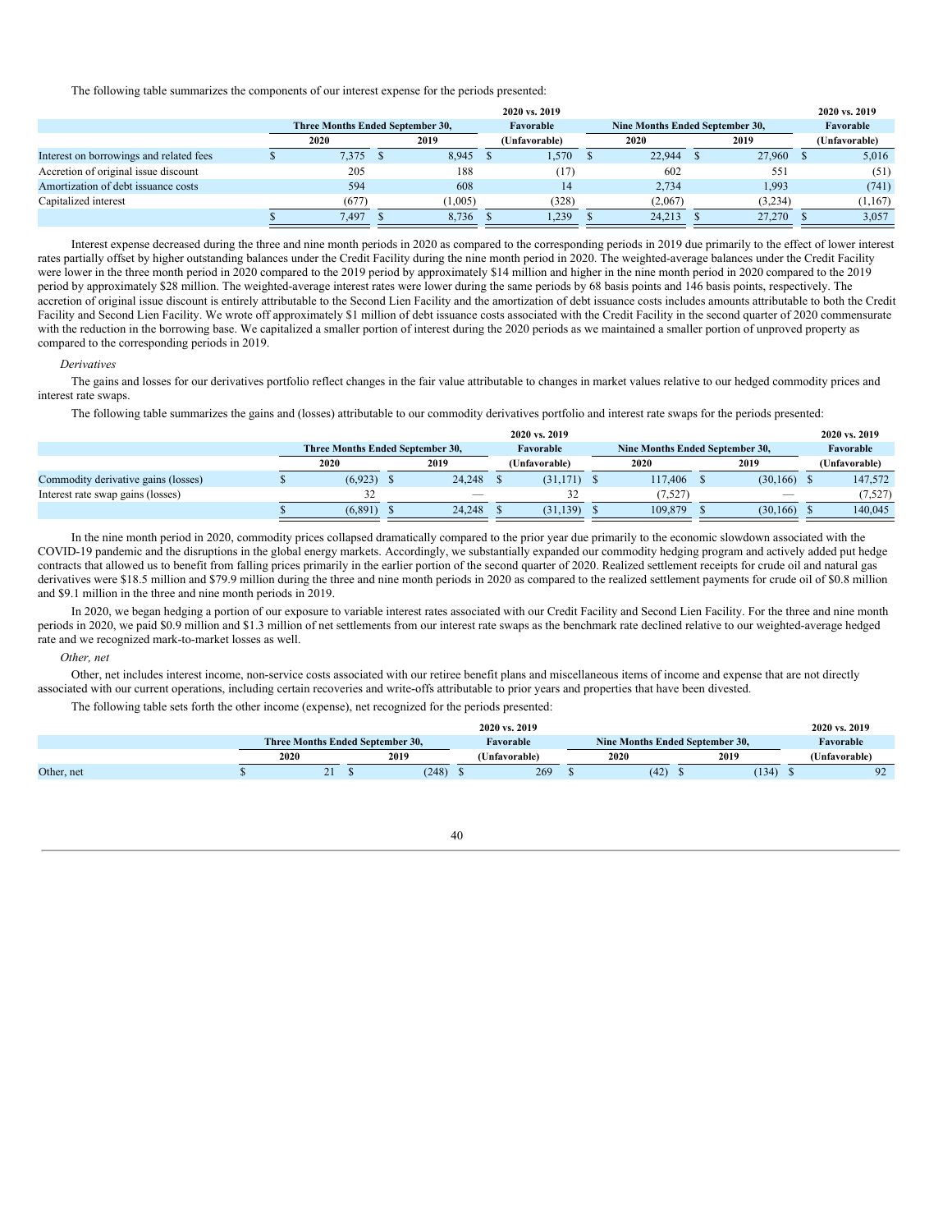The following table summarizes the components of our interest expense for the periods presented:

|                                         |                                  |  |         | 2020 vs. 2019 |                                 |         | 2020 vs. 2019 |
|-----------------------------------------|----------------------------------|--|---------|---------------|---------------------------------|---------|---------------|
|                                         | Three Months Ended September 30, |  |         | Favorable     | Nine Months Ended September 30, |         | Favorable     |
|                                         | 2020                             |  | 2019    | (Unfavorable) | 2020                            | 2019    | (Unfavorable) |
| Interest on borrowings and related fees | $7,375$ \$                       |  | 8.945   | 1,570         | 22,944                          | 27,960  | 5,016         |
| Accretion of original issue discount    | 205                              |  | 188     | (17)          | 602                             | 551     | (51)          |
| Amortization of debt issuance costs     | 594                              |  | 608     | 14            | 2.734                           | 1,993   | (741)         |
| Capitalized interest                    | (677)                            |  | (1.005) | (328)         | (2.067)                         | (3,234) | (1,167)       |
|                                         | 7.497                            |  | 8.736   | 1,239         | 24.213                          | 27,270  | 3,057         |

Interest expense decreased during the three and nine month periods in 2020 as compared to the corresponding periods in 2019 due primarily to the effect of lower interest rates partially offset by higher outstanding balances under the Credit Facility during the nine month period in 2020. The weighted-average balances under the Credit Facility were lower in the three month period in 2020 compared to the 2019 period by approximately \$14 million and higher in the nine month period in 2020 compared to the 2019 period by approximately \$28 million. The weighted-average interest rates were lower during the same periods by 68 basis points and 146 basis points, respectively. The accretion of original issue discount is entirely attributable to the Second Lien Facility and the amortization of debt issuance costs includes amounts attributable to both the Credit Facility and Second Lien Facility. We wrote off approximately \$1 million of debt issuance costs associated with the Credit Facility in the second quarter of 2020 commensurate with the reduction in the borrowing base. We capitalized a smaller portion of interest during the 2020 periods as we maintained a smaller portion of unproved property as compared to the corresponding periods in 2019.

#### *Derivatives*

The gains and losses for our derivatives portfolio reflect changes in the fair value attributable to changes in market values relative to our hedged commodity prices and interest rate swaps.

The following table summarizes the gains and (losses) attributable to our commodity derivatives portfolio and interest rate swaps for the periods presented:

|                                     |                                  |                   | 2020 vs. 2019 |                                 |                          | 2020 vs. 2019 |
|-------------------------------------|----------------------------------|-------------------|---------------|---------------------------------|--------------------------|---------------|
|                                     | Three Months Ended September 30. |                   | Favorable     | Nine Months Ended September 30. |                          | Favorable     |
|                                     | 2020                             | 2019              | (Unfavorable) | 2020                            | 2019                     | (Unfavorable) |
| Commodity derivative gains (losses) | (6,923)                          | 24.248            | (31, 171)     | 117,406                         | (30, 166)                | 147,572       |
| Interest rate swap gains (losses)   | 32                               | $\hspace{0.05cm}$ | 32            | (7,527)                         | $\overline{\phantom{a}}$ | (7,527)       |
|                                     | (6,891)                          | 24.248            | (31, 139)     | 109,879                         | (30, 166)                | 140,045       |
|                                     |                                  |                   |               |                                 |                          |               |

In the nine month period in 2020, commodity prices collapsed dramatically compared to the prior year due primarily to the economic slowdown associated with the COVID-19 pandemic and the disruptions in the global energy markets. Accordingly, we substantially expanded our commodity hedging program and actively added put hedge contracts that allowed us to benefit from falling prices primarily in the earlier portion of the second quarter of 2020. Realized settlement receipts for crude oil and natural gas derivatives were \$18.5 million and \$79.9 million during the three and nine month periods in 2020 as compared to the realized settlement payments for crude oil of \$0.8 million and \$9.1 million in the three and nine month periods in 2019.

In 2020, we began hedging a portion of our exposure to variable interest rates associated with our Credit Facility and Second Lien Facility. For the three and nine month periods in 2020, we paid \$0.9 million and \$1.3 million of net settlements from our interest rate swaps as the benchmark rate declined relative to our weighted-average hedged rate and we recognized mark-to-market losses as well.

### *Other, net*

Other, net includes interest income, non-service costs associated with our retiree benefit plans and miscellaneous items of income and expense that are not directly associated with our current operations, including certain recoveries and write-offs attributable to prior years and properties that have been divested.

The following table sets forth the other income (expense), net recognized for the periods presented:

|            |              |          |                              | 2020 vs. 2019 |                                 |      |       | 2020 vs. 2019               |
|------------|--------------|----------|------------------------------|---------------|---------------------------------|------|-------|-----------------------------|
|            | <b>Three</b> |          | e Months Ended September 30. | Favorable     | Nine Months Ended September 30. |      |       | Favorable                   |
|            | 2020         |          | 2019                         | (Unfavorable) | 2020                            | 2019 |       | (Unfavorable)               |
| Other, net |              | $\sim$ 1 | (248)                        | 269           | (42)                            |      | (134) | Q <sub>2</sub><br><i>74</i> |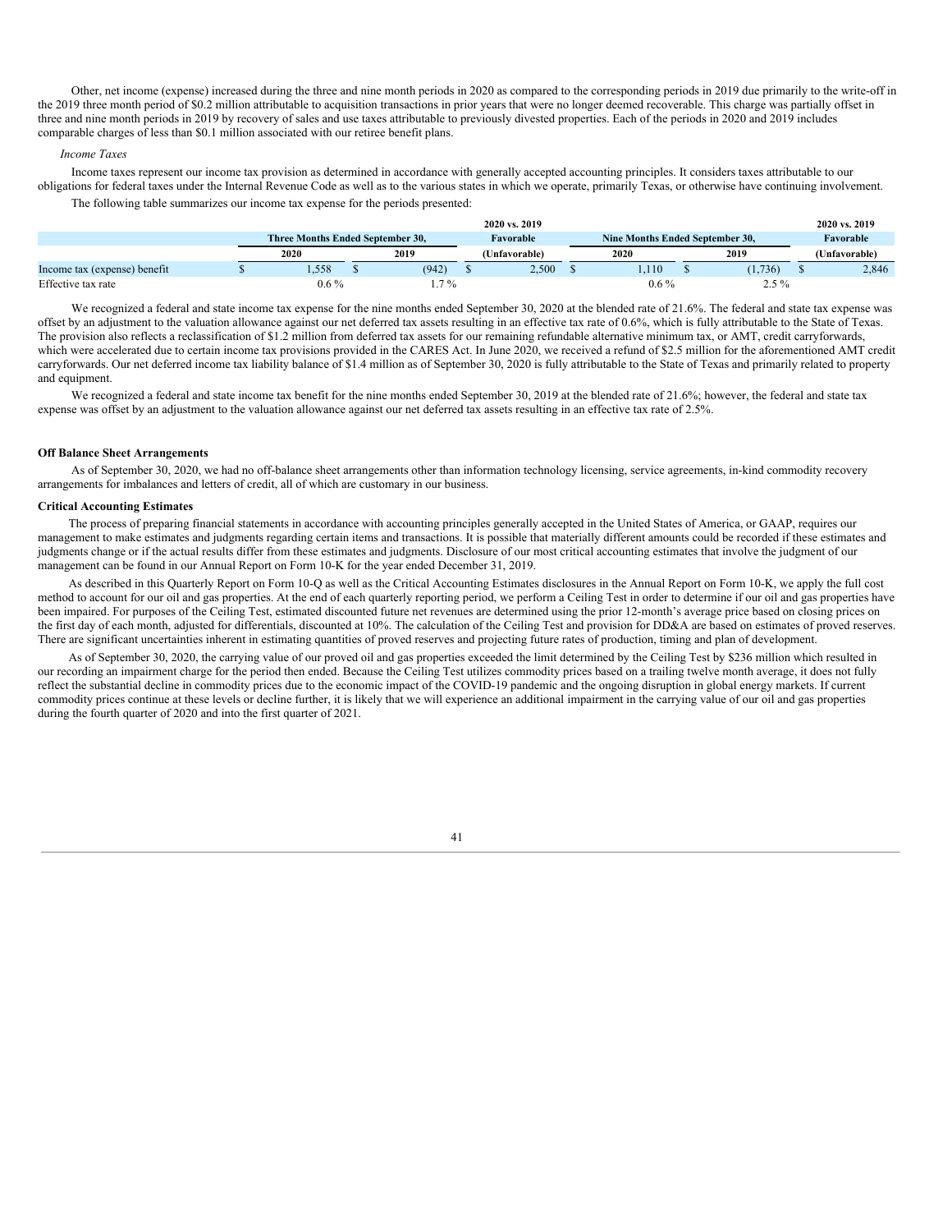Other, net income (expense) increased during the three and nine month periods in 2020 as compared to the corresponding periods in 2019 due primarily to the write-off in the 2019 three month period of \$0.2 million attributable to acquisition transactions in prior years that were no longer deemed recoverable. This charge was partially offset in three and nine month periods in 2019 by recovery of sales and use taxes attributable to previously divested properties. Each of the periods in 2020 and 2019 includes comparable charges of less than \$0.1 million associated with our retiree benefit plans.

#### *Income Taxes*

Income taxes represent our income tax provision as determined in accordance with generally accepted accounting principles. It considers taxes attributable to our obligations for federal taxes under the Internal Revenue Code as well as to the various states in which we operate, primarily Texas, or otherwise have continuing involvement. The following table summarizes our income tax expense for the periods presented:

|                              |                                         |  |       |               | 2020 vs. 2019 |                                 |               | 2020 vs. 2019 |
|------------------------------|-----------------------------------------|--|-------|---------------|---------------|---------------------------------|---------------|---------------|
|                              | <b>Three Months Ended September 30.</b> |  |       |               | Favorable     | Nine Months Ended September 30. |               | Favorable     |
|                              | 2019<br>2020                            |  |       | (Unfavorable) | 2020          | 2019                            | (Unfavorable) |               |
| Income tax (expense) benefit | 1,558                                   |  | (942) |               | 2.500         | 1,110                           | (1.736)       | 2,846         |
| Effective tax rate           | $0.6\%$                                 |  | $7\%$ |               | $0.6\%$       | $2.5\%$                         |               |               |

We recognized a federal and state income tax expense for the nine months ended September 30, 2020 at the blended rate of 21.6%. The federal and state tax expense was offset by an adjustment to the valuation allowance against our net deferred tax assets resulting in an effective tax rate of 0.6%, which is fully attributable to the State of Texas. The provision also reflects a reclassification of \$1.2 million from deferred tax assets for our remaining refundable alternative minimum tax, or AMT, credit carryforwards, which were accelerated due to certain income tax provisions provided in the CARES Act. In June 2020, we received a refund of \$2.5 million for the aforementioned AMT credit carryforwards. Our net deferred income tax liability balance of \$1.4 million as of September 30, 2020 is fully attributable to the State of Texas and primarily related to property and equipment.

We recognized a federal and state income tax benefit for the nine months ended September 30, 2019 at the blended rate of 21.6%; however, the federal and state tax expense was offset by an adjustment to the valuation allowance against our net deferred tax assets resulting in an effective tax rate of 2.5%.

#### <span id="page-40-0"></span>**Off Balance Sheet Arrangements**

As of September 30, 2020, we had no off-balance sheet arrangements other than information technology licensing, service agreements, in-kind commodity recovery arrangements for imbalances and letters of credit, all of which are customary in our business.

## **Critical Accounting Estimates**

The process of preparing financial statements in accordance with accounting principles generally accepted in the United States of America, or GAAP, requires our management to make estimates and judgments regarding certain items and transactions. It is possible that materially different amounts could be recorded if these estimates and judgments change or if the actual results differ from these estimates and judgments. Disclosure of our most critical accounting estimates that involve the judgment of our management can be found in our Annual Report on Form 10-K for the year ended December 31, 2019.

As described in this Quarterly Report on Form 10-Q as well as the Critical Accounting Estimates disclosures in the Annual Report on Form 10-K, we apply the full cost method to account for our oil and gas properties. At the end of each quarterly reporting period, we perform a Ceiling Test in order to determine if our oil and gas properties have been impaired. For purposes of the Ceiling Test, estimated discounted future net revenues are determined using the prior 12-month's average price based on closing prices on the first day of each month, adjusted for differentials, discounted at 10%. The calculation of the Ceiling Test and provision for DD&A are based on estimates of proved reserves. There are significant uncertainties inherent in estimating quantities of proved reserves and projecting future rates of production, timing and plan of development.

As of September 30, 2020, the carrying value of our proved oil and gas properties exceeded the limit determined by the Ceiling Test by \$236 million which resulted in our recording an impairment charge for the period then ended. Because the Ceiling Test utilizes commodity prices based on a trailing twelve month average, it does not fully reflect the substantial decline in commodity prices due to the economic impact of the COVID-19 pandemic and the ongoing disruption in global energy markets. If current commodity prices continue at these levels or decline further, it is likely that we will experience an additional impairment in the carrying value of our oil and gas properties during the fourth quarter of 2020 and into the first quarter of 2021.

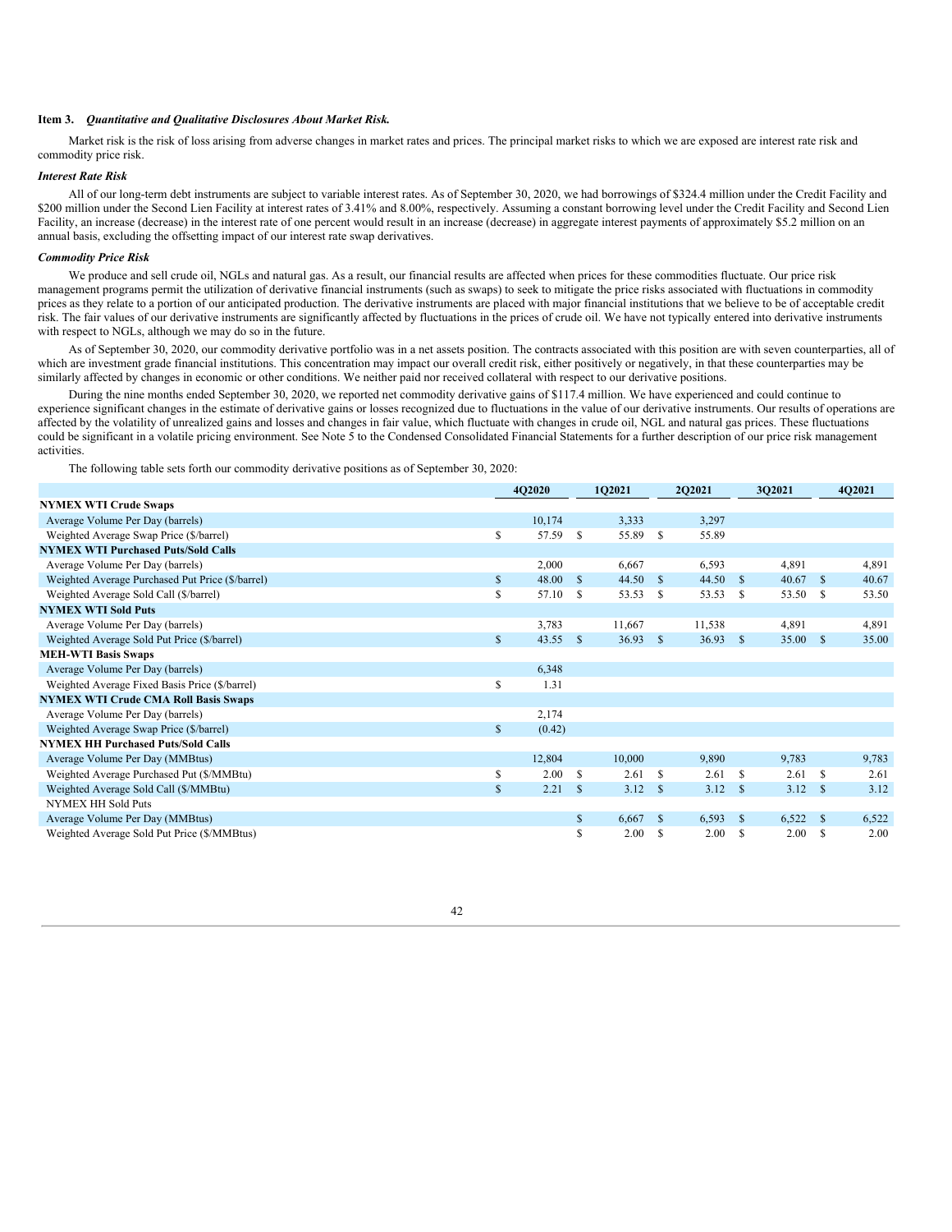### <span id="page-41-0"></span>**Item 3.** *Quantitative and Qualitative Disclosures About Market Risk.*

Market risk is the risk of loss arising from adverse changes in market rates and prices. The principal market risks to which we are exposed are interest rate risk and commodity price risk.

### *Interest Rate Risk*

All of our long-term debt instruments are subject to variable interest rates. As of September 30, 2020, we had borrowings of \$324.4 million under the Credit Facility and \$200 million under the Second Lien Facility at interest rates of 3.41% and 8.00%, respectively. Assuming a constant borrowing level under the Credit Facility and Second Lien Facility, an increase (decrease) in the interest rate of one percent would result in an increase (decrease) in aggregate interest payments of approximately \$5.2 million on an annual basis, excluding the offsetting impact of our interest rate swap derivatives.

#### *Commodity Price Risk*

We produce and sell crude oil, NGLs and natural gas. As a result, our financial results are affected when prices for these commodities fluctuate. Our price risk management programs permit the utilization of derivative financial instruments (such as swaps) to seek to mitigate the price risks associated with fluctuations in commodity prices as they relate to a portion of our anticipated production. The derivative instruments are placed with major financial institutions that we believe to be of acceptable credit risk. The fair values of our derivative instruments are significantly affected by fluctuations in the prices of crude oil. We have not typically entered into derivative instruments with respect to NGLs, although we may do so in the future.

As of September 30, 2020, our commodity derivative portfolio was in a net assets position. The contracts associated with this position are with seven counterparties, all of which are investment grade financial institutions. This concentration may impact our overall credit risk, either positively or negatively, in that these counterparties may be similarly affected by changes in economic or other conditions. We neither paid nor received collateral with respect to our derivative positions.

During the nine months ended September 30, 2020, we reported net commodity derivative gains of \$117.4 million. We have experienced and could continue to experience significant changes in the estimate of derivative gains or losses recognized due to fluctuations in the value of our derivative instruments. Our results of operations are affected by the volatility of unrealized gains and losses and changes in fair value, which fluctuate with changes in crude oil, NGL and natural gas prices. These fluctuations could be significant in a volatile pricing environment. See Note 5 to the Condensed Consolidated Financial Statements for a further description of our price risk management activities.

The following table sets forth our commodity derivative positions as of September 30, 2020:

|                                                  |              | 4Q2020 |              | 1Q2021 |               | 2Q2021 |               | 3Q2021 |               | 4Q2021 |
|--------------------------------------------------|--------------|--------|--------------|--------|---------------|--------|---------------|--------|---------------|--------|
| <b>NYMEX WTI Crude Swaps</b>                     |              |        |              |        |               |        |               |        |               |        |
| Average Volume Per Day (barrels)                 |              | 10,174 |              | 3,333  |               | 3,297  |               |        |               |        |
| Weighted Average Swap Price (\$/barrel)          | S            | 57.59  | S            | 55.89  | <sup>\$</sup> | 55.89  |               |        |               |        |
| <b>NYMEX WTI Purchased Puts/Sold Calls</b>       |              |        |              |        |               |        |               |        |               |        |
| Average Volume Per Day (barrels)                 |              | 2,000  |              | 6,667  |               | 6,593  |               | 4,891  |               | 4,891  |
| Weighted Average Purchased Put Price (\$/barrel) | $\mathbb{S}$ | 48.00  | $\mathbf{s}$ | 44.50  | $\mathcal{S}$ | 44.50  | $\mathcal{S}$ | 40.67  | $\mathcal{S}$ | 40.67  |
| Weighted Average Sold Call (\$/barrel)           | S            | 57.10  | S            | 53.53  | -S            | 53.53  | -S            | 53.50  | S             | 53.50  |
| <b>NYMEX WTI Sold Puts</b>                       |              |        |              |        |               |        |               |        |               |        |
| Average Volume Per Day (barrels)                 |              | 3,783  |              | 11,667 |               | 11,538 |               | 4,891  |               | 4,891  |
| Weighted Average Sold Put Price (\$/barrel)      | $\mathbb{S}$ | 43.55  | <sup>S</sup> | 36.93  | -S            | 36.93  | -S            | 35.00  | <sup>\$</sup> | 35.00  |
| <b>MEH-WTI Basis Swaps</b>                       |              |        |              |        |               |        |               |        |               |        |
| Average Volume Per Day (barrels)                 |              | 6,348  |              |        |               |        |               |        |               |        |
| Weighted Average Fixed Basis Price (\$/barrel)   | \$           | 1.31   |              |        |               |        |               |        |               |        |
| <b>NYMEX WTI Crude CMA Roll Basis Swaps</b>      |              |        |              |        |               |        |               |        |               |        |
| Average Volume Per Day (barrels)                 |              | 2,174  |              |        |               |        |               |        |               |        |
| Weighted Average Swap Price (\$/barrel)          | $\mathbb{S}$ | (0.42) |              |        |               |        |               |        |               |        |
| <b>NYMEX HH Purchased Puts/Sold Calls</b>        |              |        |              |        |               |        |               |        |               |        |
| Average Volume Per Day (MMBtus)                  |              | 12,804 |              | 10,000 |               | 9,890  |               | 9,783  |               | 9,783  |
| Weighted Average Purchased Put (\$/MMBtu)        | \$           | 2.00   | S            | 2.61   | <sup>\$</sup> | 2.61   | S             | 2.61   | \$.           | 2.61   |
| Weighted Average Sold Call (\$/MMBtu)            | $\mathbb{S}$ | 2.21   | <sup>S</sup> | 3.12   | <sup>\$</sup> | 3.12   | \$            | 3.12   | $\mathcal{S}$ | 3.12   |
| <b>NYMEX HH Sold Puts</b>                        |              |        |              |        |               |        |               |        |               |        |
| Average Volume Per Day (MMBtus)                  |              |        | S            | 6,667  | <sup>\$</sup> | 6,593  | -S            | 6,522  | <sup>\$</sup> | 6,522  |
| Weighted Average Sold Put Price (\$/MMBtus)      |              |        | S            | 2.00   | S             | 2.00   | S             | 2.00   | S             | 2.00   |

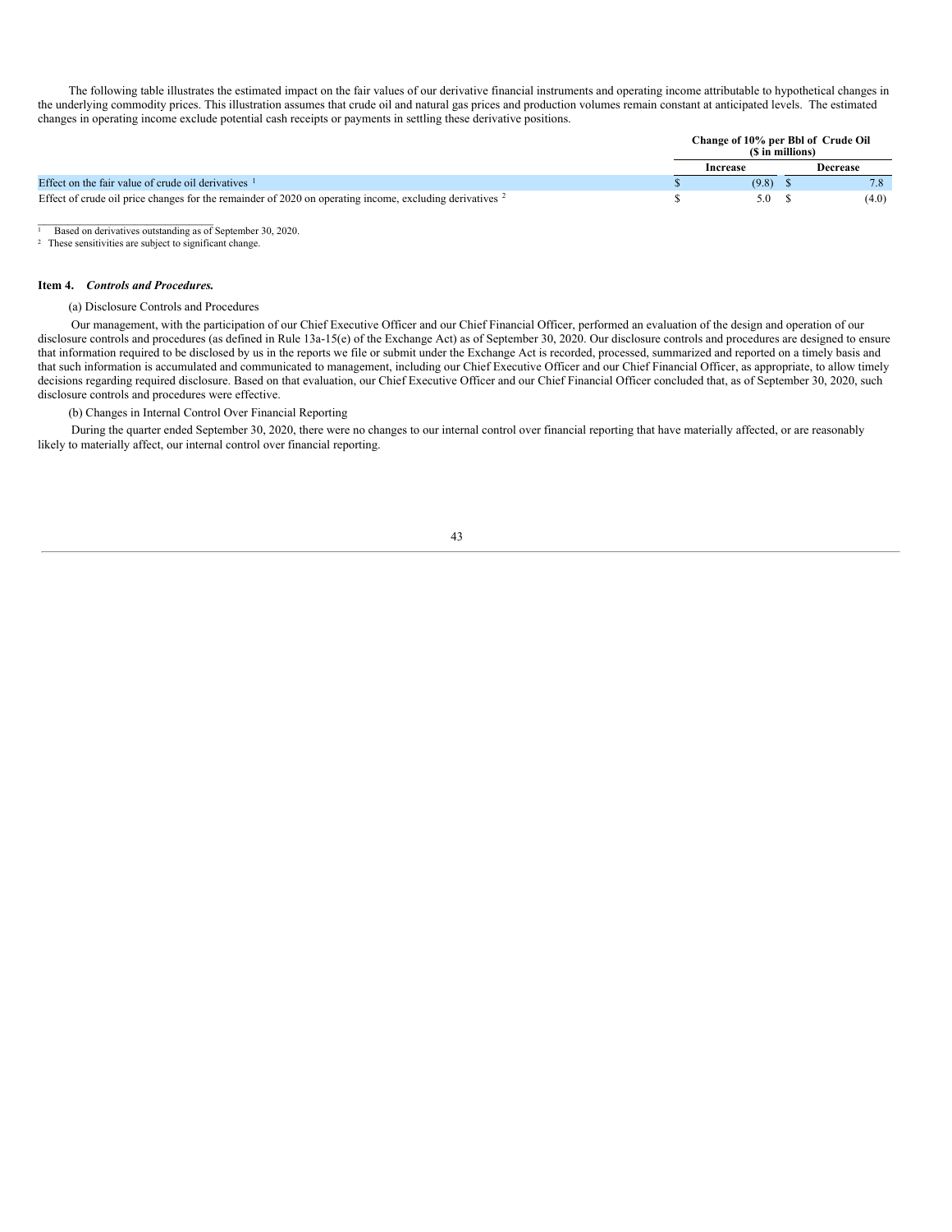The following table illustrates the estimated impact on the fair values of our derivative financial instruments and operating income attributable to hypothetical changes in the underlying commodity prices. This illustration assumes that crude oil and natural gas prices and production volumes remain constant at anticipated levels. The estimated changes in operating income exclude potential cash receipts or payments in settling these derivative positions.

|                                                                                                                   | Change of 10% per Bbl of Crude Oil<br>(\$ in millions) |          |  |          |
|-------------------------------------------------------------------------------------------------------------------|--------------------------------------------------------|----------|--|----------|
|                                                                                                                   |                                                        | Increase |  | Decrease |
| Effect on the fair value of crude oil derivatives $1$                                                             |                                                        | (9.8)    |  | 7.8      |
| Effect of crude oil price changes for the remainder of 2020 on operating income, excluding derivatives $2\degree$ |                                                        | 5.0      |  | (4.0)    |

 $\overline{a}$  Based on derivatives outstanding as of September 30, 2020. 1

<sup>2</sup> These sensitivities are subject to significant change.

#### <span id="page-42-0"></span>**Item 4.** *Controls and Procedures.*

#### (a) Disclosure Controls and Procedures

Our management, with the participation of our Chief Executive Officer and our Chief Financial Officer, performed an evaluation of the design and operation of our disclosure controls and procedures (as defined in Rule 13a-15(e) of the Exchange Act) as of September 30, 2020. Our disclosure controls and procedures are designed to ensure that information required to be disclosed by us in the reports we file or submit under the Exchange Act is recorded, processed, summarized and reported on a timely basis and that such information is accumulated and communicated to management, including our Chief Executive Officer and our Chief Financial Officer, as appropriate, to allow timely decisions regarding required disclosure. Based on that evaluation, our Chief Executive Officer and our Chief Financial Officer concluded that, as of September 30, 2020, such disclosure controls and procedures were effective.

(b) Changes in Internal Control Over Financial Reporting

During the quarter ended September 30, 2020, there were no changes to our internal control over financial reporting that have materially affected, or are reasonably likely to materially affect, our internal control over financial reporting.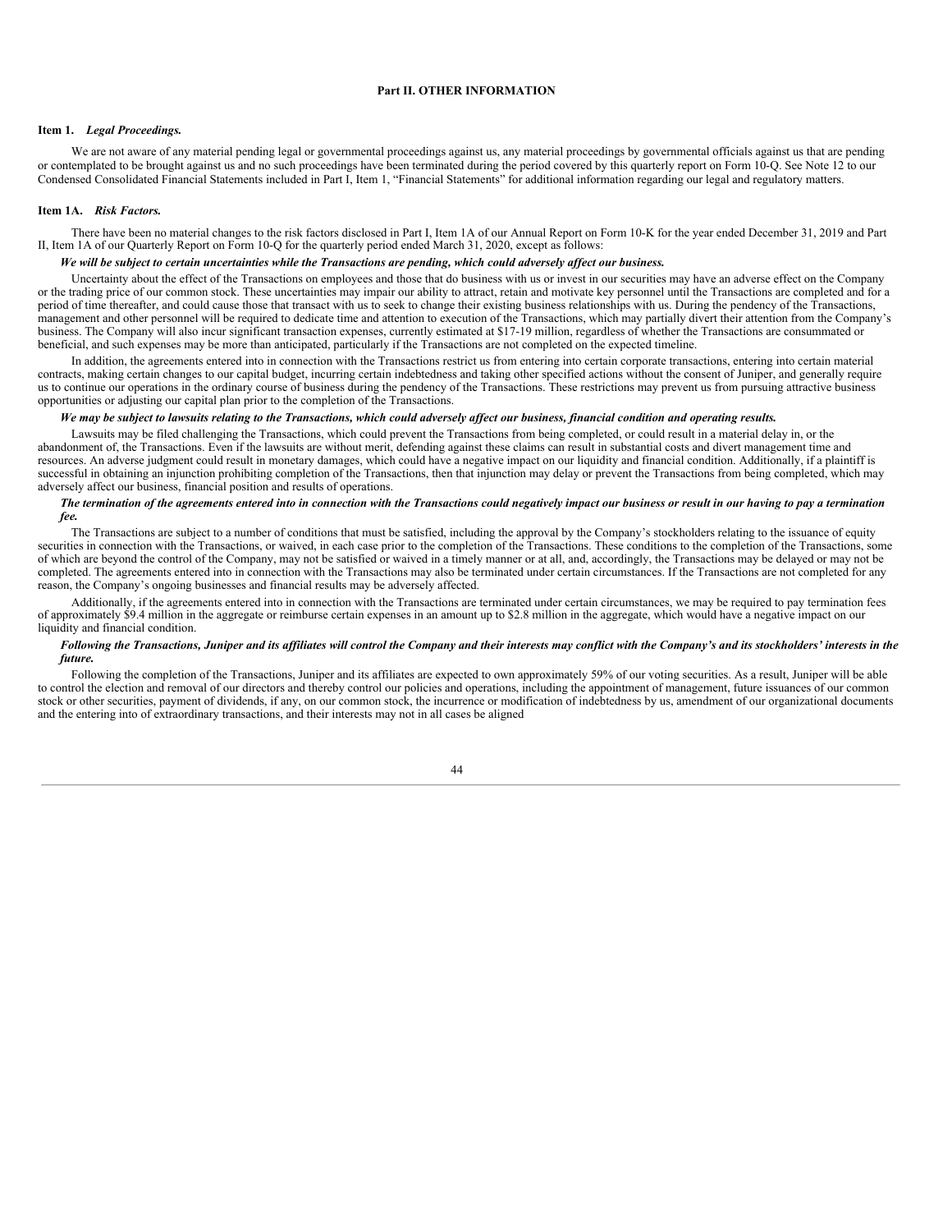### **Part II. OTHER INFORMATION**

#### <span id="page-43-0"></span>**Item 1.** *Legal Proceedings.*

We are not aware of any material pending legal or governmental proceedings against us, any material proceedings by governmental officials against us that are pending or contemplated to be brought against us and no such proceedings have been terminated during the period covered by this quarterly report on Form 10-Q. See Note 12 to our Condensed Consolidated Financial Statements included in Part I, Item 1, "Financial Statements" for additional information regarding our legal and regulatory matters.

#### <span id="page-43-1"></span>**Item 1A.** *Risk Factors.*

There have been no material changes to the risk factors disclosed in Part I, Item 1A of our Annual Report on Form 10-K for the year ended December 31, 2019 and Part II, Item 1A of our Quarterly Report on Form 10-Q for the quarterly period ended March 31, 2020, except as follows:

#### We will be subject to certain uncertainties while the Transactions are pending, which could adversely affect our business.

Uncertainty about the effect of the Transactions on employees and those that do business with us or invest in our securities may have an adverse effect on the Company or the trading price of our common stock. These uncertainties may impair our ability to attract, retain and motivate key personnel until the Transactions are completed and for a period of time thereafter, and could cause those that transact with us to seek to change their existing business relationships with us. During the pendency of the Transactions, management and other personnel will be required to dedicate time and attention to execution of the Transactions, which may partially divert their attention from the Company's business. The Company will also incur significant transaction expenses, currently estimated at \$17-19 million, regardless of whether the Transactions are consummated or beneficial, and such expenses may be more than anticipated, particularly if the Transactions are not completed on the expected timeline.

In addition, the agreements entered into in connection with the Transactions restrict us from entering into certain corporate transactions, entering into certain material contracts, making certain changes to our capital budget, incurring certain indebtedness and taking other specified actions without the consent of Juniper, and generally require us to continue our operations in the ordinary course of business during the pendency of the Transactions. These restrictions may prevent us from pursuing attractive business opportunities or adjusting our capital plan prior to the completion of the Transactions.

#### We may be subject to lawsuits relating to the Transactions, which could adversely affect our business, financial condition and operating results.

Lawsuits may be filed challenging the Transactions, which could prevent the Transactions from being completed, or could result in a material delay in, or the abandonment of, the Transactions. Even if the lawsuits are without merit, defending against these claims can result in substantial costs and divert management time and resources. An adverse judgment could result in monetary damages, which could have a negative impact on our liquidity and financial condition. Additionally, if a plaintiff is successful in obtaining an injunction prohibiting completion of the Transactions, then that injunction may delay or prevent the Transactions from being completed, which may adversely affect our business, financial position and results of operations.

#### The termination of the agreements entered into in connection with the Transactions could negatively impact our business or result in our having to pay a termination *fee.*

The Transactions are subject to a number of conditions that must be satisfied, including the approval by the Company's stockholders relating to the issuance of equity securities in connection with the Transactions, or waived, in each case prior to the completion of the Transactions. These conditions to the completion of the Transactions, some of which are beyond the control of the Company, may not be satisfied or waived in a timely manner or at all, and, accordingly, the Transactions may be delayed or may not be completed. The agreements entered into in connection with the Transactions may also be terminated under certain circumstances. If the Transactions are not completed for any reason, the Company's ongoing businesses and financial results may be adversely affected.

Additionally, if the agreements entered into in connection with the Transactions are terminated under certain circumstances, we may be required to pay termination fees of approximately \$9.4 million in the aggregate or reimburse certain expenses in an amount up to \$2.8 million in the aggregate, which would have a negative impact on our liquidity and financial condition.

#### Following the Transactions, Juniper and its affiliates will control the Company and their interests may conflict with the Company's and its stockholders' interests in the *future.*

Following the completion of the Transactions, Juniper and its affiliates are expected to own approximately 59% of our voting securities. As a result, Juniper will be able to control the election and removal of our directors and thereby control our policies and operations, including the appointment of management, future issuances of our common stock or other securities, payment of dividends, if any, on our common stock, the incurrence or modification of indebtedness by us, amendment of our organizational documents and the entering into of extraordinary transactions, and their interests may not in all cases be aligned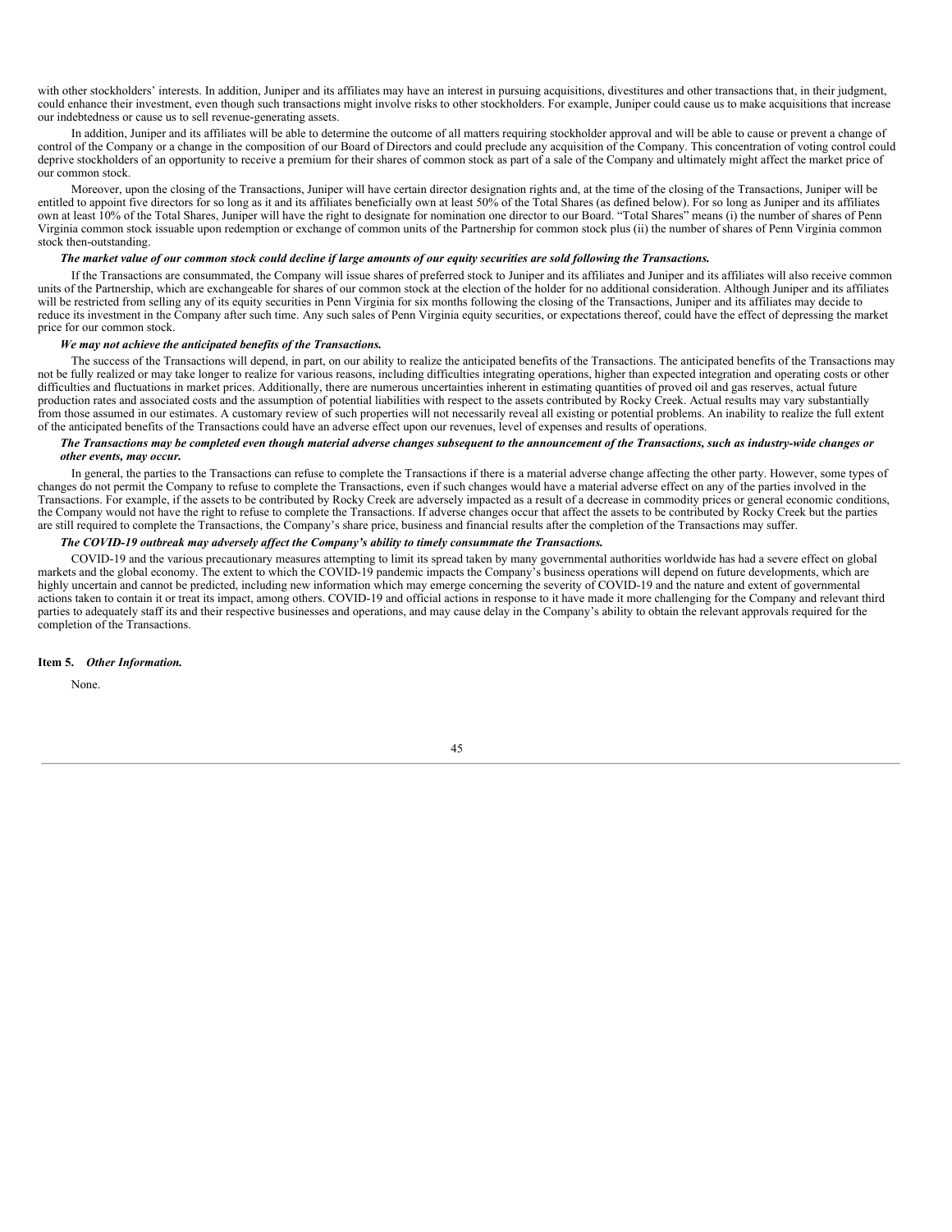with other stockholders' interests. In addition, Juniper and its affiliates may have an interest in pursuing acquisitions, divestitures and other transactions that, in their judgment, could enhance their investment, even though such transactions might involve risks to other stockholders. For example, Juniper could cause us to make acquisitions that increase our indebtedness or cause us to sell revenue-generating assets.

In addition, Juniper and its affiliates will be able to determine the outcome of all matters requiring stockholder approval and will be able to cause or prevent a change of control of the Company or a change in the composition of our Board of Directors and could preclude any acquisition of the Company. This concentration of voting control could deprive stockholders of an opportunity to receive a premium for their shares of common stock as part of a sale of the Company and ultimately might affect the market price of our common stock.

Moreover, upon the closing of the Transactions, Juniper will have certain director designation rights and, at the time of the closing of the Transactions, Juniper will be entitled to appoint five directors for so long as it and its affiliates beneficially own at least 50% of the Total Shares (as defined below). For so long as Juniper and its affiliates own at least 10% of the Total Shares, Juniper will have the right to designate for nomination one director to our Board. "Total Shares" means (i) the number of shares of Penn Virginia common stock issuable upon redemption or exchange of common units of the Partnership for common stock plus (ii) the number of shares of Penn Virginia common stock then-outstanding.

### The market value of our common stock could decline if large amounts of our equity securities are sold following the Transactions.

If the Transactions are consummated, the Company will issue shares of preferred stock to Juniper and its affiliates and Juniper and its affiliates will also receive common units of the Partnership, which are exchangeable for shares of our common stock at the election of the holder for no additional consideration. Although Juniper and its affiliates will be restricted from selling any of its equity securities in Penn Virginia for six months following the closing of the Transactions, Juniper and its affiliates may decide to reduce its investment in the Company after such time. Any such sales of Penn Virginia equity securities, or expectations thereof, could have the effect of depressing the market price for our common stock.

#### *We may not achieve the anticipated benefits of the Transactions.*

The success of the Transactions will depend, in part, on our ability to realize the anticipated benefits of the Transactions. The anticipated benefits of the Transactions may not be fully realized or may take longer to realize for various reasons, including difficulties integrating operations, higher than expected integration and operating costs or other difficulties and fluctuations in market prices. Additionally, there are numerous uncertainties inherent in estimating quantities of proved oil and gas reserves, actual future production rates and associated costs and the assumption of potential liabilities with respect to the assets contributed by Rocky Creek. Actual results may vary substantially from those assumed in our estimates. A customary review of such properties will not necessarily reveal all existing or potential problems. An inability to realize the full extent of the anticipated benefits of the Transactions could have an adverse effect upon our revenues, level of expenses and results of operations.

#### The Transactions may be completed even though material adverse changes subsequent to the announcement of the Transactions, such as industry-wide changes or *other events, may occur.*

In general, the parties to the Transactions can refuse to complete the Transactions if there is a material adverse change affecting the other party. However, some types of changes do not permit the Company to refuse to complete the Transactions, even if such changes would have a material adverse effect on any of the parties involved in the Transactions. For example, if the assets to be contributed by Rocky Creek are adversely impacted as a result of a decrease in commodity prices or general economic conditions, the Company would not have the right to refuse to complete the Transactions. If adverse changes occur that affect the assets to be contributed by Rocky Creek but the parties are still required to complete the Transactions, the Company's share price, business and financial results after the completion of the Transactions may suffer.

## *The COVID-19 outbreak may adversely af ect the Company's ability to timely consummate the Transactions.*

COVID-19 and the various precautionary measures attempting to limit its spread taken by many governmental authorities worldwide has had a severe effect on global markets and the global economy. The extent to which the COVID-19 pandemic impacts the Company's business operations will depend on future developments, which are highly uncertain and cannot be predicted, including new information which may emerge concerning the severity of COVID-19 and the nature and extent of governmental actions taken to contain it or treat its impact, among others. COVID-19 and official actions in response to it have made it more challenging for the Company and relevant third parties to adequately staff its and their respective businesses and operations, and may cause delay in the Company's ability to obtain the relevant approvals required for the completion of the Transactions.

#### <span id="page-44-0"></span>**Item 5.** *Other Information.*

<span id="page-44-1"></span>None.

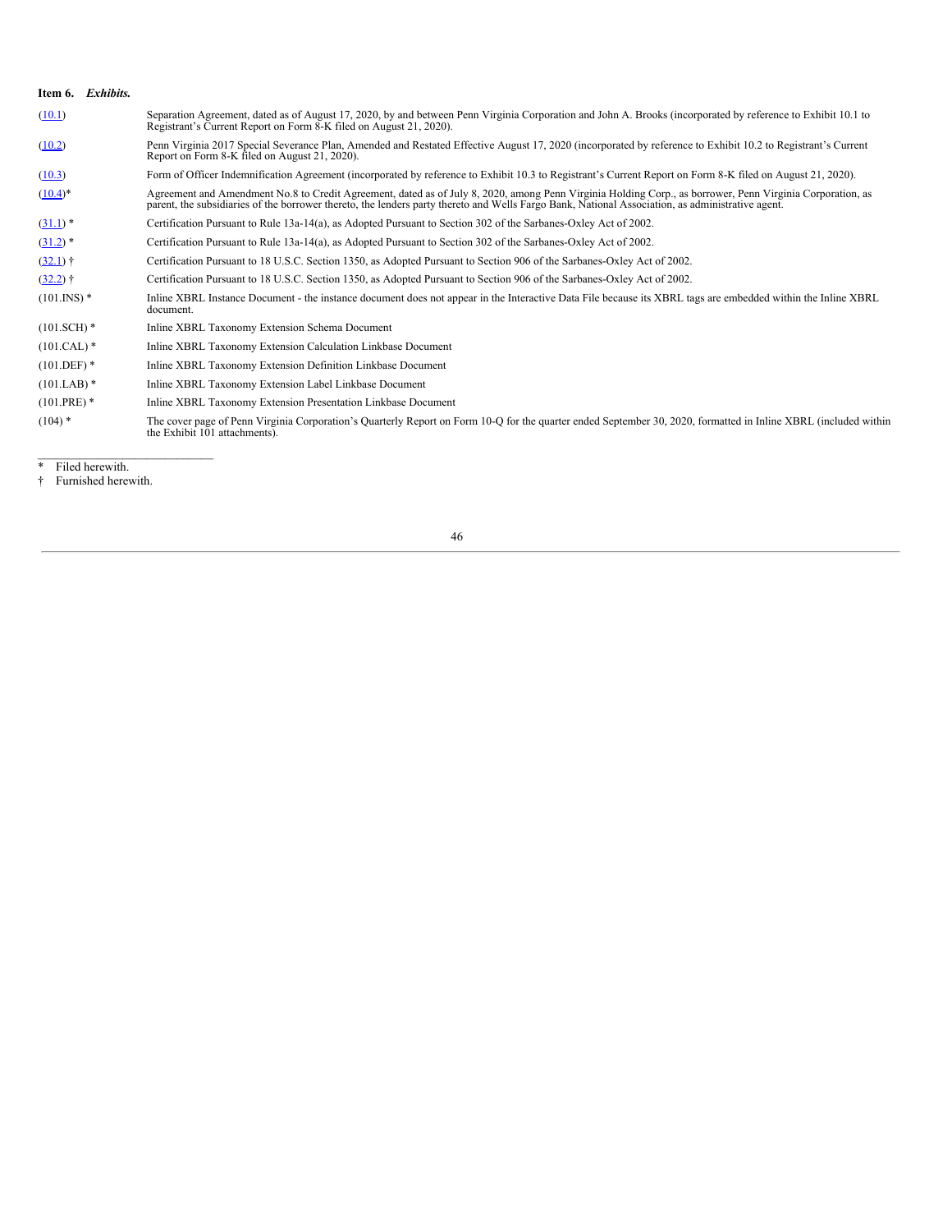#### **Item 6.** *Exhibits.*

[\(10.1](http://www.sec.gov/Archives/edgar/data/77159/000119312520225747/d17417dex101.htm)) Separation Agreement, dated as of August 17, 2020, by and between Penn Virginia Corporation and John A. Brooks (incorporated by reference to Exhibit 10.1 to Registrant's Current Report on Form 8-K filed on August 21, 2020). Penn Virginia 2017 Special Severance Plan, Amended and Restated Effective August 17, 2020 (incorporated by reference to Exhibit 10.2 to Registrant's Current<br>Report on Form 8-K filed on August 21, 2020). [\(10.3](http://www.sec.gov/Archives/edgar/data/77159/000119312520225747/d17417dex103.htm)) Form of Officer Indemnification Agreement (incorporated by reference to Exhibit 10.3 to Registrant's Current Report on Form 8-K filed on August 21, 2020). [\(10.4](#page-56-0))\* Agreement and Amendment No.8 to Credit Agreement, dated as of July 8, 2020, among Penn Virginia Holding Corp., as borrower, Penn Virginia Corporation, as parent, the subsidiaries of the borrower thereto, the lenders party thereto and Wells Fargo Bank, National Association, as administrative agent. [\(31.1](#page-66-0)) \* Certification Pursuant to Rule 13a-14(a), as Adopted Pursuant to Section 302 of the Sarbanes-Oxley Act of 2002. [\(31.2](#page-67-0)) \* Certification Pursuant to Rule 13a-14(a), as Adopted Pursuant to Section 302 of the Sarbanes-Oxley Act of 2002. [\(32.1](#page-68-0)) † Certification Pursuant to 18 U.S.C. Section 1350, as Adopted Pursuant to Section 906 of the Sarbanes-Oxley Act of 2002. [\(32.2](#page-69-0)) † Certification Pursuant to 18 U.S.C. Section 1350, as Adopted Pursuant to Section 906 of the Sarbanes-Oxley Act of 2002. (101.INS) \* Inline XBRL Instance Document - the instance document does not appear in the Interactive Data File because its XBRL tags are embedded within the Inline XBRL document. (101.SCH) \* Inline XBRL Taxonomy Extension Schema Document (101.CAL) \* Inline XBRL Taxonomy Extension Calculation Linkbase Document (101.DEF) \* Inline XBRL Taxonomy Extension Definition Linkbase Document (101.LAB) \* Inline XBRL Taxonomy Extension Label Linkbase Document (101.PRE) \* Inline XBRL Taxonomy Extension Presentation Linkbase Document

(104) \* The cover page of Penn Virginia Corporation's Quarterly Report on Form 10-Q for the quarter ended September 30, 2020, formatted in Inline XBRL (included within the Exhibit 101 attachments).

\* Filed herewith.

<span id="page-45-0"></span>† Furnished herewith.

\_\_\_\_\_\_\_\_\_\_\_\_\_\_\_\_\_\_\_\_\_\_\_\_\_\_\_\_\_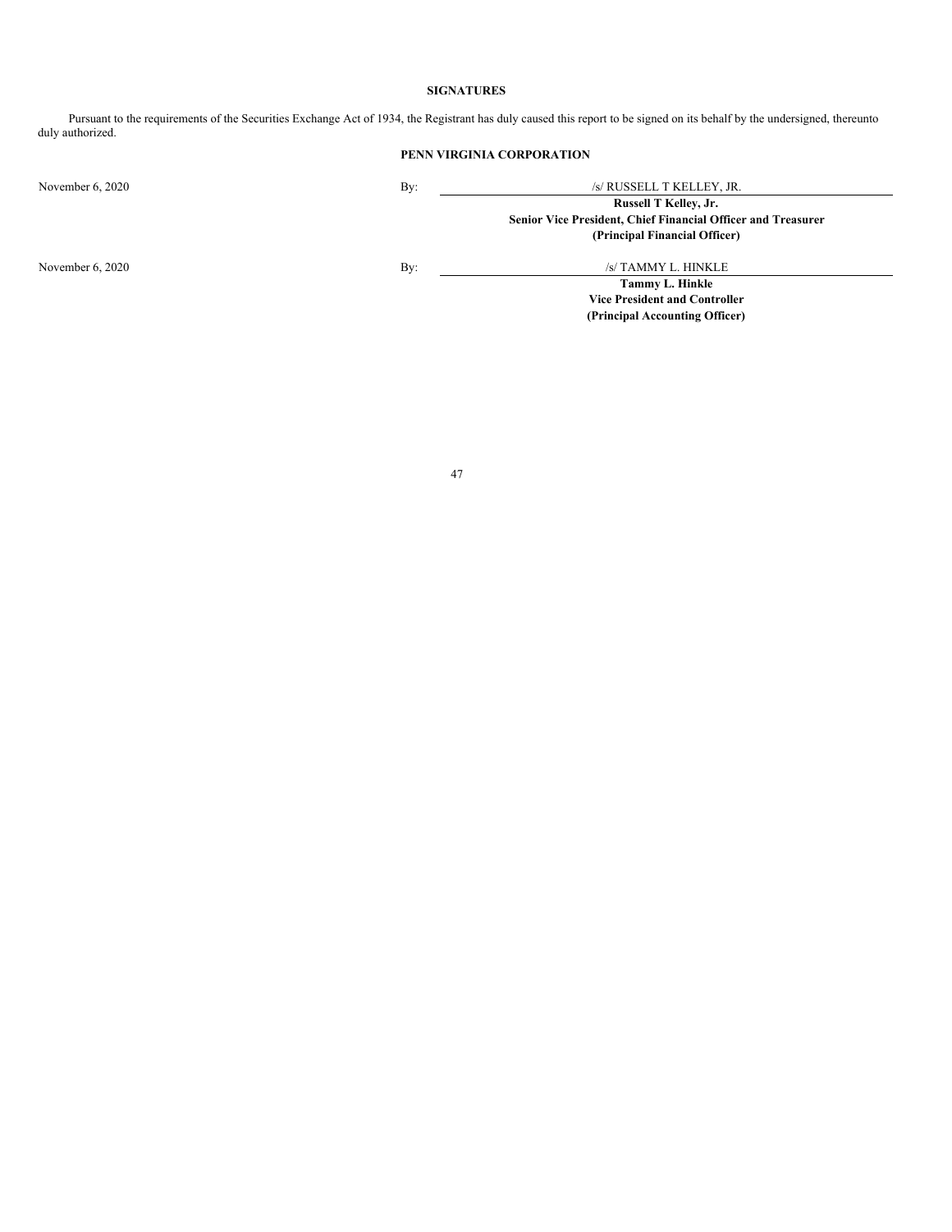#### **SIGNATURES**

Pursuant to the requirements of the Securities Exchange Act of 1934, the Registrant has duly caused this report to be signed on its behalf by the undersigned, thereunto duly authorized.

## **PENN VIRGINIA CORPORATION**

November 6, 2020 By: /s/ RUSSELL T KELLEY, JR.

**Russell T Kelley, Jr. Senior Vice President, Chief Financial Officer and Treasurer (Principal Financial Officer)**

November 6, 2020 By: /s/ TAMMY L. HINKLE

**Tammy L. Hinkle Vice President and Controller (Principal Accounting Officer)**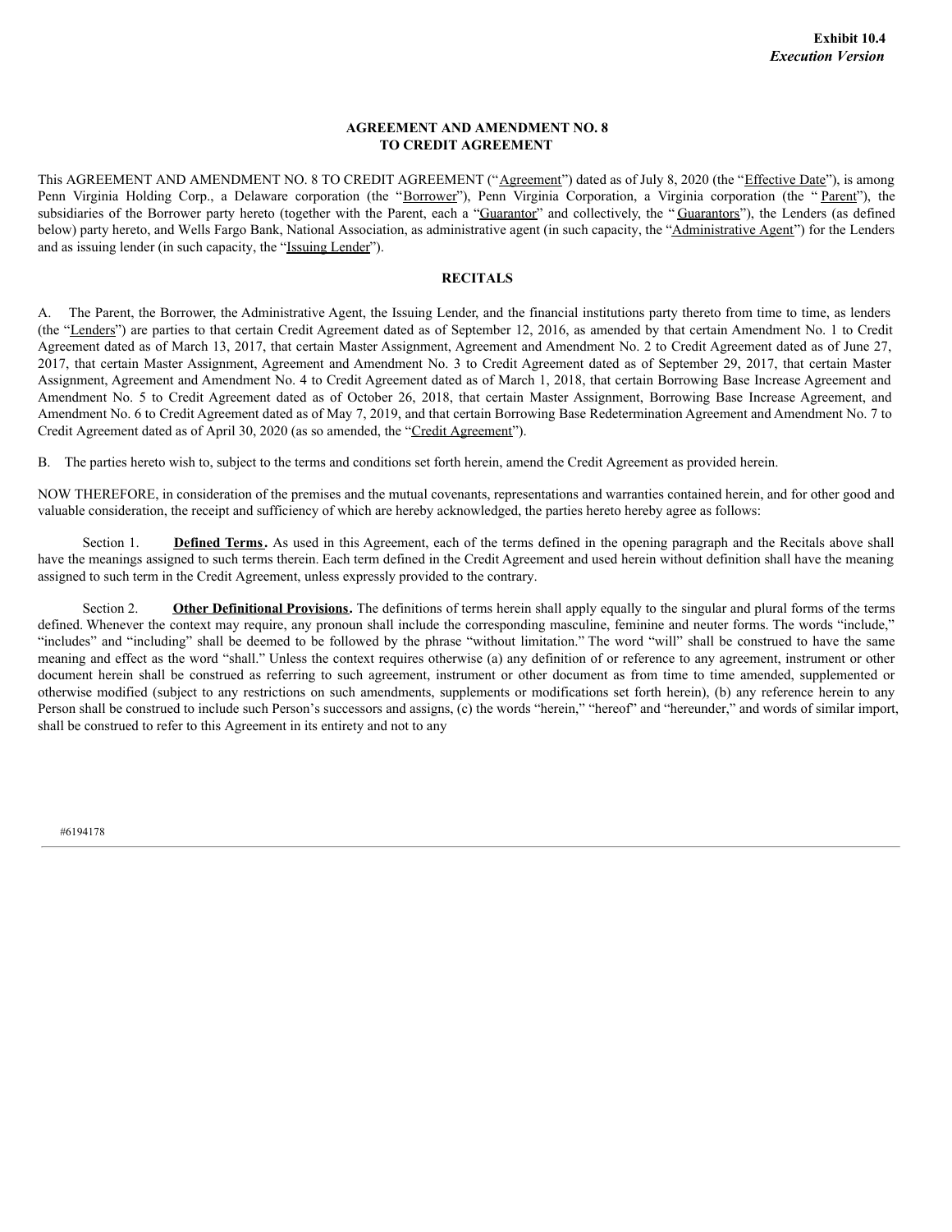## **AGREEMENT AND AMENDMENT NO. 8 TO CREDIT AGREEMENT**

This AGREEMENT AND AMENDMENT NO. 8 TO CREDIT AGREEMENT ("Agreement") dated as of July 8, 2020 (the "Effective Date"), is among Penn Virginia Holding Corp., a Delaware corporation (the "Borrower"), Penn Virginia Corporation, a Virginia corporation (the "Parent"), the subsidiaries of the Borrower party hereto (together with the Parent, each a "Guarantor" and collectively, the "Guarantors"), the Lenders (as defined below) party hereto, and Wells Fargo Bank, National Association, as administrative agent (in such capacity, the "Administrative Agent") for the Lenders and as issuing lender (in such capacity, the "Issuing Lender").

## **RECITALS**

A. The Parent, the Borrower, the Administrative Agent, the Issuing Lender, and the financial institutions party thereto from time to time, as lenders (the "Lenders") are parties to that certain Credit Agreement dated as of September 12, 2016, as amended by that certain Amendment No. 1 to Credit Agreement dated as of March 13, 2017, that certain Master Assignment, Agreement and Amendment No. 2 to Credit Agreement dated as of June 27, 2017, that certain Master Assignment, Agreement and Amendment No. 3 to Credit Agreement dated as of September 29, 2017, that certain Master Assignment, Agreement and Amendment No. 4 to Credit Agreement dated as of March 1, 2018, that certain Borrowing Base Increase Agreement and Amendment No. 5 to Credit Agreement dated as of October 26, 2018, that certain Master Assignment, Borrowing Base Increase Agreement, and Amendment No. 6 to Credit Agreement dated as of May 7, 2019, and that certain Borrowing Base Redetermination Agreement and Amendment No. 7 to Credit Agreement dated as of April 30, 2020 (as so amended, the "Credit Agreement").

B. The parties hereto wish to, subject to the terms and conditions set forth herein, amend the Credit Agreement as provided herein.

NOW THEREFORE, in consideration of the premises and the mutual covenants, representations and warranties contained herein, and for other good and valuable consideration, the receipt and sufficiency of which are hereby acknowledged, the parties hereto hereby agree as follows:

Section 1. **Defined Terms.** As used in this Agreement, each of the terms defined in the opening paragraph and the Recitals above shall have the meanings assigned to such terms therein. Each term defined in the Credit Agreement and used herein without definition shall have the meaning assigned to such term in the Credit Agreement, unless expressly provided to the contrary.

Section 2. **Other Definitional Provisions**. The definitions of terms herein shall apply equally to the singular and plural forms of the terms defined. Whenever the context may require, any pronoun shall include the corresponding masculine, feminine and neuter forms. The words "include," "includes" and "including" shall be deemed to be followed by the phrase "without limitation." The word "will" shall be construed to have the same meaning and effect as the word "shall." Unless the context requires otherwise (a) any definition of or reference to any agreement, instrument or other document herein shall be construed as referring to such agreement, instrument or other document as from time to time amended, supplemented or otherwise modified (subject to any restrictions on such amendments, supplements or modifications set forth herein), (b) any reference herein to any Person shall be construed to include such Person's successors and assigns, (c) the words "herein," "hereof" and "hereunder," and words of similar import, shall be construed to refer to this Agreement in its entirety and not to any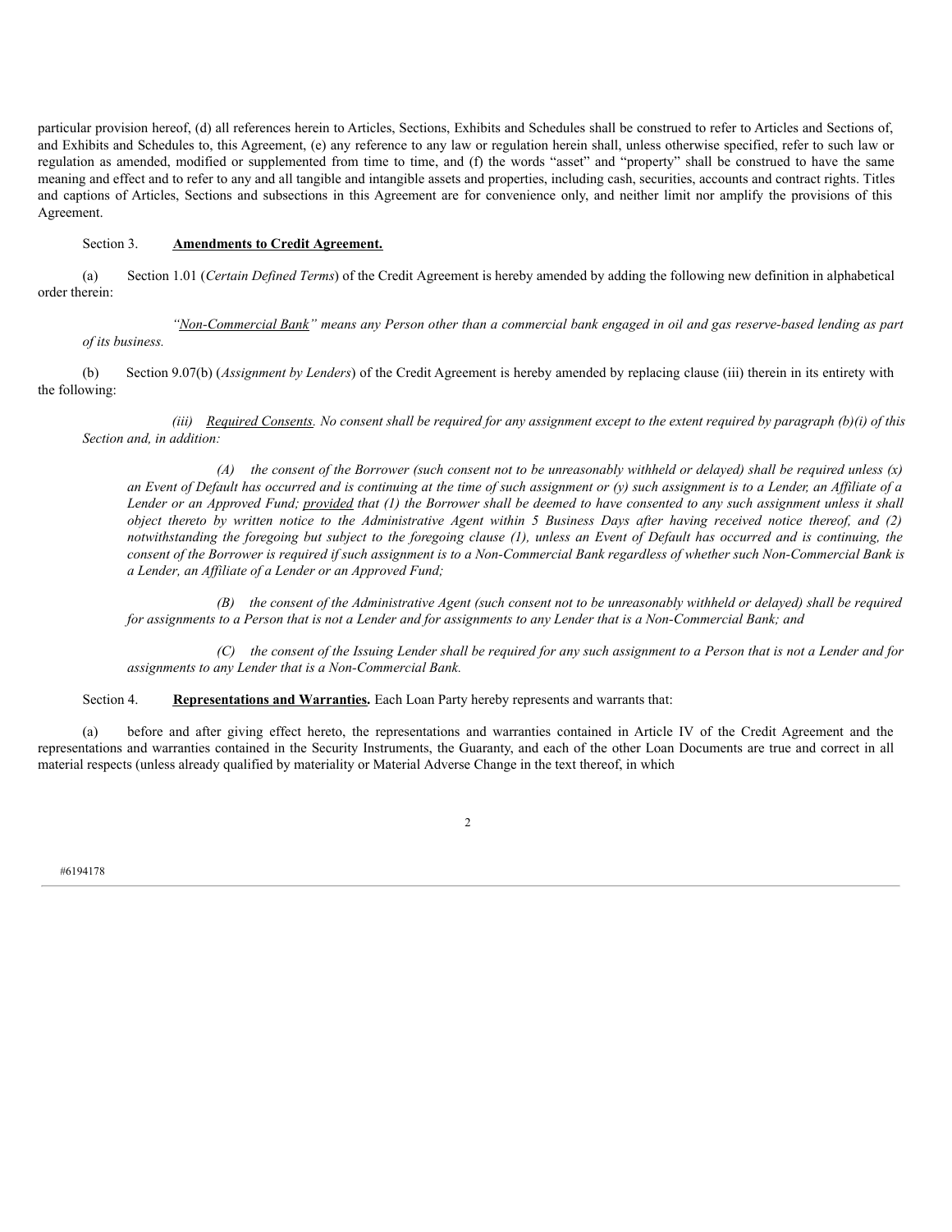particular provision hereof, (d) all references herein to Articles, Sections, Exhibits and Schedules shall be construed to refer to Articles and Sections of, and Exhibits and Schedules to, this Agreement, (e) any reference to any law or regulation herein shall, unless otherwise specified, refer to such law or regulation as amended, modified or supplemented from time to time, and (f) the words "asset" and "property" shall be construed to have the same meaning and effect and to refer to any and all tangible and intangible assets and properties, including cash, securities, accounts and contract rights. Titles and captions of Articles, Sections and subsections in this Agreement are for convenience only, and neither limit nor amplify the provisions of this Agreement.

## Section 3. **Amendments to Credit Agreement.**

(a) Section 1.01 (*Certain Defined Terms*) of the Credit Agreement is hereby amended by adding the following new definition in alphabetical order therein:

"Non-Commercial Bank" means any Person other than a commercial bank engaged in oil and gas reserve-based lending as part *of its business.*

(b) Section 9.07(b) (*Assignment by Lenders*) of the Credit Agreement is hereby amended by replacing clause (iii) therein in its entirety with the following:

(iii) Required Consents. No consent shall be required for any assignment except to the extent required by paragraph  $(b)(i)$  of this *Section and, in addition:*

(A) the consent of the Borrower (such consent not to be unreasonably withheld or delayed) shall be required unless  $(x)$ an Event of Default has occurred and is continuing at the time of such assignment or  $(y)$  such assignment is to a Lender, an Affiliate of a Lender or an Approved Fund; provided that (1) the Borrower shall be deemed to have consented to any such assignment unless it shall object thereto by written notice to the Administrative Agent within 5 Business Days after having received notice thereof, and (2) notwithstanding the foregoing but subject to the foregoing clause (1), unless an Event of Default has occurred and is continuing, the consent of the Borrower is required if such assignment is to a Non-Commercial Bank regardless of whether such Non-Commercial Bank is *a Lender, an Af iliate of a Lender or an Approved Fund;*

(B) the consent of the Administrative Agent (such consent not to be unreasonably withheld or delayed) shall be required for assignments to a Person that is not a Lender and for assignments to any Lender that is a Non-Commercial Bank; and

(C) the consent of the Issuing Lender shall be required for any such assignment to a Person that is not a Lender and for *assignments to any Lender that is a Non-Commercial Bank.*

Section 4. **Representations and Warranties.** Each Loan Party hereby represents and warrants that:

(a) before and after giving effect hereto, the representations and warranties contained in Article IV of the Credit Agreement and the representations and warranties contained in the Security Instruments, the Guaranty, and each of the other Loan Documents are true and correct in all material respects (unless already qualified by materiality or Material Adverse Change in the text thereof, in which

2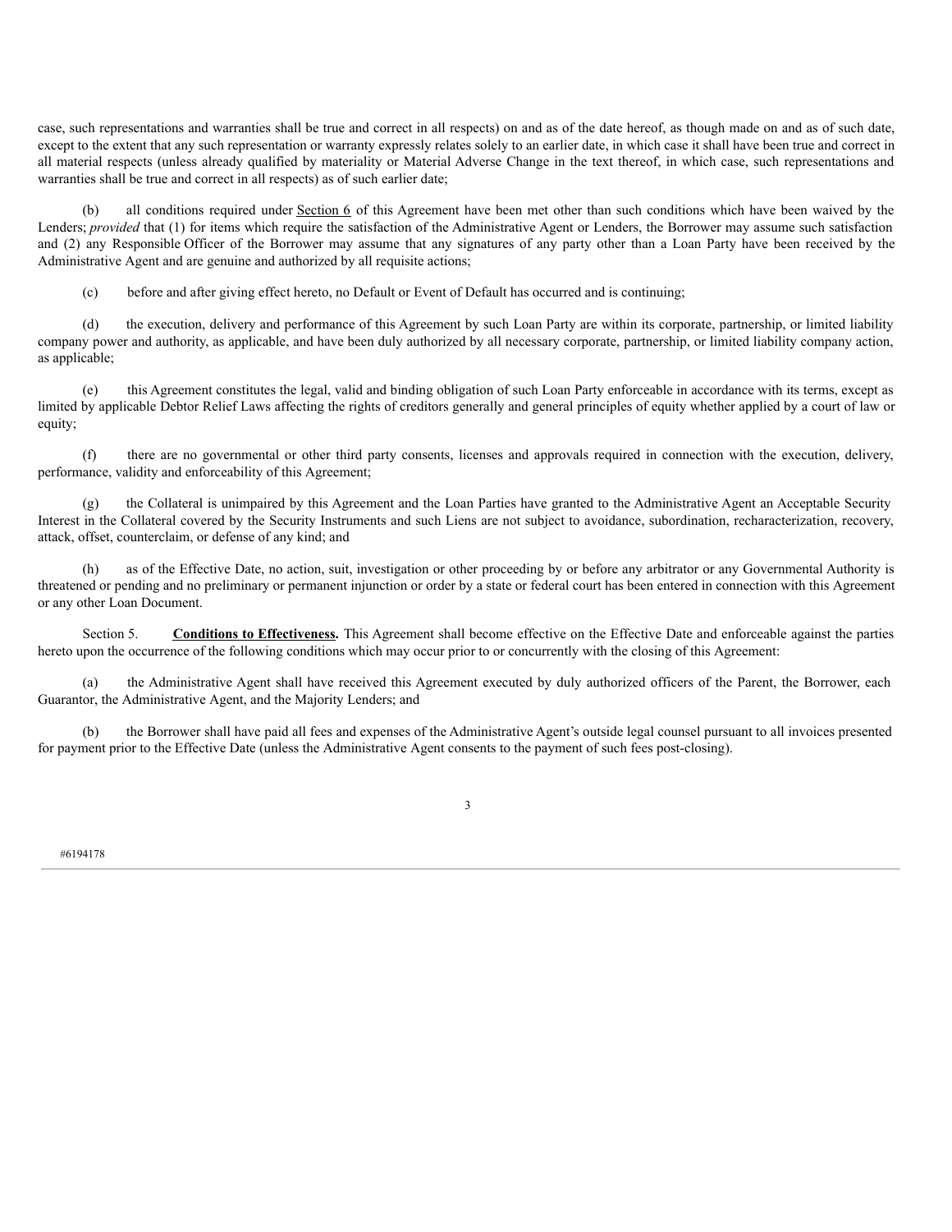case, such representations and warranties shall be true and correct in all respects) on and as of the date hereof, as though made on and as of such date, except to the extent that any such representation or warranty expressly relates solely to an earlier date, in which case it shall have been true and correct in all material respects (unless already qualified by materiality or Material Adverse Change in the text thereof, in which case, such representations and warranties shall be true and correct in all respects) as of such earlier date;

(b) all conditions required under Section 6 of this Agreement have been met other than such conditions which have been waived by the Lenders; *provided* that (1) for items which require the satisfaction of the Administrative Agent or Lenders, the Borrower may assume such satisfaction and (2) any Responsible Officer of the Borrower may assume that any signatures of any party other than a Loan Party have been received by the Administrative Agent and are genuine and authorized by all requisite actions;

(c) before and after giving effect hereto, no Default or Event of Default has occurred and is continuing;

(d) the execution, delivery and performance of this Agreement by such Loan Party are within its corporate, partnership, or limited liability company power and authority, as applicable, and have been duly authorized by all necessary corporate, partnership, or limited liability company action, as applicable;

(e) this Agreement constitutes the legal, valid and binding obligation of such Loan Party enforceable in accordance with its terms, except as limited by applicable Debtor Relief Laws affecting the rights of creditors generally and general principles of equity whether applied by a court of law or equity;

(f) there are no governmental or other third party consents, licenses and approvals required in connection with the execution, delivery, performance, validity and enforceability of this Agreement;

(g) the Collateral is unimpaired by this Agreement and the Loan Parties have granted to the Administrative Agent an Acceptable Security Interest in the Collateral covered by the Security Instruments and such Liens are not subject to avoidance, subordination, recharacterization, recovery, attack, offset, counterclaim, or defense of any kind; and

(h) as of the Effective Date, no action, suit, investigation or other proceeding by or before any arbitrator or any Governmental Authority is threatened or pending and no preliminary or permanent injunction or order by a state or federal court has been entered in connection with this Agreement or any other Loan Document.

Section 5. Conditions to Effectiveness. This Agreement shall become effective on the Effective Date and enforceable against the parties hereto upon the occurrence of the following conditions which may occur prior to or concurrently with the closing of this Agreement:

(a) the Administrative Agent shall have received this Agreement executed by duly authorized officers of the Parent, the Borrower, each Guarantor, the Administrative Agent, and the Majority Lenders; and

(b) the Borrower shall have paid all fees and expenses of the Administrative Agent's outside legal counsel pursuant to all invoices presented for payment prior to the Effective Date (unless the Administrative Agent consents to the payment of such fees post-closing).

3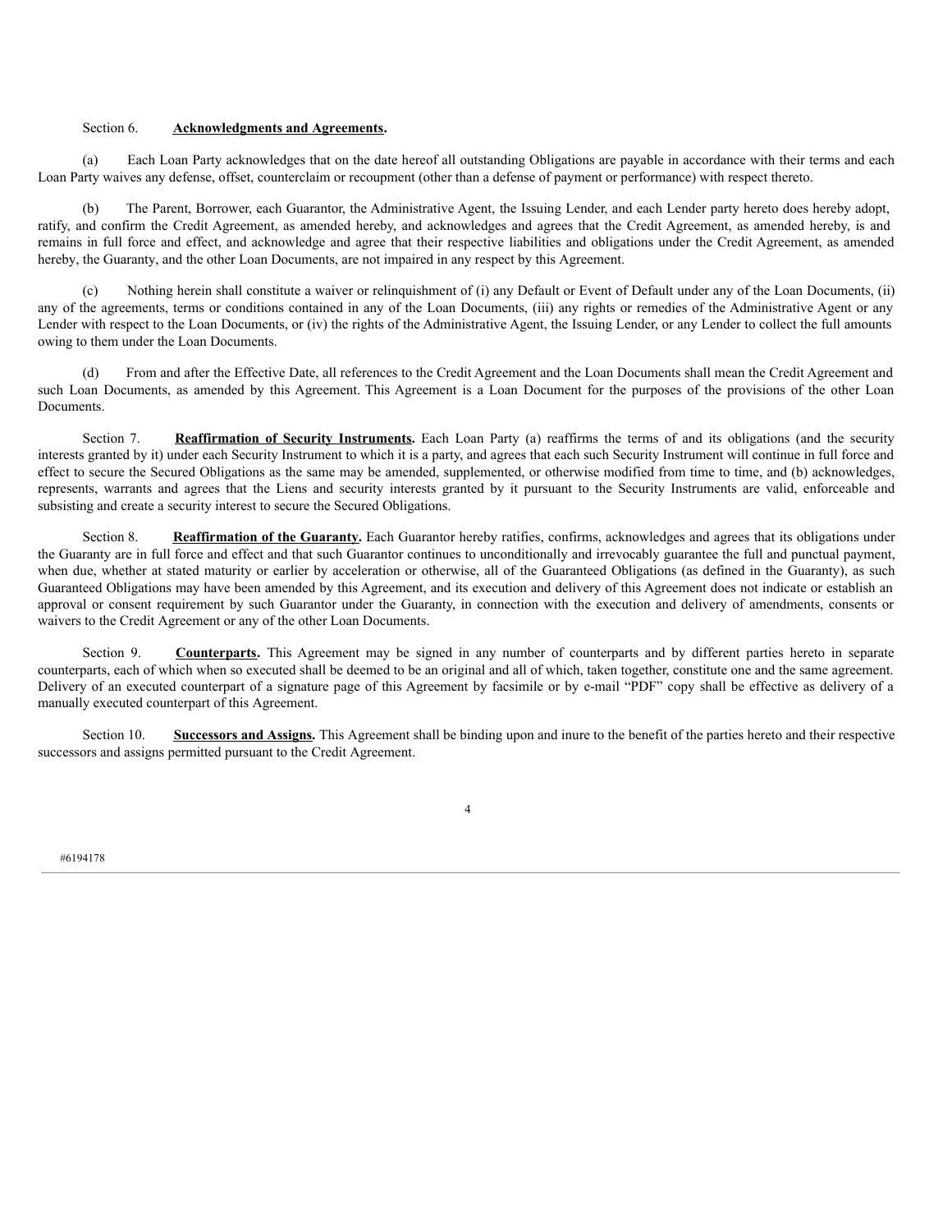## Section 6. **Acknowledgments and Agreements.**

(a) Each Loan Party acknowledges that on the date hereof all outstanding Obligations are payable in accordance with their terms and each Loan Party waives any defense, offset, counterclaim or recoupment (other than a defense of payment or performance) with respect thereto.

(b) The Parent, Borrower, each Guarantor, the Administrative Agent, the Issuing Lender, and each Lender party hereto does hereby adopt, ratify, and confirm the Credit Agreement, as amended hereby, and acknowledges and agrees that the Credit Agreement, as amended hereby, is and remains in full force and effect, and acknowledge and agree that their respective liabilities and obligations under the Credit Agreement, as amended hereby, the Guaranty, and the other Loan Documents, are not impaired in any respect by this Agreement.

Nothing herein shall constitute a waiver or relinquishment of (i) any Default or Event of Default under any of the Loan Documents, (ii) any of the agreements, terms or conditions contained in any of the Loan Documents, (iii) any rights or remedies of the Administrative Agent or any Lender with respect to the Loan Documents, or (iv) the rights of the Administrative Agent, the Issuing Lender, or any Lender to collect the full amounts owing to them under the Loan Documents.

(d) From and after the Effective Date, all references to the Credit Agreement and the Loan Documents shall mean the Credit Agreement and such Loan Documents, as amended by this Agreement. This Agreement is a Loan Document for the purposes of the provisions of the other Loan **Documents** 

Section 7. **Reaffirmation of Security Instruments.** Each Loan Party (a) reaffirms the terms of and its obligations (and the security interests granted by it) under each Security Instrument to which it is a party, and agrees that each such Security Instrument will continue in full force and effect to secure the Secured Obligations as the same may be amended, supplemented, or otherwise modified from time to time, and (b) acknowledges, represents, warrants and agrees that the Liens and security interests granted by it pursuant to the Security Instruments are valid, enforceable and subsisting and create a security interest to secure the Secured Obligations.

Section 8. **Reaffirmation of the Guaranty.** Each Guarantor hereby ratifies, confirms, acknowledges and agrees that its obligations under the Guaranty are in full force and effect and that such Guarantor continues to unconditionally and irrevocably guarantee the full and punctual payment, when due, whether at stated maturity or earlier by acceleration or otherwise, all of the Guaranteed Obligations (as defined in the Guaranty), as such Guaranteed Obligations may have been amended by this Agreement, and its execution and delivery of this Agreement does not indicate or establish an approval or consent requirement by such Guarantor under the Guaranty, in connection with the execution and delivery of amendments, consents or waivers to the Credit Agreement or any of the other Loan Documents.

Section 9. **Counterparts.** This Agreement may be signed in any number of counterparts and by different parties hereto in separate counterparts, each of which when so executed shall be deemed to be an original and all of which, taken together, constitute one and the same agreement. Delivery of an executed counterpart of a signature page of this Agreement by facsimile or by e-mail "PDF" copy shall be effective as delivery of a manually executed counterpart of this Agreement.

Section 10. **Successors and Assigns.** This Agreement shall be binding upon and inure to the benefit of the parties hereto and their respective successors and assigns permitted pursuant to the Credit Agreement.

4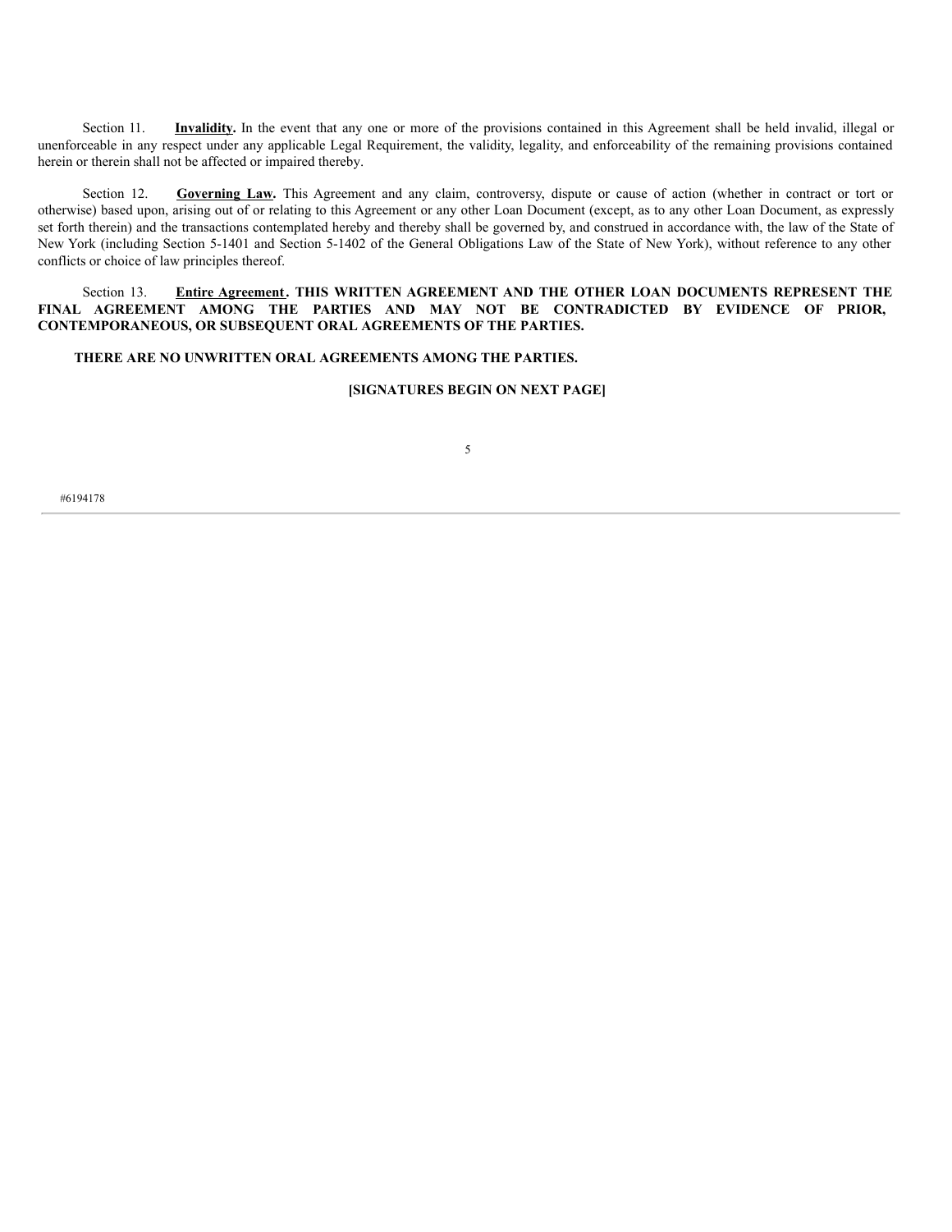Section 11. **Invalidity.** In the event that any one or more of the provisions contained in this Agreement shall be held invalid, illegal or unenforceable in any respect under any applicable Legal Requirement, the validity, legality, and enforceability of the remaining provisions contained herein or therein shall not be affected or impaired thereby.

Section 12. **Governing Law.** This Agreement and any claim, controversy, dispute or cause of action (whether in contract or tort or otherwise) based upon, arising out of or relating to this Agreement or any other Loan Document (except, as to any other Loan Document, as expressly set forth therein) and the transactions contemplated hereby and thereby shall be governed by, and construed in accordance with, the law of the State of New York (including Section 5-1401 and Section 5-1402 of the General Obligations Law of the State of New York), without reference to any other conflicts or choice of law principles thereof.

## Section 13. **Entire Agreement. THIS WRITTEN AGREEMENT AND THE OTHER LOAN DOCUMENTS REPRESENT THE FINAL AGREEMENT AMONG THE PARTIES AND MAY NOT BE CONTRADICTED BY EVIDENCE OF PRIOR, CONTEMPORANEOUS, OR SUBSEQUENT ORAL AGREEMENTS OF THE PARTIES.**

## **THERE ARE NO UNWRITTEN ORAL AGREEMENTS AMONG THE PARTIES.**

**[SIGNATURES BEGIN ON NEXT PAGE]**

5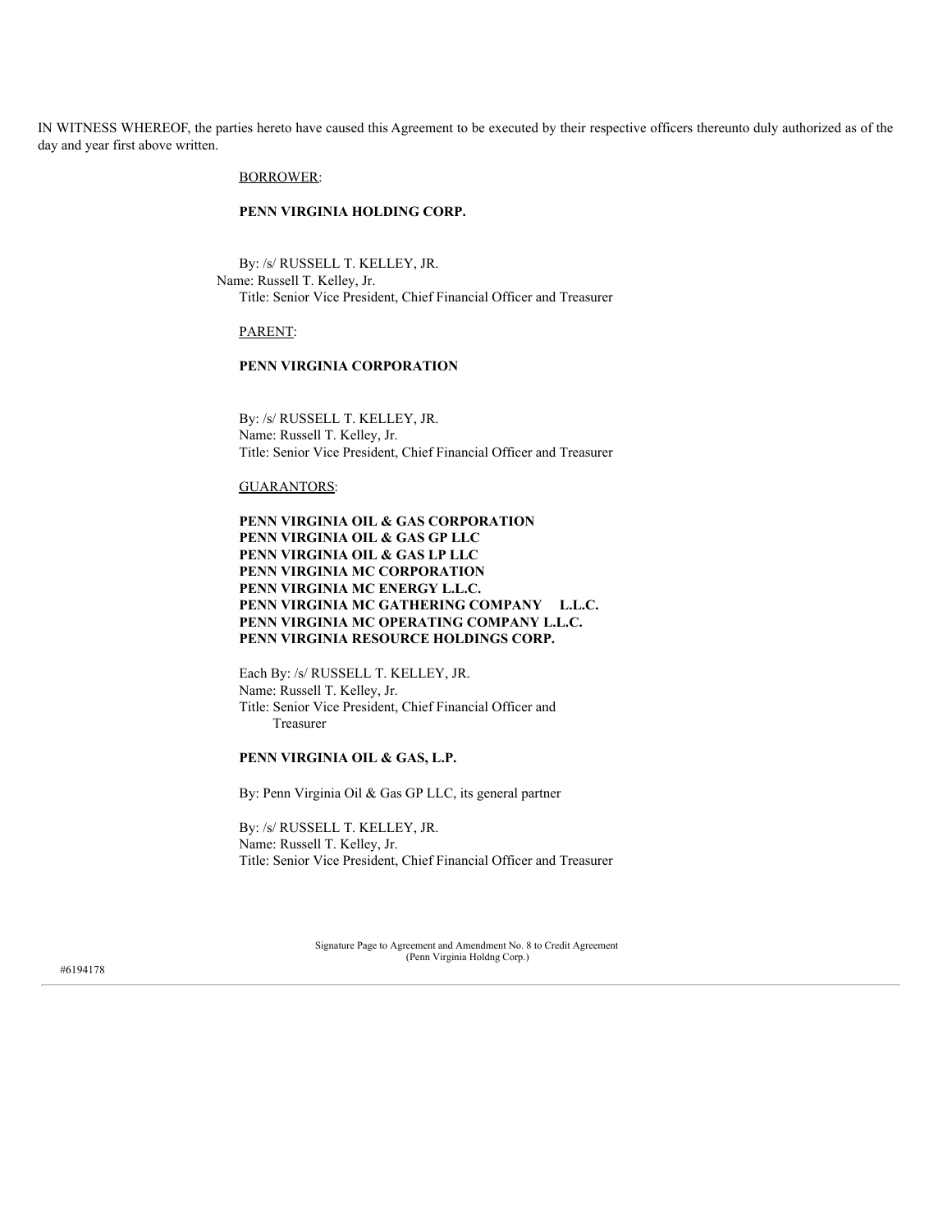IN WITNESS WHEREOF, the parties hereto have caused this Agreement to be executed by their respective officers thereunto duly authorized as of the day and year first above written.

## BORROWER:

## **PENN VIRGINIA HOLDING CORP.**

By: /s/ RUSSELL T. KELLEY, JR. Name: Russell T. Kelley, Jr. Title: Senior Vice President, Chief Financial Officer and Treasurer

### PARENT:

## **PENN VIRGINIA CORPORATION**

By: /s/ RUSSELL T. KELLEY, JR. Name: Russell T. Kelley, Jr. Title: Senior Vice President, Chief Financial Officer and Treasurer

## GUARANTORS:

## **PENN VIRGINIA OIL & GAS CORPORATION PENN VIRGINIA OIL & GAS GP LLC PENN VIRGINIA OIL & GAS LP LLC PENN VIRGINIA MC CORPORATION PENN VIRGINIA MC ENERGY L.L.C. PENN VIRGINIA MC GATHERING COMPANY L.L.C. PENN VIRGINIA MC OPERATING COMPANY L.L.C. PENN VIRGINIA RESOURCE HOLDINGS CORP.**

Each By: /s/ RUSSELL T. KELLEY, JR. Name: Russell T. Kelley, Jr. Title: Senior Vice President, Chief Financial Officer and Treasurer

### **PENN VIRGINIA OIL & GAS, L.P.**

By: Penn Virginia Oil & Gas GP LLC, its general partner

By: /s/ RUSSELL T. KELLEY, JR. Name: Russell T. Kelley, Jr. Title: Senior Vice President, Chief Financial Officer and Treasurer

> Signature Page to Agreement and Amendment No. 8 to Credit Agreement (Penn Virginia Holdng Corp.)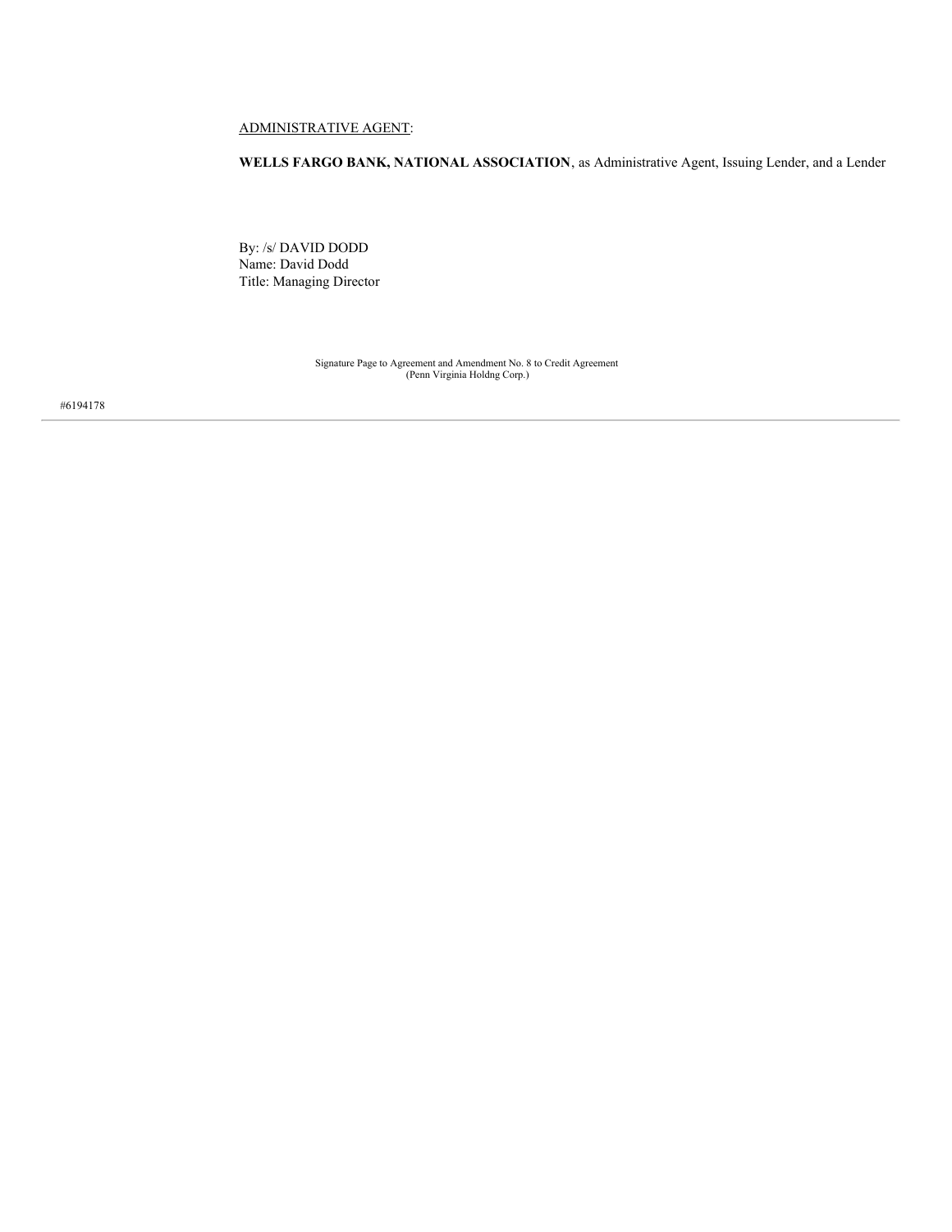## ADMINISTRATIVE AGENT:

## **WELLS FARGO BANK, NATIONAL ASSOCIATION**, as Administrative Agent, Issuing Lender, and a Lender

By: /s/ DAVID DODD Name: David Dodd Title: Managing Director

Signature Page to Agreement and Amendment No. 8 to Credit Agreement (Penn Virginia Holdng Corp.)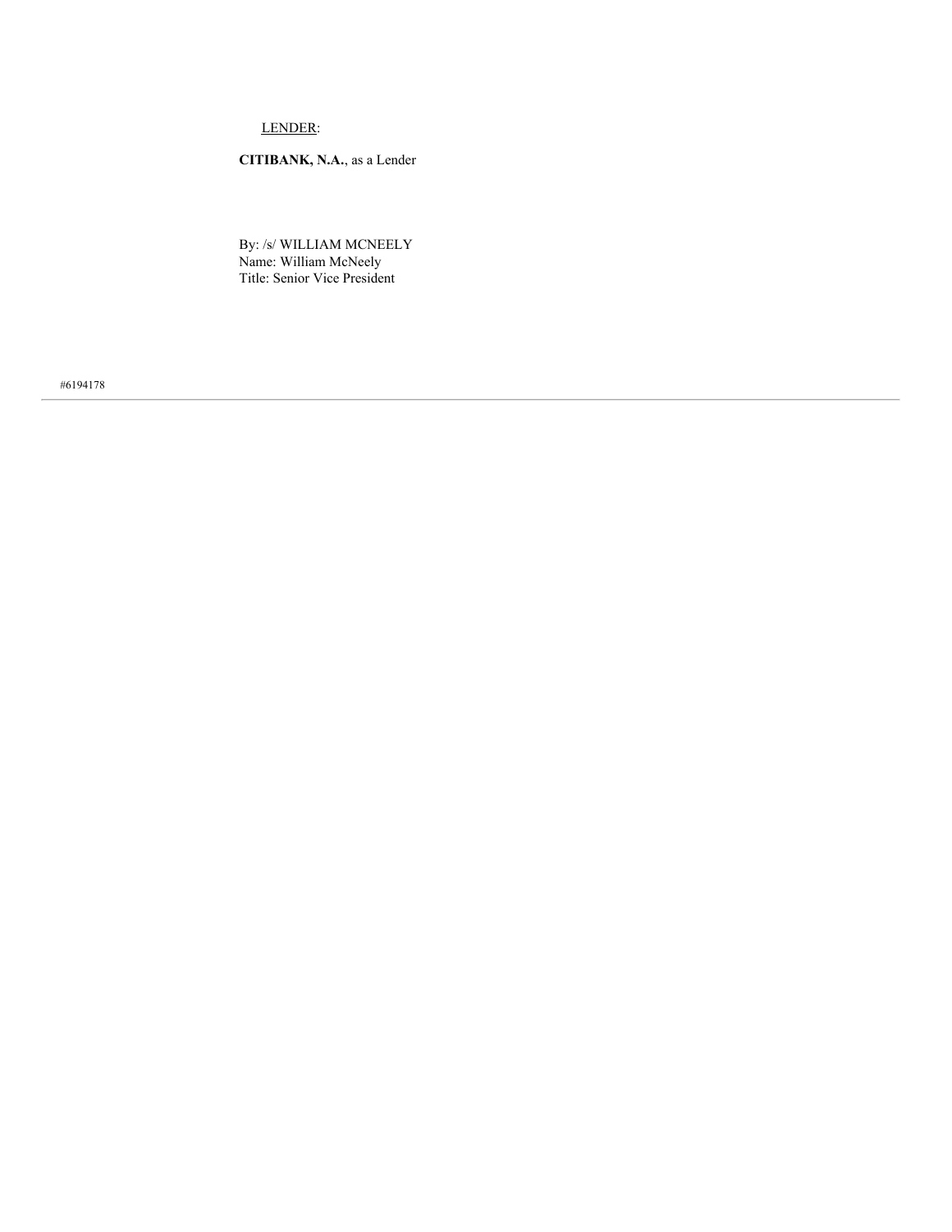## **CITIBANK, N.A.**, as a Lender

By: /s/ WILLIAM MCNEELY Name: William McNeely Title: Senior Vice President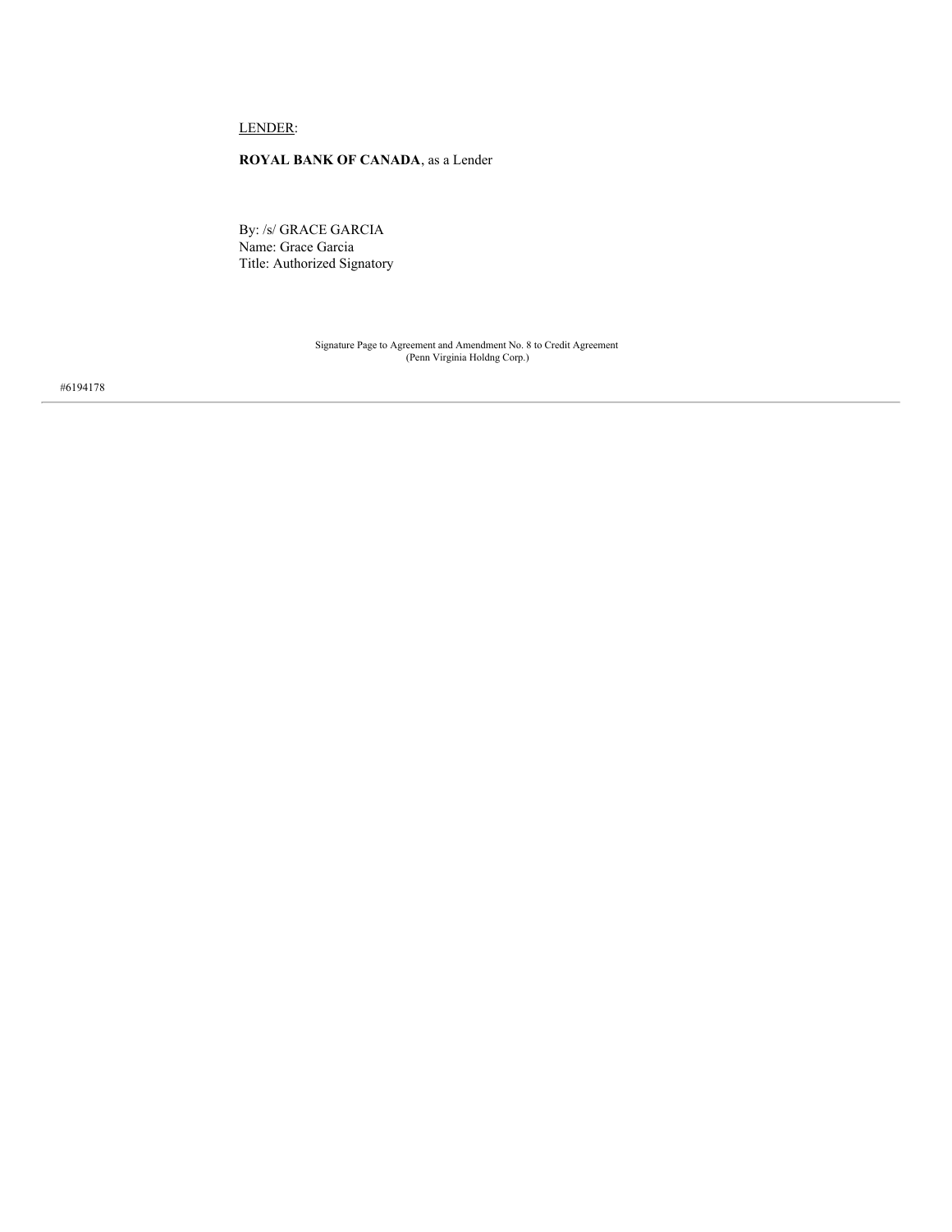## **ROYAL BANK OF CANADA**, as a Lender

By: /s/ GRACE GARCIA Name: Grace Garcia Title: Authorized Signatory

Signature Page to Agreement and Amendment No. 8 to Credit Agreement (Penn Virginia Holdng Corp.)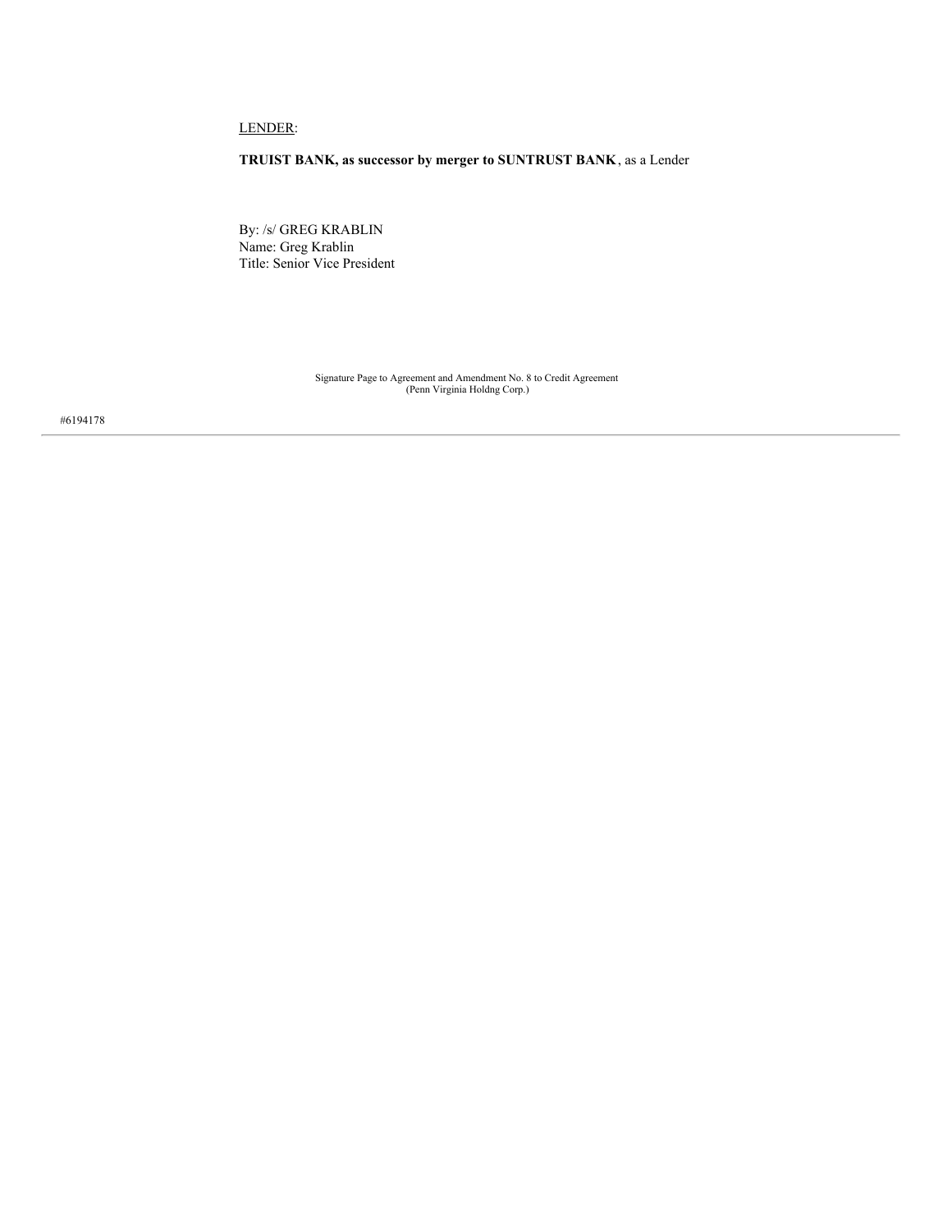<span id="page-56-0"></span>**TRUIST BANK, as successor by merger to SUNTRUST BANK**, as a Lender

By: /s/ GREG KRABLIN Name: Greg Krablin Title: Senior Vice President

Signature Page to Agreement and Amendment No. 8 to Credit Agreement (Penn Virginia Holdng Corp.)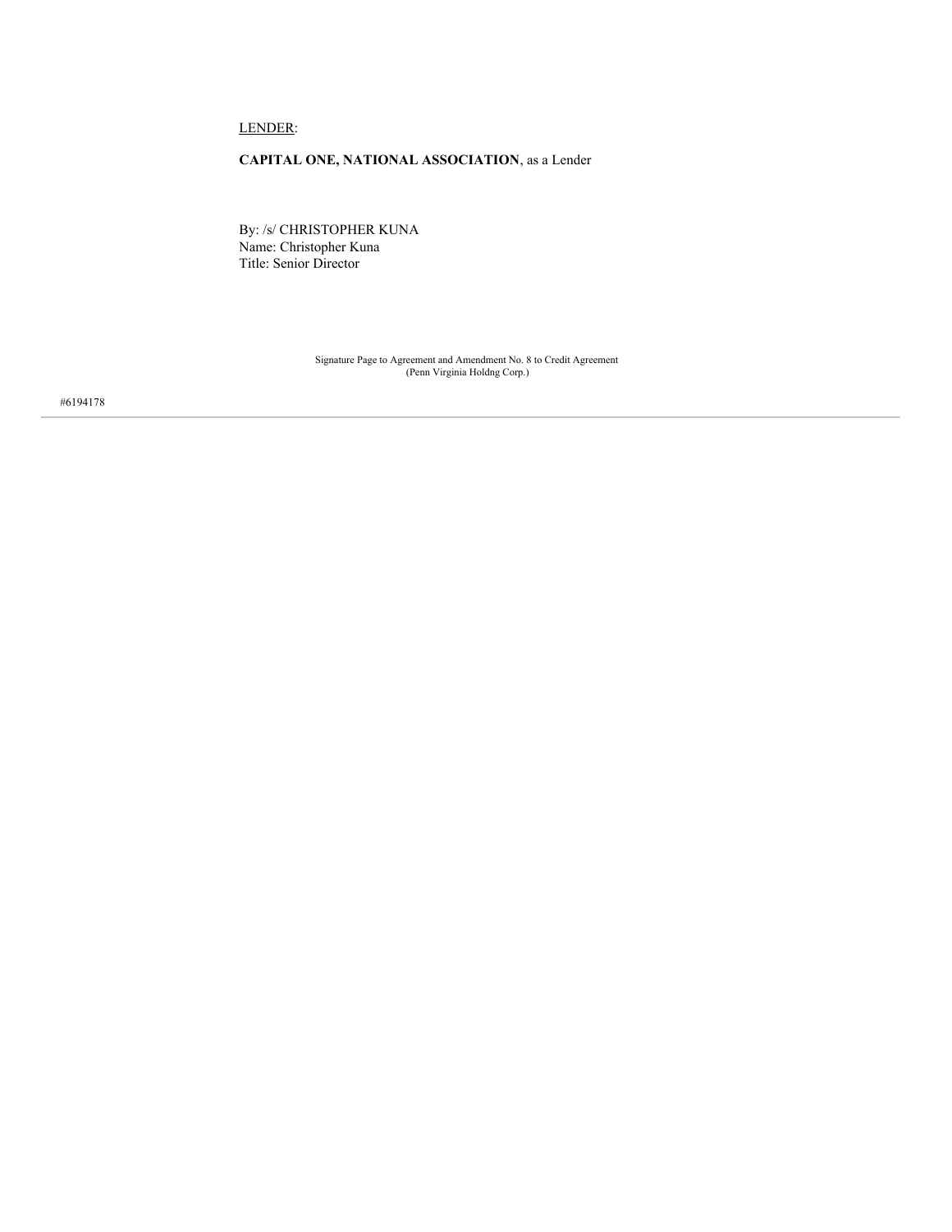## **CAPITAL ONE, NATIONAL ASSOCIATION**, as a Lender

By: /s/ CHRISTOPHER KUNA Name: Christopher Kuna Title: Senior Director

Signature Page to Agreement and Amendment No. 8 to Credit Agreement (Penn Virginia Holdng Corp.)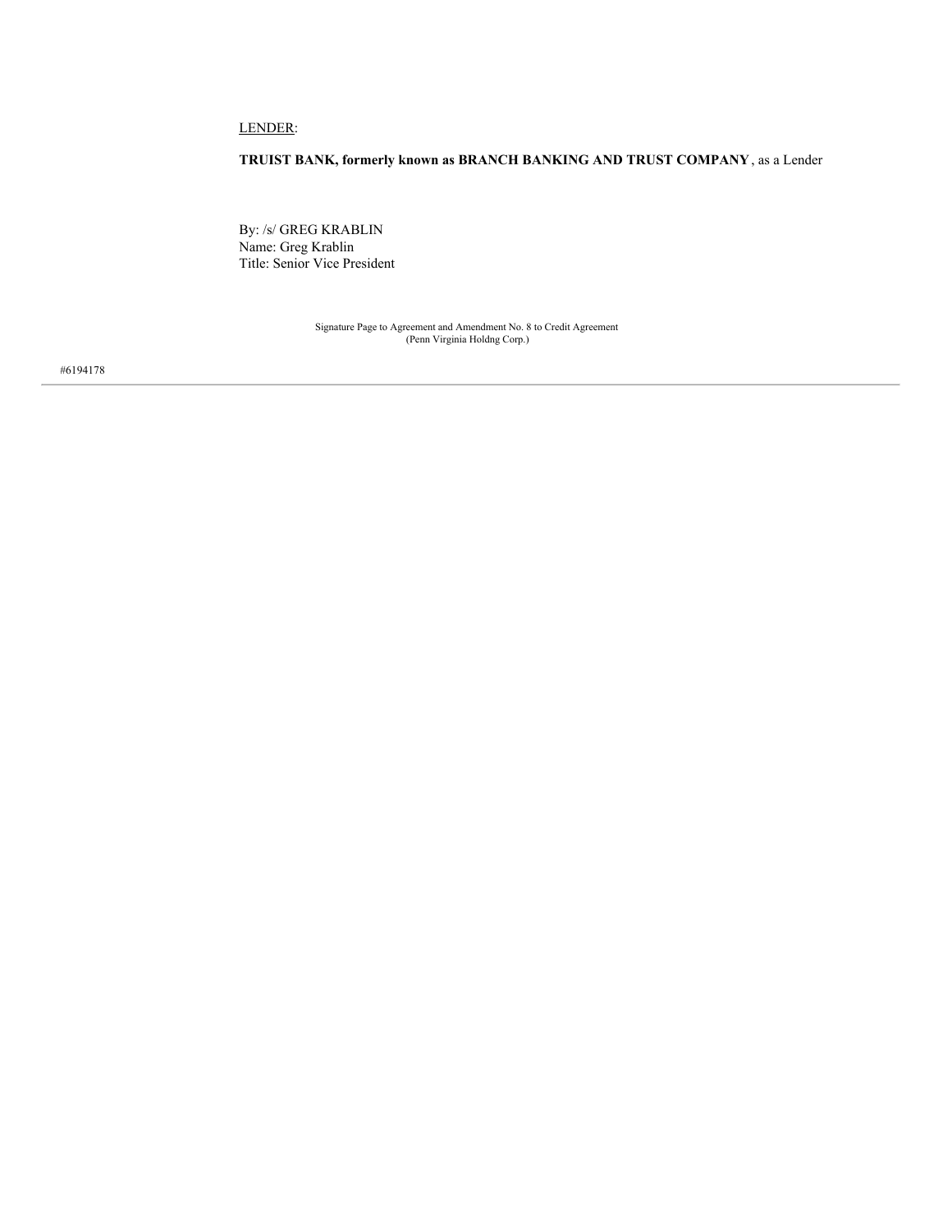## **TRUIST BANK, formerly known as BRANCH BANKING AND TRUST COMPANY**, as a Lender

By: /s/ GREG KRABLIN Name: Greg Krablin Title: Senior Vice President

Signature Page to Agreement and Amendment No. 8 to Credit Agreement (Penn Virginia Holdng Corp.)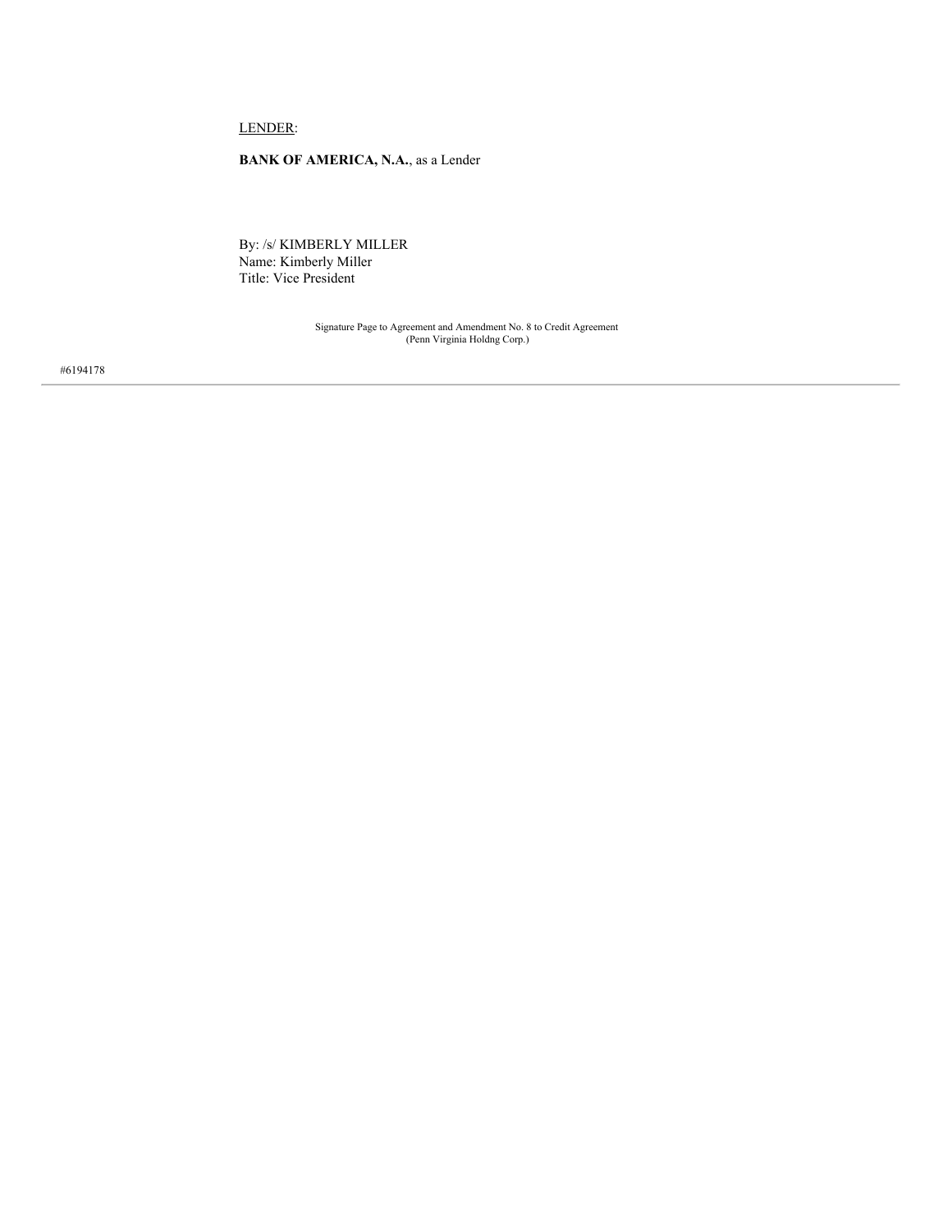## **BANK OF AMERICA, N.A.**, as a Lender

By: /s/ KIMBERLY MILLER Name: Kimberly Miller Title: Vice President

Signature Page to Agreement and Amendment No. 8 to Credit Agreement (Penn Virginia Holdng Corp.)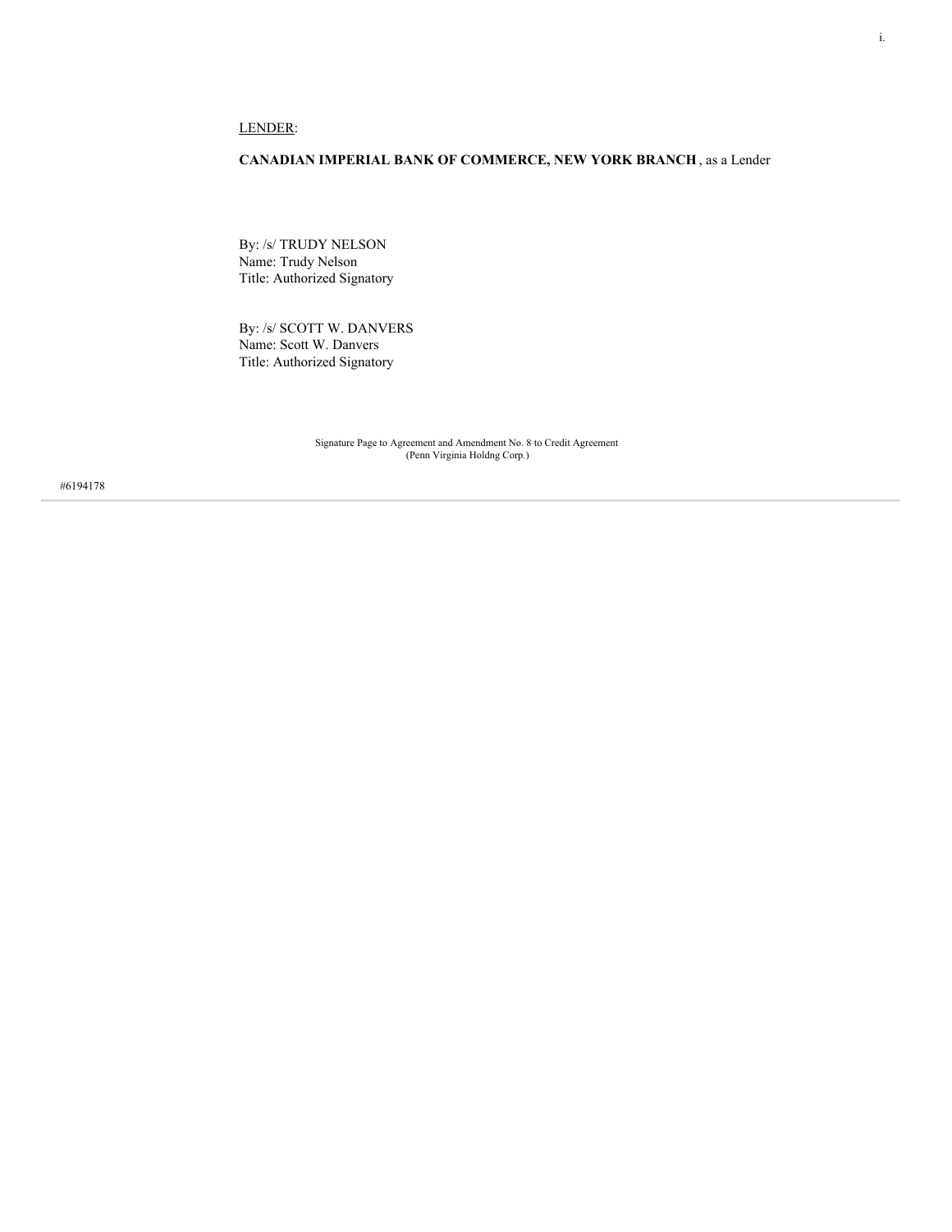## **CANADIAN IMPERIAL BANK OF COMMERCE, NEW YORK BRANCH** ,as a Lender

By: /s/ TRUDY NELSON Name: Trudy Nelson Title: Authorized Signatory

By: /s/ SCOTT W. DANVERS Name: Scott W. Danvers Title: Authorized Signatory

Signature Page to Agreement and Amendment No. 8 to Credit Agreement (Penn Virginia Holdng Corp.)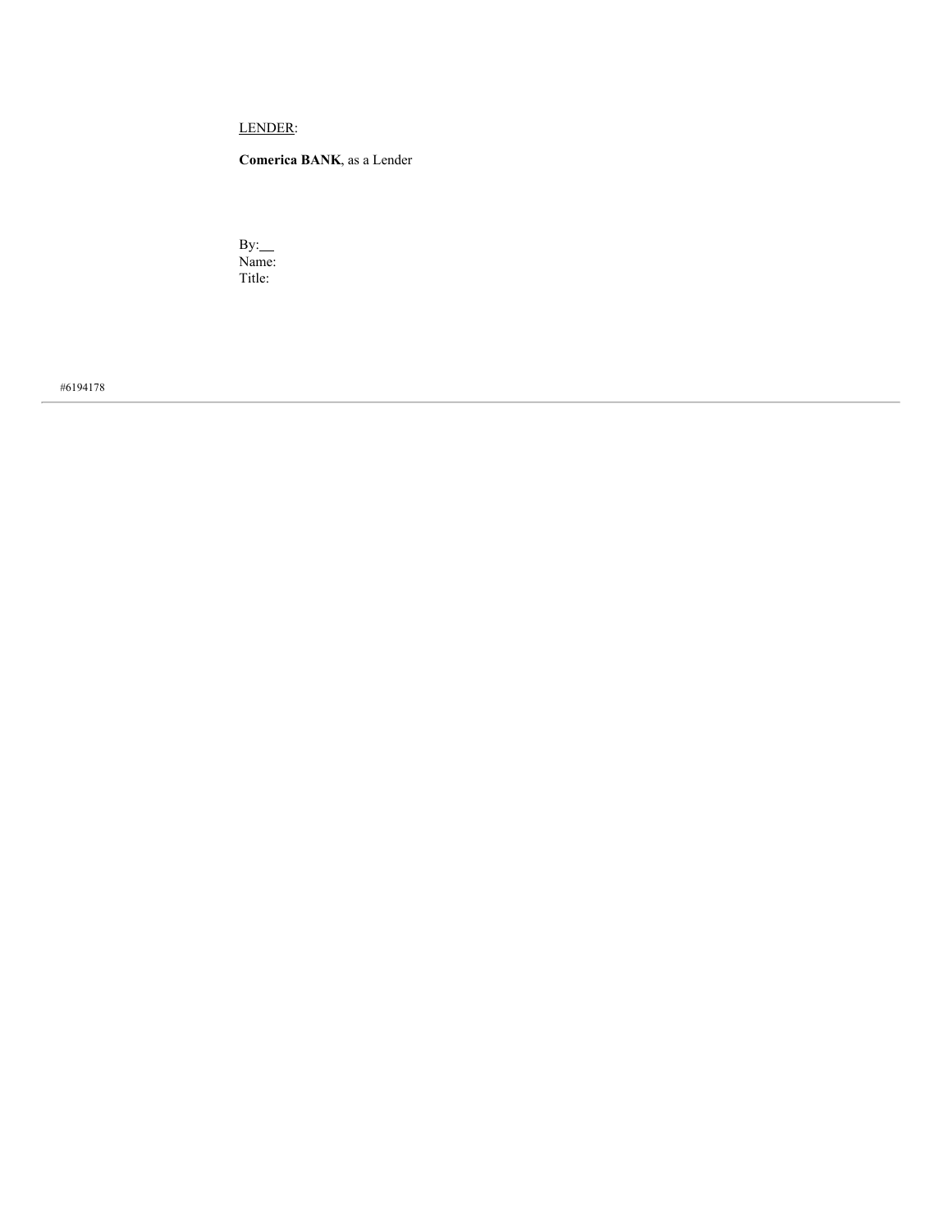# **Comerica BANK**, as a Lender

By: Name: Title: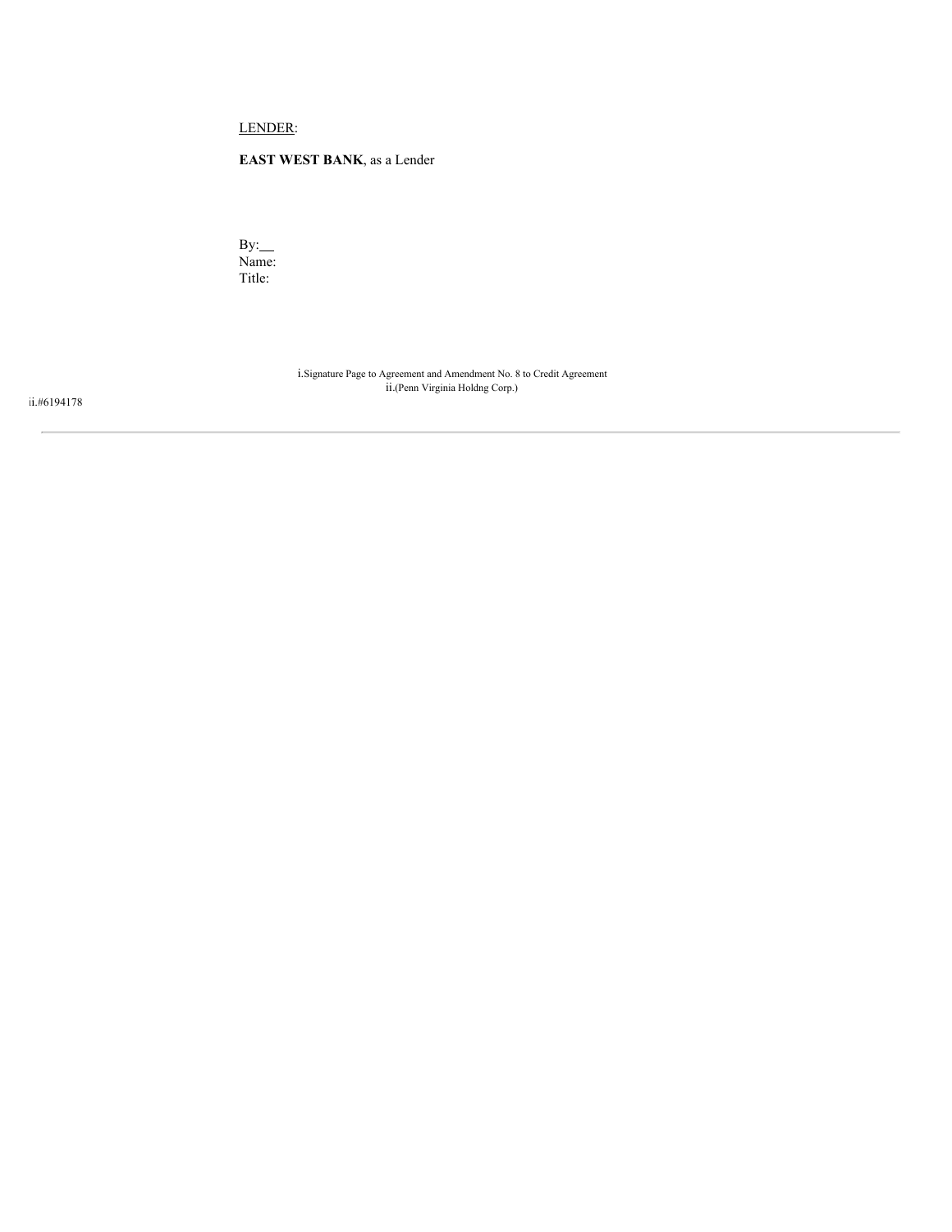## **EAST WEST BANK**, as a Lender

By: Name: Title:

#### i.Signature Page to Agreement and Amendment No. 8 to Credit Agreement ii.(Penn Virginia Holdng Corp.)

i.#6194178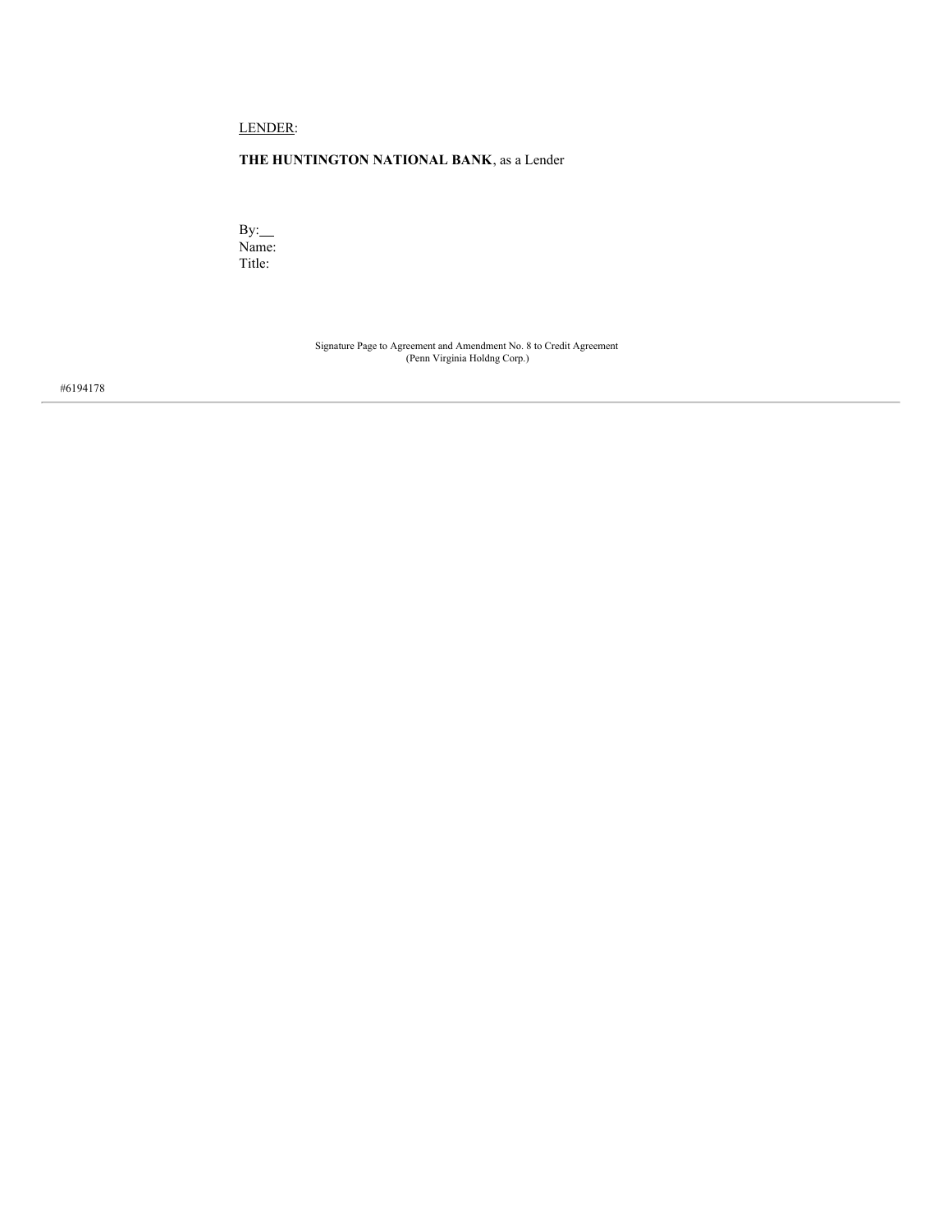## **THE HUNTINGTON NATIONAL BANK**, as a Lender

By: Name: Title:

Signature Page to Agreement and Amendment No. 8 to Credit Agreement (Penn Virginia Holdng Corp.)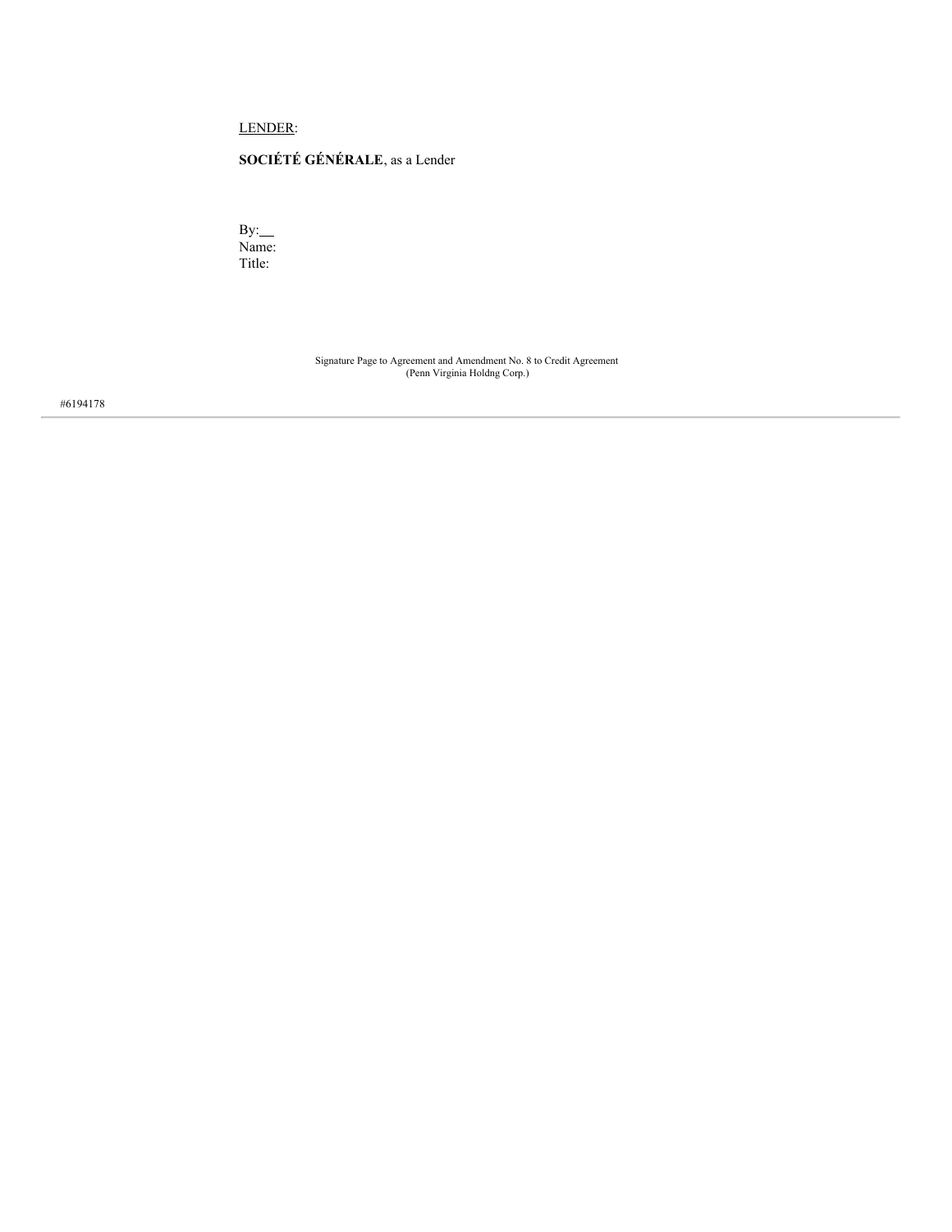# **SOCIÉTÉ GÉNÉRALE**, as a Lender

By: Name: Title:

Signature Page to Agreement and Amendment No. 8 to Credit Agreement (Penn Virginia Holdng Corp.)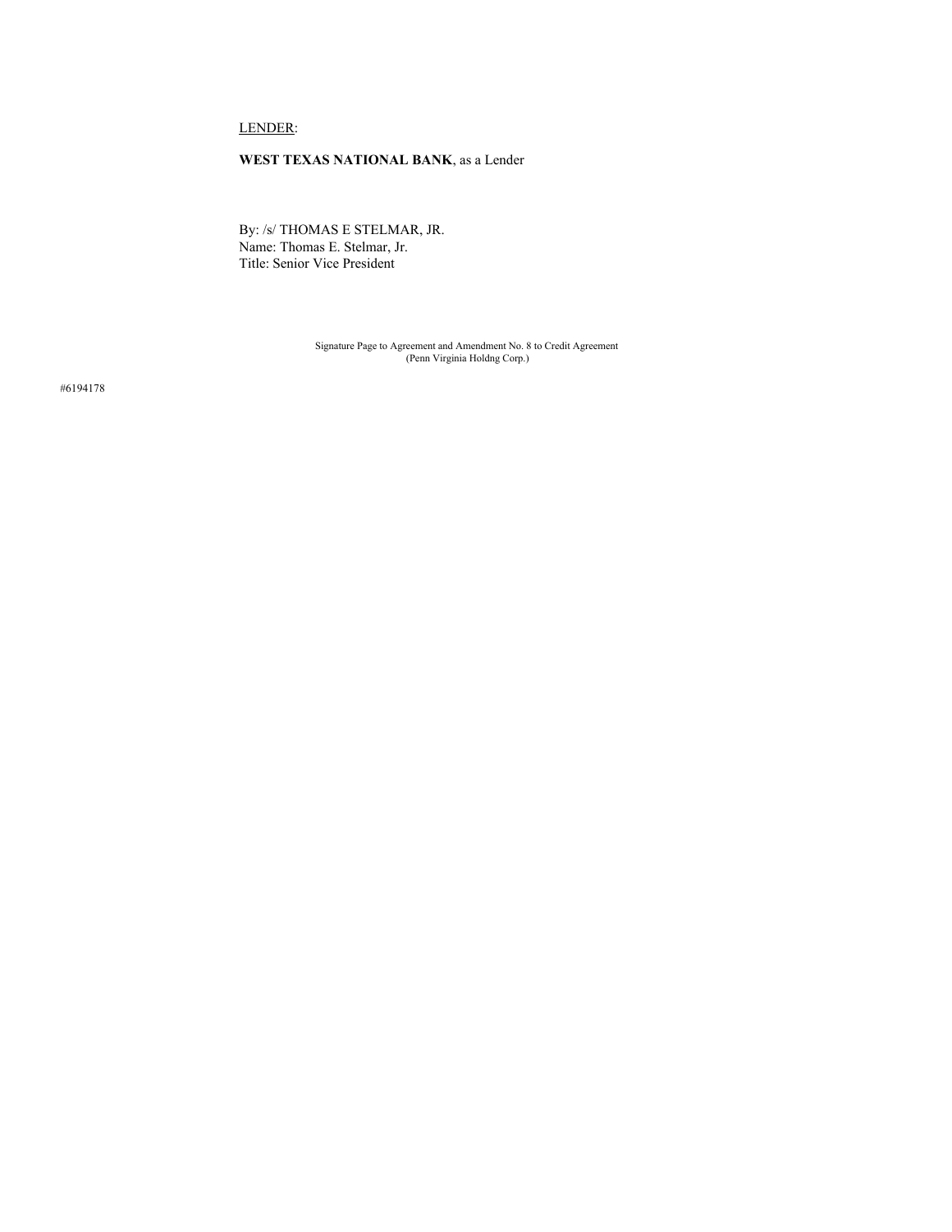## **WEST TEXAS NATIONAL BANK**, as a Lender

By: /s/ THOMAS E STELMAR, JR. Name: Thomas E. Stelmar, Jr. Title: Senior Vice President

Signature Page to Agreement and Amendment No. 8 to Credit Agreement (Penn Virginia Holdng Corp.)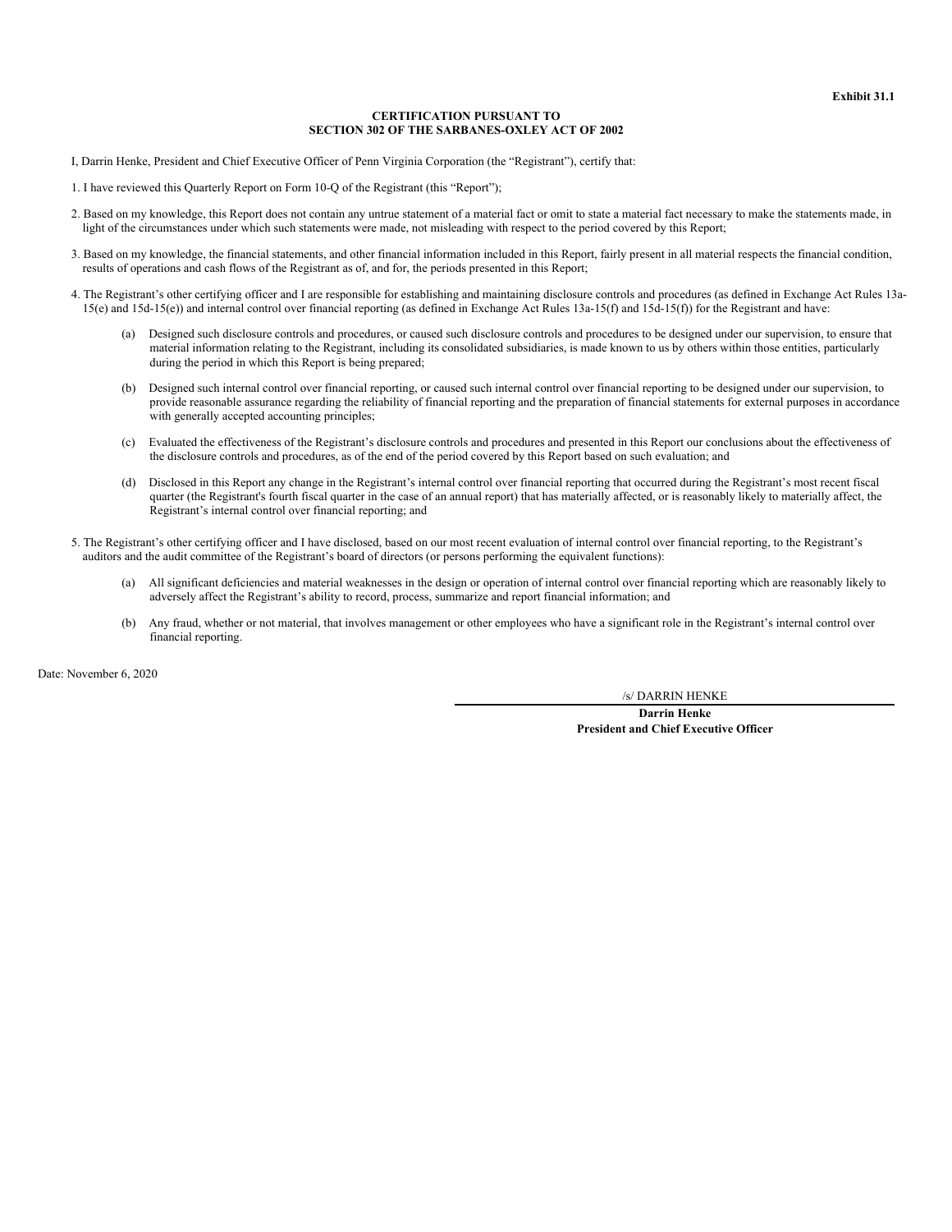### **CERTIFICATION PURSUANT TO SECTION 302 OF THE SARBANES-OXLEY ACT OF 2002**

<span id="page-66-0"></span>I, Darrin Henke, President and Chief Executive Officer of Penn Virginia Corporation (the "Registrant"), certify that:

- 1. I have reviewed this Quarterly Report on Form 10-Q of the Registrant (this "Report");
- 2. Based on my knowledge, this Report does not contain any untrue statement of a material fact or omit to state a material fact necessary to make the statements made, in light of the circumstances under which such statements were made, not misleading with respect to the period covered by this Report;
- 3. Based on my knowledge, the financial statements, and other financial information included in this Report, fairly present in all material respects the financial condition, results of operations and cash flows of the Registrant as of, and for, the periods presented in this Report;
- 4. The Registrant's other certifying officer and I are responsible for establishing and maintaining disclosure controls and procedures (as defined in Exchange Act Rules 13a-15(e) and 15d-15(e)) and internal control over financial reporting (as defined in Exchange Act Rules 13a-15(f) and 15d-15(f)) for the Registrant and have:
	- (a) Designed such disclosure controls and procedures, or caused such disclosure controls and procedures to be designed under our supervision, to ensure that material information relating to the Registrant, including its consolidated subsidiaries, is made known to us by others within those entities, particularly during the period in which this Report is being prepared;
	- (b) Designed such internal control over financial reporting, or caused such internal control over financial reporting to be designed under our supervision, to provide reasonable assurance regarding the reliability of financial reporting and the preparation of financial statements for external purposes in accordance with generally accepted accounting principles;
	- (c) Evaluated the effectiveness of the Registrant's disclosure controls and procedures and presented in this Report our conclusions about the effectiveness of the disclosure controls and procedures, as of the end of the period covered by this Report based on such evaluation; and
	- (d) Disclosed in this Report any change in the Registrant's internal control over financial reporting that occurred during the Registrant's most recent fiscal quarter (the Registrant's fourth fiscal quarter in the case of an annual report) that has materially affected, or is reasonably likely to materially affect, the Registrant's internal control over financial reporting; and
- 5. The Registrant's other certifying officer and I have disclosed, based on our most recent evaluation of internal control over financial reporting, to the Registrant's auditors and the audit committee of the Registrant's board of directors (or persons performing the equivalent functions):
	- (a) All significant deficiencies and material weaknesses in the design or operation of internal control over financial reporting which are reasonably likely to adversely affect the Registrant's ability to record, process, summarize and report financial information; and
	- (b) Any fraud, whether or not material, that involves management or other employees who have a significant role in the Registrant's internal control over financial reporting.

Date: November 6, 2020

/s/ DARRIN HENKE

**Darrin Henke President and Chief Executive Officer**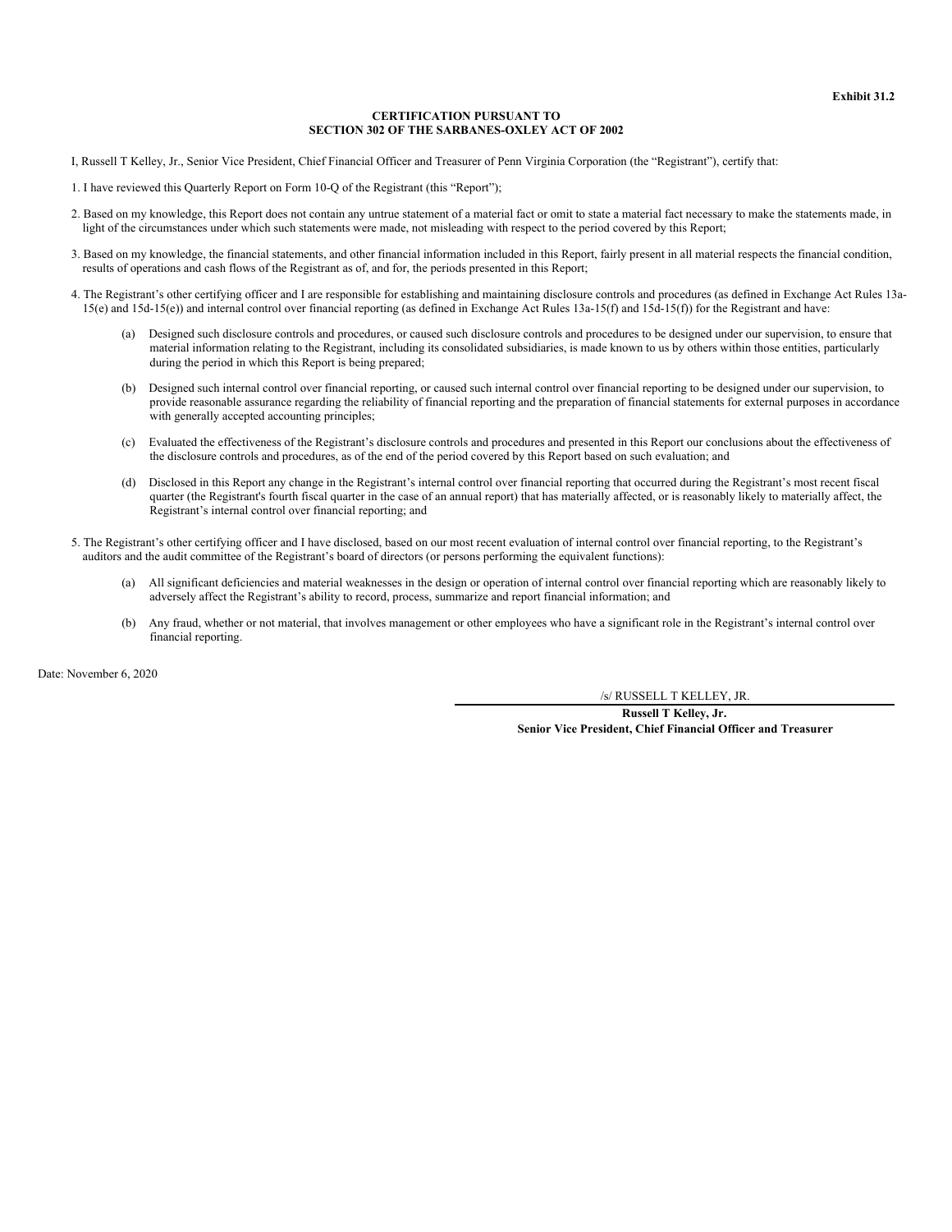### **CERTIFICATION PURSUANT TO SECTION 302 OF THE SARBANES-OXLEY ACT OF 2002**

- <span id="page-67-0"></span>I, Russell T Kelley, Jr., Senior Vice President, Chief Financial Officer and Treasurer of Penn Virginia Corporation (the "Registrant"), certify that:
- 1. I have reviewed this Quarterly Report on Form 10-Q of the Registrant (this "Report");
- 2. Based on my knowledge, this Report does not contain any untrue statement of a material fact or omit to state a material fact necessary to make the statements made, in light of the circumstances under which such statements were made, not misleading with respect to the period covered by this Report;
- 3. Based on my knowledge, the financial statements, and other financial information included in this Report, fairly present in all material respects the financial condition, results of operations and cash flows of the Registrant as of, and for, the periods presented in this Report;
- 4. The Registrant's other certifying officer and I are responsible for establishing and maintaining disclosure controls and procedures (as defined in Exchange Act Rules 13a-15(e) and 15d-15(e)) and internal control over financial reporting (as defined in Exchange Act Rules 13a-15(f) and 15d-15(f)) for the Registrant and have:
	- (a) Designed such disclosure controls and procedures, or caused such disclosure controls and procedures to be designed under our supervision, to ensure that material information relating to the Registrant, including its consolidated subsidiaries, is made known to us by others within those entities, particularly during the period in which this Report is being prepared;
	- (b) Designed such internal control over financial reporting, or caused such internal control over financial reporting to be designed under our supervision, to provide reasonable assurance regarding the reliability of financial reporting and the preparation of financial statements for external purposes in accordance with generally accepted accounting principles;
	- (c) Evaluated the effectiveness of the Registrant's disclosure controls and procedures and presented in this Report our conclusions about the effectiveness of the disclosure controls and procedures, as of the end of the period covered by this Report based on such evaluation; and
	- (d) Disclosed in this Report any change in the Registrant's internal control over financial reporting that occurred during the Registrant's most recent fiscal quarter (the Registrant's fourth fiscal quarter in the case of an annual report) that has materially affected, or is reasonably likely to materially affect, the Registrant's internal control over financial reporting; and
- 5. The Registrant's other certifying officer and I have disclosed, based on our most recent evaluation of internal control over financial reporting, to the Registrant's auditors and the audit committee of the Registrant's board of directors (or persons performing the equivalent functions):
	- (a) All significant deficiencies and material weaknesses in the design or operation of internal control over financial reporting which are reasonably likely to adversely affect the Registrant's ability to record, process, summarize and report financial information; and
	- (b) Any fraud, whether or not material, that involves management or other employees who have a significant role in the Registrant's internal control over financial reporting.

Date: November 6, 2020

/s/ RUSSELL T KELLEY, JR.

**Russell T Kelley, Jr. Senior Vice President, Chief Financial Officer and Treasurer**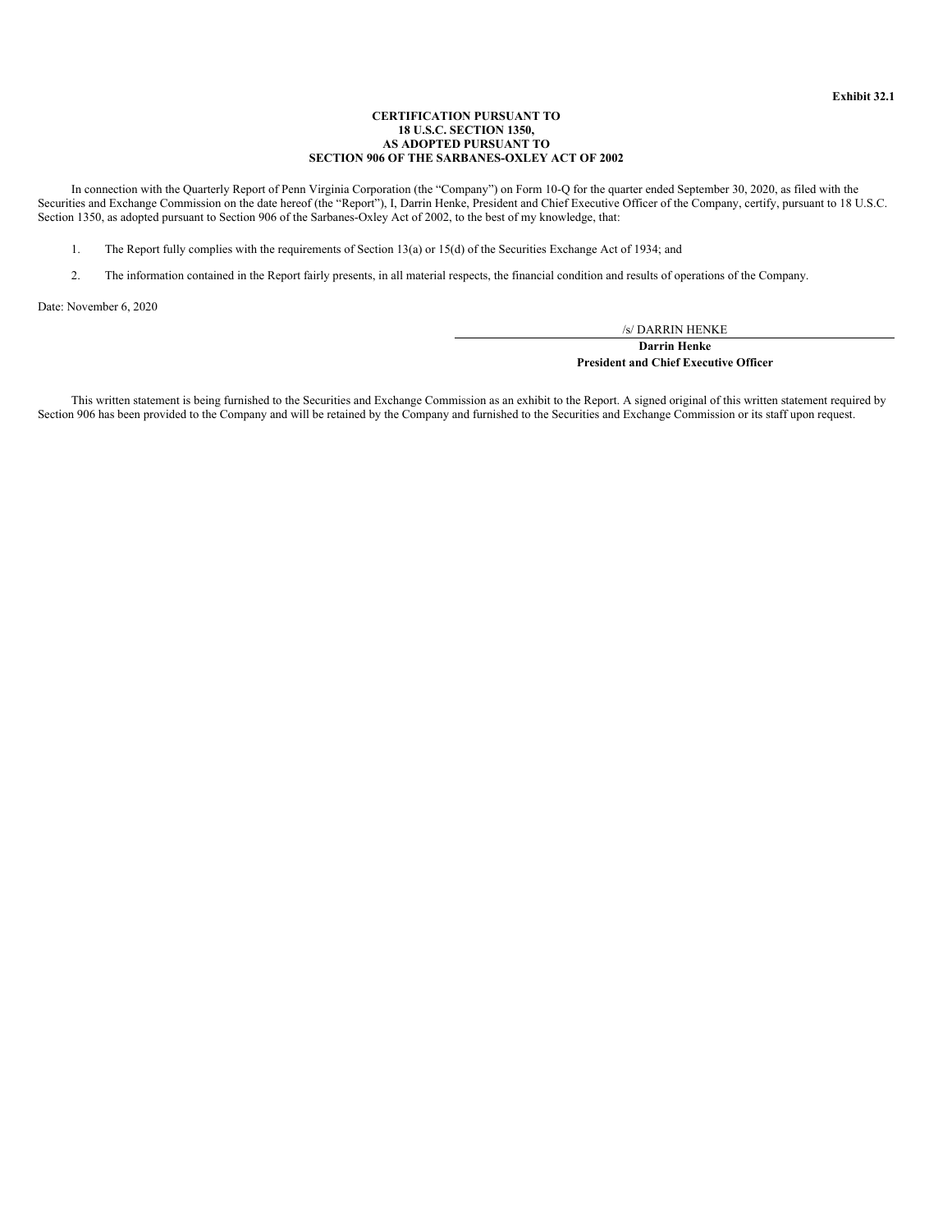### **CERTIFICATION PURSUANT TO 18 U.S.C. SECTION 1350, AS ADOPTED PURSUANT TO SECTION 906 OF THE SARBANES-OXLEY ACT OF 2002**

<span id="page-68-0"></span>In connection with the Quarterly Report of Penn Virginia Corporation (the "Company") on Form 10-Q for the quarter ended September 30, 2020, as filed with the Securities and Exchange Commission on the date hereof (the "Report"), I, Darrin Henke, President and Chief Executive Officer of the Company, certify, pursuant to 18 U.S.C. Section 1350, as adopted pursuant to Section 906 of the Sarbanes-Oxley Act of 2002, to the best of my knowledge, that:

- 1. The Report fully complies with the requirements of Section 13(a) or 15(d) of the Securities Exchange Act of 1934; and
- 2. The information contained in the Report fairly presents, in all material respects, the financial condition and results of operations of the Company.

Date: November 6, 2020

/s/ DARRIN HENKE **Darrin Henke**

**President and Chief Executive Officer**

This written statement is being furnished to the Securities and Exchange Commission as an exhibit to the Report. A signed original of this written statement required by Section 906 has been provided to the Company and will be retained by the Company and furnished to the Securities and Exchange Commission or its staff upon request.